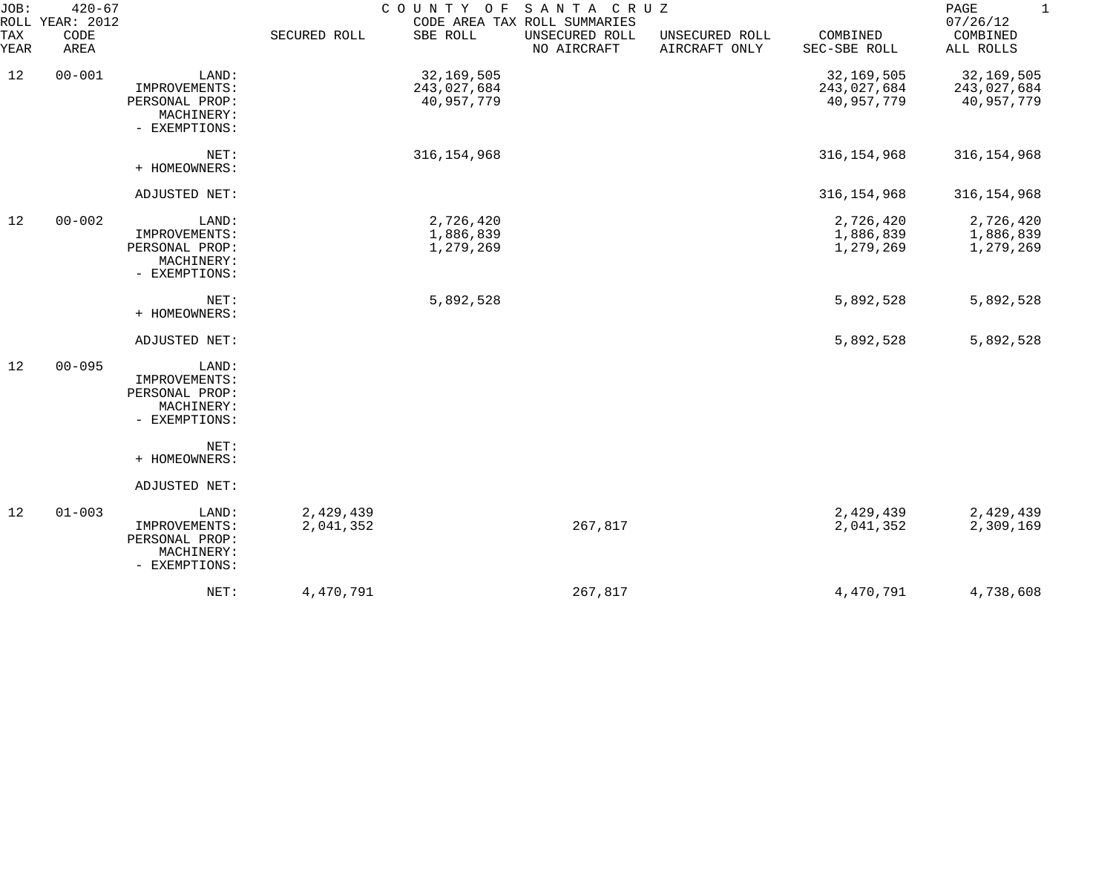| JOB:        | $420 - 67$<br>ROLL YEAR: 2012 |                                                                         |                        | COUNTY OF SANTA CRUZ                    | CODE AREA TAX ROLL SUMMARIES  |                                 |                                         | $\mathbf{1}$<br>PAGE<br>07/26/12        |
|-------------|-------------------------------|-------------------------------------------------------------------------|------------------------|-----------------------------------------|-------------------------------|---------------------------------|-----------------------------------------|-----------------------------------------|
| TAX<br>YEAR | CODE<br>AREA                  |                                                                         | SECURED ROLL           | SBE ROLL                                | UNSECURED ROLL<br>NO AIRCRAFT | UNSECURED ROLL<br>AIRCRAFT ONLY | COMBINED<br>SEC-SBE ROLL                | COMBINED<br>ALL ROLLS                   |
| 12          | $00 - 001$                    | LAND:<br>IMPROVEMENTS:<br>PERSONAL PROP:<br>MACHINERY:<br>- EXEMPTIONS: |                        | 32,169,505<br>243,027,684<br>40,957,779 |                               |                                 | 32,169,505<br>243,027,684<br>40,957,779 | 32,169,505<br>243,027,684<br>40,957,779 |
|             |                               | NET:<br>+ HOMEOWNERS:                                                   |                        | 316, 154, 968                           |                               |                                 | 316, 154, 968                           | 316, 154, 968                           |
|             |                               | ADJUSTED NET:                                                           |                        |                                         |                               |                                 | 316, 154, 968                           | 316, 154, 968                           |
| 12          | $00 - 002$                    | LAND:<br>IMPROVEMENTS:<br>PERSONAL PROP:<br>MACHINERY:<br>- EXEMPTIONS: |                        | 2,726,420<br>1,886,839<br>1,279,269     |                               |                                 | 2,726,420<br>1,886,839<br>1,279,269     | 2,726,420<br>1,886,839<br>1,279,269     |
|             |                               | NET:<br>+ HOMEOWNERS:                                                   |                        | 5,892,528                               |                               |                                 | 5,892,528                               | 5,892,528                               |
|             |                               | ADJUSTED NET:                                                           |                        |                                         |                               |                                 | 5,892,528                               | 5,892,528                               |
| 12          | $00 - 095$                    | LAND:<br>IMPROVEMENTS:<br>PERSONAL PROP:<br>MACHINERY:<br>- EXEMPTIONS: |                        |                                         |                               |                                 |                                         |                                         |
|             |                               | NET:<br>+ HOMEOWNERS:                                                   |                        |                                         |                               |                                 |                                         |                                         |
|             |                               | ADJUSTED NET:                                                           |                        |                                         |                               |                                 |                                         |                                         |
| 12          | $01 - 003$                    | LAND:<br>IMPROVEMENTS:<br>PERSONAL PROP:<br>MACHINERY:<br>- EXEMPTIONS: | 2,429,439<br>2,041,352 |                                         | 267,817                       |                                 | 2,429,439<br>2,041,352                  | 2,429,439<br>2,309,169                  |
|             |                               | NET:                                                                    | 4,470,791              |                                         | 267,817                       |                                 | 4,470,791                               | 4,738,608                               |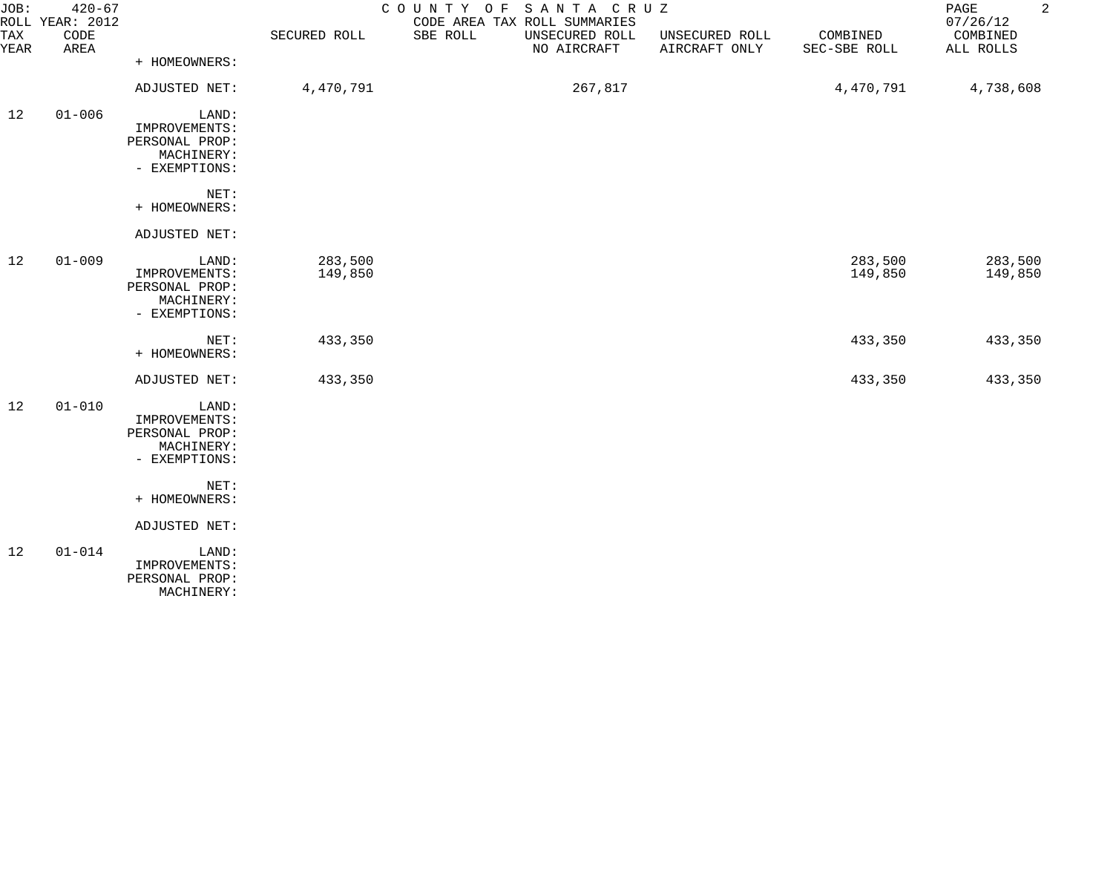| JOB:<br><b>TAX</b><br>YEAR | $420 - 67$<br>ROLL YEAR: 2012<br>CODE<br>AREA |                                                                                                  | SECURED ROLL       | COUNTY OF<br>CODE AREA TAX ROLL SUMMARIES<br>SBE ROLL | SANTA CRUZ<br>UNSECURED ROLL<br>NO AIRCRAFT | UNSECURED ROLL<br>AIRCRAFT ONLY | COMBINED<br>SEC-SBE ROLL | $\sqrt{2}$<br>PAGE<br>07/26/12<br>COMBINED<br>ALL ROLLS |
|----------------------------|-----------------------------------------------|--------------------------------------------------------------------------------------------------|--------------------|-------------------------------------------------------|---------------------------------------------|---------------------------------|--------------------------|---------------------------------------------------------|
|                            |                                               | + HOMEOWNERS:                                                                                    |                    |                                                       |                                             |                                 |                          |                                                         |
|                            |                                               | ADJUSTED NET:                                                                                    | 4,470,791          |                                                       | 267,817                                     |                                 | 4,470,791                | 4,738,608                                               |
| 12                         | $01 - 006$                                    | LAND:<br>IMPROVEMENTS:<br>PERSONAL PROP:<br>MACHINERY:<br>- EXEMPTIONS:                          |                    |                                                       |                                             |                                 |                          |                                                         |
|                            |                                               | NET:<br>+ HOMEOWNERS:                                                                            |                    |                                                       |                                             |                                 |                          |                                                         |
|                            |                                               | ADJUSTED NET:                                                                                    |                    |                                                       |                                             |                                 |                          |                                                         |
| 12                         | $01 - 009$                                    | LAND:<br>IMPROVEMENTS:<br>PERSONAL PROP:<br>MACHINERY:<br>- EXEMPTIONS:                          | 283,500<br>149,850 |                                                       |                                             |                                 | 283,500<br>149,850       | 283,500<br>149,850                                      |
|                            |                                               | NET:<br>+ HOMEOWNERS:                                                                            | 433,350            |                                                       |                                             |                                 | 433,350                  | 433,350                                                 |
|                            |                                               | ADJUSTED NET:                                                                                    | 433,350            |                                                       |                                             |                                 | 433,350                  | 433,350                                                 |
| 12                         | $01 - 010$                                    | LAND:<br>IMPROVEMENTS:<br>PERSONAL PROP:<br>MACHINERY:<br>- EXEMPTIONS:<br>NET:<br>+ HOMEOWNERS: |                    |                                                       |                                             |                                 |                          |                                                         |
|                            |                                               | ADJUSTED NET:                                                                                    |                    |                                                       |                                             |                                 |                          |                                                         |
| 12                         | $01 - 014$                                    | LAND:<br>IMPROVEMENTS:<br>PERSONAL PROP:<br>MACHINERY:                                           |                    |                                                       |                                             |                                 |                          |                                                         |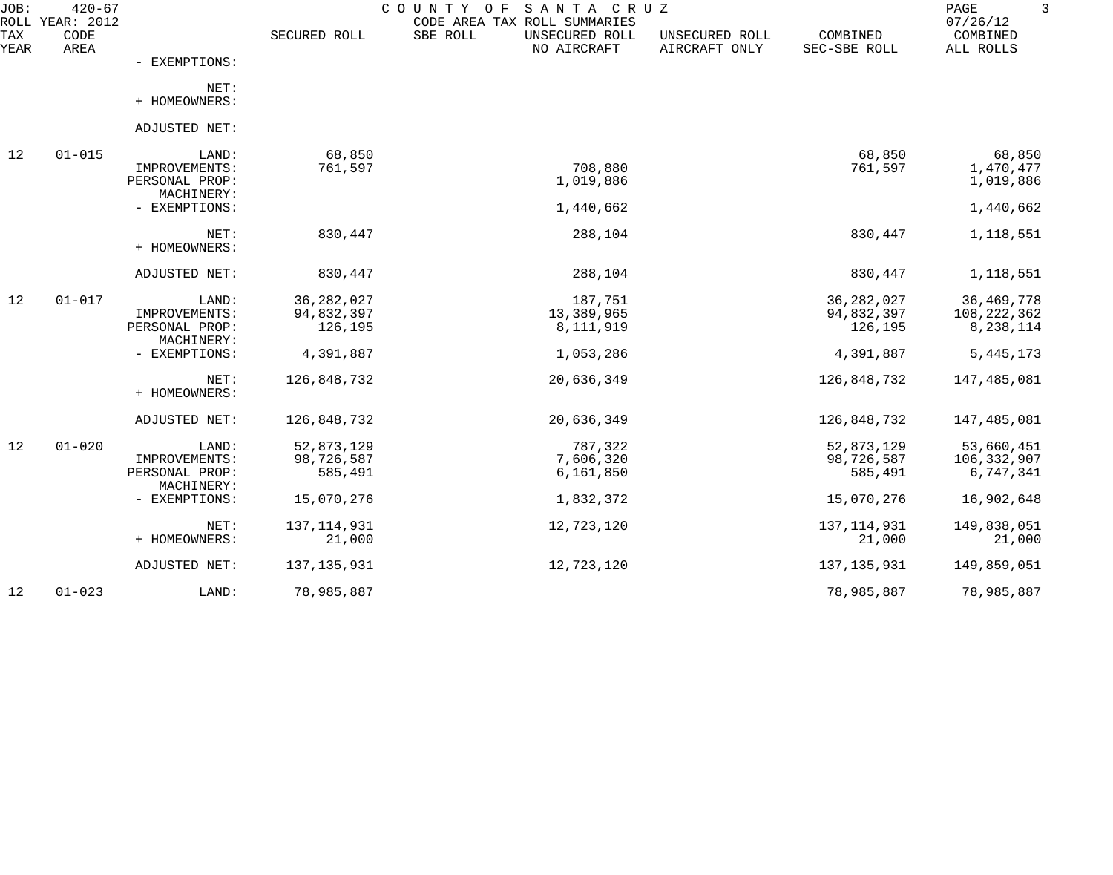| JOB:        | $420 - 67$<br>ROLL YEAR: 2012 |                                                        |                                       | COUNTY OF<br>SANTA CRUZ<br>CODE AREA TAX ROLL SUMMARIES |                                 |                                       | 3<br>PAGE<br>07/26/12                    |
|-------------|-------------------------------|--------------------------------------------------------|---------------------------------------|---------------------------------------------------------|---------------------------------|---------------------------------------|------------------------------------------|
| TAX<br>YEAR | CODE<br>AREA                  |                                                        | SECURED ROLL                          | SBE ROLL<br>UNSECURED ROLL<br>NO AIRCRAFT               | UNSECURED ROLL<br>AIRCRAFT ONLY | COMBINED<br>SEC-SBE ROLL              | COMBINED<br>ALL ROLLS                    |
|             |                               | - EXEMPTIONS:                                          |                                       |                                                         |                                 |                                       |                                          |
|             |                               | NET:<br>+ HOMEOWNERS:                                  |                                       |                                                         |                                 |                                       |                                          |
|             |                               | ADJUSTED NET:                                          |                                       |                                                         |                                 |                                       |                                          |
| 12          | $01 - 015$                    | LAND:<br>IMPROVEMENTS:<br>PERSONAL PROP:               | 68,850<br>761,597                     | 708,880<br>1,019,886                                    |                                 | 68,850<br>761,597                     | 68,850<br>1,470,477<br>1,019,886         |
|             |                               | MACHINERY:<br>- EXEMPTIONS:                            |                                       | 1,440,662                                               |                                 |                                       | 1,440,662                                |
|             |                               | NET:<br>+ HOMEOWNERS:                                  | 830,447                               | 288,104                                                 |                                 | 830,447                               | 1,118,551                                |
|             |                               | ADJUSTED NET:                                          | 830,447                               | 288,104                                                 |                                 | 830,447                               | 1,118,551                                |
| 12          | $01 - 017$                    | LAND:<br>IMPROVEMENTS:<br>PERSONAL PROP:               | 36, 282, 027<br>94,832,397<br>126,195 | 187,751<br>13,389,965<br>8,111,919                      |                                 | 36, 282, 027<br>94,832,397<br>126,195 | 36, 469, 778<br>108,222,362<br>8,238,114 |
|             |                               | MACHINERY:<br>- EXEMPTIONS:                            | 4,391,887                             | 1,053,286                                               |                                 | 4,391,887                             | 5, 445, 173                              |
|             |                               | NET:<br>+ HOMEOWNERS:                                  | 126,848,732                           | 20,636,349                                              |                                 | 126,848,732                           | 147,485,081                              |
|             |                               | ADJUSTED NET:                                          | 126,848,732                           | 20,636,349                                              |                                 | 126,848,732                           | 147,485,081                              |
| 12          | $01 - 020$                    | LAND:<br>IMPROVEMENTS:<br>PERSONAL PROP:<br>MACHINERY: | 52,873,129<br>98,726,587<br>585,491   | 787,322<br>7,606,320<br>6,161,850                       |                                 | 52,873,129<br>98,726,587<br>585,491   | 53,660,451<br>106,332,907<br>6,747,341   |
|             |                               | - EXEMPTIONS:                                          | 15,070,276                            | 1,832,372                                               |                                 | 15,070,276                            | 16,902,648                               |
|             |                               | NET:<br>+ HOMEOWNERS:                                  | 137, 114, 931<br>21,000               | 12,723,120                                              |                                 | 137, 114, 931<br>21,000               | 149,838,051<br>21,000                    |
|             |                               | ADJUSTED NET:                                          | 137, 135, 931                         | 12,723,120                                              |                                 | 137, 135, 931                         | 149,859,051                              |
| 12          | $01 - 023$                    | LAND:                                                  | 78,985,887                            |                                                         |                                 | 78,985,887                            | 78,985,887                               |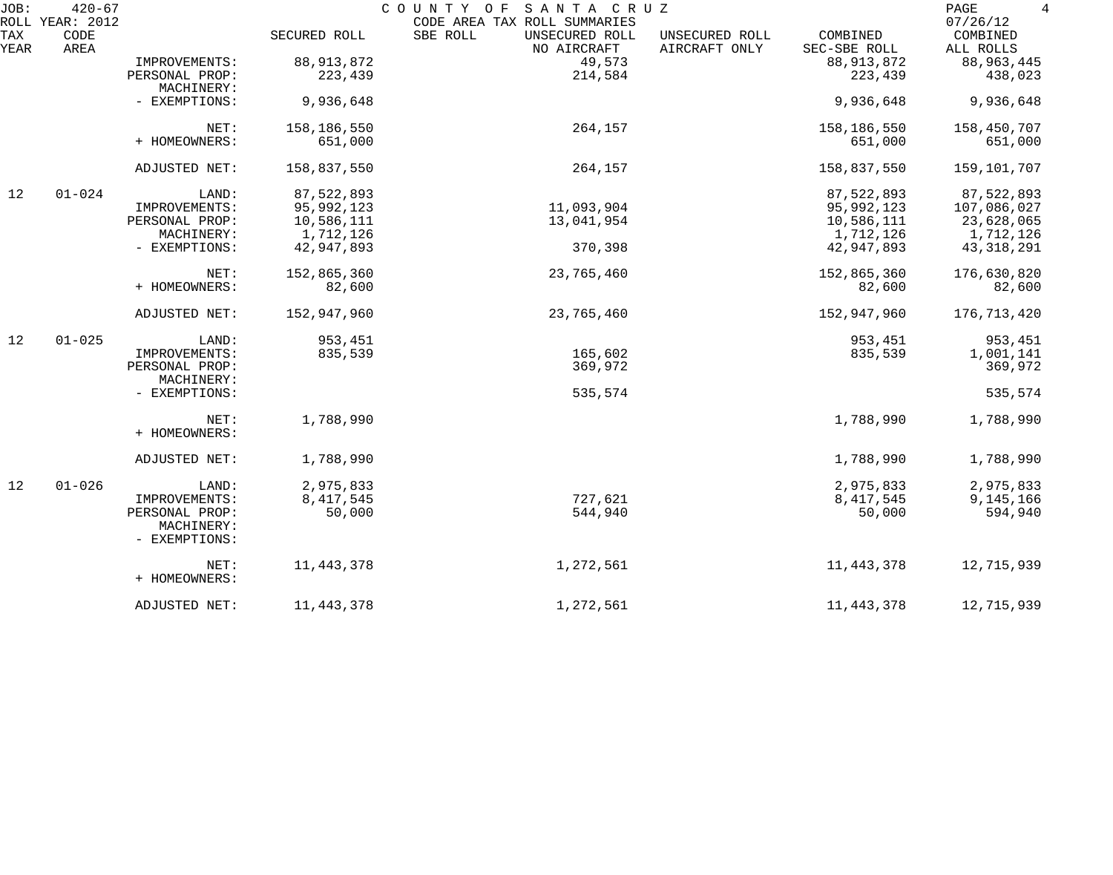| JOB:        | $420 - 67$<br>ROLL YEAR: 2012 |                             |              | SANTA CRUZ<br>COUNTY OF<br>CODE AREA TAX ROLL SUMMARIES |                                 |                          | $\overline{4}$<br>PAGE<br>07/26/12 |
|-------------|-------------------------------|-----------------------------|--------------|---------------------------------------------------------|---------------------------------|--------------------------|------------------------------------|
| TAX<br>YEAR | CODE<br>AREA                  |                             | SECURED ROLL | SBE ROLL<br>UNSECURED ROLL<br>NO AIRCRAFT               | UNSECURED ROLL<br>AIRCRAFT ONLY | COMBINED<br>SEC-SBE ROLL | COMBINED<br>ALL ROLLS              |
|             |                               | IMPROVEMENTS:               | 88, 913, 872 | 49,573                                                  |                                 | 88, 913, 872             | 88,963,445                         |
|             |                               | PERSONAL PROP:              | 223,439      | 214,584                                                 |                                 | 223,439                  | 438,023                            |
|             |                               | MACHINERY:                  |              |                                                         |                                 |                          |                                    |
|             |                               | - EXEMPTIONS:               | 9,936,648    |                                                         |                                 | 9,936,648                | 9,936,648                          |
|             |                               | NET:                        | 158,186,550  | 264,157                                                 |                                 | 158,186,550              | 158,450,707                        |
|             |                               | + HOMEOWNERS:               | 651,000      |                                                         |                                 | 651,000                  | 651,000                            |
|             |                               | ADJUSTED NET:               | 158,837,550  | 264,157                                                 |                                 | 158,837,550              | 159,101,707                        |
| 12          | $01 - 024$                    | LAND:                       | 87,522,893   |                                                         |                                 | 87,522,893               | 87,522,893                         |
|             |                               | IMPROVEMENTS:               | 95,992,123   | 11,093,904                                              |                                 | 95,992,123               | 107,086,027                        |
|             |                               | PERSONAL PROP:              | 10,586,111   | 13,041,954                                              |                                 | 10,586,111               | 23,628,065                         |
|             |                               | MACHINERY:                  | 1,712,126    |                                                         |                                 | 1,712,126                | 1,712,126                          |
|             |                               | - EXEMPTIONS:               | 42,947,893   | 370,398                                                 |                                 | 42,947,893               | 43, 318, 291                       |
|             |                               | NET:                        | 152,865,360  | 23,765,460                                              |                                 | 152,865,360              | 176,630,820                        |
|             |                               | + HOMEOWNERS:               | 82,600       |                                                         |                                 | 82,600                   | 82,600                             |
|             |                               | ADJUSTED NET:               | 152,947,960  | 23,765,460                                              |                                 | 152,947,960              | 176,713,420                        |
| 12          | $01 - 025$                    | LAND:                       | 953,451      |                                                         |                                 | 953,451                  | 953,451                            |
|             |                               | IMPROVEMENTS:               | 835,539      | 165,602                                                 |                                 | 835,539                  | 1,001,141                          |
|             |                               | PERSONAL PROP:              |              | 369,972                                                 |                                 |                          | 369,972                            |
|             |                               | MACHINERY:                  |              |                                                         |                                 |                          |                                    |
|             |                               | - EXEMPTIONS:               |              | 535,574                                                 |                                 |                          | 535,574                            |
|             |                               | NET:                        | 1,788,990    |                                                         |                                 | 1,788,990                | 1,788,990                          |
|             |                               | + HOMEOWNERS:               |              |                                                         |                                 |                          |                                    |
|             |                               | ADJUSTED NET:               | 1,788,990    |                                                         |                                 | 1,788,990                | 1,788,990                          |
| 12          | $01 - 026$                    | LAND:                       | 2,975,833    |                                                         |                                 | 2,975,833                | 2,975,833                          |
|             |                               | IMPROVEMENTS:               | 8, 417, 545  | 727,621                                                 |                                 | 8, 417, 545              | 9,145,166                          |
|             |                               | PERSONAL PROP:              | 50,000       | 544,940                                                 |                                 | 50,000                   | 594,940                            |
|             |                               | MACHINERY:<br>- EXEMPTIONS: |              |                                                         |                                 |                          |                                    |
|             |                               | NET:                        | 11, 443, 378 | 1,272,561                                               |                                 | 11,443,378               | 12,715,939                         |
|             |                               | + HOMEOWNERS:               |              |                                                         |                                 |                          |                                    |
|             |                               | ADJUSTED NET:               | 11, 443, 378 | 1,272,561                                               |                                 | 11, 443, 378             | 12,715,939                         |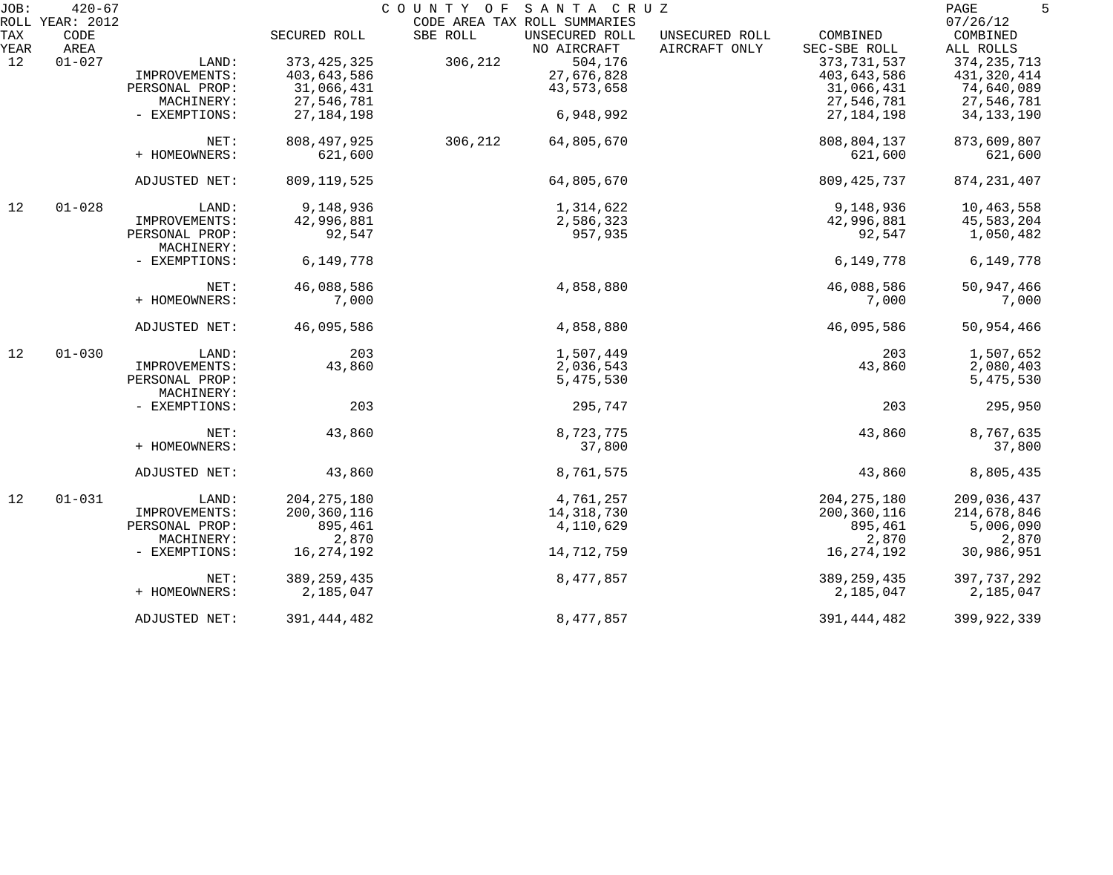| JOB:               | $420 - 67$         |                              |               | COUNTY OF<br>SANTA CRUZ                                    |                |               | 5<br>PAGE            |
|--------------------|--------------------|------------------------------|---------------|------------------------------------------------------------|----------------|---------------|----------------------|
| ROLL<br><b>TAX</b> | YEAR: 2012<br>CODE |                              | SECURED ROLL  | CODE AREA TAX ROLL SUMMARIES<br>SBE ROLL<br>UNSECURED ROLL | UNSECURED ROLL | COMBINED      | 07/26/12<br>COMBINED |
| YEAR               | AREA               |                              |               | NO AIRCRAFT                                                | AIRCRAFT ONLY  | SEC-SBE ROLL  | ALL ROLLS            |
| 12                 | $01 - 027$         | LAND:                        | 373, 425, 325 | 504,176<br>306,212                                         |                | 373, 731, 537 | 374, 235, 713        |
|                    |                    | IMPROVEMENTS:                | 403,643,586   | 27,676,828                                                 |                | 403,643,586   | 431,320,414          |
|                    |                    | PERSONAL PROP:               | 31,066,431    | 43, 573, 658                                               |                | 31,066,431    | 74,640,089           |
|                    |                    | MACHINERY:                   | 27,546,781    |                                                            |                | 27,546,781    | 27,546,781           |
|                    |                    | - EXEMPTIONS:                | 27, 184, 198  | 6,948,992                                                  |                | 27, 184, 198  | 34, 133, 190         |
|                    |                    | NET:                         | 808, 497, 925 | 306,212<br>64,805,670                                      |                | 808,804,137   | 873,609,807          |
|                    |                    | + HOMEOWNERS:                | 621,600       |                                                            |                | 621,600       | 621,600              |
|                    |                    | ADJUSTED NET:                | 809, 119, 525 | 64,805,670                                                 |                | 809, 425, 737 | 874, 231, 407        |
| 12                 | $01 - 028$         | LAND:                        | 9,148,936     | 1,314,622                                                  |                | 9,148,936     | 10,463,558           |
|                    |                    | IMPROVEMENTS:                | 42,996,881    | 2,586,323                                                  |                | 42,996,881    | 45,583,204           |
|                    |                    | PERSONAL PROP:               | 92,547        | 957,935                                                    |                | 92,547        | 1,050,482            |
|                    |                    | MACHINERY:                   |               |                                                            |                |               |                      |
|                    |                    | - EXEMPTIONS:                | 6,149,778     |                                                            |                | 6,149,778     | 6,149,778            |
|                    |                    | NET:                         | 46,088,586    | 4,858,880                                                  |                | 46,088,586    | 50,947,466           |
|                    |                    | + HOMEOWNERS:                | 7,000         |                                                            |                | 7,000         | 7,000                |
|                    |                    | ADJUSTED NET:                | 46,095,586    | 4,858,880                                                  |                | 46,095,586    | 50,954,466           |
| 12                 | $01 - 030$         | LAND:                        | 203           | 1,507,449                                                  |                | 203           | 1,507,652            |
|                    |                    | IMPROVEMENTS:                | 43,860        | 2,036,543                                                  |                | 43,860        | 2,080,403            |
|                    |                    | PERSONAL PROP:<br>MACHINERY: |               | 5,475,530                                                  |                |               | 5,475,530            |
|                    |                    | - EXEMPTIONS:                | 203           | 295,747                                                    |                | 203           | 295,950              |
|                    |                    | NET:                         | 43,860        | 8,723,775                                                  |                | 43,860        | 8,767,635            |
|                    |                    | + HOMEOWNERS:                |               | 37,800                                                     |                |               | 37,800               |
|                    |                    | ADJUSTED NET:                | 43,860        | 8,761,575                                                  |                | 43,860        | 8,805,435            |
| 12                 | $01 - 031$         | LAND:                        | 204, 275, 180 | 4,761,257                                                  |                | 204, 275, 180 | 209,036,437          |
|                    |                    | IMPROVEMENTS:                | 200, 360, 116 | 14, 318, 730                                               |                | 200, 360, 116 | 214,678,846          |
|                    |                    | PERSONAL PROP:               | 895,461       | 4,110,629                                                  |                | 895,461       | 5,006,090            |
|                    |                    | MACHINERY:                   | 2,870         |                                                            |                | 2,870         | 2,870                |
|                    |                    | - EXEMPTIONS:                | 16, 274, 192  | 14,712,759                                                 |                | 16,274,192    | 30,986,951           |
|                    |                    | NET:                         | 389, 259, 435 | 8,477,857                                                  |                | 389, 259, 435 | 397, 737, 292        |
|                    |                    | + HOMEOWNERS:                | 2,185,047     |                                                            |                | 2,185,047     | 2,185,047            |
|                    |                    | ADJUSTED NET:                | 391, 444, 482 | 8,477,857                                                  |                | 391, 444, 482 | 399,922,339          |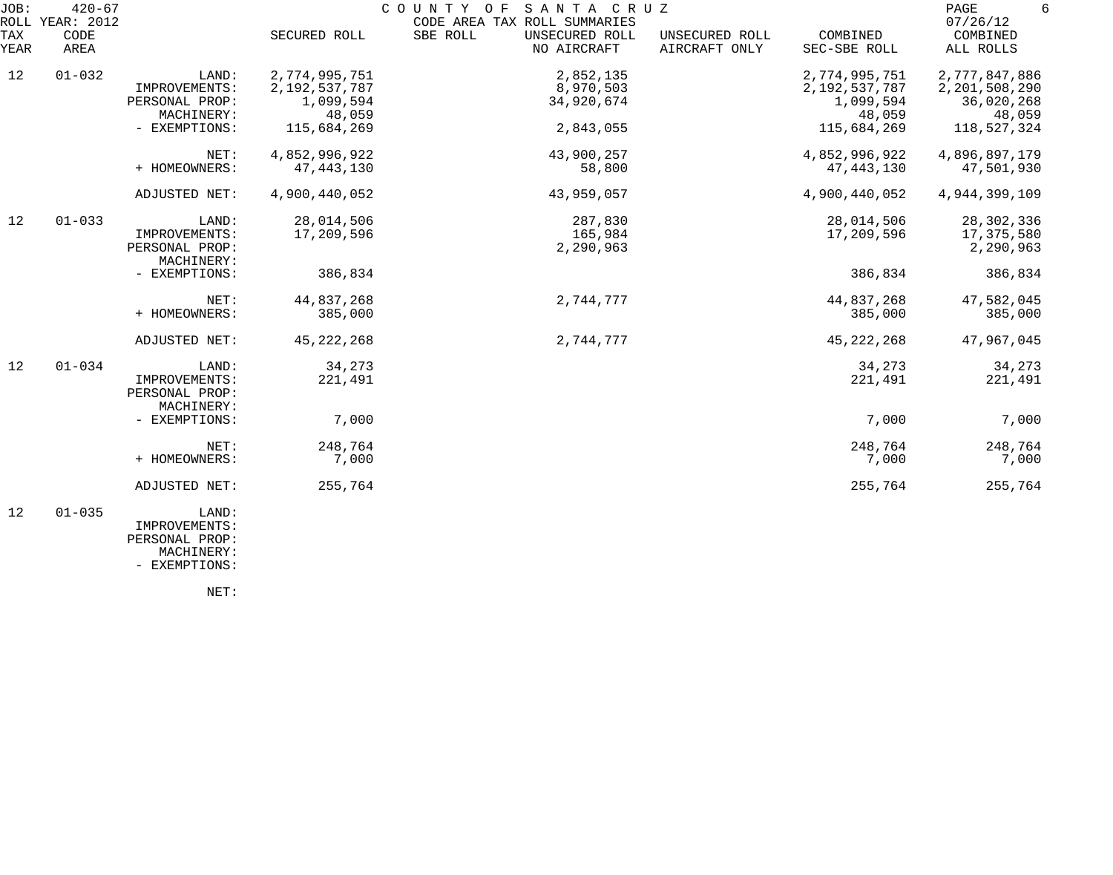| JOB:        | $420 - 67$<br>ROLL YEAR: 2012 |                                                        |                                             | COUNTY<br>O F<br>SANTA CRUZ<br>CODE AREA TAX ROLL SUMMARIES |                                 |                                             | PAGE<br>6<br>07/26/12                        |
|-------------|-------------------------------|--------------------------------------------------------|---------------------------------------------|-------------------------------------------------------------|---------------------------------|---------------------------------------------|----------------------------------------------|
| TAX<br>YEAR | CODE<br>AREA                  |                                                        | SECURED ROLL                                | SBE ROLL<br>UNSECURED ROLL<br>NO AIRCRAFT                   | UNSECURED ROLL<br>AIRCRAFT ONLY | COMBINED<br>SEC-SBE ROLL                    | COMBINED<br>ALL ROLLS                        |
| 12          | $01 - 032$                    | LAND:<br>IMPROVEMENTS:<br>PERSONAL PROP:               | 2,774,995,751<br>2,192,537,787<br>1,099,594 | 2,852,135<br>8,970,503<br>34,920,674                        |                                 | 2,774,995,751<br>2,192,537,787<br>1,099,594 | 2,777,847,886<br>2,201,508,290<br>36,020,268 |
|             |                               | MACHINERY:<br>- EXEMPTIONS:                            | 48,059<br>115,684,269                       | 2,843,055                                                   |                                 | 48,059<br>115,684,269                       | 48,059<br>118,527,324                        |
|             |                               | NET:<br>+ HOMEOWNERS:                                  | 4,852,996,922<br>47, 443, 130               | 43,900,257<br>58,800                                        |                                 | 4,852,996,922<br>47, 443, 130               | 4,896,897,179<br>47,501,930                  |
|             |                               | ADJUSTED NET:                                          | 4,900,440,052                               | 43,959,057                                                  |                                 | 4,900,440,052                               | 4,944,399,109                                |
| 12          | $01 - 033$                    | LAND:<br>IMPROVEMENTS:<br>PERSONAL PROP:<br>MACHINERY: | 28,014,506<br>17,209,596                    | 287,830<br>165,984<br>2,290,963                             |                                 | 28,014,506<br>17,209,596                    | 28, 302, 336<br>17,375,580<br>2,290,963      |
|             |                               | - EXEMPTIONS:                                          | 386,834                                     |                                                             |                                 | 386,834                                     | 386,834                                      |
|             |                               | NET:<br>+ HOMEOWNERS:                                  | 44,837,268<br>385,000                       | 2,744,777                                                   |                                 | 44,837,268<br>385,000                       | 47,582,045<br>385,000                        |
|             |                               | ADJUSTED NET:                                          | 45, 222, 268                                | 2,744,777                                                   |                                 | 45, 222, 268                                | 47,967,045                                   |
| 12          | $01 - 034$                    | LAND:<br>IMPROVEMENTS:<br>PERSONAL PROP:<br>MACHINERY: | 34,273<br>221,491                           |                                                             |                                 | 34,273<br>221,491                           | 34,273<br>221,491                            |
|             |                               | - EXEMPTIONS:                                          | 7,000                                       |                                                             |                                 | 7,000                                       | 7,000                                        |
|             |                               | NET:<br>+ HOMEOWNERS:                                  | 248,764<br>7,000                            |                                                             |                                 | 248,764<br>7,000                            | 248,764<br>7,000                             |
|             |                               | ADJUSTED NET:                                          | 255,764                                     |                                                             |                                 | 255,764                                     | 255,764                                      |
| 12          | $01 - 035$                    | LAND:<br>IMPROVEMENTS:                                 |                                             |                                                             |                                 |                                             |                                              |

 PERSONAL PROP: MACHINERY:

- EXEMPTIONS: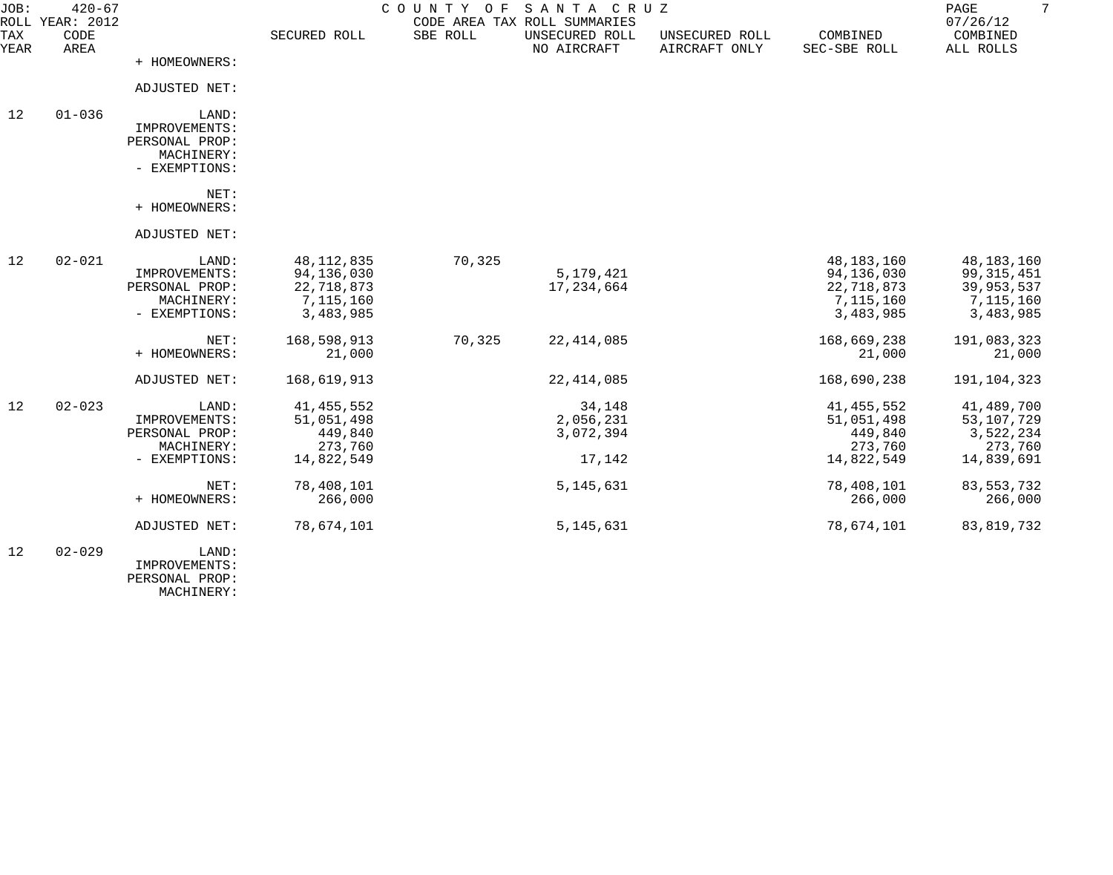| JOB:        | $420 - 67$<br>ROLL YEAR: 2012 |                                                                         |                                                                    | COUNTY OF | SANTA CRUZ<br>CODE AREA TAX ROLL SUMMARIES |                                 |                                                                  | $7\phantom{.0}$<br>PAGE<br>07/26/12                                |
|-------------|-------------------------------|-------------------------------------------------------------------------|--------------------------------------------------------------------|-----------|--------------------------------------------|---------------------------------|------------------------------------------------------------------|--------------------------------------------------------------------|
| TAX<br>YEAR | CODE<br>AREA                  |                                                                         | SECURED ROLL                                                       | SBE ROLL  | UNSECURED ROLL<br>NO AIRCRAFT              | UNSECURED ROLL<br>AIRCRAFT ONLY | COMBINED<br>SEC-SBE ROLL                                         | COMBINED<br>ALL ROLLS                                              |
|             |                               | + HOMEOWNERS:                                                           |                                                                    |           |                                            |                                 |                                                                  |                                                                    |
|             |                               | ADJUSTED NET:                                                           |                                                                    |           |                                            |                                 |                                                                  |                                                                    |
| 12          | $01 - 036$                    | LAND:<br>IMPROVEMENTS:<br>PERSONAL PROP:<br>MACHINERY:<br>- EXEMPTIONS: |                                                                    |           |                                            |                                 |                                                                  |                                                                    |
|             |                               | NET:<br>+ HOMEOWNERS:                                                   |                                                                    |           |                                            |                                 |                                                                  |                                                                    |
|             |                               | ADJUSTED NET:                                                           |                                                                    |           |                                            |                                 |                                                                  |                                                                    |
| 12          | $02 - 021$                    | LAND:<br>IMPROVEMENTS:<br>PERSONAL PROP:<br>MACHINERY:<br>- EXEMPTIONS: | 48, 112, 835<br>94,136,030<br>22,718,873<br>7,115,160<br>3,483,985 | 70,325    | 5,179,421<br>17, 234, 664                  |                                 | 48,183,160<br>94,136,030<br>22,718,873<br>7,115,160<br>3,483,985 | 48,183,160<br>99, 315, 451<br>39,953,537<br>7,115,160<br>3,483,985 |
|             |                               | NET:<br>+ HOMEOWNERS:                                                   | 168,598,913<br>21,000                                              | 70,325    | 22, 414, 085                               |                                 | 168,669,238<br>21,000                                            | 191,083,323<br>21,000                                              |
|             |                               | ADJUSTED NET:                                                           | 168,619,913                                                        |           | 22, 414, 085                               |                                 | 168,690,238                                                      | 191, 104, 323                                                      |
| 12          | $02 - 023$                    | LAND:<br>IMPROVEMENTS:<br>PERSONAL PROP:<br>MACHINERY:<br>- EXEMPTIONS: | 41, 455, 552<br>51,051,498<br>449,840<br>273,760<br>14,822,549     |           | 34,148<br>2,056,231<br>3,072,394<br>17,142 |                                 | 41, 455, 552<br>51,051,498<br>449,840<br>273,760<br>14,822,549   | 41,489,700<br>53,107,729<br>3,522,234<br>273,760<br>14,839,691     |
|             |                               | NET:<br>+ HOMEOWNERS:                                                   | 78,408,101<br>266,000                                              |           | 5, 145, 631                                |                                 | 78,408,101<br>266,000                                            | 83, 553, 732<br>266,000                                            |
|             |                               | ADJUSTED NET:                                                           | 78,674,101                                                         |           | 5, 145, 631                                |                                 | 78,674,101                                                       | 83, 819, 732                                                       |
| 12          | $02 - 029$                    | LAND:<br>IMPROVEMENTS:<br>PERSONAL PROP:                                |                                                                    |           |                                            |                                 |                                                                  |                                                                    |

MACHINERY: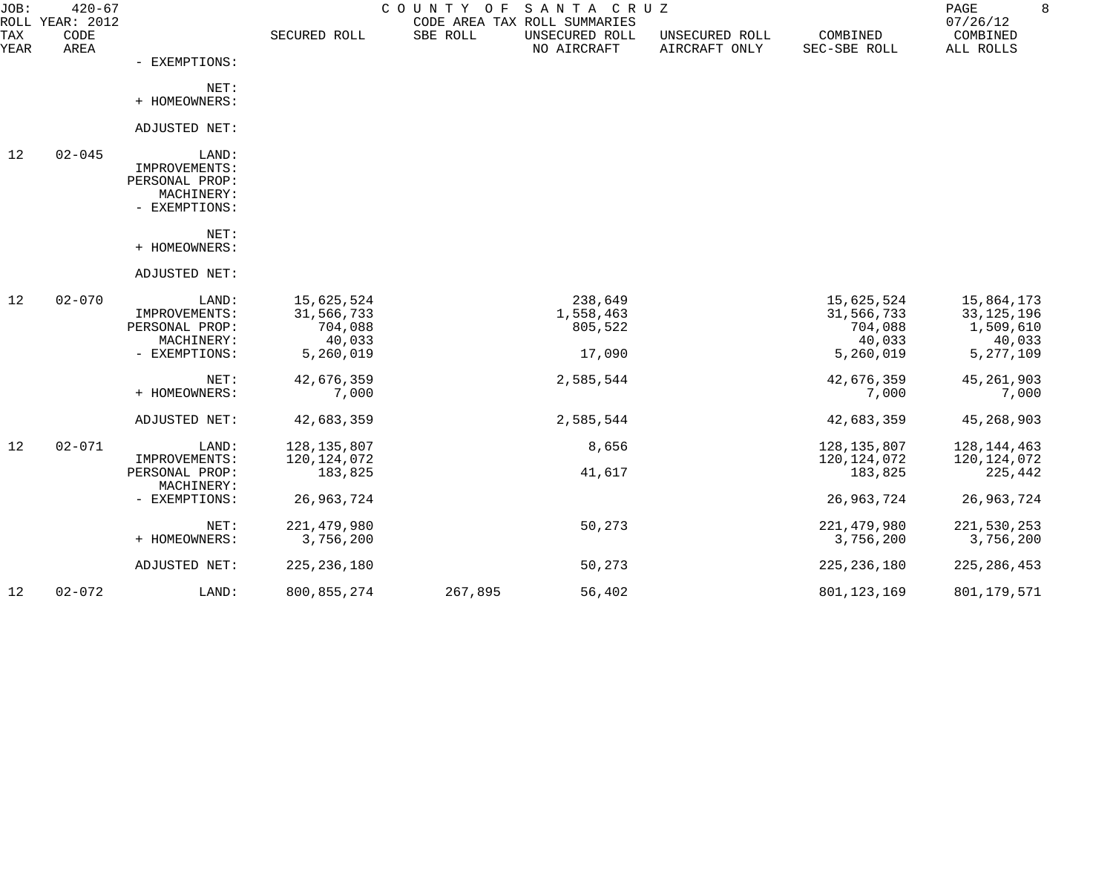| JOB:        | $420 - 67$<br>ROLL YEAR: 2012 |                                                                         |                                                            | COUNTY OF | SANTA CRUZ<br>CODE AREA TAX ROLL SUMMARIES |                                 |                                                            | PAGE<br>07/26/12                                             | 8 |
|-------------|-------------------------------|-------------------------------------------------------------------------|------------------------------------------------------------|-----------|--------------------------------------------|---------------------------------|------------------------------------------------------------|--------------------------------------------------------------|---|
| TAX<br>YEAR | CODE<br>AREA                  |                                                                         | SECURED ROLL                                               | SBE ROLL  | UNSECURED ROLL<br>NO AIRCRAFT              | UNSECURED ROLL<br>AIRCRAFT ONLY | COMBINED<br>SEC-SBE ROLL                                   | COMBINED<br>ALL ROLLS                                        |   |
|             |                               | - EXEMPTIONS:                                                           |                                                            |           |                                            |                                 |                                                            |                                                              |   |
|             |                               | NET:<br>+ HOMEOWNERS:                                                   |                                                            |           |                                            |                                 |                                                            |                                                              |   |
|             |                               | ADJUSTED NET:                                                           |                                                            |           |                                            |                                 |                                                            |                                                              |   |
| 12          | $02 - 045$                    | LAND:<br>IMPROVEMENTS:<br>PERSONAL PROP:<br>MACHINERY:<br>- EXEMPTIONS: |                                                            |           |                                            |                                 |                                                            |                                                              |   |
|             |                               | NET:<br>+ HOMEOWNERS:                                                   |                                                            |           |                                            |                                 |                                                            |                                                              |   |
|             |                               | ADJUSTED NET:                                                           |                                                            |           |                                            |                                 |                                                            |                                                              |   |
| 12          | $02 - 070$                    | LAND:<br>IMPROVEMENTS:<br>PERSONAL PROP:<br>MACHINERY:<br>- EXEMPTIONS: | 15,625,524<br>31,566,733<br>704,088<br>40,033<br>5,260,019 |           | 238,649<br>1,558,463<br>805,522<br>17,090  |                                 | 15,625,524<br>31,566,733<br>704,088<br>40,033<br>5,260,019 | 15,864,173<br>33,125,196<br>1,509,610<br>40,033<br>5,277,109 |   |
|             |                               | NET:<br>+ HOMEOWNERS:                                                   | 42,676,359<br>7,000                                        |           | 2,585,544                                  |                                 | 42,676,359<br>7,000                                        | 45, 261, 903<br>7,000                                        |   |
|             |                               | ADJUSTED NET:                                                           | 42,683,359                                                 |           | 2,585,544                                  |                                 | 42,683,359                                                 | 45,268,903                                                   |   |
| 12          | $02 - 071$                    | LAND:<br>IMPROVEMENTS:<br>PERSONAL PROP:                                | 128, 135, 807<br>120, 124, 072<br>183,825                  |           | 8,656<br>41,617                            |                                 | 128, 135, 807<br>120, 124, 072<br>183,825                  | 128, 144, 463<br>120,124,072<br>225,442                      |   |
|             |                               | MACHINERY:<br>- EXEMPTIONS:                                             | 26, 963, 724                                               |           |                                            |                                 | 26,963,724                                                 | 26,963,724                                                   |   |
|             |                               | NET:<br>+ HOMEOWNERS:                                                   | 221, 479, 980<br>3,756,200                                 |           | 50,273                                     |                                 | 221, 479, 980<br>3,756,200                                 | 221,530,253<br>3,756,200                                     |   |
|             |                               | ADJUSTED NET:                                                           | 225, 236, 180                                              |           | 50,273                                     |                                 | 225, 236, 180                                              | 225, 286, 453                                                |   |
| 12          | $02 - 072$                    | LAND:                                                                   | 800, 855, 274                                              | 267,895   | 56,402                                     |                                 | 801, 123, 169                                              | 801,179,571                                                  |   |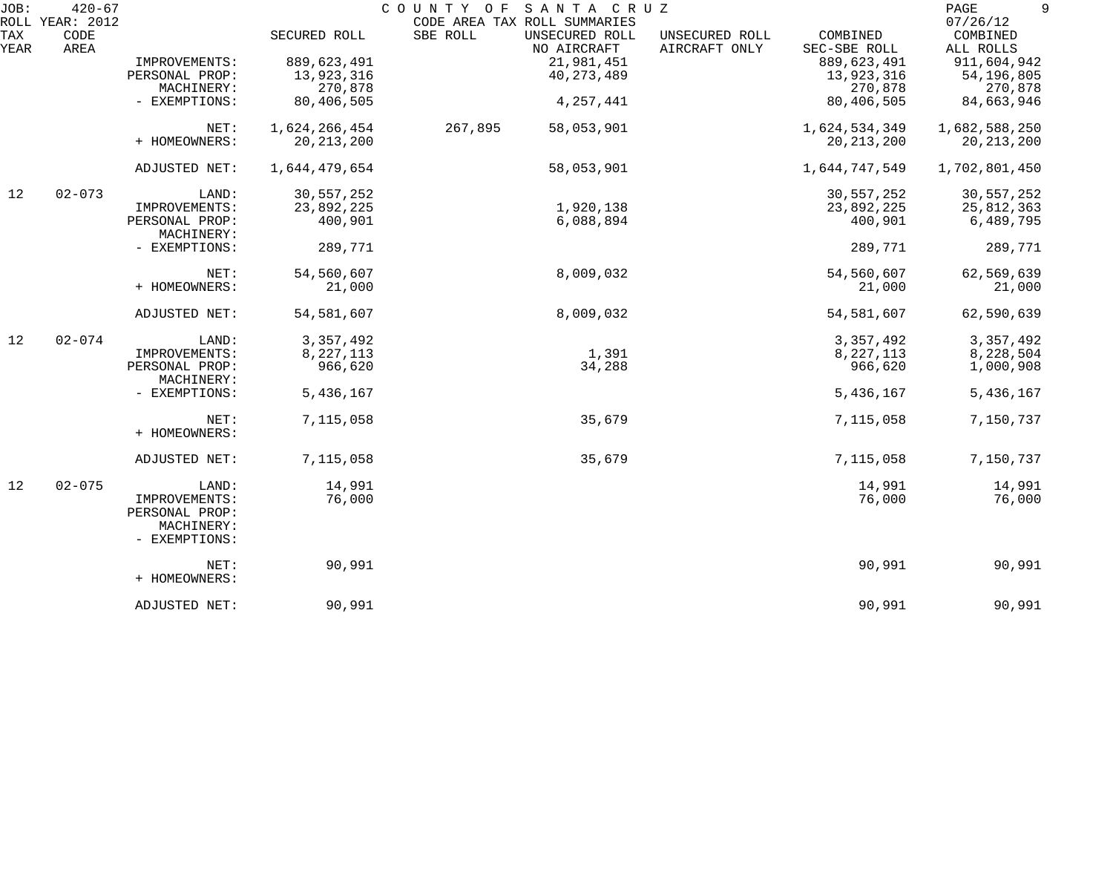| JOB:        | $420 - 67$<br>ROLL YEAR: 2012 |                              |               | SANTA CRUZ<br>COUNTY OF<br>CODE AREA TAX ROLL SUMMARIES |                                 |                          | 9<br>PAGE<br>07/26/12 |
|-------------|-------------------------------|------------------------------|---------------|---------------------------------------------------------|---------------------------------|--------------------------|-----------------------|
| TAX<br>YEAR | CODE<br>AREA                  |                              | SECURED ROLL  | SBE ROLL<br>UNSECURED ROLL<br>NO AIRCRAFT               | UNSECURED ROLL<br>AIRCRAFT ONLY | COMBINED<br>SEC-SBE ROLL | COMBINED<br>ALL ROLLS |
|             |                               | IMPROVEMENTS:                | 889,623,491   | 21,981,451                                              |                                 | 889,623,491              | 911,604,942           |
|             |                               | PERSONAL PROP:               | 13,923,316    | 40, 273, 489                                            |                                 | 13,923,316               | 54,196,805            |
|             |                               | MACHINERY:                   | 270,878       |                                                         |                                 | 270,878                  | 270,878               |
|             |                               | - EXEMPTIONS:                | 80,406,505    | 4, 257, 441                                             |                                 | 80,406,505               | 84,663,946            |
|             |                               | NET:                         | 1,624,266,454 | 267,895<br>58,053,901                                   |                                 | 1,624,534,349            | 1,682,588,250         |
|             |                               | + HOMEOWNERS:                | 20, 213, 200  |                                                         |                                 | 20, 213, 200             | 20, 213, 200          |
|             |                               | ADJUSTED NET:                | 1,644,479,654 | 58,053,901                                              |                                 | 1,644,747,549            | 1,702,801,450         |
| 12          | $02 - 073$                    | LAND:                        | 30,557,252    |                                                         |                                 | 30,557,252               | 30,557,252            |
|             |                               | IMPROVEMENTS:                | 23,892,225    | 1,920,138                                               |                                 | 23,892,225               | 25,812,363            |
|             |                               | PERSONAL PROP:<br>MACHINERY: | 400,901       | 6,088,894                                               |                                 | 400,901                  | 6,489,795             |
|             |                               | - EXEMPTIONS:                | 289,771       |                                                         |                                 | 289,771                  | 289,771               |
|             |                               | NET:                         | 54,560,607    | 8,009,032                                               |                                 | 54,560,607               | 62,569,639            |
|             |                               | + HOMEOWNERS:                | 21,000        |                                                         |                                 | 21,000                   | 21,000                |
|             |                               | ADJUSTED NET:                | 54, 581, 607  | 8,009,032                                               |                                 | 54,581,607               | 62,590,639            |
| 12          | $02 - 074$                    | LAND:                        | 3, 357, 492   |                                                         |                                 | 3, 357, 492              | 3, 357, 492           |
|             |                               | IMPROVEMENTS:                | 8,227,113     | 1,391                                                   |                                 | 8, 227, 113              | 8,228,504             |
|             |                               | PERSONAL PROP:<br>MACHINERY: | 966,620       | 34,288                                                  |                                 | 966,620                  | 1,000,908             |
|             |                               | - EXEMPTIONS:                | 5,436,167     |                                                         |                                 | 5,436,167                | 5,436,167             |
|             |                               | NET:<br>+ HOMEOWNERS:        | 7,115,058     | 35,679                                                  |                                 | 7,115,058                | 7,150,737             |
|             |                               | ADJUSTED NET:                | 7,115,058     | 35,679                                                  |                                 | 7,115,058                | 7,150,737             |
| 12          | $02 - 075$                    | LAND:                        | 14,991        |                                                         |                                 | 14,991                   | 14,991                |
|             |                               | IMPROVEMENTS:                | 76,000        |                                                         |                                 | 76,000                   | 76,000                |
|             |                               | PERSONAL PROP:               |               |                                                         |                                 |                          |                       |
|             |                               | MACHINERY:<br>- EXEMPTIONS:  |               |                                                         |                                 |                          |                       |
|             |                               | NET:                         | 90,991        |                                                         |                                 | 90,991                   | 90,991                |
|             |                               | + HOMEOWNERS:                |               |                                                         |                                 |                          |                       |
|             |                               | ADJUSTED NET:                | 90,991        |                                                         |                                 | 90,991                   | 90,991                |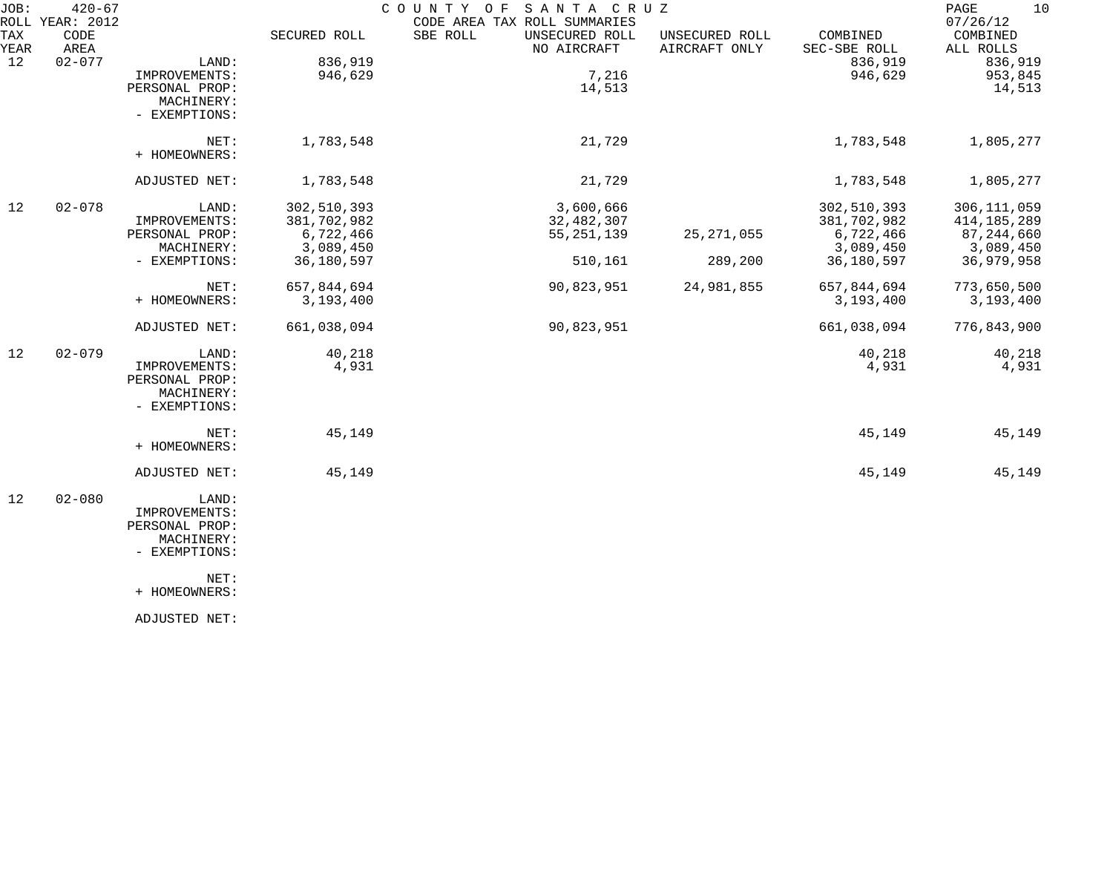| JOB:        | $420 - 67$                      |                                                                         |              | COUNTY OF<br>SANTA CRUZ                                                   |                                 |                          | 10<br>PAGE                        |
|-------------|---------------------------------|-------------------------------------------------------------------------|--------------|---------------------------------------------------------------------------|---------------------------------|--------------------------|-----------------------------------|
| TAX<br>YEAR | ROLL YEAR: 2012<br>CODE<br>AREA |                                                                         | SECURED ROLL | CODE AREA TAX ROLL SUMMARIES<br>SBE ROLL<br>UNSECURED ROLL<br>NO AIRCRAFT | UNSECURED ROLL<br>AIRCRAFT ONLY | COMBINED<br>SEC-SBE ROLL | 07/26/12<br>COMBINED<br>ALL ROLLS |
| 12          | $02 - 077$                      | LAND:                                                                   | 836,919      |                                                                           |                                 | 836,919                  | 836,919                           |
|             |                                 | IMPROVEMENTS:                                                           | 946,629      | 7,216                                                                     |                                 | 946,629                  | 953,845                           |
|             |                                 | PERSONAL PROP:<br>MACHINERY:<br>- EXEMPTIONS:                           |              | 14,513                                                                    |                                 |                          | 14,513                            |
|             |                                 | NET:<br>+ HOMEOWNERS:                                                   | 1,783,548    | 21,729                                                                    |                                 | 1,783,548                | 1,805,277                         |
|             |                                 | ADJUSTED NET:                                                           | 1,783,548    | 21,729                                                                    |                                 | 1,783,548                | 1,805,277                         |
| 12          | $02 - 078$                      | LAND:                                                                   | 302,510,393  | 3,600,666                                                                 |                                 | 302,510,393              | 306, 111, 059                     |
|             |                                 |                                                                         |              |                                                                           |                                 |                          |                                   |
|             |                                 | IMPROVEMENTS:                                                           | 381,702,982  | 32,482,307                                                                |                                 | 381,702,982              | 414, 185, 289                     |
|             |                                 | PERSONAL PROP:                                                          | 6,722,466    | 55, 251, 139                                                              | 25, 271, 055                    | 6,722,466                | 87,244,660                        |
|             |                                 | MACHINERY:                                                              | 3,089,450    |                                                                           |                                 | 3,089,450                | 3,089,450                         |
|             |                                 | - EXEMPTIONS:                                                           | 36,180,597   | 510,161                                                                   | 289,200                         | 36,180,597               | 36,979,958                        |
|             |                                 | NET:                                                                    | 657,844,694  | 90,823,951                                                                | 24,981,855                      | 657,844,694              | 773,650,500                       |
|             |                                 | + HOMEOWNERS:                                                           | 3,193,400    |                                                                           |                                 | 3,193,400                | 3,193,400                         |
|             |                                 | ADJUSTED NET:                                                           | 661,038,094  | 90,823,951                                                                |                                 | 661,038,094              | 776,843,900                       |
| 12          | $02 - 079$                      | LAND:                                                                   | 40,218       |                                                                           |                                 | 40,218                   | 40,218                            |
|             |                                 | IMPROVEMENTS:<br>PERSONAL PROP:<br>MACHINERY:<br>- EXEMPTIONS:          | 4,931        |                                                                           |                                 | 4,931                    | 4,931                             |
|             |                                 | NET:<br>+ HOMEOWNERS:                                                   | 45,149       |                                                                           |                                 | 45,149                   | 45,149                            |
|             |                                 | ADJUSTED NET:                                                           | 45,149       |                                                                           |                                 | 45,149                   | 45,149                            |
| 12          | $02 - 080$                      | LAND:<br>IMPROVEMENTS:<br>PERSONAL PROP:<br>MACHINERY:<br>- EXEMPTIONS: |              |                                                                           |                                 |                          |                                   |
|             |                                 | NET:<br>+ HOMEOWNERS:                                                   |              |                                                                           |                                 |                          |                                   |
|             |                                 | ADJUSTED NET:                                                           |              |                                                                           |                                 |                          |                                   |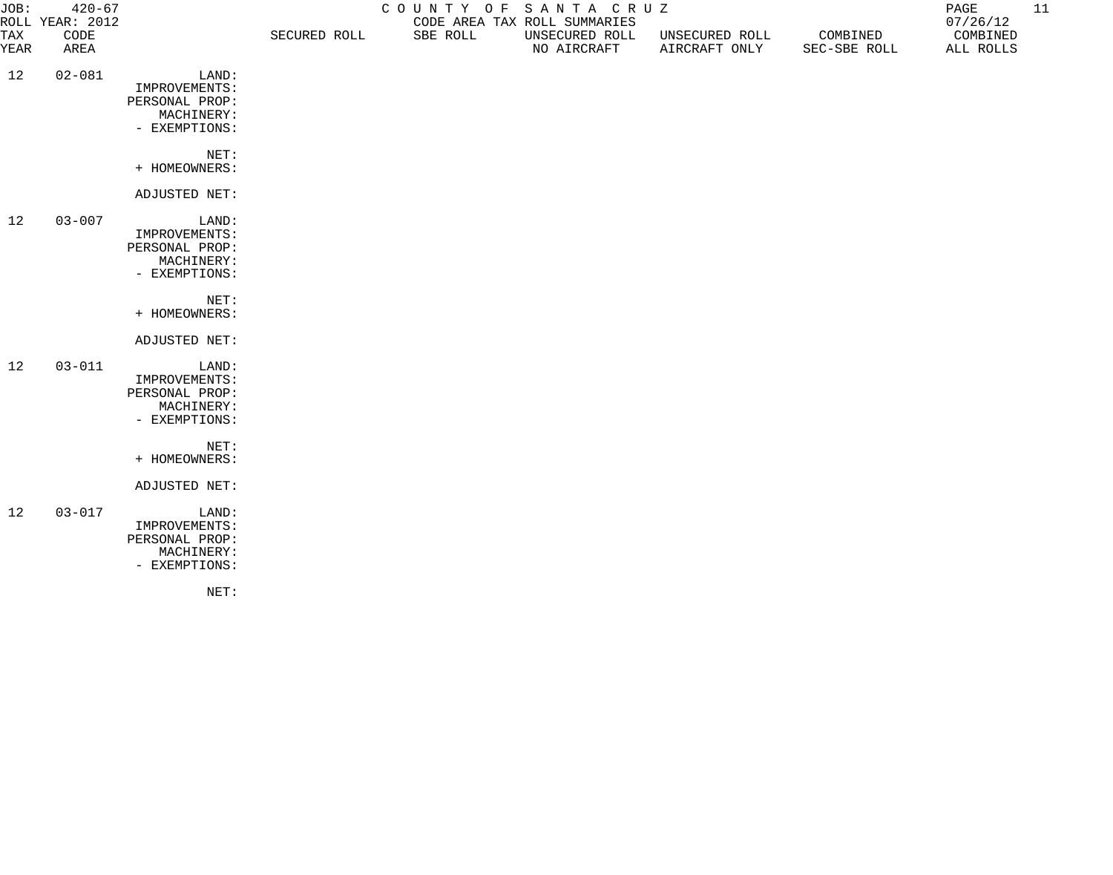| JOB:        | $420 - 67$<br>ROLL YEAR: 2012 |                                                                         | COUNTY OF SANTA CRUZ<br>CODE AREA TAX ROLL SUMMARIES |          |                               |                                 |                          | 11<br>PAGE<br>07/26/12 |  |
|-------------|-------------------------------|-------------------------------------------------------------------------|------------------------------------------------------|----------|-------------------------------|---------------------------------|--------------------------|------------------------|--|
| TAX<br>YEAR | CODE<br>AREA                  |                                                                         | SECURED ROLL                                         | SBE ROLL | UNSECURED ROLL<br>NO AIRCRAFT | UNSECURED ROLL<br>AIRCRAFT ONLY | COMBINED<br>SEC-SBE ROLL | COMBINED<br>ALL ROLLS  |  |
| 12          | $02 - 081$                    | LAND:<br>IMPROVEMENTS:<br>PERSONAL PROP:<br>MACHINERY:<br>- EXEMPTIONS: |                                                      |          |                               |                                 |                          |                        |  |
|             |                               | NET:<br>+ HOMEOWNERS:                                                   |                                                      |          |                               |                                 |                          |                        |  |
|             |                               | ADJUSTED NET:                                                           |                                                      |          |                               |                                 |                          |                        |  |
| 12          | $03 - 007$                    | LAND:<br>IMPROVEMENTS:<br>PERSONAL PROP:<br>MACHINERY:<br>- EXEMPTIONS: |                                                      |          |                               |                                 |                          |                        |  |
|             |                               | NET:<br>+ HOMEOWNERS:                                                   |                                                      |          |                               |                                 |                          |                        |  |
|             |                               | ADJUSTED NET:                                                           |                                                      |          |                               |                                 |                          |                        |  |
| 12          | $03 - 011$                    | LAND:<br>IMPROVEMENTS:<br>PERSONAL PROP:<br>MACHINERY:<br>- EXEMPTIONS: |                                                      |          |                               |                                 |                          |                        |  |
|             |                               | NET:<br>+ HOMEOWNERS:                                                   |                                                      |          |                               |                                 |                          |                        |  |
|             |                               | ADJUSTED NET:                                                           |                                                      |          |                               |                                 |                          |                        |  |
| 12          | $03 - 017$                    | LAND:<br>IMPROVEMENTS:<br>PERSONAL PROP:<br>MACHINERY:<br>- EXEMPTIONS: |                                                      |          |                               |                                 |                          |                        |  |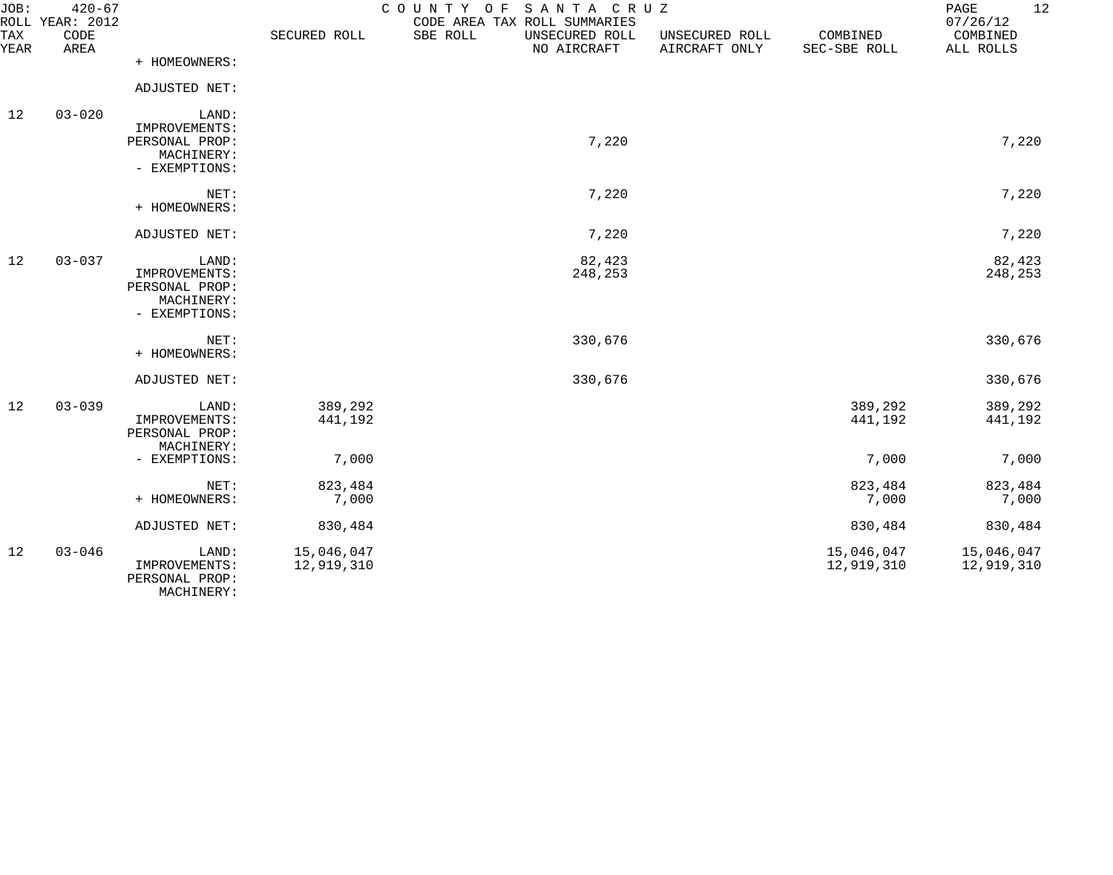| JOB:        | $420 - 67$<br>ROLL YEAR: 2012 |                                                                         | COUNTY OF SANTA CRUZ     | 12<br>PAGE<br>07/26/12                                                    |                                 |                          |                          |
|-------------|-------------------------------|-------------------------------------------------------------------------|--------------------------|---------------------------------------------------------------------------|---------------------------------|--------------------------|--------------------------|
| TAX<br>YEAR | CODE<br>AREA                  |                                                                         | SECURED ROLL             | CODE AREA TAX ROLL SUMMARIES<br>SBE ROLL<br>UNSECURED ROLL<br>NO AIRCRAFT | UNSECURED ROLL<br>AIRCRAFT ONLY | COMBINED<br>SEC-SBE ROLL | COMBINED<br>ALL ROLLS    |
|             |                               | + HOMEOWNERS:                                                           |                          |                                                                           |                                 |                          |                          |
|             |                               | ADJUSTED NET:                                                           |                          |                                                                           |                                 |                          |                          |
| 12          | $03 - 020$                    | LAND:<br>IMPROVEMENTS:<br>PERSONAL PROP:<br>MACHINERY:<br>- EXEMPTIONS: |                          | 7,220                                                                     |                                 |                          | 7,220                    |
|             |                               | NET:<br>+ HOMEOWNERS:                                                   |                          | 7,220                                                                     |                                 |                          | 7,220                    |
|             |                               | ADJUSTED NET:                                                           |                          | 7,220                                                                     |                                 |                          | 7,220                    |
| 12          | $03 - 037$                    | LAND:<br>IMPROVEMENTS:<br>PERSONAL PROP:<br>MACHINERY:<br>- EXEMPTIONS: |                          | 82,423<br>248,253                                                         |                                 |                          | 82,423<br>248,253        |
|             |                               | NET:<br>+ HOMEOWNERS:                                                   |                          | 330,676                                                                   |                                 |                          | 330,676                  |
|             |                               | ADJUSTED NET:                                                           |                          | 330,676                                                                   |                                 |                          | 330,676                  |
| 12          | $03 - 039$                    | LAND:<br>IMPROVEMENTS:<br>PERSONAL PROP:<br>MACHINERY:                  | 389,292<br>441,192       |                                                                           |                                 | 389,292<br>441,192       | 389,292<br>441,192       |
|             |                               | - EXEMPTIONS:                                                           | 7,000                    |                                                                           |                                 | 7,000                    | 7,000                    |
|             |                               | NET:<br>+ HOMEOWNERS:                                                   | 823,484<br>7,000         |                                                                           |                                 | 823,484<br>7,000         | 823,484<br>7,000         |
|             |                               | ADJUSTED NET:                                                           | 830,484                  |                                                                           |                                 | 830,484                  | 830,484                  |
| 12          | $03 - 046$                    | LAND:<br>IMPROVEMENTS:<br>PERSONAL PROP:<br>MACHINERY:                  | 15,046,047<br>12,919,310 |                                                                           |                                 | 15,046,047<br>12,919,310 | 15,046,047<br>12,919,310 |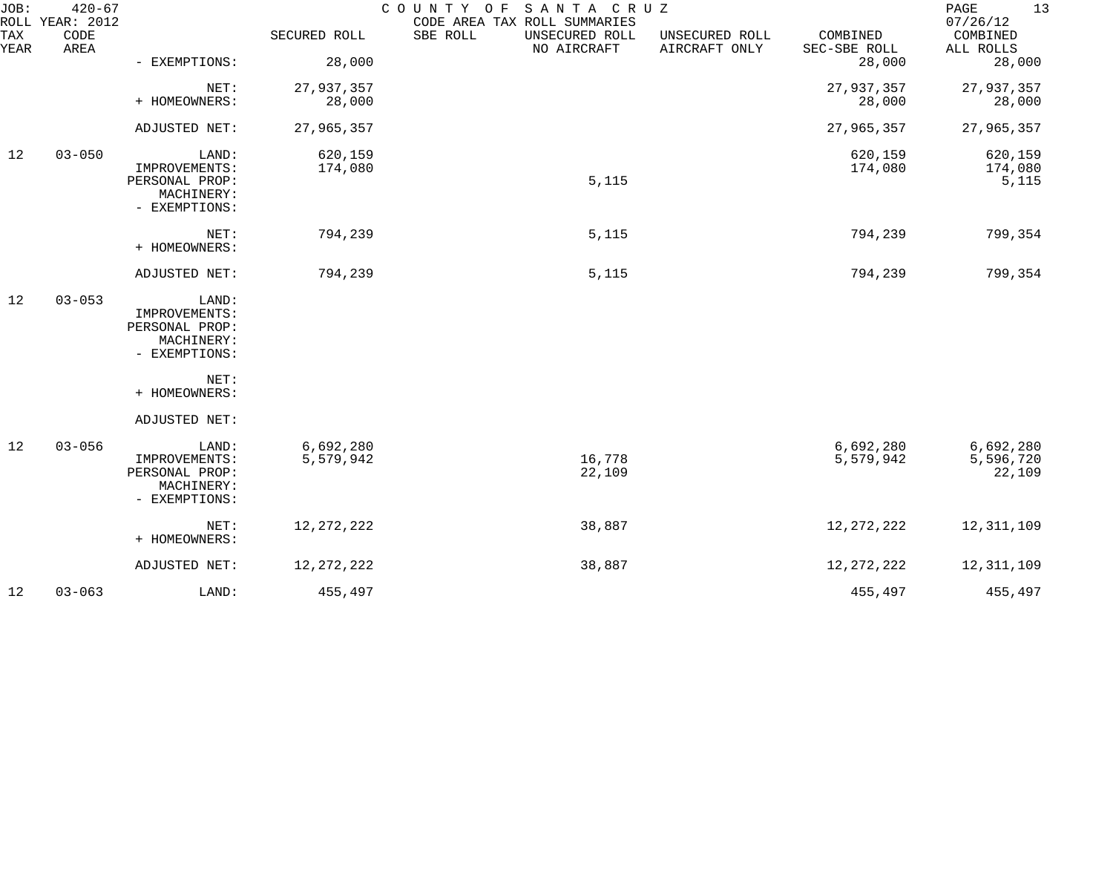| JOB:        | $420 - 67$<br>ROLL YEAR: 2012 |                                                                         |                        | COUNTY OF SANTA CRUZ<br>CODE AREA TAX ROLL SUMMARIES |                                 |                                    | PAGE<br>13<br>07/26/12           |
|-------------|-------------------------------|-------------------------------------------------------------------------|------------------------|------------------------------------------------------|---------------------------------|------------------------------------|----------------------------------|
| TAX<br>YEAR | CODE<br>AREA                  |                                                                         | SECURED ROLL           | SBE ROLL<br>UNSECURED ROLL<br>NO AIRCRAFT            | UNSECURED ROLL<br>AIRCRAFT ONLY | COMBINED<br>SEC-SBE ROLL<br>28,000 | COMBINED<br>ALL ROLLS            |
|             |                               | - EXEMPTIONS:                                                           | 28,000                 |                                                      |                                 |                                    | 28,000                           |
|             |                               | NET:<br>+ HOMEOWNERS:                                                   | 27,937,357<br>28,000   |                                                      |                                 | 27,937,357<br>28,000               | 27,937,357<br>28,000             |
|             |                               | ADJUSTED NET:                                                           | 27,965,357             |                                                      |                                 | 27,965,357                         | 27,965,357                       |
| 12          | $03 - 050$                    | LAND:<br>IMPROVEMENTS:<br>PERSONAL PROP:<br>MACHINERY:<br>- EXEMPTIONS: | 620,159<br>174,080     | 5,115                                                |                                 | 620,159<br>174,080                 | 620,159<br>174,080<br>5,115      |
|             |                               | NET:<br>+ HOMEOWNERS:                                                   | 794,239                | 5,115                                                |                                 | 794,239                            | 799,354                          |
|             |                               | ADJUSTED NET:                                                           | 794,239                | 5,115                                                |                                 | 794,239                            | 799,354                          |
| 12          | $03 - 053$                    | LAND:<br>IMPROVEMENTS:<br>PERSONAL PROP:<br>MACHINERY:<br>- EXEMPTIONS: |                        |                                                      |                                 |                                    |                                  |
|             |                               | NET:<br>+ HOMEOWNERS:                                                   |                        |                                                      |                                 |                                    |                                  |
|             |                               | ADJUSTED NET:                                                           |                        |                                                      |                                 |                                    |                                  |
| 12          | $03 - 056$                    | LAND:<br>IMPROVEMENTS:<br>PERSONAL PROP:<br>MACHINERY:<br>- EXEMPTIONS: | 6,692,280<br>5,579,942 | 16,778<br>22,109                                     |                                 | 6,692,280<br>5,579,942             | 6,692,280<br>5,596,720<br>22,109 |
|             |                               | NET:<br>+ HOMEOWNERS:                                                   | 12, 272, 222           | 38,887                                               |                                 | 12, 272, 222                       | 12, 311, 109                     |
|             |                               | ADJUSTED NET:                                                           | 12, 272, 222           | 38,887                                               |                                 | 12, 272, 222                       | 12, 311, 109                     |
| 12          | $03 - 063$                    | LAND:                                                                   | 455,497                |                                                      |                                 | 455,497                            | 455,497                          |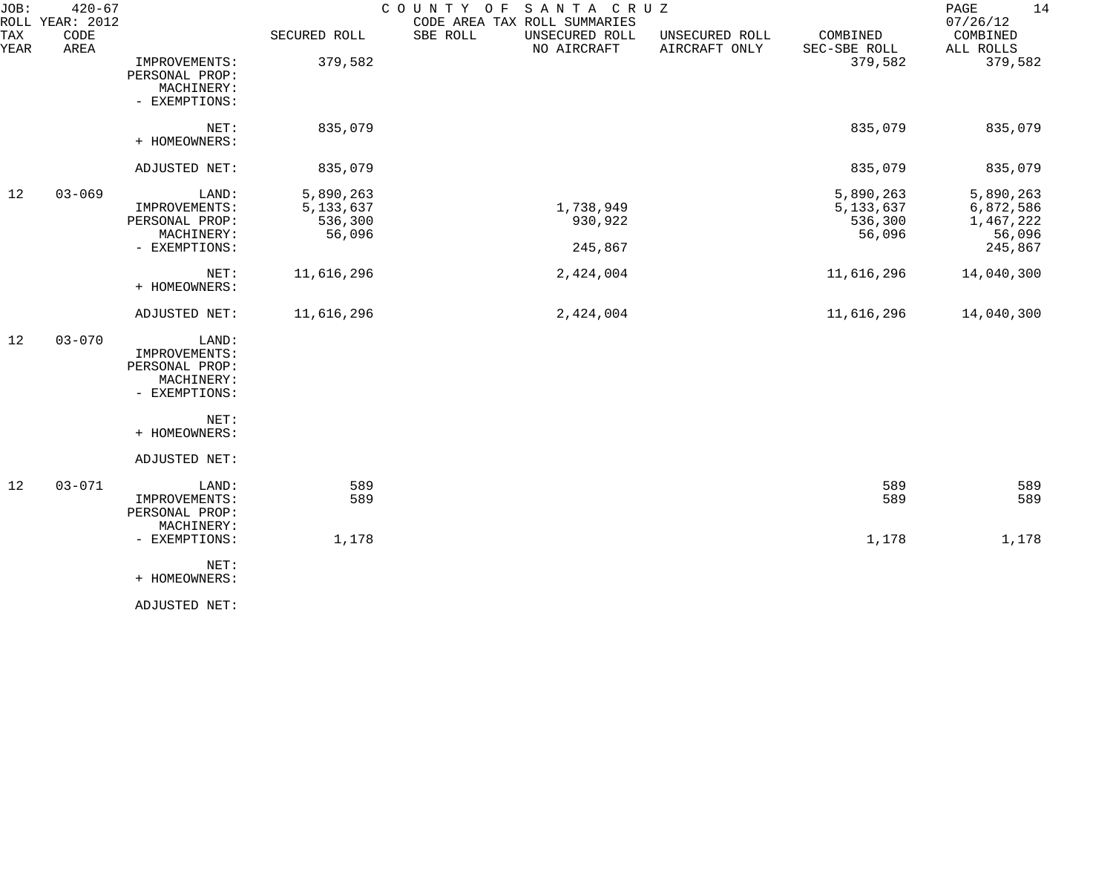| JOB:        | $420 - 67$<br>ROLL YEAR: 2012 |                                                                         |                                               | SANTA CRUZ<br>COUNTY OF<br>CODE AREA TAX ROLL SUMMARIES |                                 |                                               | 14<br>PAGE<br>07/26/12                                   |
|-------------|-------------------------------|-------------------------------------------------------------------------|-----------------------------------------------|---------------------------------------------------------|---------------------------------|-----------------------------------------------|----------------------------------------------------------|
| TAX<br>YEAR | CODE<br>AREA                  |                                                                         | SECURED ROLL                                  | SBE ROLL<br>UNSECURED ROLL<br>NO AIRCRAFT               | UNSECURED ROLL<br>AIRCRAFT ONLY | COMBINED<br>SEC-SBE ROLL                      | COMBINED<br>ALL ROLLS                                    |
|             |                               | IMPROVEMENTS:<br>PERSONAL PROP:<br>MACHINERY:<br>- EXEMPTIONS:          | 379,582                                       |                                                         |                                 | 379,582                                       | 379,582                                                  |
|             |                               | NET:<br>+ HOMEOWNERS:                                                   | 835,079                                       |                                                         |                                 | 835,079                                       | 835,079                                                  |
|             |                               | ADJUSTED NET:                                                           | 835,079                                       |                                                         |                                 | 835,079                                       | 835,079                                                  |
| 12          | $03 - 069$                    | LAND:<br>IMPROVEMENTS:<br>PERSONAL PROP:<br>MACHINERY:<br>- EXEMPTIONS: | 5,890,263<br>5, 133, 637<br>536,300<br>56,096 | 1,738,949<br>930,922<br>245,867                         |                                 | 5,890,263<br>5, 133, 637<br>536,300<br>56,096 | 5,890,263<br>6,872,586<br>1,467,222<br>56,096<br>245,867 |
|             |                               | NET:<br>+ HOMEOWNERS:                                                   | 11,616,296                                    | 2,424,004                                               |                                 | 11,616,296                                    | 14,040,300                                               |
|             |                               | ADJUSTED NET:                                                           | 11,616,296                                    | 2,424,004                                               |                                 | 11,616,296                                    | 14,040,300                                               |
| 12          | $03 - 070$                    | LAND:<br>IMPROVEMENTS:<br>PERSONAL PROP:<br>MACHINERY:<br>- EXEMPTIONS: |                                               |                                                         |                                 |                                               |                                                          |
|             |                               | NET:<br>+ HOMEOWNERS:                                                   |                                               |                                                         |                                 |                                               |                                                          |
|             |                               | ADJUSTED NET:                                                           |                                               |                                                         |                                 |                                               |                                                          |
| 12          | $03 - 071$                    | LAND:<br>IMPROVEMENTS:<br>PERSONAL PROP:<br>MACHINERY:                  | 589<br>589                                    |                                                         |                                 | 589<br>589                                    | 589<br>589                                               |
|             |                               | - EXEMPTIONS:                                                           | 1,178                                         |                                                         |                                 | 1,178                                         | 1,178                                                    |
|             |                               | NET:<br>+ HOMEOWNERS:                                                   |                                               |                                                         |                                 |                                               |                                                          |
|             |                               | ADJUSTED NET:                                                           |                                               |                                                         |                                 |                                               |                                                          |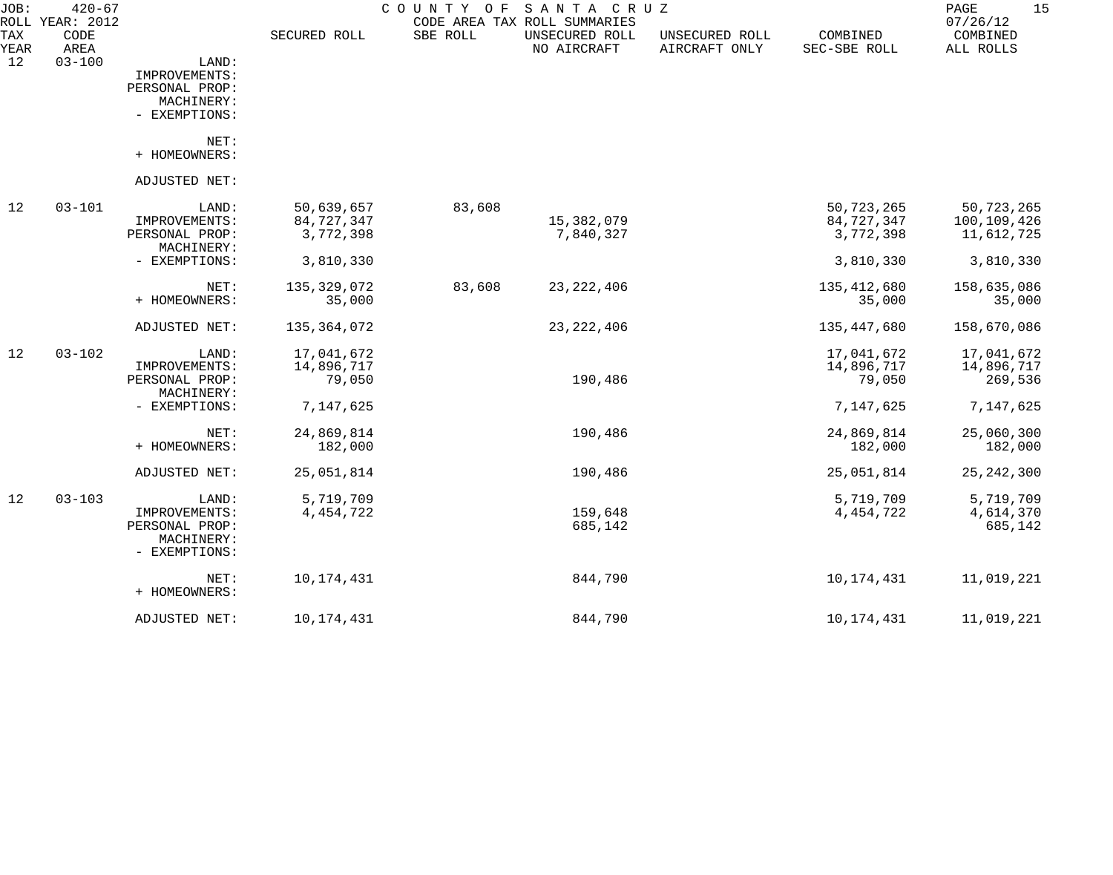| JOB:        | $420 - 67$<br>ROLL YEAR: 2012 |                                                                         |                                       | COUNTY<br>O F | SANTA CRUZ<br>CODE AREA TAX ROLL SUMMARIES |                                 |                                         | 15<br>PAGE<br>07/26/12                  |
|-------------|-------------------------------|-------------------------------------------------------------------------|---------------------------------------|---------------|--------------------------------------------|---------------------------------|-----------------------------------------|-----------------------------------------|
| TAX<br>YEAR | CODE<br>AREA                  |                                                                         | SECURED ROLL                          | SBE ROLL      | UNSECURED ROLL<br>NO AIRCRAFT              | UNSECURED ROLL<br>AIRCRAFT ONLY | COMBINED<br>SEC-SBE ROLL                | COMBINED<br>ALL ROLLS                   |
| 12          | $03 - 100$                    | LAND:<br>IMPROVEMENTS:<br>PERSONAL PROP:<br>MACHINERY:<br>- EXEMPTIONS: |                                       |               |                                            |                                 |                                         |                                         |
|             |                               | NET:<br>+ HOMEOWNERS:                                                   |                                       |               |                                            |                                 |                                         |                                         |
|             |                               | ADJUSTED NET:                                                           |                                       |               |                                            |                                 |                                         |                                         |
| 12          | $03 - 101$                    | LAND:<br>IMPROVEMENTS:<br>PERSONAL PROP:<br>MACHINERY:                  | 50,639,657<br>84,727,347<br>3,772,398 | 83,608        | 15,382,079<br>7,840,327                    |                                 | 50, 723, 265<br>84,727,347<br>3,772,398 | 50,723,265<br>100,109,426<br>11,612,725 |
|             |                               | - EXEMPTIONS:                                                           | 3,810,330                             |               |                                            |                                 | 3,810,330                               | 3,810,330                               |
|             |                               | NET:<br>+ HOMEOWNERS:                                                   | 135,329,072<br>35,000                 | 83,608        | 23, 222, 406                               |                                 | 135,412,680<br>35,000                   | 158,635,086<br>35,000                   |
|             |                               | ADJUSTED NET:                                                           | 135,364,072                           |               | 23, 222, 406                               |                                 | 135,447,680                             | 158,670,086                             |
| 12          | $03 - 102$                    | LAND:<br>IMPROVEMENTS:<br>PERSONAL PROP:                                | 17,041,672<br>14,896,717<br>79,050    |               | 190,486                                    |                                 | 17,041,672<br>14,896,717<br>79,050      | 17,041,672<br>14,896,717<br>269,536     |
|             |                               | MACHINERY:<br>- EXEMPTIONS:                                             | 7,147,625                             |               |                                            |                                 | 7,147,625                               | 7,147,625                               |
|             |                               | NET:<br>+ HOMEOWNERS:                                                   | 24,869,814<br>182,000                 |               | 190,486                                    |                                 | 24,869,814<br>182,000                   | 25,060,300<br>182,000                   |
|             |                               | ADJUSTED NET:                                                           | 25,051,814                            |               | 190,486                                    |                                 | 25,051,814                              | 25, 242, 300                            |
| 12          | $03 - 103$                    | LAND:<br>IMPROVEMENTS:<br>PERSONAL PROP:<br>MACHINERY:<br>- EXEMPTIONS: | 5,719,709<br>4, 454, 722              |               | 159,648<br>685,142                         |                                 | 5,719,709<br>4, 454, 722                | 5,719,709<br>4,614,370<br>685,142       |
|             |                               | NET:<br>+ HOMEOWNERS:                                                   | 10,174,431                            |               | 844,790                                    |                                 | 10,174,431                              | 11,019,221                              |
|             |                               | ADJUSTED NET:                                                           | 10,174,431                            |               | 844,790                                    |                                 | 10,174,431                              | 11,019,221                              |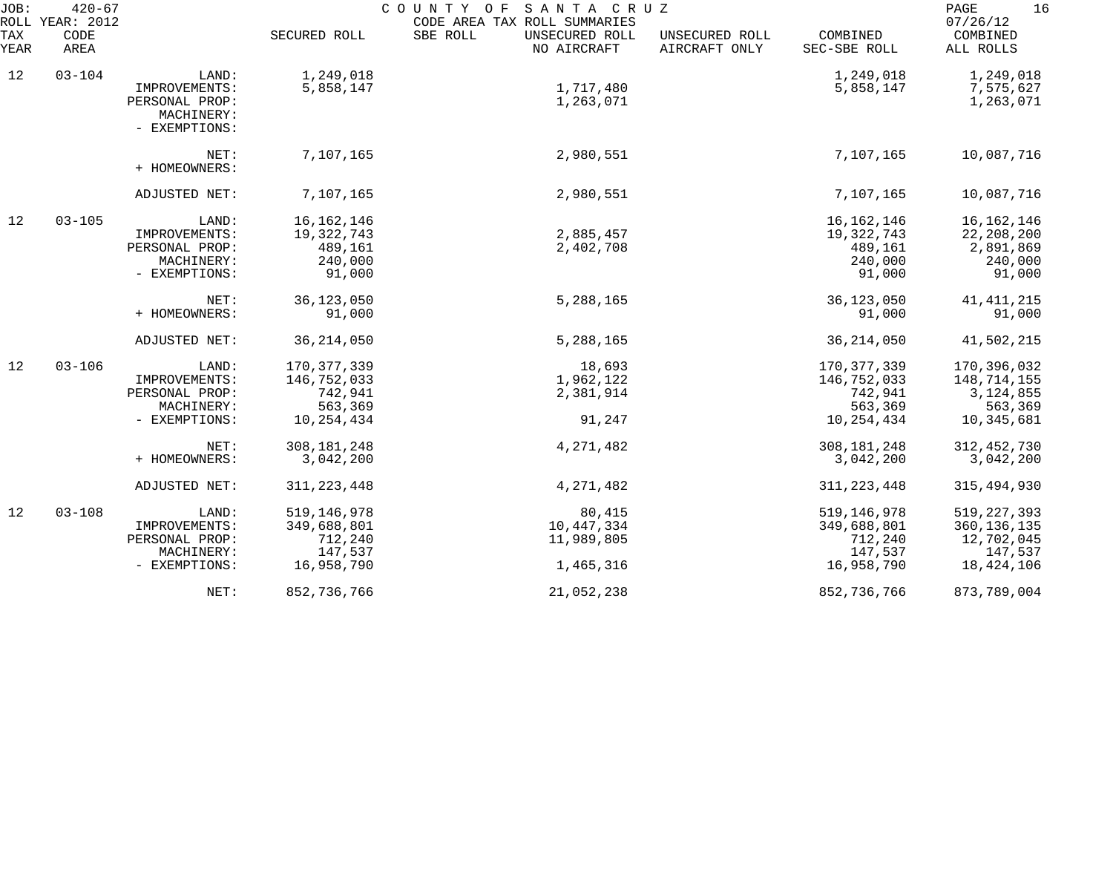| JOB:        | $420 - 67$<br>ROLL YEAR: 2012 |                                          |                        | SANTA CRUZ<br>COUNTY OF<br>CODE AREA TAX ROLL SUMMARIES |                                 |                          | 16<br>PAGE<br>07/26/12 |
|-------------|-------------------------------|------------------------------------------|------------------------|---------------------------------------------------------|---------------------------------|--------------------------|------------------------|
| TAX<br>YEAR | CODE<br>AREA                  |                                          | SECURED ROLL           | SBE ROLL<br>UNSECURED ROLL<br>NO AIRCRAFT               | UNSECURED ROLL<br>AIRCRAFT ONLY | COMBINED<br>SEC-SBE ROLL | COMBINED<br>ALL ROLLS  |
| 12          | $03 - 104$                    | LAND:<br>IMPROVEMENTS:<br>PERSONAL PROP: | 1,249,018<br>5,858,147 | 1,717,480<br>1,263,071                                  |                                 | 1,249,018<br>5,858,147   | 1,249,018<br>7,575,627 |
|             |                               | MACHINERY:<br>- EXEMPTIONS:              |                        |                                                         |                                 |                          | 1,263,071              |
|             |                               | NET:<br>+ HOMEOWNERS:                    | 7,107,165              | 2,980,551                                               |                                 | 7,107,165                | 10,087,716             |
|             |                               | ADJUSTED NET:                            | 7,107,165              | 2,980,551                                               |                                 | 7,107,165                | 10,087,716             |
| 12          | $03 - 105$                    | LAND:                                    | 16, 162, 146           |                                                         |                                 | 16, 162, 146             | 16, 162, 146           |
|             |                               | IMPROVEMENTS:                            | 19,322,743             | 2,885,457                                               |                                 | 19,322,743               | 22,208,200             |
|             |                               | PERSONAL PROP:                           | 489,161                | 2,402,708                                               |                                 | 489,161                  | 2,891,869              |
|             |                               | MACHINERY:                               | 240,000                |                                                         |                                 | 240,000                  | 240,000                |
|             |                               | - EXEMPTIONS:                            | 91,000                 |                                                         |                                 | 91,000                   | 91,000                 |
|             |                               | NET:                                     | 36, 123, 050           | 5,288,165                                               |                                 | 36, 123, 050             | 41, 411, 215           |
|             |                               | + HOMEOWNERS:                            | 91,000                 |                                                         |                                 | 91,000                   | 91,000                 |
|             |                               | ADJUSTED NET:                            | 36, 214, 050           | 5,288,165                                               |                                 | 36, 214, 050             | 41,502,215             |
| 12          | $03 - 106$                    | LAND:                                    | 170, 377, 339          | 18,693                                                  |                                 | 170, 377, 339            | 170,396,032            |
|             |                               | IMPROVEMENTS:                            | 146,752,033            | 1,962,122                                               |                                 | 146,752,033              | 148,714,155            |
|             |                               | PERSONAL PROP:                           | 742,941                | 2,381,914                                               |                                 | 742,941                  | 3, 124, 855            |
|             |                               | MACHINERY:                               | 563,369                |                                                         |                                 | 563,369                  | 563,369                |
|             |                               | - EXEMPTIONS:                            | 10,254,434             | 91,247                                                  |                                 | 10,254,434               | 10,345,681             |
|             |                               | NET:                                     | 308, 181, 248          | 4,271,482                                               |                                 | 308, 181, 248            | 312, 452, 730          |
|             |                               | + HOMEOWNERS:                            | 3,042,200              |                                                         |                                 | 3,042,200                | 3,042,200              |
|             |                               | ADJUSTED NET:                            | 311, 223, 448          | 4, 271, 482                                             |                                 | 311, 223, 448            | 315,494,930            |
| 12          | $03 - 108$                    | LAND:                                    | 519, 146, 978          | 80,415                                                  |                                 | 519, 146, 978            | 519, 227, 393          |
|             |                               | IMPROVEMENTS:                            | 349,688,801            | 10,447,334                                              |                                 | 349,688,801              | 360, 136, 135          |
|             |                               | PERSONAL PROP:                           | 712,240                | 11,989,805                                              |                                 | 712,240                  | 12,702,045             |
|             |                               | MACHINERY:                               | 147,537                |                                                         |                                 | 147,537                  | 147,537                |
|             |                               | - EXEMPTIONS:                            | 16,958,790             | 1,465,316                                               |                                 | 16,958,790               | 18,424,106             |
|             |                               | NET:                                     | 852,736,766            | 21,052,238                                              |                                 | 852,736,766              | 873,789,004            |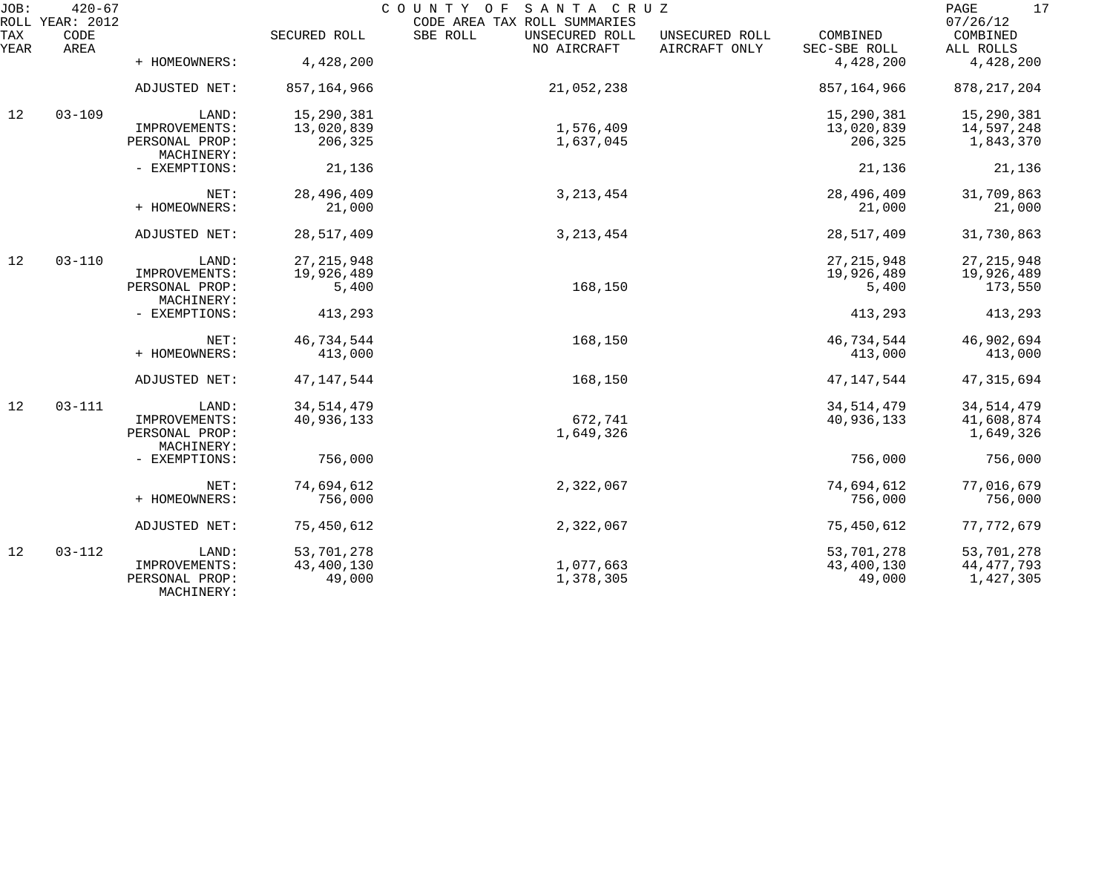| JOB:        | $420 - 67$<br>ROLL YEAR: 2012 |                              |              | COUNTY OF SANTA CRUZ<br>CODE AREA TAX ROLL SUMMARIES |                                 |                          | 17<br>$\mathop{\mathtt{PAGE}}$<br>07/26/12 |
|-------------|-------------------------------|------------------------------|--------------|------------------------------------------------------|---------------------------------|--------------------------|--------------------------------------------|
| TAX<br>YEAR | CODE<br>AREA                  |                              | SECURED ROLL | SBE ROLL<br>UNSECURED ROLL<br>NO AIRCRAFT            | UNSECURED ROLL<br>AIRCRAFT ONLY | COMBINED<br>SEC-SBE ROLL | COMBINED<br>ALL ROLLS                      |
|             |                               | + HOMEOWNERS:                | 4,428,200    |                                                      |                                 | 4,428,200                | 4,428,200                                  |
|             |                               | ADJUSTED NET:                | 857,164,966  | 21,052,238                                           |                                 | 857,164,966              | 878, 217, 204                              |
| 12          | $03 - 109$                    | LAND:                        | 15,290,381   |                                                      |                                 | 15,290,381               | 15,290,381                                 |
|             |                               | IMPROVEMENTS:                | 13,020,839   | 1,576,409                                            |                                 | 13,020,839               | 14,597,248                                 |
|             |                               | PERSONAL PROP:<br>MACHINERY: | 206,325      | 1,637,045                                            |                                 | 206,325                  | 1,843,370                                  |
|             |                               | - EXEMPTIONS:                | 21,136       |                                                      |                                 | 21,136                   | 21,136                                     |
|             |                               | NET:                         | 28,496,409   | 3, 213, 454                                          |                                 | 28,496,409               | 31,709,863                                 |
|             |                               | + HOMEOWNERS:                | 21,000       |                                                      |                                 | 21,000                   | 21,000                                     |
|             |                               | ADJUSTED NET:                | 28,517,409   | 3, 213, 454                                          |                                 | 28,517,409               | 31,730,863                                 |
| 12          | $03 - 110$                    | LAND:                        | 27, 215, 948 |                                                      |                                 | 27, 215, 948             | 27, 215, 948                               |
|             |                               | IMPROVEMENTS:                | 19,926,489   |                                                      |                                 | 19,926,489               | 19,926,489                                 |
|             |                               | PERSONAL PROP:<br>MACHINERY: | 5,400        | 168,150                                              |                                 | 5,400                    | 173,550                                    |
|             |                               | - EXEMPTIONS:                | 413,293      |                                                      |                                 | 413,293                  | 413,293                                    |
|             |                               | NET:                         | 46,734,544   | 168,150                                              |                                 | 46,734,544               | 46,902,694                                 |
|             |                               | + HOMEOWNERS:                | 413,000      |                                                      |                                 | 413,000                  | 413,000                                    |
|             |                               | ADJUSTED NET:                | 47, 147, 544 | 168,150                                              |                                 | 47, 147, 544             | 47, 315, 694                               |
| 12          | $03 - 111$                    | LAND:                        | 34, 514, 479 |                                                      |                                 | 34, 514, 479             | 34, 514, 479                               |
|             |                               | IMPROVEMENTS:                | 40,936,133   | 672,741                                              |                                 | 40,936,133               | 41,608,874                                 |
|             |                               | PERSONAL PROP:<br>MACHINERY: |              | 1,649,326                                            |                                 |                          | 1,649,326                                  |
|             |                               | - EXEMPTIONS:                | 756,000      |                                                      |                                 | 756,000                  | 756,000                                    |
|             |                               | NET:                         | 74,694,612   | 2,322,067                                            |                                 | 74,694,612               | 77,016,679                                 |
|             |                               | + HOMEOWNERS:                | 756,000      |                                                      |                                 | 756,000                  | 756,000                                    |
|             |                               | ADJUSTED NET:                | 75,450,612   | 2,322,067                                            |                                 | 75,450,612               | 77, 772, 679                               |
| 12          | $03 - 112$                    | LAND:                        | 53,701,278   |                                                      |                                 | 53,701,278               | 53,701,278                                 |
|             |                               | IMPROVEMENTS:                | 43,400,130   | 1,077,663                                            |                                 | 43,400,130               | 44, 477, 793                               |
|             |                               | PERSONAL PROP:<br>MACHINERY: | 49,000       | 1,378,305                                            |                                 | 49,000                   | 1,427,305                                  |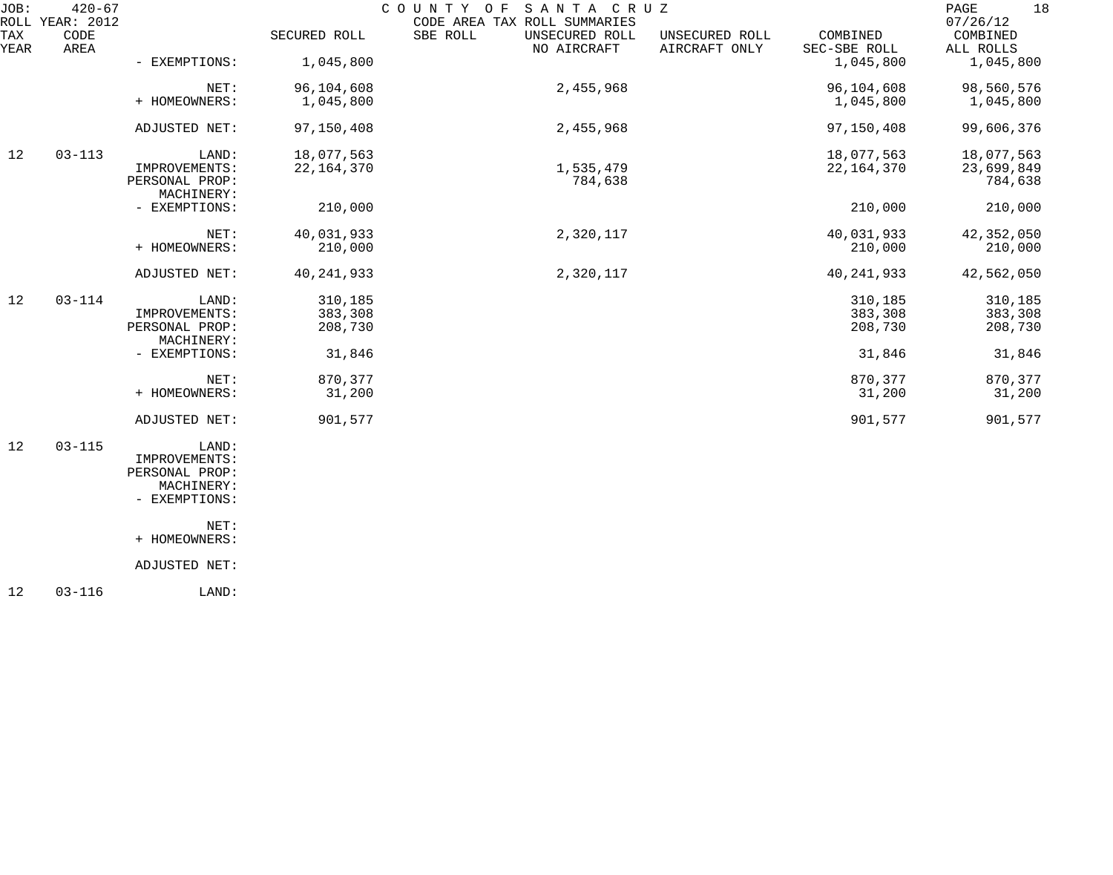| JOB:        | $420 - 67$<br>ROLL YEAR: 2012 |                              |              | SANTA CRUZ<br>COUNTY OF<br>CODE AREA TAX ROLL SUMMARIES |                                 |                          | 18<br>PAGE<br>07/26/12 |
|-------------|-------------------------------|------------------------------|--------------|---------------------------------------------------------|---------------------------------|--------------------------|------------------------|
| TAX<br>YEAR | CODE<br>AREA                  |                              | SECURED ROLL | SBE ROLL<br>UNSECURED ROLL<br>NO AIRCRAFT               | UNSECURED ROLL<br>AIRCRAFT ONLY | COMBINED<br>SEC-SBE ROLL | COMBINED<br>ALL ROLLS  |
|             |                               | - EXEMPTIONS:                | 1,045,800    |                                                         |                                 | 1,045,800                | 1,045,800              |
|             |                               | NET:                         | 96,104,608   | 2,455,968                                               |                                 | 96,104,608               | 98,560,576             |
|             |                               | + HOMEOWNERS:                | 1,045,800    |                                                         |                                 | 1,045,800                | 1,045,800              |
|             |                               | ADJUSTED NET:                | 97,150,408   | 2,455,968                                               |                                 | 97,150,408               | 99,606,376             |
| 12          | $03 - 113$                    | LAND:                        | 18,077,563   |                                                         |                                 | 18,077,563               | 18,077,563             |
|             |                               | IMPROVEMENTS:                | 22, 164, 370 | 1,535,479                                               |                                 | 22, 164, 370             | 23,699,849             |
|             |                               | PERSONAL PROP:<br>MACHINERY: |              | 784,638                                                 |                                 |                          | 784,638                |
|             |                               | - EXEMPTIONS:                | 210,000      |                                                         |                                 | 210,000                  | 210,000                |
|             |                               | NET:                         | 40,031,933   | 2,320,117                                               |                                 | 40,031,933               | 42,352,050             |
|             |                               | + HOMEOWNERS:                | 210,000      |                                                         |                                 | 210,000                  | 210,000                |
|             |                               | ADJUSTED NET:                | 40, 241, 933 | 2,320,117                                               |                                 | 40, 241, 933             | 42,562,050             |
| 12          | $03 - 114$                    | LAND:                        | 310,185      |                                                         |                                 | 310,185                  | 310,185                |
|             |                               | IMPROVEMENTS:                | 383,308      |                                                         |                                 | 383,308                  | 383,308                |
|             |                               | PERSONAL PROP:<br>MACHINERY: | 208,730      |                                                         |                                 | 208,730                  | 208,730                |
|             |                               | - EXEMPTIONS:                | 31,846       |                                                         |                                 | 31,846                   | 31,846                 |
|             |                               | NET:                         | 870,377      |                                                         |                                 | 870,377                  | 870,377                |
|             |                               | + HOMEOWNERS:                | 31,200       |                                                         |                                 | 31,200                   | 31,200                 |
|             |                               | ADJUSTED NET:                | 901,577      |                                                         |                                 | 901,577                  | 901,577                |
| 12          | $03 - 115$                    | LAND:                        |              |                                                         |                                 |                          |                        |
|             |                               | IMPROVEMENTS:                |              |                                                         |                                 |                          |                        |
|             |                               | PERSONAL PROP:               |              |                                                         |                                 |                          |                        |
|             |                               | MACHINERY:                   |              |                                                         |                                 |                          |                        |
|             |                               | - EXEMPTIONS:                |              |                                                         |                                 |                          |                        |
|             |                               | NET:                         |              |                                                         |                                 |                          |                        |
|             |                               | + HOMEOWNERS:                |              |                                                         |                                 |                          |                        |
|             |                               | ADJUSTED NET:                |              |                                                         |                                 |                          |                        |
|             |                               |                              |              |                                                         |                                 |                          |                        |

12 03-116 LAND: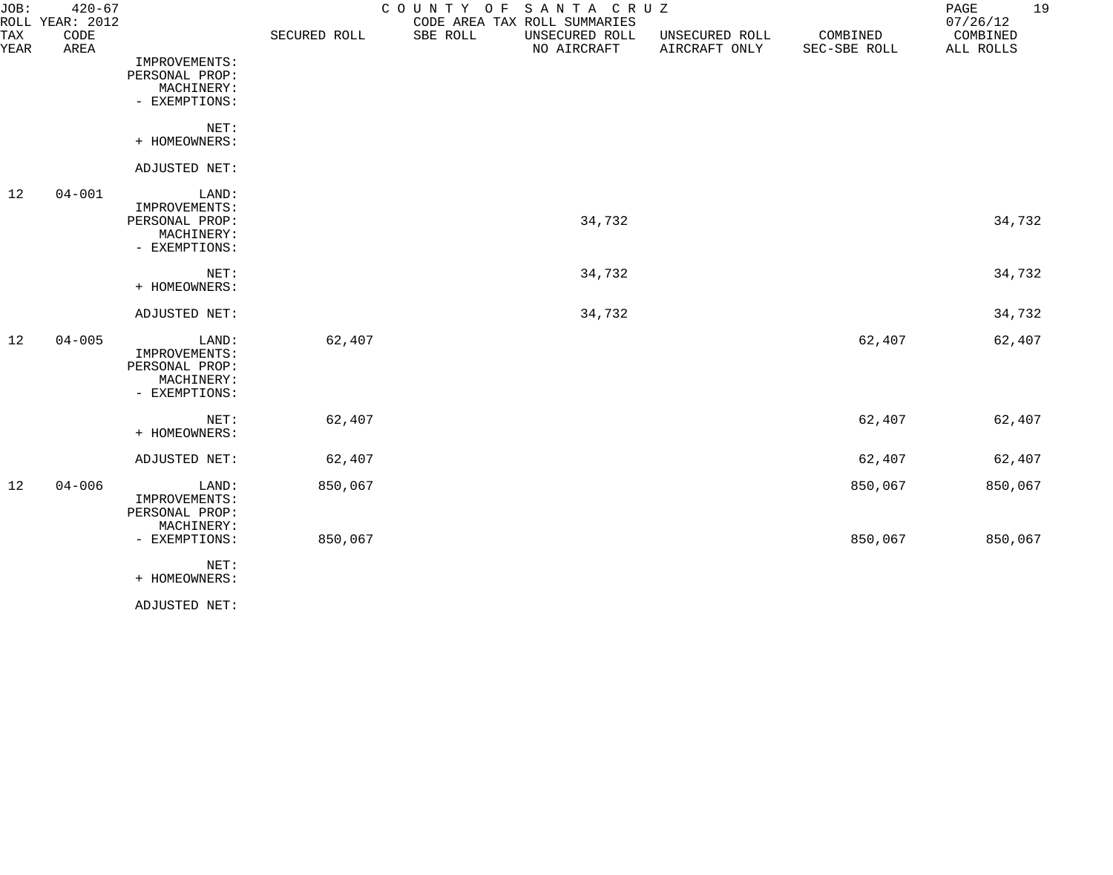| JOB:        | $420 - 67$<br>ROLL YEAR: 2012 |                                                                         |              | COUNTY OF SANTA CRUZ<br>CODE AREA TAX ROLL SUMMARIES |                                 |                          | 19<br>PAGE<br>07/26/12 |
|-------------|-------------------------------|-------------------------------------------------------------------------|--------------|------------------------------------------------------|---------------------------------|--------------------------|------------------------|
| TAX<br>YEAR | CODE<br>AREA                  |                                                                         | SECURED ROLL | SBE ROLL<br>UNSECURED ROLL<br>NO AIRCRAFT            | UNSECURED ROLL<br>AIRCRAFT ONLY | COMBINED<br>SEC-SBE ROLL | COMBINED<br>ALL ROLLS  |
|             |                               | IMPROVEMENTS:<br>PERSONAL PROP:<br>MACHINERY:<br>- EXEMPTIONS:          |              |                                                      |                                 |                          |                        |
|             |                               | NET:<br>+ HOMEOWNERS:                                                   |              |                                                      |                                 |                          |                        |
|             |                               | ADJUSTED NET:                                                           |              |                                                      |                                 |                          |                        |
| 12          | $04 - 001$                    | LAND:<br>IMPROVEMENTS:<br>PERSONAL PROP:<br>MACHINERY:<br>- EXEMPTIONS: |              |                                                      | 34,732                          |                          | 34,732                 |
|             |                               | NET:<br>+ HOMEOWNERS:                                                   |              |                                                      | 34,732                          |                          | 34,732                 |
|             |                               | ADJUSTED NET:                                                           |              |                                                      | 34,732                          |                          | 34,732                 |
| 12          | $04 - 005$                    | LAND:<br>IMPROVEMENTS:<br>PERSONAL PROP:<br>MACHINERY:<br>- EXEMPTIONS: | 62,407       |                                                      |                                 | 62,407                   | 62,407                 |
|             |                               | NET:<br>+ HOMEOWNERS:                                                   | 62,407       |                                                      |                                 | 62,407                   | 62,407                 |
|             |                               | ADJUSTED NET:                                                           | 62,407       |                                                      |                                 | 62,407                   | 62,407                 |
| 12          | $04 - 006$                    | LAND:<br>IMPROVEMENTS:<br>PERSONAL PROP:<br>MACHINERY:                  | 850,067      |                                                      |                                 | 850,067                  | 850,067                |
|             |                               | - EXEMPTIONS:<br>NET:<br>+ HOMEOWNERS:                                  | 850,067      |                                                      |                                 | 850,067                  | 850,067                |
|             |                               |                                                                         |              |                                                      |                                 |                          |                        |

ADJUSTED NET: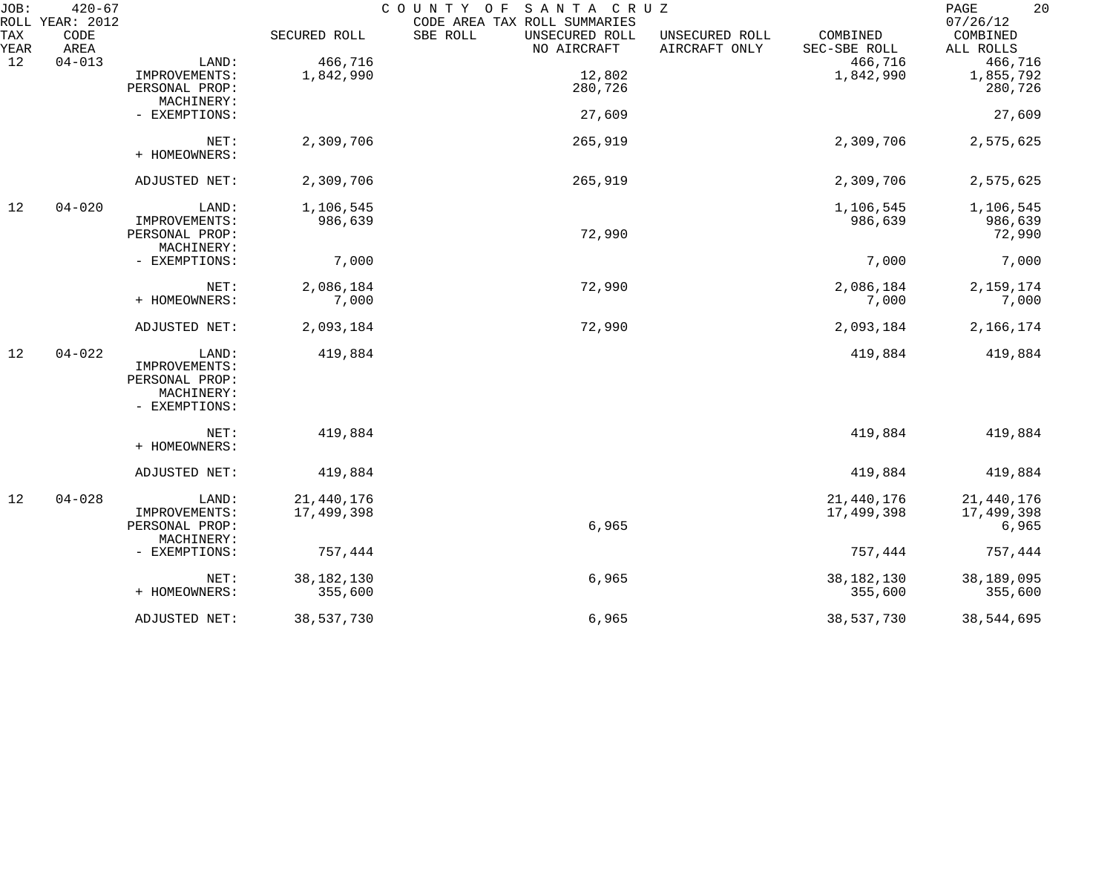| JOB:        | $420 - 67$<br>ROLL YEAR: 2012 |                |              | COUNTY OF SANTA CRUZ<br>CODE AREA TAX ROLL SUMMARIES |                                 |                          | 20<br>PAGE<br>07/26/12 |
|-------------|-------------------------------|----------------|--------------|------------------------------------------------------|---------------------------------|--------------------------|------------------------|
| TAX<br>YEAR | CODE<br>AREA                  |                | SECURED ROLL | SBE ROLL<br>UNSECURED ROLL<br>NO AIRCRAFT            | UNSECURED ROLL<br>AIRCRAFT ONLY | COMBINED<br>SEC-SBE ROLL | COMBINED<br>ALL ROLLS  |
| 12          | $04 - 013$                    | LAND:          | 466,716      |                                                      |                                 | 466,716                  | 466,716                |
|             |                               | IMPROVEMENTS:  | 1,842,990    | 12,802                                               |                                 | 1,842,990                | 1,855,792              |
|             |                               | PERSONAL PROP: |              | 280,726                                              |                                 |                          | 280,726                |
|             |                               | MACHINERY:     |              |                                                      |                                 |                          |                        |
|             |                               | - EXEMPTIONS:  |              | 27,609                                               |                                 |                          | 27,609                 |
|             |                               | NET:           | 2,309,706    | 265,919                                              |                                 | 2,309,706                | 2,575,625              |
|             |                               | + HOMEOWNERS:  |              |                                                      |                                 |                          |                        |
|             |                               | ADJUSTED NET:  | 2,309,706    | 265,919                                              |                                 | 2,309,706                | 2,575,625              |
|             |                               |                |              |                                                      |                                 |                          |                        |
| 12          | $04 - 020$                    | LAND:          | 1,106,545    |                                                      |                                 | 1,106,545                | 1,106,545              |
|             |                               | IMPROVEMENTS:  | 986,639      |                                                      |                                 | 986,639                  | 986,639                |
|             |                               | PERSONAL PROP: |              | 72,990                                               |                                 |                          | 72,990                 |
|             |                               | MACHINERY:     |              |                                                      |                                 |                          |                        |
|             |                               | - EXEMPTIONS:  | 7,000        |                                                      |                                 | 7,000                    | 7,000                  |
|             |                               | NET:           | 2,086,184    | 72,990                                               |                                 | 2,086,184                | 2,159,174              |
|             |                               | + HOMEOWNERS:  | 7,000        |                                                      |                                 | 7,000                    | 7,000                  |
|             |                               | ADJUSTED NET:  | 2,093,184    | 72,990                                               |                                 | 2,093,184                | 2,166,174              |
| 12          | $04 - 022$                    | LAND:          | 419,884      |                                                      |                                 | 419,884                  | 419,884                |
|             |                               | IMPROVEMENTS:  |              |                                                      |                                 |                          |                        |
|             |                               | PERSONAL PROP: |              |                                                      |                                 |                          |                        |
|             |                               | MACHINERY:     |              |                                                      |                                 |                          |                        |
|             |                               | - EXEMPTIONS:  |              |                                                      |                                 |                          |                        |
|             |                               | NET:           | 419,884      |                                                      |                                 | 419,884                  | 419,884                |
|             |                               | + HOMEOWNERS:  |              |                                                      |                                 |                          |                        |
|             |                               | ADJUSTED NET:  | 419,884      |                                                      |                                 | 419,884                  | 419,884                |
| 12          | $04 - 028$                    | LAND:          | 21,440,176   |                                                      |                                 | 21, 440, 176             | 21,440,176             |
|             |                               | IMPROVEMENTS:  | 17,499,398   |                                                      |                                 | 17,499,398               | 17,499,398             |
|             |                               | PERSONAL PROP: |              | 6,965                                                |                                 |                          | 6,965                  |
|             |                               | MACHINERY:     |              |                                                      |                                 |                          |                        |
|             |                               | - EXEMPTIONS:  | 757,444      |                                                      |                                 | 757,444                  | 757,444                |
|             |                               | NET:           | 38, 182, 130 | 6,965                                                |                                 | 38, 182, 130             | 38,189,095             |
|             |                               | + HOMEOWNERS:  | 355,600      |                                                      |                                 | 355,600                  | 355,600                |
|             |                               | ADJUSTED NET:  | 38,537,730   | 6,965                                                |                                 | 38,537,730               | 38,544,695             |
|             |                               |                |              |                                                      |                                 |                          |                        |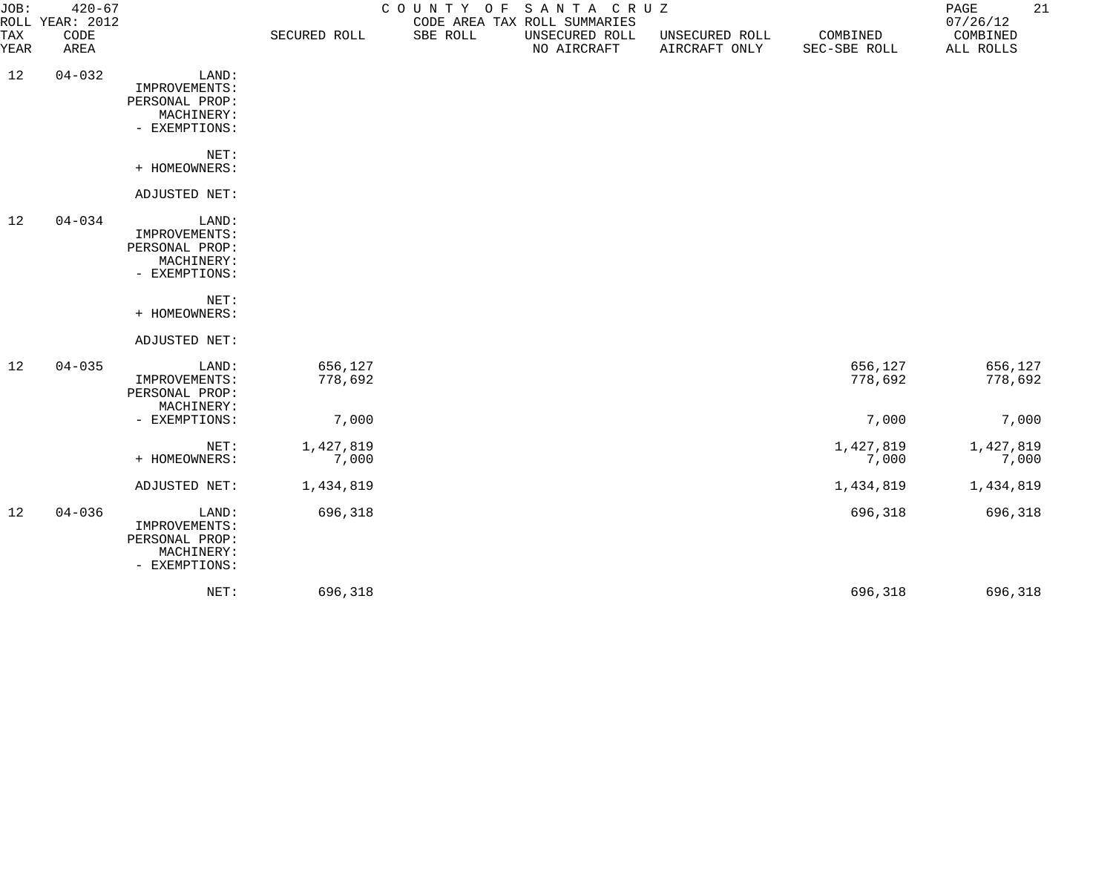| JOB:        | $420 - 67$<br>ROLL YEAR: 2012 |                                                                         |                    | COUNTY OF | SANTA CRUZ<br>CODE AREA TAX ROLL SUMMARIES |                                 |                          | PAGE<br>07/26/12      | 21 |
|-------------|-------------------------------|-------------------------------------------------------------------------|--------------------|-----------|--------------------------------------------|---------------------------------|--------------------------|-----------------------|----|
| TAX<br>YEAR | CODE<br>AREA                  |                                                                         | SECURED ROLL       | SBE ROLL  | UNSECURED ROLL<br>NO AIRCRAFT              | UNSECURED ROLL<br>AIRCRAFT ONLY | COMBINED<br>SEC-SBE ROLL | COMBINED<br>ALL ROLLS |    |
| 12          | $04 - 032$                    | LAND:<br>IMPROVEMENTS:<br>PERSONAL PROP:<br>MACHINERY:<br>- EXEMPTIONS: |                    |           |                                            |                                 |                          |                       |    |
|             |                               | NET:<br>+ HOMEOWNERS:                                                   |                    |           |                                            |                                 |                          |                       |    |
|             |                               | ADJUSTED NET:                                                           |                    |           |                                            |                                 |                          |                       |    |
| 12          | $04 - 034$                    | LAND:<br>IMPROVEMENTS:<br>PERSONAL PROP:<br>MACHINERY:<br>- EXEMPTIONS: |                    |           |                                            |                                 |                          |                       |    |
|             |                               | NET:<br>+ HOMEOWNERS:                                                   |                    |           |                                            |                                 |                          |                       |    |
|             |                               | ADJUSTED NET:                                                           |                    |           |                                            |                                 |                          |                       |    |
| 12          | $04 - 035$                    | LAND:<br>IMPROVEMENTS:<br>PERSONAL PROP:<br>MACHINERY:                  | 656,127<br>778,692 |           |                                            |                                 | 656,127<br>778,692       | 656,127<br>778,692    |    |
|             |                               | - EXEMPTIONS:                                                           | 7,000              |           |                                            |                                 | 7,000                    | 7,000                 |    |
|             |                               | NET:<br>+ HOMEOWNERS:                                                   | 1,427,819<br>7,000 |           |                                            |                                 | 1,427,819<br>7,000       | 1,427,819<br>7,000    |    |
|             |                               | ADJUSTED NET:                                                           | 1,434,819          |           |                                            |                                 | 1,434,819                | 1,434,819             |    |
| 12          | $04 - 036$                    | LAND:<br>IMPROVEMENTS:<br>PERSONAL PROP:<br>MACHINERY:<br>- EXEMPTIONS: | 696,318            |           |                                            |                                 | 696,318                  | 696,318               |    |
|             |                               | NET:                                                                    | 696,318            |           |                                            |                                 | 696,318                  | 696,318               |    |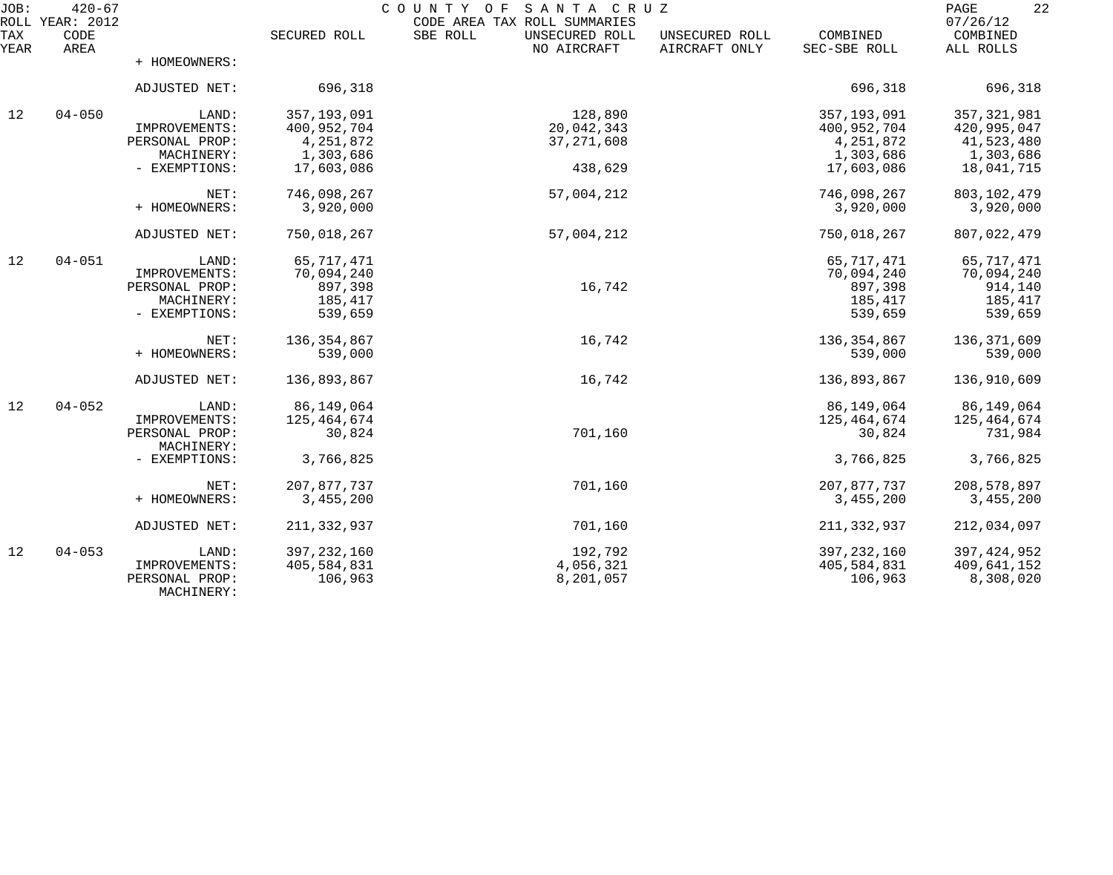| JOB:        | $420 - 67$<br>ROLL YEAR: 2012 |                              |                          | C O U N T Y<br>SANTA CRUZ<br>O F<br>CODE AREA TAX ROLL SUMMARIES |                                 |                          | 22<br>PAGE<br>07/26/12  |
|-------------|-------------------------------|------------------------------|--------------------------|------------------------------------------------------------------|---------------------------------|--------------------------|-------------------------|
| TAX<br>YEAR | CODE<br>AREA                  |                              | SECURED ROLL             | SBE ROLL<br>UNSECURED ROLL<br>NO AIRCRAFT                        | UNSECURED ROLL<br>AIRCRAFT ONLY | COMBINED<br>SEC-SBE ROLL | COMBINED<br>ALL ROLLS   |
|             |                               | + HOMEOWNERS:                |                          |                                                                  |                                 |                          |                         |
|             |                               | ADJUSTED NET:                | 696,318                  |                                                                  |                                 | 696,318                  | 696,318                 |
| 12          | $04 - 050$                    | LAND:                        | 357, 193, 091            | 128,890                                                          |                                 | 357,193,091              | 357, 321, 981           |
|             |                               | IMPROVEMENTS:                | 400,952,704              | 20,042,343                                                       |                                 | 400,952,704              | 420,995,047             |
|             |                               | PERSONAL PROP:<br>MACHINERY: | 4, 251, 872<br>1,303,686 | 37, 271, 608                                                     |                                 | 4,251,872<br>1,303,686   | 41,523,480<br>1,303,686 |
|             |                               | - EXEMPTIONS:                | 17,603,086               | 438,629                                                          |                                 | 17,603,086               | 18,041,715              |
|             |                               | NET:                         | 746,098,267              | 57,004,212                                                       |                                 | 746,098,267              | 803, 102, 479           |
|             |                               | + HOMEOWNERS:                | 3,920,000                |                                                                  |                                 | 3,920,000                | 3,920,000               |
|             |                               | ADJUSTED NET:                | 750,018,267              | 57,004,212                                                       |                                 | 750,018,267              | 807,022,479             |
| 12          | $04 - 051$                    | LAND:                        | 65, 717, 471             |                                                                  |                                 | 65,717,471               | 65,717,471              |
|             |                               | IMPROVEMENTS:                | 70,094,240               |                                                                  |                                 | 70,094,240               | 70,094,240              |
|             |                               | PERSONAL PROP:               | 897,398                  | 16,742                                                           |                                 | 897,398                  | 914,140                 |
|             |                               | MACHINERY:<br>- EXEMPTIONS:  | 185,417<br>539,659       |                                                                  |                                 | 185,417<br>539,659       | 185,417<br>539,659      |
|             |                               |                              |                          |                                                                  |                                 |                          |                         |
|             |                               | NET:                         | 136, 354, 867            | 16,742                                                           |                                 | 136, 354, 867            | 136,371,609             |
|             |                               | + HOMEOWNERS:                | 539,000                  |                                                                  |                                 | 539,000                  | 539,000                 |
|             |                               | ADJUSTED NET:                | 136,893,867              | 16,742                                                           |                                 | 136,893,867              | 136,910,609             |
| 12          | $04 - 052$                    | LAND:                        | 86,149,064               |                                                                  |                                 | 86,149,064               | 86, 149, 064            |
|             |                               | IMPROVEMENTS:                | 125,464,674              |                                                                  |                                 | 125,464,674              | 125,464,674             |
|             |                               | PERSONAL PROP:<br>MACHINERY: | 30,824                   | 701,160                                                          |                                 | 30,824                   | 731,984                 |
|             |                               | - EXEMPTIONS:                | 3,766,825                |                                                                  |                                 | 3,766,825                | 3,766,825               |
|             |                               | NET:                         | 207,877,737              | 701,160                                                          |                                 | 207,877,737              | 208,578,897             |
|             |                               | + HOMEOWNERS:                | 3,455,200                |                                                                  |                                 | 3,455,200                | 3,455,200               |
|             |                               | ADJUSTED NET:                | 211, 332, 937            | 701,160                                                          |                                 | 211,332,937              | 212,034,097             |
| 12          | $04 - 053$                    | LAND:                        | 397, 232, 160            | 192,792                                                          |                                 | 397, 232, 160            | 397, 424, 952           |
|             |                               | IMPROVEMENTS:                | 405,584,831              | 4,056,321                                                        |                                 | 405,584,831              | 409,641,152             |
|             |                               | PERSONAL PROP:<br>MACHINERY: | 106,963                  | 8,201,057                                                        |                                 | 106,963                  | 8,308,020               |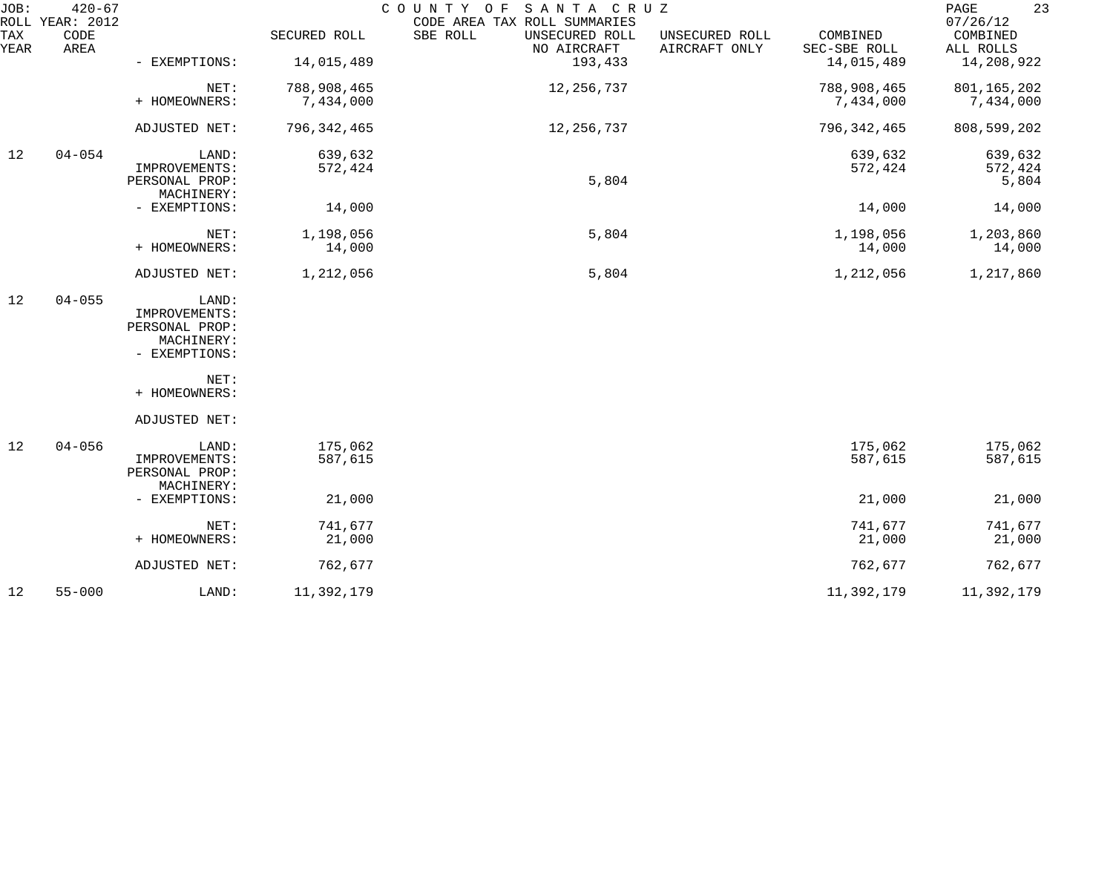| JOB:        | $420 - 67$<br>ROLL YEAR: 2012 |                                 |               | COUNTY OF SANTA CRUZ<br>CODE AREA TAX ROLL SUMMARIES |                                 |                          | 23<br>PAGE<br>07/26/12 |
|-------------|-------------------------------|---------------------------------|---------------|------------------------------------------------------|---------------------------------|--------------------------|------------------------|
| TAX<br>YEAR | CODE<br>AREA                  |                                 | SECURED ROLL  | SBE ROLL<br>UNSECURED ROLL<br>NO AIRCRAFT            | UNSECURED ROLL<br>AIRCRAFT ONLY | COMBINED<br>SEC-SBE ROLL | COMBINED<br>ALL ROLLS  |
|             |                               | - EXEMPTIONS:                   | 14,015,489    | 193,433                                              |                                 | 14,015,489               | 14,208,922             |
|             |                               | NET:                            | 788,908,465   | 12, 256, 737                                         |                                 | 788,908,465              | 801, 165, 202          |
|             |                               | + HOMEOWNERS:                   | 7,434,000     |                                                      |                                 | 7,434,000                | 7,434,000              |
|             |                               | ADJUSTED NET:                   | 796, 342, 465 | 12, 256, 737                                         |                                 | 796, 342, 465            | 808,599,202            |
| 12          | $04 - 054$                    | LAND:                           | 639,632       |                                                      |                                 | 639,632                  | 639,632                |
|             |                               | IMPROVEMENTS:<br>PERSONAL PROP: | 572,424       | 5,804                                                |                                 | 572,424                  | 572,424<br>5,804       |
|             |                               | MACHINERY:                      |               |                                                      |                                 |                          |                        |
|             |                               | - EXEMPTIONS:                   | 14,000        |                                                      |                                 | 14,000                   | 14,000                 |
|             |                               | NET:                            | 1,198,056     | 5,804                                                |                                 | 1,198,056                | 1,203,860              |
|             |                               | + HOMEOWNERS:                   | 14,000        |                                                      |                                 | 14,000                   | 14,000                 |
|             |                               | ADJUSTED NET:                   | 1,212,056     | 5,804                                                |                                 | 1,212,056                | 1,217,860              |
| 12          | $04 - 055$                    | LAND:                           |               |                                                      |                                 |                          |                        |
|             |                               | IMPROVEMENTS:<br>PERSONAL PROP: |               |                                                      |                                 |                          |                        |
|             |                               | MACHINERY:                      |               |                                                      |                                 |                          |                        |
|             |                               | - EXEMPTIONS:                   |               |                                                      |                                 |                          |                        |
|             |                               | NET:                            |               |                                                      |                                 |                          |                        |
|             |                               | + HOMEOWNERS:                   |               |                                                      |                                 |                          |                        |
|             |                               | ADJUSTED NET:                   |               |                                                      |                                 |                          |                        |
| 12          | $04 - 056$                    | LAND:                           | 175,062       |                                                      |                                 | 175,062                  | 175,062                |
|             |                               | IMPROVEMENTS:<br>PERSONAL PROP: | 587,615       |                                                      |                                 | 587,615                  | 587,615                |
|             |                               | MACHINERY:                      |               |                                                      |                                 |                          |                        |
|             |                               | - EXEMPTIONS:                   | 21,000        |                                                      |                                 | 21,000                   | 21,000                 |
|             |                               | NET:                            | 741,677       |                                                      |                                 | 741,677                  | 741,677                |
|             |                               | + HOMEOWNERS:                   | 21,000        |                                                      |                                 | 21,000                   | 21,000                 |
|             |                               | ADJUSTED NET:                   | 762,677       |                                                      |                                 | 762,677                  | 762,677                |
| 12          | $55 - 000$                    | LAND:                           | 11,392,179    |                                                      |                                 | 11,392,179               | 11,392,179             |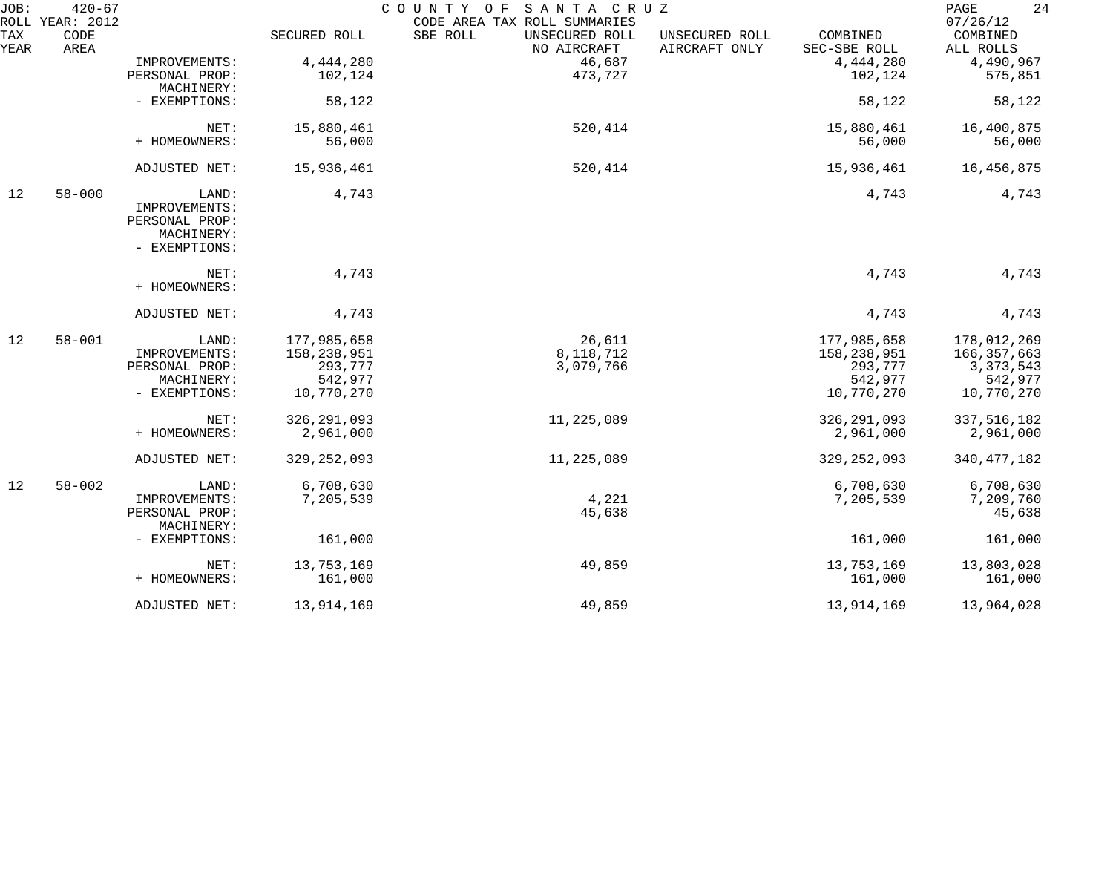| JOB:        | $420 - 67$<br>ROLL YEAR: 2012 |                              |               | COUNTY OF<br>SANTA CRUZ<br>CODE AREA TAX ROLL SUMMARIES |                                 |                          | 24<br>PAGE<br>07/26/12 |
|-------------|-------------------------------|------------------------------|---------------|---------------------------------------------------------|---------------------------------|--------------------------|------------------------|
| TAX<br>YEAR | CODE<br>AREA                  |                              | SECURED ROLL  | SBE ROLL<br>UNSECURED ROLL<br>NO AIRCRAFT               | UNSECURED ROLL<br>AIRCRAFT ONLY | COMBINED<br>SEC-SBE ROLL | COMBINED<br>ALL ROLLS  |
|             |                               | IMPROVEMENTS:                | 4,444,280     | 46,687                                                  |                                 | 4,444,280                | 4,490,967              |
|             |                               | PERSONAL PROP:               | 102,124       | 473,727                                                 |                                 | 102,124                  | 575,851                |
|             |                               | MACHINERY:                   |               |                                                         |                                 |                          |                        |
|             |                               | - EXEMPTIONS:                | 58,122        |                                                         |                                 | 58,122                   | 58,122                 |
|             |                               | NET:                         | 15,880,461    | 520,414                                                 |                                 | 15,880,461               | 16,400,875             |
|             |                               | + HOMEOWNERS:                | 56,000        |                                                         |                                 | 56,000                   | 56,000                 |
|             |                               | ADJUSTED NET:                | 15,936,461    | 520,414                                                 |                                 | 15,936,461               | 16,456,875             |
| 12          | $58 - 000$                    | LAND:                        | 4,743         |                                                         |                                 | 4,743                    | 4,743                  |
|             |                               | IMPROVEMENTS:                |               |                                                         |                                 |                          |                        |
|             |                               | PERSONAL PROP:               |               |                                                         |                                 |                          |                        |
|             |                               | MACHINERY:                   |               |                                                         |                                 |                          |                        |
|             |                               | - EXEMPTIONS:                |               |                                                         |                                 |                          |                        |
|             |                               | NET:                         | 4,743         |                                                         |                                 | 4,743                    | 4,743                  |
|             |                               | + HOMEOWNERS:                |               |                                                         |                                 |                          |                        |
|             |                               | ADJUSTED NET:                | 4,743         |                                                         |                                 | 4,743                    | 4,743                  |
| 12          | $58 - 001$                    | LAND:                        | 177,985,658   | 26,611                                                  |                                 | 177,985,658              | 178,012,269            |
|             |                               | IMPROVEMENTS:                | 158,238,951   | 8,118,712                                               |                                 | 158,238,951              | 166,357,663            |
|             |                               | PERSONAL PROP:               | 293,777       | 3,079,766                                               |                                 | 293,777                  | 3, 373, 543            |
|             |                               | MACHINERY:                   | 542,977       |                                                         |                                 | 542,977                  | 542,977                |
|             |                               | - EXEMPTIONS:                | 10,770,270    |                                                         |                                 | 10,770,270               | 10,770,270             |
|             |                               | NET:                         | 326, 291, 093 | 11,225,089                                              |                                 | 326, 291, 093            | 337, 516, 182          |
|             |                               | + HOMEOWNERS:                | 2,961,000     |                                                         |                                 | 2,961,000                | 2,961,000              |
|             |                               | ADJUSTED NET:                | 329, 252, 093 | 11,225,089                                              |                                 | 329, 252, 093            | 340, 477, 182          |
| 12          | $58 - 002$                    | LAND:                        | 6,708,630     |                                                         |                                 | 6,708,630                | 6,708,630              |
|             |                               | IMPROVEMENTS:                | 7,205,539     | 4,221                                                   |                                 | 7,205,539                | 7,209,760              |
|             |                               | PERSONAL PROP:<br>MACHINERY: |               | 45,638                                                  |                                 |                          | 45,638                 |
|             |                               | - EXEMPTIONS:                | 161,000       |                                                         |                                 | 161,000                  | 161,000                |
|             |                               | NET:                         | 13,753,169    | 49,859                                                  |                                 | 13,753,169               | 13,803,028             |
|             |                               |                              |               |                                                         |                                 |                          |                        |
|             |                               | + HOMEOWNERS:                | 161,000       |                                                         |                                 | 161,000                  | 161,000                |
|             |                               | ADJUSTED NET:                | 13,914,169    | 49,859                                                  |                                 | 13,914,169               | 13,964,028             |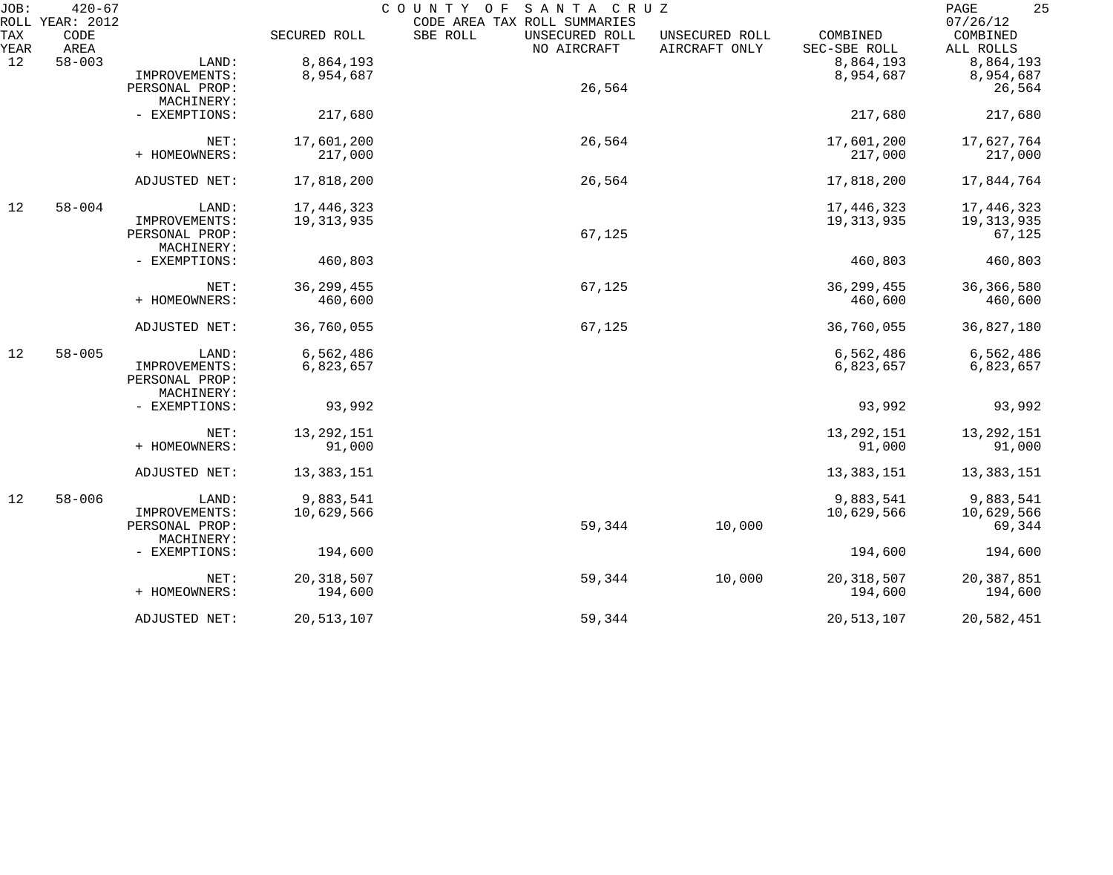| JOB:        | $420 - 67$<br>ROLL YEAR: 2012 |                             |              | COUNTY OF<br>SANTA CRUZ<br>CODE AREA TAX ROLL SUMMARIES |                                 |                          | 25<br>PAGE<br>07/26/12 |
|-------------|-------------------------------|-----------------------------|--------------|---------------------------------------------------------|---------------------------------|--------------------------|------------------------|
| TAX<br>YEAR | CODE<br>AREA                  |                             | SECURED ROLL | SBE ROLL<br>UNSECURED ROLL<br>NO AIRCRAFT               | UNSECURED ROLL<br>AIRCRAFT ONLY | COMBINED<br>SEC-SBE ROLL | COMBINED<br>ALL ROLLS  |
| 12          | $58 - 003$                    | LAND:                       | 8,864,193    |                                                         |                                 | 8,864,193                | 8,864,193              |
|             |                               | IMPROVEMENTS:               | 8,954,687    |                                                         |                                 | 8,954,687                | 8,954,687              |
|             |                               | PERSONAL PROP:              |              | 26,564                                                  |                                 |                          | 26,564                 |
|             |                               | MACHINERY:                  |              |                                                         |                                 |                          |                        |
|             |                               | - EXEMPTIONS:               | 217,680      |                                                         |                                 | 217,680                  | 217,680                |
|             |                               | NET:                        | 17,601,200   | 26,564                                                  |                                 | 17,601,200               | 17,627,764             |
|             |                               | + HOMEOWNERS:               | 217,000      |                                                         |                                 | 217,000                  | 217,000                |
|             |                               | ADJUSTED NET:               | 17,818,200   | 26,564                                                  |                                 | 17,818,200               | 17,844,764             |
| 12          | $58 - 004$                    | LAND:                       | 17,446,323   |                                                         |                                 | 17,446,323               | 17,446,323             |
|             |                               | IMPROVEMENTS:               | 19, 313, 935 |                                                         |                                 | 19, 313, 935             | 19, 313, 935           |
|             |                               | PERSONAL PROP:              |              | 67,125                                                  |                                 |                          | 67,125                 |
|             |                               | MACHINERY:                  |              |                                                         |                                 |                          |                        |
|             |                               | - EXEMPTIONS:               | 460,803      |                                                         |                                 | 460,803                  | 460,803                |
|             |                               | NET:                        | 36, 299, 455 | 67,125                                                  |                                 | 36, 299, 455             | 36, 366, 580           |
|             |                               | + HOMEOWNERS:               | 460,600      |                                                         |                                 | 460,600                  | 460,600                |
|             |                               | ADJUSTED NET:               | 36,760,055   | 67,125                                                  |                                 | 36,760,055               | 36,827,180             |
| 12          | $58 - 005$                    | LAND:                       | 6,562,486    |                                                         |                                 | 6,562,486                | 6,562,486              |
|             |                               | IMPROVEMENTS:               | 6,823,657    |                                                         |                                 | 6,823,657                | 6,823,657              |
|             |                               | PERSONAL PROP:              |              |                                                         |                                 |                          |                        |
|             |                               | MACHINERY:                  |              |                                                         |                                 |                          |                        |
|             |                               | - EXEMPTIONS:               | 93,992       |                                                         |                                 | 93,992                   | 93,992                 |
|             |                               | NET:                        | 13, 292, 151 |                                                         |                                 | 13, 292, 151             | 13, 292, 151           |
|             |                               | + HOMEOWNERS:               | 91,000       |                                                         |                                 | 91,000                   | 91,000                 |
|             |                               | ADJUSTED NET:               | 13,383,151   |                                                         |                                 | 13,383,151               | 13,383,151             |
| 12          | $58 - 006$                    | LAND:                       | 9,883,541    |                                                         |                                 | 9,883,541                | 9,883,541              |
|             |                               | IMPROVEMENTS:               | 10,629,566   |                                                         |                                 | 10,629,566               | 10,629,566             |
|             |                               | PERSONAL PROP:              |              | 59,344                                                  | 10,000                          |                          | 69,344                 |
|             |                               | MACHINERY:<br>- EXEMPTIONS: | 194,600      |                                                         |                                 | 194,600                  | 194,600                |
|             |                               |                             |              |                                                         |                                 |                          |                        |
|             |                               | NET:                        | 20, 318, 507 | 59,344                                                  | 10,000                          | 20, 318, 507             | 20, 387, 851           |
|             |                               | + HOMEOWNERS:               | 194,600      |                                                         |                                 | 194,600                  | 194,600                |
|             |                               | ADJUSTED NET:               | 20,513,107   | 59,344                                                  |                                 | 20,513,107               | 20,582,451             |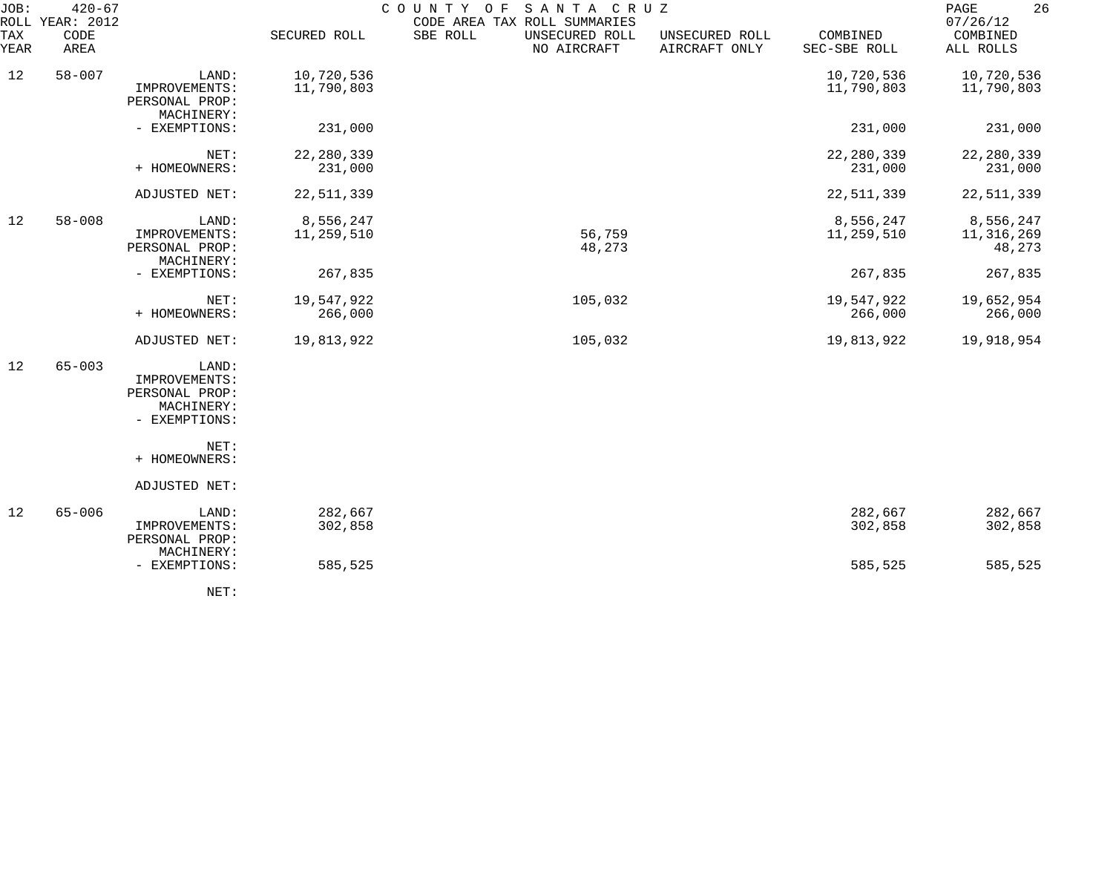| JOB:        | $420 - 67$<br>ROLL YEAR: 2012 |                                                                         |                          | COUNTY OF<br>SANTA CRUZ<br>CODE AREA TAX ROLL SUMMARIES |                                 |                          | 26<br>PAGE<br>07/26/12            |
|-------------|-------------------------------|-------------------------------------------------------------------------|--------------------------|---------------------------------------------------------|---------------------------------|--------------------------|-----------------------------------|
| TAX<br>YEAR | CODE<br>AREA                  |                                                                         | SECURED ROLL             | SBE ROLL<br>UNSECURED ROLL<br>NO AIRCRAFT               | UNSECURED ROLL<br>AIRCRAFT ONLY | COMBINED<br>SEC-SBE ROLL | COMBINED<br>ALL ROLLS             |
| 12          | $58 - 007$                    | LAND:<br>IMPROVEMENTS:<br>PERSONAL PROP:                                | 10,720,536<br>11,790,803 |                                                         |                                 | 10,720,536<br>11,790,803 | 10,720,536<br>11,790,803          |
|             |                               | MACHINERY:<br>- EXEMPTIONS:                                             | 231,000                  |                                                         |                                 | 231,000                  | 231,000                           |
|             |                               | NET:<br>+ HOMEOWNERS:                                                   | 22, 280, 339<br>231,000  |                                                         |                                 | 22, 280, 339<br>231,000  | 22, 280, 339<br>231,000           |
|             |                               | ADJUSTED NET:                                                           | 22,511,339               |                                                         |                                 | 22,511,339               | 22,511,339                        |
| 12          | $58 - 008$                    | LAND:<br>IMPROVEMENTS:<br>PERSONAL PROP:<br>MACHINERY:                  | 8,556,247<br>11,259,510  | 56,759<br>48,273                                        |                                 | 8,556,247<br>11,259,510  | 8,556,247<br>11,316,269<br>48,273 |
|             |                               | - EXEMPTIONS:                                                           | 267,835                  |                                                         |                                 | 267,835                  | 267,835                           |
|             |                               | NET:<br>+ HOMEOWNERS:                                                   | 19,547,922<br>266,000    | 105,032                                                 |                                 | 19,547,922<br>266,000    | 19,652,954<br>266,000             |
|             |                               | ADJUSTED NET:                                                           | 19,813,922               | 105,032                                                 |                                 | 19,813,922               | 19,918,954                        |
| 12          | $65 - 003$                    | LAND:<br>IMPROVEMENTS:<br>PERSONAL PROP:<br>MACHINERY:<br>- EXEMPTIONS: |                          |                                                         |                                 |                          |                                   |
|             |                               | NET:<br>+ HOMEOWNERS:                                                   |                          |                                                         |                                 |                          |                                   |
|             |                               | ADJUSTED NET:                                                           |                          |                                                         |                                 |                          |                                   |
| 12          | $65 - 006$                    | LAND:<br>IMPROVEMENTS:<br>PERSONAL PROP:<br>MACHINERY:                  | 282,667<br>302,858       |                                                         |                                 | 282,667<br>302,858       | 282,667<br>302,858                |
|             |                               | - EXEMPTIONS:                                                           | 585,525                  |                                                         |                                 | 585,525                  | 585,525                           |
|             |                               |                                                                         |                          |                                                         |                                 |                          |                                   |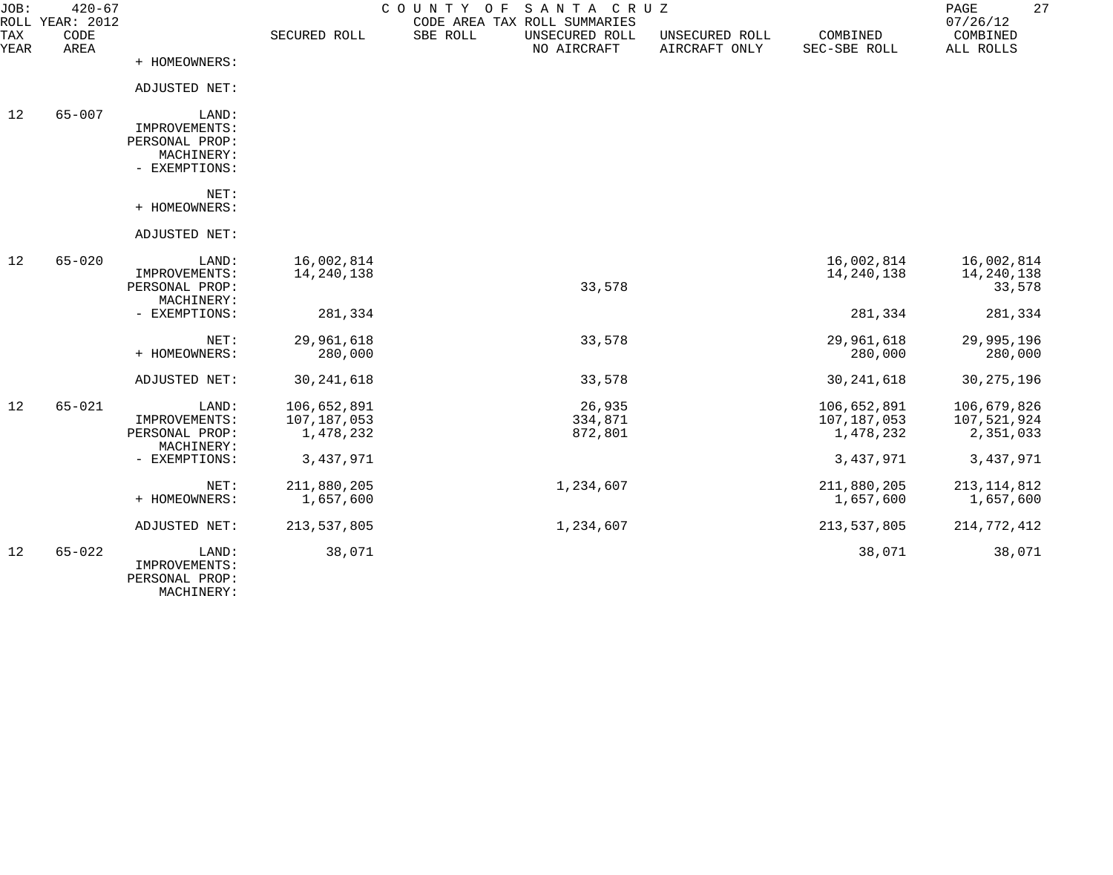| JOB:<br>ROLL | $420 - 67$<br>YEAR: 2012 |                                                                         |                                         | COUNTY<br>O F | SANTA CRUZ<br>CODE AREA TAX ROLL SUMMARIES |                                 |                                         | PAGE<br>07/26/12                        | 27 |
|--------------|--------------------------|-------------------------------------------------------------------------|-----------------------------------------|---------------|--------------------------------------------|---------------------------------|-----------------------------------------|-----------------------------------------|----|
| TAX<br>YEAR  | CODE<br>AREA             |                                                                         | SECURED ROLL                            | SBE ROLL      | UNSECURED ROLL<br>NO AIRCRAFT              | UNSECURED ROLL<br>AIRCRAFT ONLY | COMBINED<br>SEC-SBE ROLL                | COMBINED<br>ALL ROLLS                   |    |
|              |                          | + HOMEOWNERS:                                                           |                                         |               |                                            |                                 |                                         |                                         |    |
|              |                          | ADJUSTED NET:                                                           |                                         |               |                                            |                                 |                                         |                                         |    |
| 12           | $65 - 007$               | LAND:<br>IMPROVEMENTS:<br>PERSONAL PROP:<br>MACHINERY:<br>- EXEMPTIONS: |                                         |               |                                            |                                 |                                         |                                         |    |
|              |                          | NET:<br>+ HOMEOWNERS:                                                   |                                         |               |                                            |                                 |                                         |                                         |    |
|              |                          | ADJUSTED NET:                                                           |                                         |               |                                            |                                 |                                         |                                         |    |
| 12           | $65 - 020$               | LAND:<br>IMPROVEMENTS:<br>PERSONAL PROP:<br>MACHINERY:                  | 16,002,814<br>14, 240, 138              |               | 33,578                                     |                                 | 16,002,814<br>14, 240, 138              | 16,002,814<br>14, 240, 138<br>33,578    |    |
|              |                          | - EXEMPTIONS:                                                           | 281,334                                 |               |                                            |                                 | 281,334                                 | 281,334                                 |    |
|              |                          | NET:<br>+ HOMEOWNERS:                                                   | 29,961,618<br>280,000                   |               | 33,578                                     |                                 | 29,961,618<br>280,000                   | 29,995,196<br>280,000                   |    |
|              |                          | ADJUSTED NET:                                                           | 30, 241, 618                            |               | 33,578                                     |                                 | 30, 241, 618                            | 30, 275, 196                            |    |
| 12           | $65 - 021$               | LAND:<br>IMPROVEMENTS:<br>PERSONAL PROP:<br>MACHINERY:                  | 106,652,891<br>107,187,053<br>1,478,232 |               | 26,935<br>334,871<br>872,801               |                                 | 106,652,891<br>107,187,053<br>1,478,232 | 106,679,826<br>107,521,924<br>2,351,033 |    |
|              |                          | - EXEMPTIONS:                                                           | 3,437,971                               |               |                                            |                                 | 3,437,971                               | 3,437,971                               |    |
|              |                          | NET:<br>+ HOMEOWNERS:                                                   | 211,880,205<br>1,657,600                |               | 1,234,607                                  |                                 | 211,880,205<br>1,657,600                | 213, 114, 812<br>1,657,600              |    |
|              |                          | ADJUSTED NET:                                                           | 213, 537, 805                           |               | 1,234,607                                  |                                 | 213,537,805                             | 214,772,412                             |    |
| 12           | $65 - 022$               | LAND:<br>IMPROVEMENTS:<br>PERSONAL PROP:                                | 38,071                                  |               |                                            |                                 | 38,071                                  | 38,071                                  |    |

MACHINERY: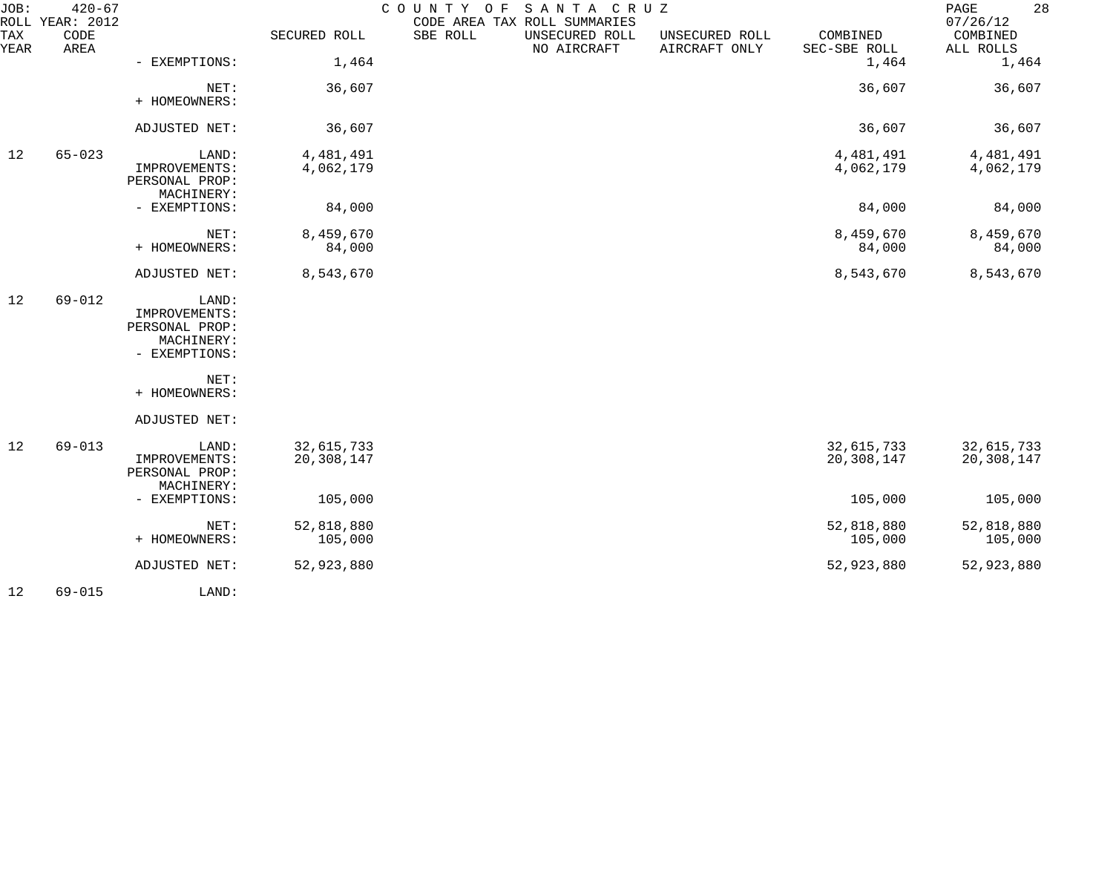| JOB:        | $420 - 67$<br>ROLL YEAR: 2012 |                                                                         |                          | COUNTY OF<br>CODE AREA TAX ROLL SUMMARIES | SANTA CRUZ                    |                                 |                          | 28<br>PAGE<br>07/26/12   |
|-------------|-------------------------------|-------------------------------------------------------------------------|--------------------------|-------------------------------------------|-------------------------------|---------------------------------|--------------------------|--------------------------|
| TAX<br>YEAR | CODE<br>AREA                  |                                                                         | SECURED ROLL             | SBE ROLL                                  | UNSECURED ROLL<br>NO AIRCRAFT | UNSECURED ROLL<br>AIRCRAFT ONLY | COMBINED<br>SEC-SBE ROLL | COMBINED<br>ALL ROLLS    |
|             |                               | - EXEMPTIONS:                                                           | 1,464                    |                                           |                               |                                 | 1,464                    | 1,464                    |
|             |                               | NET:<br>+ HOMEOWNERS:                                                   | 36,607                   |                                           |                               |                                 | 36,607                   | 36,607                   |
|             |                               | ADJUSTED NET:                                                           | 36,607                   |                                           |                               |                                 | 36,607                   | 36,607                   |
| 12          | $65 - 023$                    | LAND:<br>IMPROVEMENTS:<br>PERSONAL PROP:<br>MACHINERY:                  | 4,481,491<br>4,062,179   |                                           |                               |                                 | 4,481,491<br>4,062,179   | 4,481,491<br>4,062,179   |
|             |                               | - EXEMPTIONS:                                                           | 84,000                   |                                           |                               |                                 | 84,000                   | 84,000                   |
|             |                               | NET:<br>+ HOMEOWNERS:                                                   | 8,459,670<br>84,000      |                                           |                               |                                 | 8,459,670<br>84,000      | 8,459,670<br>84,000      |
|             |                               | ADJUSTED NET:                                                           | 8,543,670                |                                           |                               |                                 | 8,543,670                | 8,543,670                |
| 12          | $69 - 012$                    | LAND:<br>IMPROVEMENTS:<br>PERSONAL PROP:<br>MACHINERY:<br>- EXEMPTIONS: |                          |                                           |                               |                                 |                          |                          |
|             |                               | NET:<br>+ HOMEOWNERS:                                                   |                          |                                           |                               |                                 |                          |                          |
|             |                               | ADJUSTED NET:                                                           |                          |                                           |                               |                                 |                          |                          |
| 12          | $69 - 013$                    | LAND:<br>IMPROVEMENTS:<br>PERSONAL PROP:<br>MACHINERY:                  | 32,615,733<br>20,308,147 |                                           |                               |                                 | 32,615,733<br>20,308,147 | 32,615,733<br>20,308,147 |
|             |                               | - EXEMPTIONS:                                                           | 105,000                  |                                           |                               |                                 | 105,000                  | 105,000                  |
|             |                               | NET:<br>+ HOMEOWNERS:                                                   | 52,818,880<br>105,000    |                                           |                               |                                 | 52,818,880<br>105,000    | 52,818,880<br>105,000    |
|             |                               | ADJUSTED NET:                                                           | 52,923,880               |                                           |                               |                                 | 52,923,880               | 52,923,880               |
| 12          | $69 - 015$                    | LAND:                                                                   |                          |                                           |                               |                                 |                          |                          |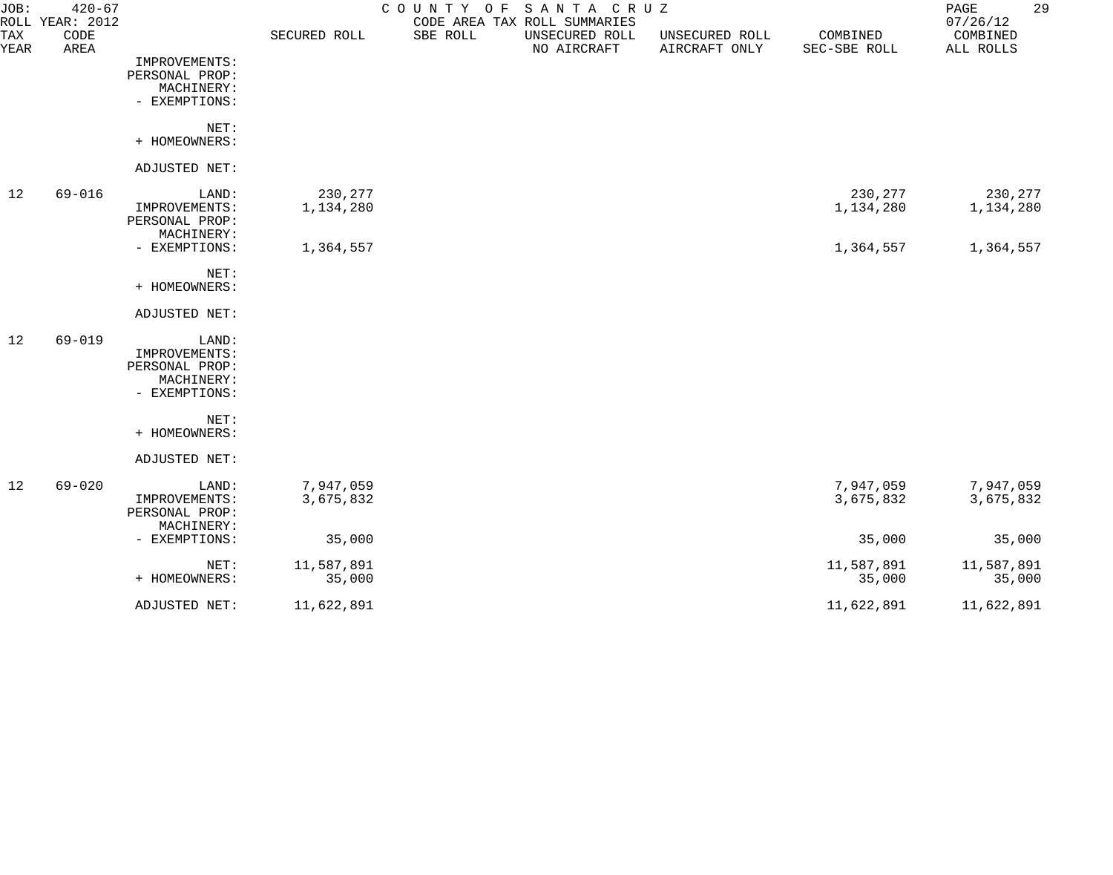| JOB:        | $420 - 67$<br>ROLL YEAR: 2012 |                |              | COUNTY OF SANTA CRUZ | CODE AREA TAX ROLL SUMMARIES  |                                 |                          | 29<br>PAGE<br>07/26/12 |
|-------------|-------------------------------|----------------|--------------|----------------------|-------------------------------|---------------------------------|--------------------------|------------------------|
| TAX<br>YEAR | CODE<br>AREA                  |                | SECURED ROLL | SBE ROLL             | UNSECURED ROLL<br>NO AIRCRAFT | UNSECURED ROLL<br>AIRCRAFT ONLY | COMBINED<br>SEC-SBE ROLL | COMBINED<br>ALL ROLLS  |
|             |                               | IMPROVEMENTS:  |              |                      |                               |                                 |                          |                        |
|             |                               | PERSONAL PROP: |              |                      |                               |                                 |                          |                        |
|             |                               | MACHINERY:     |              |                      |                               |                                 |                          |                        |
|             |                               | - EXEMPTIONS:  |              |                      |                               |                                 |                          |                        |
|             |                               | NET:           |              |                      |                               |                                 |                          |                        |
|             |                               | + HOMEOWNERS:  |              |                      |                               |                                 |                          |                        |
|             |                               | ADJUSTED NET:  |              |                      |                               |                                 |                          |                        |
| 12          | $69 - 016$                    | LAND:          | 230,277      |                      |                               |                                 | 230,277                  | 230,277                |
|             |                               | IMPROVEMENTS:  | 1,134,280    |                      |                               |                                 | 1,134,280                | 1,134,280              |
|             |                               | PERSONAL PROP: |              |                      |                               |                                 |                          |                        |
|             |                               | MACHINERY:     |              |                      |                               |                                 |                          |                        |
|             |                               | - EXEMPTIONS:  | 1,364,557    |                      |                               |                                 | 1,364,557                | 1,364,557              |
|             |                               | NET:           |              |                      |                               |                                 |                          |                        |
|             |                               | + HOMEOWNERS:  |              |                      |                               |                                 |                          |                        |
|             |                               | ADJUSTED NET:  |              |                      |                               |                                 |                          |                        |
| 12          | $69 - 019$                    | LAND:          |              |                      |                               |                                 |                          |                        |
|             |                               | IMPROVEMENTS:  |              |                      |                               |                                 |                          |                        |
|             |                               | PERSONAL PROP: |              |                      |                               |                                 |                          |                        |
|             |                               | MACHINERY:     |              |                      |                               |                                 |                          |                        |
|             |                               | - EXEMPTIONS:  |              |                      |                               |                                 |                          |                        |
|             |                               | NET:           |              |                      |                               |                                 |                          |                        |
|             |                               | + HOMEOWNERS:  |              |                      |                               |                                 |                          |                        |
|             |                               | ADJUSTED NET:  |              |                      |                               |                                 |                          |                        |
| 12          | $69 - 020$                    | LAND:          | 7,947,059    |                      |                               |                                 | 7,947,059                | 7,947,059              |
|             |                               | IMPROVEMENTS:  | 3,675,832    |                      |                               |                                 | 3,675,832                | 3,675,832              |
|             |                               | PERSONAL PROP: |              |                      |                               |                                 |                          |                        |
|             |                               | MACHINERY:     |              |                      |                               |                                 |                          |                        |
|             |                               | - EXEMPTIONS:  | 35,000       |                      |                               |                                 | 35,000                   | 35,000                 |
|             |                               | NET:           | 11,587,891   |                      |                               |                                 | 11,587,891               | 11,587,891             |
|             |                               | + HOMEOWNERS:  | 35,000       |                      |                               |                                 | 35,000                   | 35,000                 |
|             |                               | ADJUSTED NET:  | 11,622,891   |                      |                               |                                 | 11,622,891               | 11,622,891             |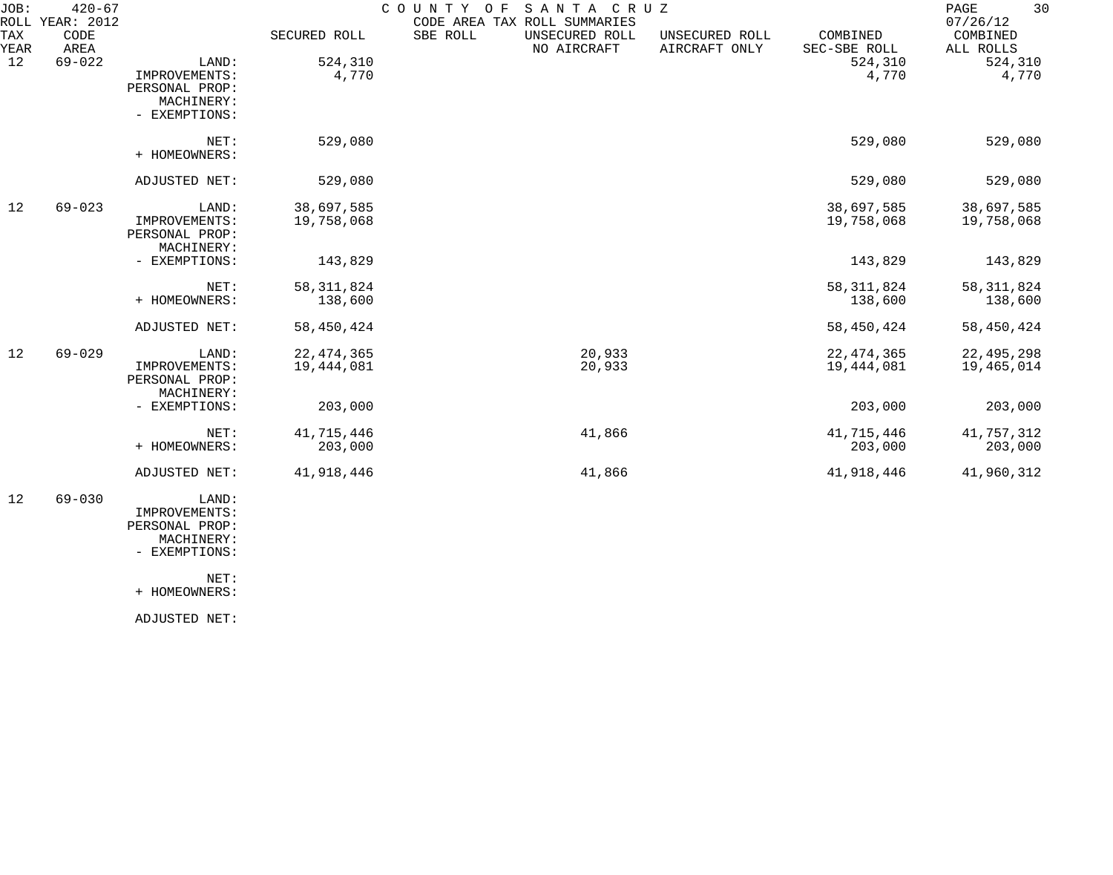| JOB:        | $420 - 67$<br>ROLL YEAR: 2012 |                                                                         |                            | COUNTY OF | SANTA CRUZ<br>CODE AREA TAX ROLL SUMMARIES |                                 |                            | 30<br>PAGE<br>07/26/12     |
|-------------|-------------------------------|-------------------------------------------------------------------------|----------------------------|-----------|--------------------------------------------|---------------------------------|----------------------------|----------------------------|
| TAX<br>YEAR | CODE<br>AREA                  |                                                                         | SECURED ROLL               | SBE ROLL  | UNSECURED ROLL<br>NO AIRCRAFT              | UNSECURED ROLL<br>AIRCRAFT ONLY | COMBINED<br>SEC-SBE ROLL   | COMBINED<br>ALL ROLLS      |
| 12          | $69 - 022$                    | LAND:<br>IMPROVEMENTS:<br>PERSONAL PROP:<br>MACHINERY:<br>- EXEMPTIONS: | 524,310<br>4,770           |           |                                            |                                 | 524,310<br>4,770           | 524,310<br>4,770           |
|             |                               | NET:<br>+ HOMEOWNERS:                                                   | 529,080                    |           |                                            |                                 | 529,080                    | 529,080                    |
|             |                               | ADJUSTED NET:                                                           | 529,080                    |           |                                            |                                 | 529,080                    | 529,080                    |
| 12          | $69 - 023$                    | LAND:<br>IMPROVEMENTS:<br>PERSONAL PROP:<br>MACHINERY:                  | 38,697,585<br>19,758,068   |           |                                            |                                 | 38,697,585<br>19,758,068   | 38,697,585<br>19,758,068   |
|             |                               | - EXEMPTIONS:                                                           | 143,829                    |           |                                            |                                 | 143,829                    | 143,829                    |
|             |                               | NET:<br>+ HOMEOWNERS:                                                   | 58, 311, 824<br>138,600    |           |                                            |                                 | 58, 311, 824<br>138,600    | 58, 311, 824<br>138,600    |
|             |                               | ADJUSTED NET:                                                           | 58,450,424                 |           |                                            |                                 | 58,450,424                 | 58,450,424                 |
| 12          | $69 - 029$                    | LAND:<br>IMPROVEMENTS:<br>PERSONAL PROP:<br>MACHINERY:                  | 22, 474, 365<br>19,444,081 |           | 20,933<br>20,933                           |                                 | 22, 474, 365<br>19,444,081 | 22, 495, 298<br>19,465,014 |
|             |                               | - EXEMPTIONS:                                                           | 203,000                    |           |                                            |                                 | 203,000                    | 203,000                    |
|             |                               | NET:<br>+ HOMEOWNERS:                                                   | 41,715,446<br>203,000      |           | 41,866                                     |                                 | 41,715,446<br>203,000      | 41,757,312<br>203,000      |
|             |                               | ADJUSTED NET:                                                           | 41,918,446                 |           | 41,866                                     |                                 | 41,918,446                 | 41,960,312                 |
|             |                               |                                                                         |                            |           |                                            |                                 |                            |                            |

 12 69-030 LAND: IMPROVEMENTS: PERSONAL PROP: MACHINERY:

- EXEMPTIONS:

NET:

+ HOMEOWNERS:

ADJUSTED NET: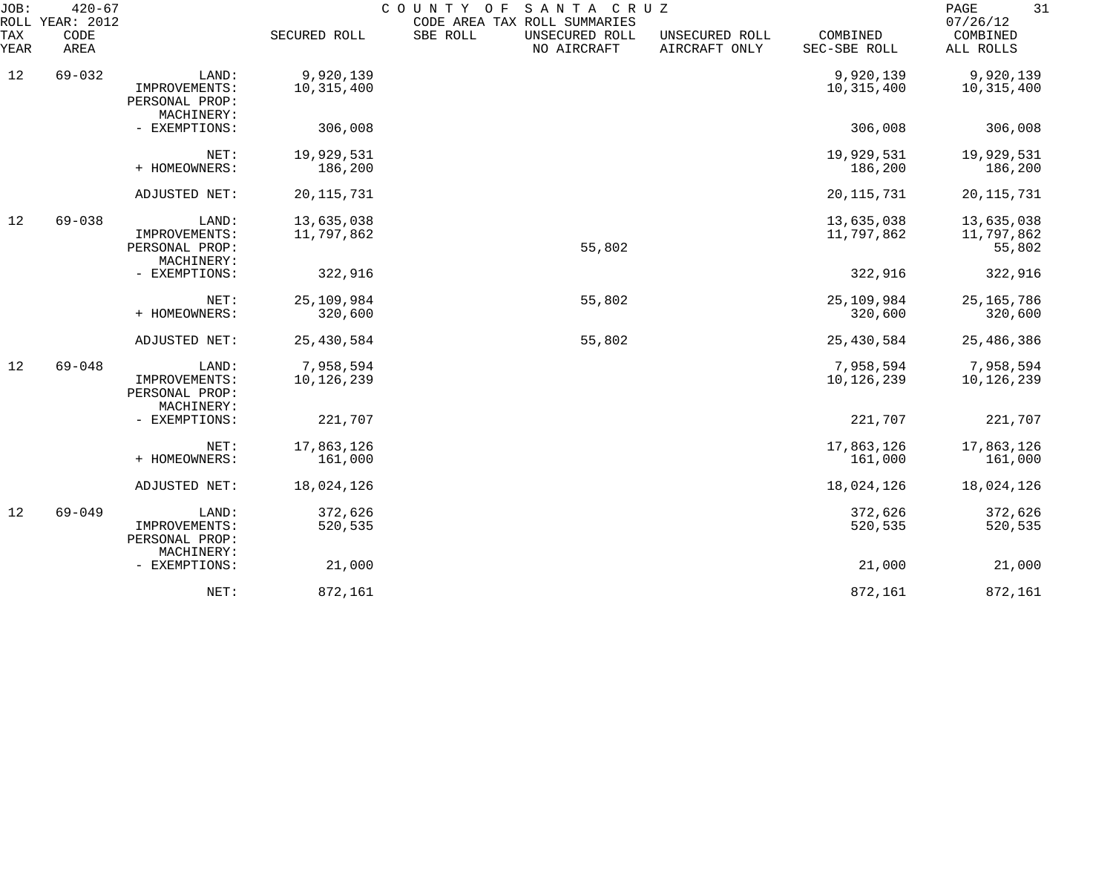| JOB:        | $420 - 67$<br>ROLL YEAR: 2012 |                                                        |                          | SANTA CRUZ<br>COUNTY OF<br>CODE AREA TAX ROLL SUMMARIES |                                 |                          | 31<br>PAGE<br>07/26/12             |
|-------------|-------------------------------|--------------------------------------------------------|--------------------------|---------------------------------------------------------|---------------------------------|--------------------------|------------------------------------|
| TAX<br>YEAR | CODE<br>AREA                  |                                                        | SECURED ROLL             | SBE ROLL<br>UNSECURED ROLL<br>NO AIRCRAFT               | UNSECURED ROLL<br>AIRCRAFT ONLY | COMBINED<br>SEC-SBE ROLL | COMBINED<br>ALL ROLLS              |
| 12          | $69 - 032$                    | LAND:<br>IMPROVEMENTS:                                 | 9,920,139<br>10,315,400  |                                                         |                                 | 9,920,139<br>10,315,400  | 9,920,139<br>10,315,400            |
|             |                               | PERSONAL PROP:<br>MACHINERY:                           |                          |                                                         |                                 |                          |                                    |
|             |                               | - EXEMPTIONS:                                          | 306,008                  |                                                         |                                 | 306,008                  | 306,008                            |
|             |                               | NET:<br>+ HOMEOWNERS:                                  | 19,929,531<br>186,200    |                                                         |                                 | 19,929,531<br>186,200    | 19,929,531<br>186,200              |
|             |                               | ADJUSTED NET:                                          | 20, 115, 731             |                                                         |                                 | 20, 115, 731             | 20, 115, 731                       |
| 12          | $69 - 038$                    | LAND:<br>IMPROVEMENTS:<br>PERSONAL PROP:               | 13,635,038<br>11,797,862 | 55,802                                                  |                                 | 13,635,038<br>11,797,862 | 13,635,038<br>11,797,862<br>55,802 |
|             |                               | MACHINERY:<br>- EXEMPTIONS:                            | 322,916                  |                                                         |                                 | 322,916                  | 322,916                            |
|             |                               | NET:<br>+ HOMEOWNERS:                                  | 25,109,984<br>320,600    | 55,802                                                  |                                 | 25,109,984<br>320,600    | 25, 165, 786<br>320,600            |
|             |                               | ADJUSTED NET:                                          | 25,430,584               | 55,802                                                  |                                 | 25,430,584               | 25,486,386                         |
| 12          | $69 - 048$                    | LAND:<br>IMPROVEMENTS:<br>PERSONAL PROP:<br>MACHINERY: | 7,958,594<br>10,126,239  |                                                         |                                 | 7,958,594<br>10,126,239  | 7,958,594<br>10,126,239            |
|             |                               | - EXEMPTIONS:                                          | 221,707                  |                                                         |                                 | 221,707                  | 221,707                            |
|             |                               | NET:<br>+ HOMEOWNERS:                                  | 17,863,126<br>161,000    |                                                         |                                 | 17,863,126<br>161,000    | 17,863,126<br>161,000              |
|             |                               | ADJUSTED NET:                                          | 18,024,126               |                                                         |                                 | 18,024,126               | 18,024,126                         |
| 12          | $69 - 049$                    | LAND:<br>IMPROVEMENTS:<br>PERSONAL PROP:<br>MACHINERY: | 372,626<br>520,535       |                                                         |                                 | 372,626<br>520,535       | 372,626<br>520,535                 |
|             |                               | - EXEMPTIONS:                                          | 21,000                   |                                                         |                                 | 21,000                   | 21,000                             |
|             |                               | NET:                                                   | 872,161                  |                                                         |                                 | 872,161                  | 872,161                            |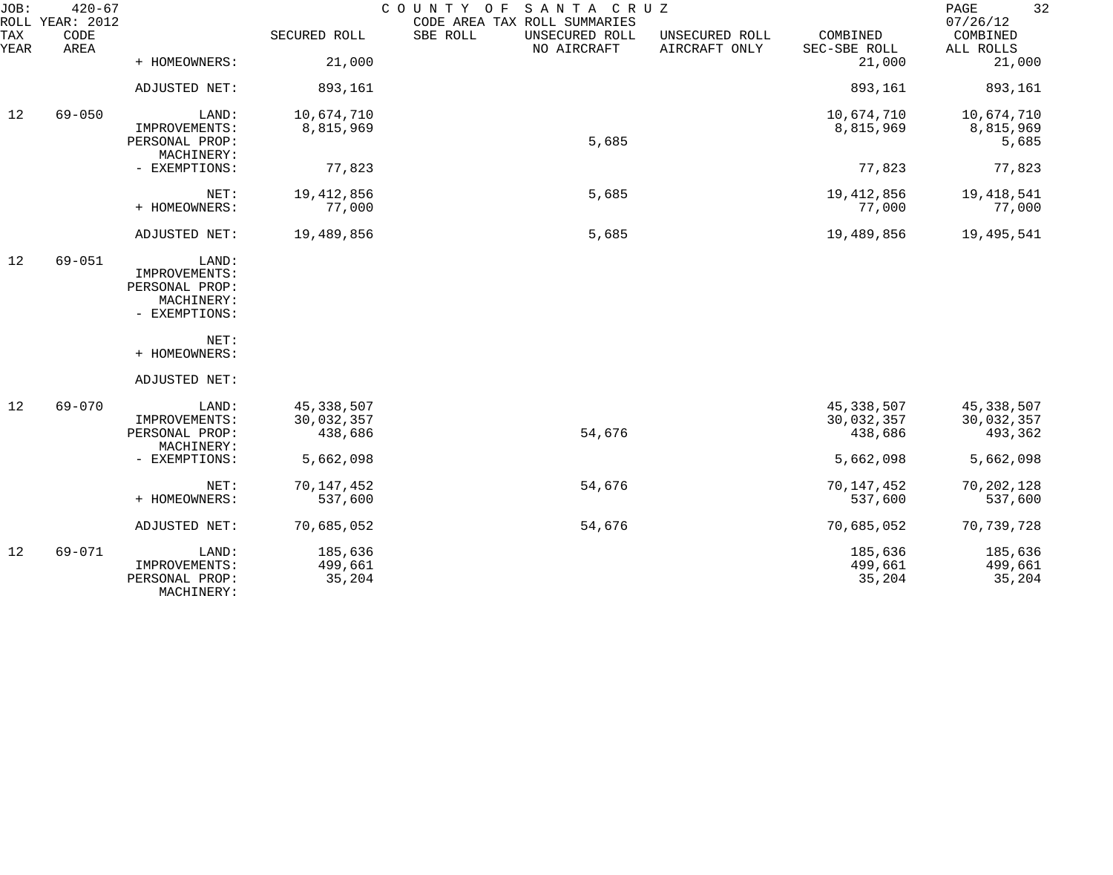| JOB:        | $420 - 67$<br>ROLL YEAR: 2012 |                                                                         |                                       | COUNTY OF SANTA CRUZ<br>CODE AREA TAX ROLL SUMMARIES |                                 |                                       | 32<br>PAGE<br>07/26/12              |
|-------------|-------------------------------|-------------------------------------------------------------------------|---------------------------------------|------------------------------------------------------|---------------------------------|---------------------------------------|-------------------------------------|
| TAX<br>YEAR | CODE<br>AREA                  |                                                                         | SECURED ROLL                          | SBE ROLL<br>UNSECURED ROLL<br>NO AIRCRAFT            | UNSECURED ROLL<br>AIRCRAFT ONLY | COMBINED<br>SEC-SBE ROLL              | COMBINED<br>ALL ROLLS               |
|             |                               | + HOMEOWNERS:                                                           | 21,000                                |                                                      |                                 | 21,000                                | 21,000                              |
|             |                               | ADJUSTED NET:                                                           | 893,161                               |                                                      |                                 | 893,161                               | 893,161                             |
| 12          | $69 - 050$                    | LAND:                                                                   | 10,674,710                            |                                                      |                                 | 10,674,710                            | 10,674,710                          |
|             |                               | IMPROVEMENTS:<br>PERSONAL PROP:<br>MACHINERY:                           | 8,815,969                             | 5,685                                                |                                 | 8,815,969                             | 8,815,969<br>5,685                  |
|             |                               | - EXEMPTIONS:                                                           | 77,823                                |                                                      |                                 | 77,823                                | 77,823                              |
|             |                               | NET:<br>+ HOMEOWNERS:                                                   | 19,412,856<br>77,000                  | 5,685                                                |                                 | 19, 412, 856<br>77,000                | 19,418,541<br>77,000                |
|             |                               | ADJUSTED NET:                                                           | 19,489,856                            | 5,685                                                |                                 | 19,489,856                            | 19,495,541                          |
| 12          | $69 - 051$                    | LAND:<br>IMPROVEMENTS:<br>PERSONAL PROP:<br>MACHINERY:<br>- EXEMPTIONS: |                                       |                                                      |                                 |                                       |                                     |
|             |                               | NET:<br>+ HOMEOWNERS:                                                   |                                       |                                                      |                                 |                                       |                                     |
|             |                               | ADJUSTED NET:                                                           |                                       |                                                      |                                 |                                       |                                     |
| 12          | $69 - 070$                    | LAND:<br>IMPROVEMENTS:<br>PERSONAL PROP:<br>MACHINERY:                  | 45, 338, 507<br>30,032,357<br>438,686 | 54,676                                               |                                 | 45, 338, 507<br>30,032,357<br>438,686 | 45,338,507<br>30,032,357<br>493,362 |
|             |                               | - EXEMPTIONS:                                                           | 5,662,098                             |                                                      |                                 | 5,662,098                             | 5,662,098                           |
|             |                               | NET:<br>+ HOMEOWNERS:                                                   | 70,147,452<br>537,600                 | 54,676                                               |                                 | 70,147,452<br>537,600                 | 70,202,128<br>537,600               |
|             |                               | ADJUSTED NET:                                                           | 70,685,052                            | 54,676                                               |                                 | 70,685,052                            | 70,739,728                          |
| 12          | $69 - 071$                    | LAND:<br>IMPROVEMENTS:<br>PERSONAL PROP:<br>MACHINERY:                  | 185,636<br>499,661<br>35,204          |                                                      |                                 | 185,636<br>499,661<br>35,204          | 185,636<br>499,661<br>35,204        |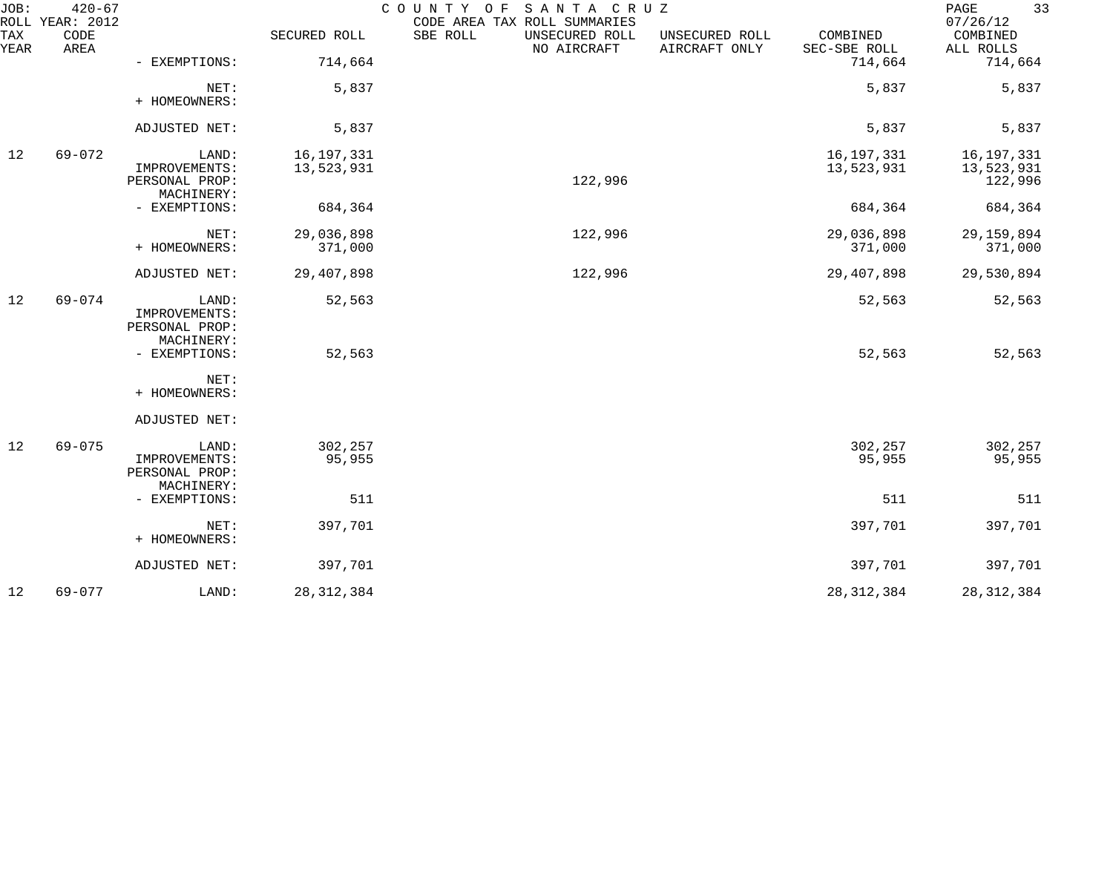| JOB:        | $420 - 67$<br>ROLL YEAR: 2012 |                                                        |                            | COUNTY OF<br>SANTA CRUZ<br>CODE AREA TAX ROLL SUMMARIES |                                 |                            | 33<br>PAGE<br>07/26/12                |
|-------------|-------------------------------|--------------------------------------------------------|----------------------------|---------------------------------------------------------|---------------------------------|----------------------------|---------------------------------------|
| TAX<br>YEAR | CODE<br>AREA                  |                                                        | SECURED ROLL               | SBE ROLL<br>UNSECURED ROLL<br>NO AIRCRAFT               | UNSECURED ROLL<br>AIRCRAFT ONLY | COMBINED<br>SEC-SBE ROLL   | COMBINED<br>ALL ROLLS                 |
|             |                               | - EXEMPTIONS:                                          | 714,664                    |                                                         |                                 | 714,664                    | 714,664                               |
|             |                               | NET:<br>+ HOMEOWNERS:                                  | 5,837                      |                                                         |                                 | 5,837                      | 5,837                                 |
|             |                               | ADJUSTED NET:                                          | 5,837                      |                                                         |                                 | 5,837                      | 5,837                                 |
| 12          | $69 - 072$                    | LAND:<br>IMPROVEMENTS:<br>PERSONAL PROP:<br>MACHINERY: | 16, 197, 331<br>13,523,931 | 122,996                                                 |                                 | 16, 197, 331<br>13,523,931 | 16, 197, 331<br>13,523,931<br>122,996 |
|             |                               | - EXEMPTIONS:                                          | 684,364                    |                                                         |                                 | 684,364                    | 684,364                               |
|             |                               | NET:<br>+ HOMEOWNERS:                                  | 29,036,898<br>371,000      | 122,996                                                 |                                 | 29,036,898<br>371,000      | 29, 159, 894<br>371,000               |
|             |                               | ADJUSTED NET:                                          | 29,407,898                 | 122,996                                                 |                                 | 29,407,898                 | 29,530,894                            |
| 12          | $69 - 074$                    | LAND:<br>IMPROVEMENTS:<br>PERSONAL PROP:               | 52,563                     |                                                         |                                 | 52,563                     | 52,563                                |
|             |                               | MACHINERY:<br>- EXEMPTIONS:                            | 52,563                     |                                                         |                                 | 52,563                     | 52,563                                |
|             |                               | NET:<br>+ HOMEOWNERS:                                  |                            |                                                         |                                 |                            |                                       |
|             |                               | ADJUSTED NET:                                          |                            |                                                         |                                 |                            |                                       |
| 12          | $69 - 075$                    | LAND:<br>IMPROVEMENTS:<br>PERSONAL PROP:               | 302,257<br>95,955          |                                                         |                                 | 302,257<br>95,955          | 302,257<br>95,955                     |
|             |                               | MACHINERY:<br>- EXEMPTIONS:                            | 511                        |                                                         |                                 | 511                        | 511                                   |
|             |                               | NET:<br>+ HOMEOWNERS:                                  | 397,701                    |                                                         |                                 | 397,701                    | 397,701                               |
|             |                               | ADJUSTED NET:                                          | 397,701                    |                                                         |                                 | 397,701                    | 397,701                               |
| 12          | $69 - 077$                    | LAND:                                                  | 28, 312, 384               |                                                         |                                 | 28, 312, 384               | 28, 312, 384                          |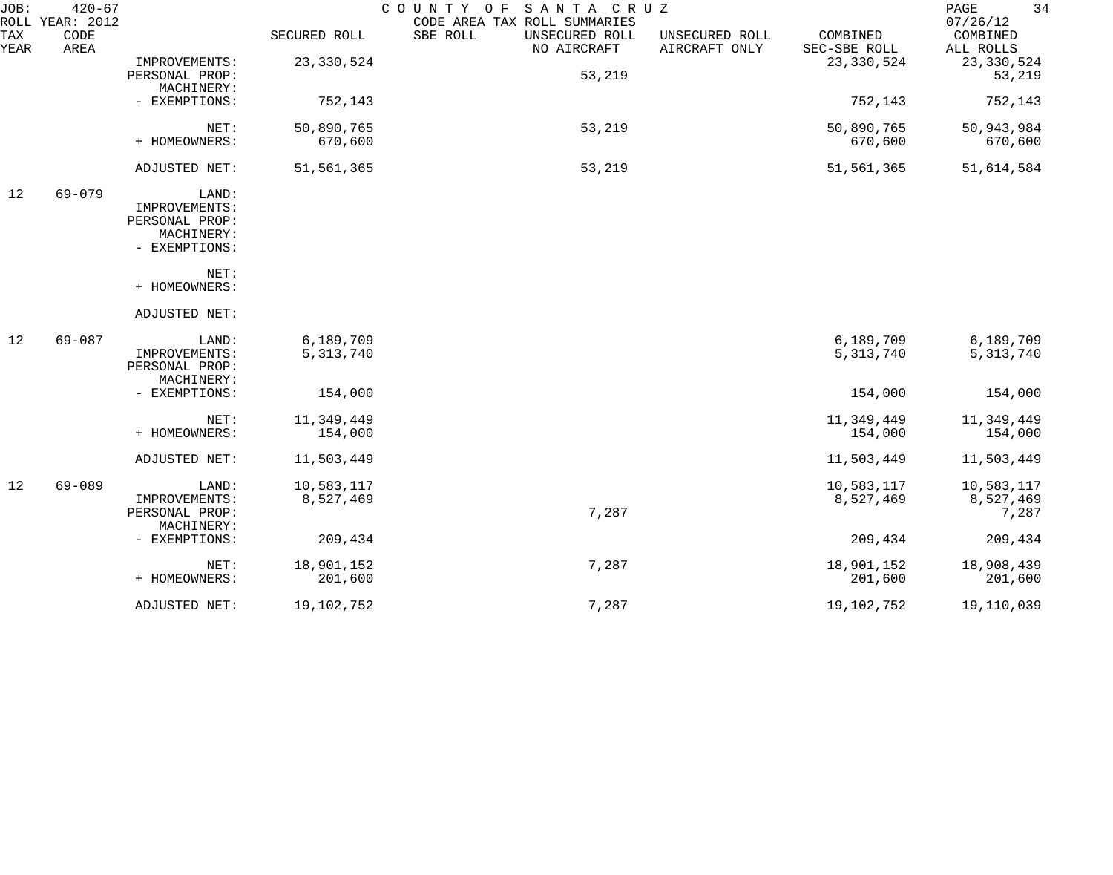| JOB:        | $420 - 67$<br>ROLL YEAR: 2012 |                |              | COUNTY OF SANTA CRUZ<br>CODE AREA TAX ROLL SUMMARIES                         |                          | 34<br>PAGE<br>07/26/12 |
|-------------|-------------------------------|----------------|--------------|------------------------------------------------------------------------------|--------------------------|------------------------|
| TAX<br>YEAR | CODE<br>AREA                  |                | SECURED ROLL | SBE ROLL<br>UNSECURED ROLL<br>UNSECURED ROLL<br>AIRCRAFT ONLY<br>NO AIRCRAFT | COMBINED<br>SEC-SBE ROLL | COMBINED<br>ALL ROLLS  |
|             |                               | IMPROVEMENTS:  | 23, 330, 524 |                                                                              | 23, 330, 524             | 23, 330, 524           |
|             |                               | PERSONAL PROP: |              | 53,219                                                                       |                          | 53,219                 |
|             |                               | MACHINERY:     |              |                                                                              |                          |                        |
|             |                               | - EXEMPTIONS:  | 752,143      |                                                                              | 752,143                  | 752,143                |
|             |                               | NET:           | 50,890,765   | 53,219                                                                       | 50,890,765               | 50,943,984             |
|             |                               | + HOMEOWNERS:  | 670,600      |                                                                              | 670,600                  | 670,600                |
|             |                               | ADJUSTED NET:  | 51,561,365   | 53,219                                                                       | 51,561,365               | 51,614,584             |
| 12          | $69 - 079$                    | LAND:          |              |                                                                              |                          |                        |
|             |                               | IMPROVEMENTS:  |              |                                                                              |                          |                        |
|             |                               | PERSONAL PROP: |              |                                                                              |                          |                        |
|             |                               | MACHINERY:     |              |                                                                              |                          |                        |
|             |                               | - EXEMPTIONS:  |              |                                                                              |                          |                        |
|             |                               | NET:           |              |                                                                              |                          |                        |
|             |                               | + HOMEOWNERS:  |              |                                                                              |                          |                        |
|             |                               | ADJUSTED NET:  |              |                                                                              |                          |                        |
| 12          | $69 - 087$                    | LAND:          | 6,189,709    |                                                                              | 6,189,709                | 6,189,709              |
|             |                               | IMPROVEMENTS:  | 5, 313, 740  |                                                                              | 5, 313, 740              | 5, 313, 740            |
|             |                               | PERSONAL PROP: |              |                                                                              |                          |                        |
|             |                               | MACHINERY:     |              |                                                                              |                          |                        |
|             |                               | - EXEMPTIONS:  | 154,000      |                                                                              | 154,000                  | 154,000                |
|             |                               | NET:           | 11,349,449   |                                                                              | 11,349,449               | 11,349,449             |
|             |                               | + HOMEOWNERS:  | 154,000      |                                                                              | 154,000                  | 154,000                |
|             |                               | ADJUSTED NET:  | 11,503,449   |                                                                              | 11,503,449               | 11,503,449             |
| 12          | $69 - 089$                    | LAND:          | 10,583,117   |                                                                              | 10,583,117               | 10,583,117             |
|             |                               | IMPROVEMENTS:  | 8,527,469    |                                                                              | 8,527,469                | 8,527,469              |
|             |                               | PERSONAL PROP: |              | 7,287                                                                        |                          | 7,287                  |
|             |                               | MACHINERY:     |              |                                                                              |                          |                        |
|             |                               | - EXEMPTIONS:  | 209,434      |                                                                              | 209,434                  | 209,434                |
|             |                               | NET:           | 18,901,152   | 7,287                                                                        | 18,901,152               | 18,908,439             |
|             |                               | + HOMEOWNERS:  | 201,600      |                                                                              | 201,600                  | 201,600                |
|             |                               | ADJUSTED NET:  | 19,102,752   | 7,287                                                                        | 19,102,752               | 19,110,039             |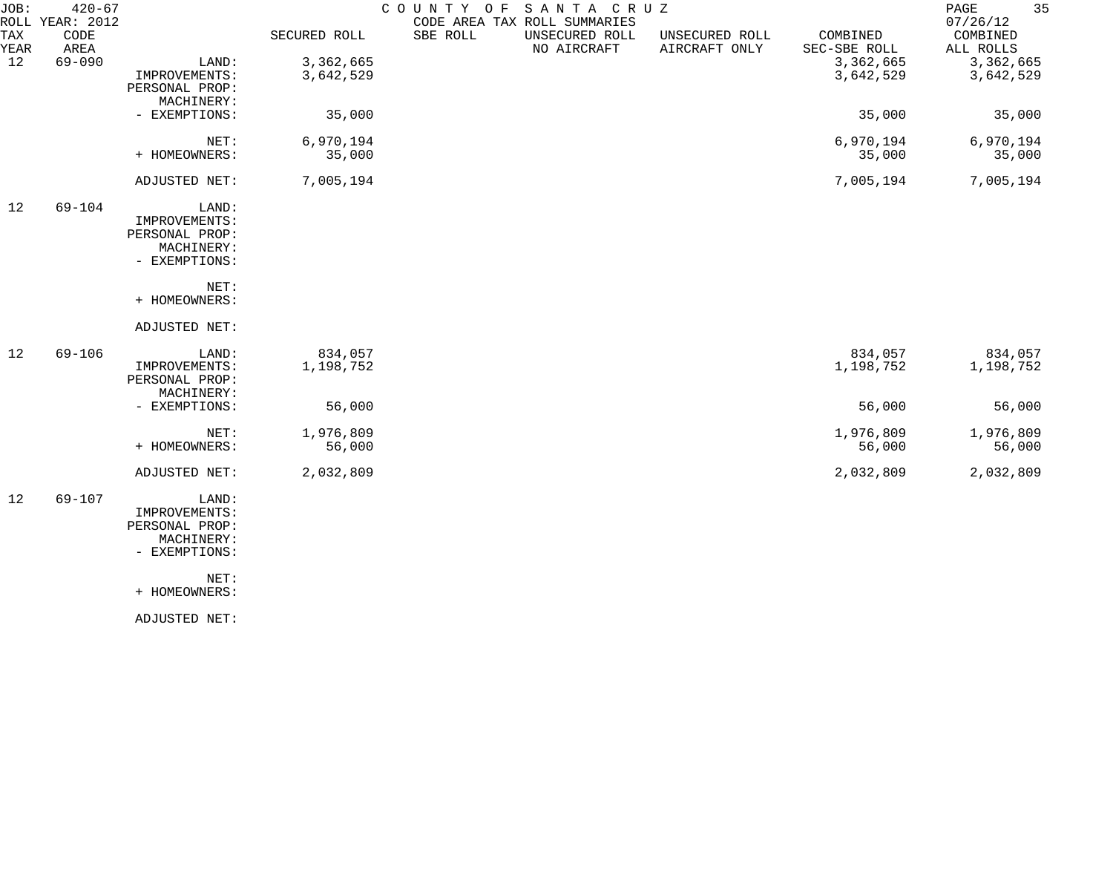| JOB:        | $420 - 67$<br>ROLL YEAR: 2012 |                                                                         |                      |          | COUNTY OF SANTA CRUZ<br>CODE AREA TAX ROLL SUMMARIES |                                 |                          | 35<br>PAGE<br>07/26/12 |
|-------------|-------------------------------|-------------------------------------------------------------------------|----------------------|----------|------------------------------------------------------|---------------------------------|--------------------------|------------------------|
| TAX<br>YEAR | CODE<br>AREA                  |                                                                         | SECURED ROLL         | SBE ROLL | UNSECURED ROLL<br>NO AIRCRAFT                        | UNSECURED ROLL<br>AIRCRAFT ONLY | COMBINED<br>SEC-SBE ROLL | COMBINED<br>ALL ROLLS  |
| 12          | $69 - 090$                    | LAND:                                                                   | 3,362,665            |          |                                                      |                                 | 3,362,665                | 3,362,665              |
|             |                               | IMPROVEMENTS:<br>PERSONAL PROP:<br>MACHINERY:                           | 3,642,529            |          |                                                      |                                 | 3,642,529                | 3,642,529              |
|             |                               | - EXEMPTIONS:                                                           | 35,000               |          |                                                      |                                 | 35,000                   | 35,000                 |
|             |                               | NET:<br>+ HOMEOWNERS:                                                   | 6,970,194<br>35,000  |          |                                                      |                                 | 6,970,194<br>35,000      | 6,970,194<br>35,000    |
|             |                               | ADJUSTED NET:                                                           | 7,005,194            |          |                                                      |                                 | 7,005,194                | 7,005,194              |
| 12          | $69 - 104$                    | LAND:<br>IMPROVEMENTS:<br>PERSONAL PROP:<br>MACHINERY:<br>- EXEMPTIONS: |                      |          |                                                      |                                 |                          |                        |
|             |                               | NET:<br>+ HOMEOWNERS:                                                   |                      |          |                                                      |                                 |                          |                        |
|             |                               | ADJUSTED NET:                                                           |                      |          |                                                      |                                 |                          |                        |
| 12          | $69 - 106$                    | LAND:<br>IMPROVEMENTS:<br>PERSONAL PROP:<br>MACHINERY:                  | 834,057<br>1,198,752 |          |                                                      |                                 | 834,057<br>1,198,752     | 834,057<br>1,198,752   |
|             |                               | - EXEMPTIONS:                                                           | 56,000               |          |                                                      |                                 | 56,000                   | 56,000                 |
|             |                               | NET:<br>+ HOMEOWNERS:                                                   | 1,976,809<br>56,000  |          |                                                      |                                 | 1,976,809<br>56,000      | 1,976,809<br>56,000    |
|             |                               | ADJUSTED NET:                                                           | 2,032,809            |          |                                                      |                                 | 2,032,809                | 2,032,809              |
| 12          | 69-107                        | LAND:<br>IMPROVEMENTS:<br>PERSONAL PROP:<br>MACHINERY:<br>- EXEMPTIONS: |                      |          |                                                      |                                 |                          |                        |

+ HOMEOWNERS:

ADJUSTED NET: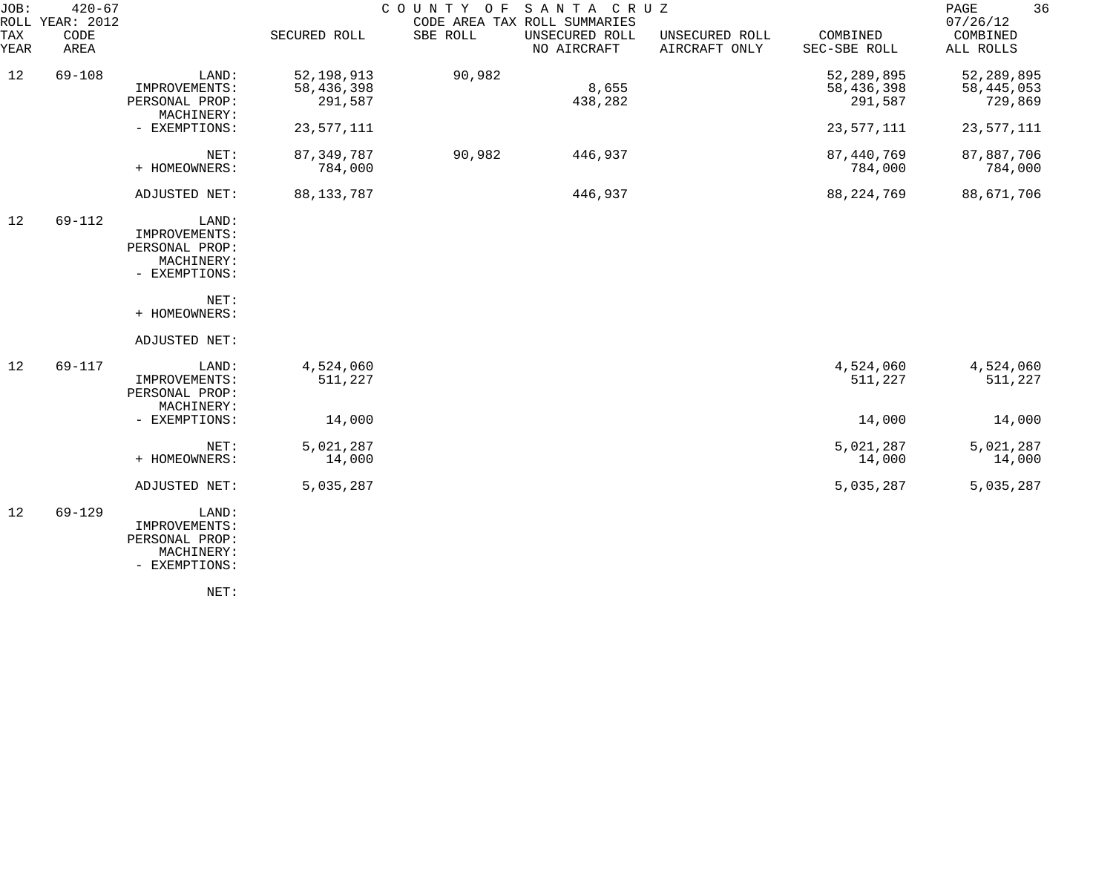| JOB:<br>ROLL | $420 - 67$<br>YEAR: 2012 |                                                                         |                                       |          | COUNTY OF SANTA CRUZ<br>CODE AREA TAX ROLL SUMMARIES |                                 |                                       | 36<br>PAGE<br>07/26/12                  |
|--------------|--------------------------|-------------------------------------------------------------------------|---------------------------------------|----------|------------------------------------------------------|---------------------------------|---------------------------------------|-----------------------------------------|
| TAX<br>YEAR  | CODE<br>AREA             |                                                                         | SECURED ROLL                          | SBE ROLL | UNSECURED ROLL<br>NO AIRCRAFT                        | UNSECURED ROLL<br>AIRCRAFT ONLY | COMBINED<br>SEC-SBE ROLL              | COMBINED<br>ALL ROLLS                   |
| 12           | $69 - 108$               | LAND:<br>IMPROVEMENTS:<br>PERSONAL PROP:<br>MACHINERY:                  | 52, 198, 913<br>58,436,398<br>291,587 | 90,982   | 8,655<br>438,282                                     |                                 | 52, 289, 895<br>58,436,398<br>291,587 | 52, 289, 895<br>58, 445, 053<br>729,869 |
|              |                          | - EXEMPTIONS:                                                           | 23,577,111                            |          |                                                      |                                 | 23,577,111                            | 23,577,111                              |
|              |                          | NET:<br>+ HOMEOWNERS:                                                   | 87, 349, 787<br>784,000               | 90,982   | 446,937                                              |                                 | 87, 440, 769<br>784,000               | 87,887,706<br>784,000                   |
|              |                          | ADJUSTED NET:                                                           | 88, 133, 787                          |          | 446,937                                              |                                 | 88, 224, 769                          | 88,671,706                              |
| 12           | $69 - 112$               | LAND:<br>IMPROVEMENTS:<br>PERSONAL PROP:<br>MACHINERY:<br>- EXEMPTIONS: |                                       |          |                                                      |                                 |                                       |                                         |
|              |                          | NET:<br>+ HOMEOWNERS:                                                   |                                       |          |                                                      |                                 |                                       |                                         |
|              |                          | ADJUSTED NET:                                                           |                                       |          |                                                      |                                 |                                       |                                         |
| 12           | 69-117                   | LAND:<br>IMPROVEMENTS:<br>PERSONAL PROP:<br>MACHINERY:                  | 4,524,060<br>511,227                  |          |                                                      |                                 | 4,524,060<br>511,227                  | 4,524,060<br>511,227                    |
|              |                          | - EXEMPTIONS:                                                           | 14,000                                |          |                                                      |                                 | 14,000                                | 14,000                                  |
|              |                          | NET:<br>+ HOMEOWNERS:                                                   | 5,021,287<br>14,000                   |          |                                                      |                                 | 5,021,287<br>14,000                   | 5,021,287<br>14,000                     |
|              |                          | ADJUSTED NET:                                                           | 5,035,287                             |          |                                                      |                                 | 5,035,287                             | 5,035,287                               |
| 12           | $69 - 129$               | LAND:<br>IMPROVEMENTS:<br>PERSONAL PROP:<br>MACHINERY:<br>- EXEMPTIONS: |                                       |          |                                                      |                                 |                                       |                                         |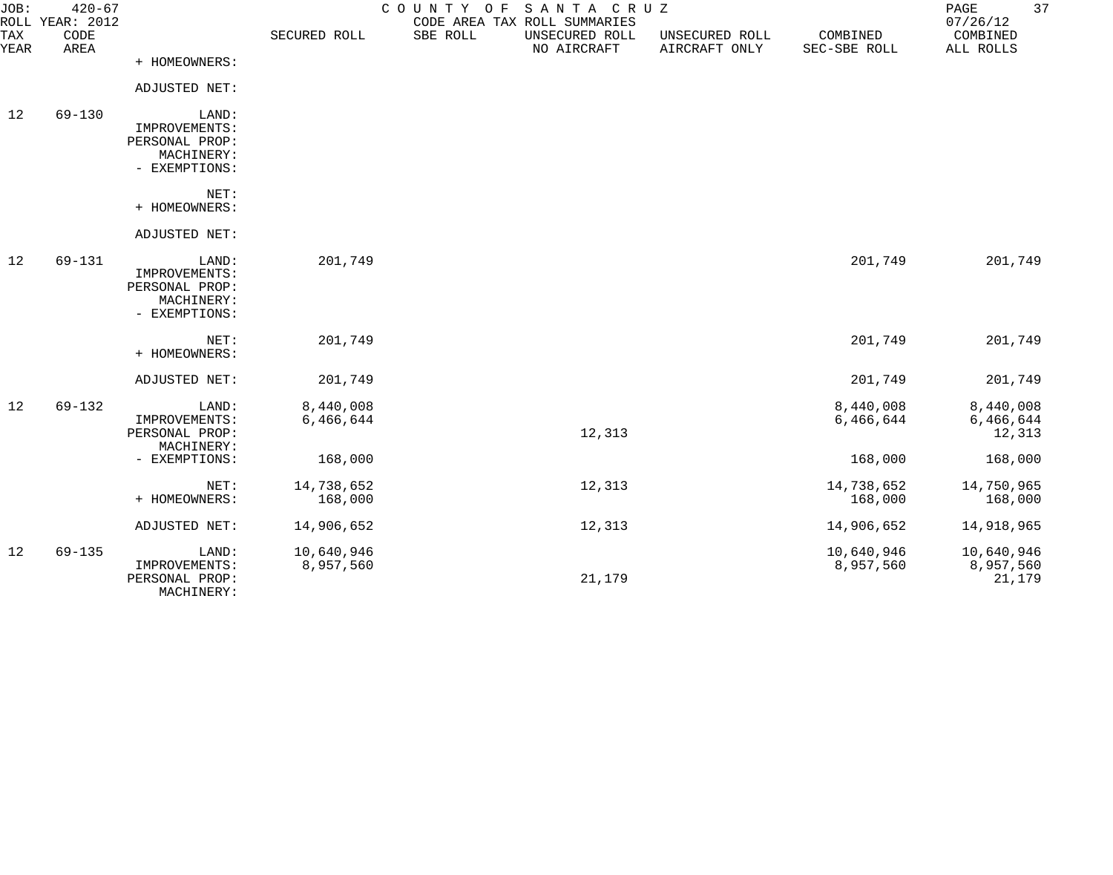| JOB:        | $420 - 67$<br>ROLL YEAR: 2012 |                              |              | COUNTY OF | SANTA CRUZ<br>CODE AREA TAX ROLL SUMMARIES |                                 |                          | PAGE<br>07/26/12      | 37 |
|-------------|-------------------------------|------------------------------|--------------|-----------|--------------------------------------------|---------------------------------|--------------------------|-----------------------|----|
| TAX<br>YEAR | CODE<br>AREA                  |                              | SECURED ROLL | SBE ROLL  | UNSECURED ROLL<br>NO AIRCRAFT              | UNSECURED ROLL<br>AIRCRAFT ONLY | COMBINED<br>SEC-SBE ROLL | COMBINED<br>ALL ROLLS |    |
|             |                               | + HOMEOWNERS:                |              |           |                                            |                                 |                          |                       |    |
|             |                               | ADJUSTED NET:                |              |           |                                            |                                 |                          |                       |    |
| 12          | $69 - 130$                    | LAND:                        |              |           |                                            |                                 |                          |                       |    |
|             |                               | IMPROVEMENTS:                |              |           |                                            |                                 |                          |                       |    |
|             |                               | PERSONAL PROP:<br>MACHINERY: |              |           |                                            |                                 |                          |                       |    |
|             |                               | - EXEMPTIONS:                |              |           |                                            |                                 |                          |                       |    |
|             |                               | NET:                         |              |           |                                            |                                 |                          |                       |    |
|             |                               | + HOMEOWNERS:                |              |           |                                            |                                 |                          |                       |    |
|             |                               | ADJUSTED NET:                |              |           |                                            |                                 |                          |                       |    |
| 12          | $69 - 131$                    | LAND:                        | 201,749      |           |                                            |                                 | 201,749                  | 201,749               |    |
|             |                               | IMPROVEMENTS:                |              |           |                                            |                                 |                          |                       |    |
|             |                               | PERSONAL PROP:               |              |           |                                            |                                 |                          |                       |    |
|             |                               | MACHINERY:<br>- EXEMPTIONS:  |              |           |                                            |                                 |                          |                       |    |
|             |                               |                              |              |           |                                            |                                 |                          |                       |    |
|             |                               | NET:                         | 201,749      |           |                                            |                                 | 201,749                  | 201,749               |    |
|             |                               | + HOMEOWNERS:                |              |           |                                            |                                 |                          |                       |    |
|             |                               | ADJUSTED NET:                | 201,749      |           |                                            |                                 | 201,749                  | 201,749               |    |
| 12          | $69 - 132$                    | LAND:                        | 8,440,008    |           |                                            |                                 | 8,440,008                | 8,440,008             |    |
|             |                               | IMPROVEMENTS:                | 6,466,644    |           |                                            |                                 | 6,466,644                | 6,466,644             |    |
|             |                               | PERSONAL PROP:<br>MACHINERY: |              |           | 12,313                                     |                                 |                          | 12,313                |    |
|             |                               | - EXEMPTIONS:                | 168,000      |           |                                            |                                 | 168,000                  | 168,000               |    |
|             |                               |                              |              |           |                                            |                                 |                          |                       |    |
|             |                               | NET:                         | 14,738,652   |           | 12,313                                     |                                 | 14,738,652               | 14,750,965            |    |
|             |                               | + HOMEOWNERS:                | 168,000      |           |                                            |                                 | 168,000                  | 168,000               |    |
|             |                               | ADJUSTED NET:                | 14,906,652   |           | 12,313                                     |                                 | 14,906,652               | 14,918,965            |    |
| 12          | $69 - 135$                    | LAND:                        | 10,640,946   |           |                                            |                                 | 10,640,946               | 10,640,946            |    |
|             |                               | IMPROVEMENTS:                | 8,957,560    |           |                                            |                                 | 8,957,560                | 8,957,560             |    |
|             |                               | PERSONAL PROP:<br>MACHINERY: |              |           | 21,179                                     |                                 |                          | 21,179                |    |
|             |                               |                              |              |           |                                            |                                 |                          |                       |    |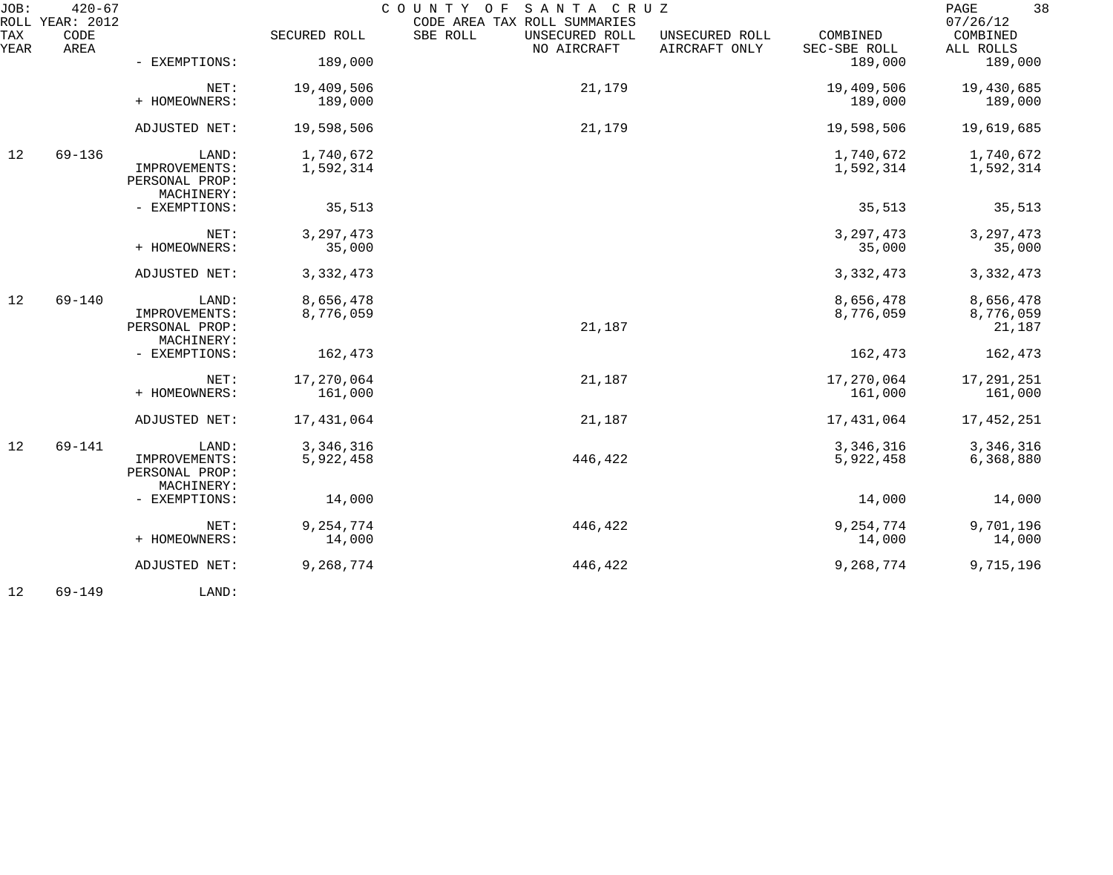| JOB:        | $420 - 67$<br>ROLL YEAR: 2012 |                                 |              | SANTA CRUZ<br>COUNTY OF<br>CODE AREA TAX ROLL SUMMARIES |                                 |                          | 38<br>PAGE<br>07/26/12 |
|-------------|-------------------------------|---------------------------------|--------------|---------------------------------------------------------|---------------------------------|--------------------------|------------------------|
| TAX<br>YEAR | CODE<br>AREA                  |                                 | SECURED ROLL | SBE ROLL<br>UNSECURED ROLL<br>NO AIRCRAFT               | UNSECURED ROLL<br>AIRCRAFT ONLY | COMBINED<br>SEC-SBE ROLL | COMBINED<br>ALL ROLLS  |
|             |                               | - EXEMPTIONS:                   | 189,000      |                                                         |                                 | 189,000                  | 189,000                |
|             |                               | NET:                            | 19,409,506   | 21,179                                                  |                                 | 19,409,506               | 19,430,685             |
|             |                               | + HOMEOWNERS:                   | 189,000      |                                                         |                                 | 189,000                  | 189,000                |
|             |                               | ADJUSTED NET:                   | 19,598,506   | 21,179                                                  |                                 | 19,598,506               | 19,619,685             |
| 12          | 69-136                        | LAND:                           | 1,740,672    |                                                         |                                 | 1,740,672                | 1,740,672              |
|             |                               | IMPROVEMENTS:                   | 1,592,314    |                                                         |                                 | 1,592,314                | 1,592,314              |
|             |                               | PERSONAL PROP:<br>MACHINERY:    |              |                                                         |                                 |                          |                        |
|             |                               | - EXEMPTIONS:                   | 35,513       |                                                         |                                 | 35,513                   | 35,513                 |
|             |                               | NET:                            | 3, 297, 473  |                                                         |                                 | 3, 297, 473              | 3, 297, 473            |
|             |                               | + HOMEOWNERS:                   | 35,000       |                                                         |                                 | 35,000                   | 35,000                 |
|             |                               | ADJUSTED NET:                   | 3, 332, 473  |                                                         |                                 | 3, 332, 473              | 3,332,473              |
| 12          | $69 - 140$                    | LAND:                           | 8,656,478    |                                                         |                                 | 8,656,478                | 8,656,478              |
|             |                               | IMPROVEMENTS:<br>PERSONAL PROP: | 8,776,059    | 21,187                                                  |                                 | 8,776,059                | 8,776,059              |
|             |                               | MACHINERY:                      |              |                                                         |                                 |                          | 21,187                 |
|             |                               | - EXEMPTIONS:                   | 162,473      |                                                         |                                 | 162,473                  | 162,473                |
|             |                               | NET:                            | 17,270,064   | 21,187                                                  |                                 | 17,270,064               | 17,291,251             |
|             |                               | + HOMEOWNERS:                   | 161,000      |                                                         |                                 | 161,000                  | 161,000                |
|             |                               | ADJUSTED NET:                   | 17,431,064   | 21,187                                                  |                                 | 17,431,064               | 17,452,251             |
| 12          | 69-141                        | LAND:                           | 3,346,316    |                                                         |                                 | 3,346,316                | 3,346,316              |
|             |                               | IMPROVEMENTS:                   | 5,922,458    | 446,422                                                 |                                 | 5,922,458                | 6,368,880              |
|             |                               | PERSONAL PROP:<br>MACHINERY:    |              |                                                         |                                 |                          |                        |
|             |                               | - EXEMPTIONS:                   | 14,000       |                                                         |                                 | 14,000                   | 14,000                 |
|             |                               | NET:                            | 9, 254, 774  | 446,422                                                 |                                 | 9, 254, 774              | 9,701,196              |
|             |                               | + HOMEOWNERS:                   | 14,000       |                                                         |                                 | 14,000                   | 14,000                 |
|             |                               | ADJUSTED NET:                   | 9,268,774    | 446,422                                                 |                                 | 9,268,774                | 9,715,196              |
|             |                               |                                 |              |                                                         |                                 |                          |                        |

12 69-149 LAND: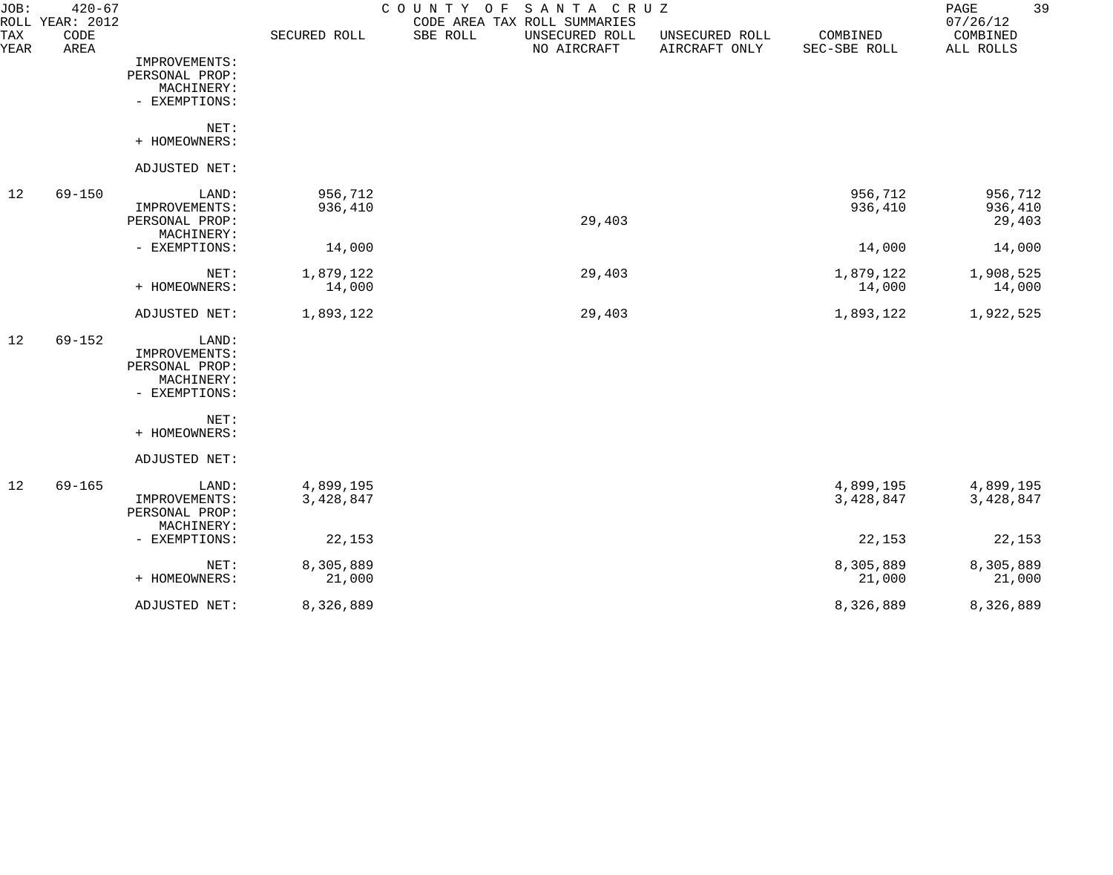| JOB:        | $420 - 67$<br>ROLL YEAR: 2012 |                                                                         |                        | SANTA CRUZ<br>COUNTY<br>O F<br>CODE AREA TAX ROLL SUMMARIES |                                 |                          | 39<br>$\mathop{\mathrm{PAGE}}$<br>07/26/12 |
|-------------|-------------------------------|-------------------------------------------------------------------------|------------------------|-------------------------------------------------------------|---------------------------------|--------------------------|--------------------------------------------|
| TAX<br>YEAR | CODE<br>AREA                  |                                                                         | SECURED ROLL           | SBE ROLL<br>UNSECURED ROLL<br>NO AIRCRAFT                   | UNSECURED ROLL<br>AIRCRAFT ONLY | COMBINED<br>SEC-SBE ROLL | COMBINED<br>ALL ROLLS                      |
|             |                               | IMPROVEMENTS:<br>PERSONAL PROP:<br>MACHINERY:<br>- EXEMPTIONS:          |                        |                                                             |                                 |                          |                                            |
|             |                               | NET:<br>+ HOMEOWNERS:                                                   |                        |                                                             |                                 |                          |                                            |
|             |                               | ADJUSTED NET:                                                           |                        |                                                             |                                 |                          |                                            |
| 12          | $69 - 150$                    | LAND:<br>IMPROVEMENTS:<br>PERSONAL PROP:                                | 956,712<br>936,410     | 29,403                                                      |                                 | 956,712<br>936,410       | 956,712<br>936,410<br>29,403               |
|             |                               | MACHINERY:<br>- EXEMPTIONS:                                             | 14,000                 |                                                             |                                 | 14,000                   | 14,000                                     |
|             |                               | NET:<br>+ HOMEOWNERS:                                                   | 1,879,122<br>14,000    | 29,403                                                      |                                 | 1,879,122<br>14,000      | 1,908,525<br>14,000                        |
|             |                               | ADJUSTED NET:                                                           | 1,893,122              | 29,403                                                      |                                 | 1,893,122                | 1,922,525                                  |
| 12          | $69 - 152$                    | LAND:<br>IMPROVEMENTS:<br>PERSONAL PROP:<br>MACHINERY:<br>- EXEMPTIONS: |                        |                                                             |                                 |                          |                                            |
|             |                               | NET:<br>+ HOMEOWNERS:                                                   |                        |                                                             |                                 |                          |                                            |
|             |                               | ADJUSTED NET:                                                           |                        |                                                             |                                 |                          |                                            |
| 12          | $69 - 165$                    | LAND:<br>IMPROVEMENTS:<br>PERSONAL PROP:<br>MACHINERY:                  | 4,899,195<br>3,428,847 |                                                             |                                 | 4,899,195<br>3,428,847   | 4,899,195<br>3,428,847                     |
|             |                               | - EXEMPTIONS:                                                           | 22,153                 |                                                             |                                 | 22,153                   | 22,153                                     |
|             |                               | NET:<br>+ HOMEOWNERS:                                                   | 8,305,889<br>21,000    |                                                             |                                 | 8,305,889<br>21,000      | 8,305,889<br>21,000                        |
|             |                               | ADJUSTED NET:                                                           | 8,326,889              |                                                             |                                 | 8,326,889                | 8,326,889                                  |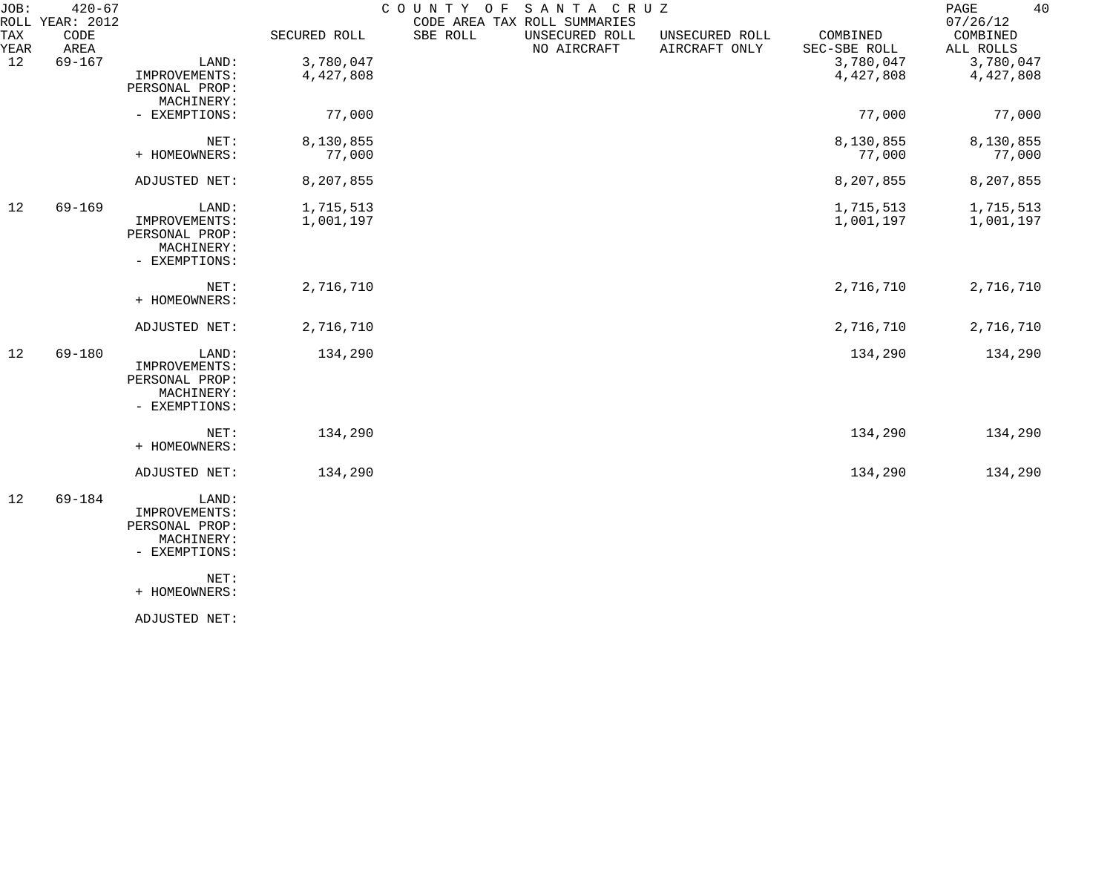| $420 - 67$   |                                                                                                  |                                  |                        |                               |                                           |                          | 40<br>$\mathop{\mathrm{PAGE}}$<br>07/26/12 |
|--------------|--------------------------------------------------------------------------------------------------|----------------------------------|------------------------|-------------------------------|-------------------------------------------|--------------------------|--------------------------------------------|
| CODE<br>AREA |                                                                                                  | SECURED ROLL                     | SBE ROLL               | UNSECURED ROLL<br>NO AIRCRAFT | UNSECURED ROLL<br>AIRCRAFT ONLY           | COMBINED<br>SEC-SBE ROLL | COMBINED<br>ALL ROLLS                      |
|              | LAND:                                                                                            |                                  |                        |                               |                                           |                          | 3,780,047<br>4,427,808                     |
|              | PERSONAL PROP:<br>MACHINERY:                                                                     |                                  |                        |                               |                                           |                          |                                            |
|              | - EXEMPTIONS:                                                                                    | 77,000                           |                        |                               |                                           | 77,000                   | 77,000                                     |
|              | NET:<br>+ HOMEOWNERS:                                                                            | 8,130,855<br>77,000              |                        |                               |                                           | 8,130,855<br>77,000      | 8,130,855<br>77,000                        |
|              | ADJUSTED NET:                                                                                    | 8,207,855                        |                        |                               |                                           | 8,207,855                | 8,207,855                                  |
| $69 - 169$   | LAND:<br>IMPROVEMENTS:<br>PERSONAL PROP:<br>MACHINERY:<br>- EXEMPTIONS:                          | 1,715,513<br>1,001,197           |                        |                               |                                           | 1,715,513<br>1,001,197   | 1,715,513<br>1,001,197                     |
|              | NET:<br>+ HOMEOWNERS:                                                                            | 2,716,710                        |                        |                               |                                           | 2,716,710                | 2,716,710                                  |
|              | ADJUSTED NET:                                                                                    | 2,716,710                        |                        |                               |                                           | 2,716,710                | 2,716,710                                  |
| 69-180       | LAND:<br>IMPROVEMENTS:<br>PERSONAL PROP:<br>MACHINERY:<br>- EXEMPTIONS:                          | 134,290                          |                        |                               |                                           | 134,290                  | 134,290                                    |
|              | NET:<br>+ HOMEOWNERS:                                                                            | 134,290                          |                        |                               |                                           | 134,290                  | 134,290                                    |
|              | ADJUSTED NET:                                                                                    | 134,290                          |                        |                               |                                           | 134,290                  | 134,290                                    |
| 69-184       | LAND:<br>IMPROVEMENTS:<br>PERSONAL PROP:<br>MACHINERY:<br>- EXEMPTIONS:<br>NET:<br>+ HOMEOWNERS: |                                  |                        |                               |                                           |                          |                                            |
|              | $69 - 167$                                                                                       | ROLL YEAR: 2012<br>IMPROVEMENTS: | 3,780,047<br>4,427,808 |                               | COUNTY OF<br>CODE AREA TAX ROLL SUMMARIES | SANTA CRUZ               | 3,780,047<br>4,427,808                     |

ADJUSTED NET: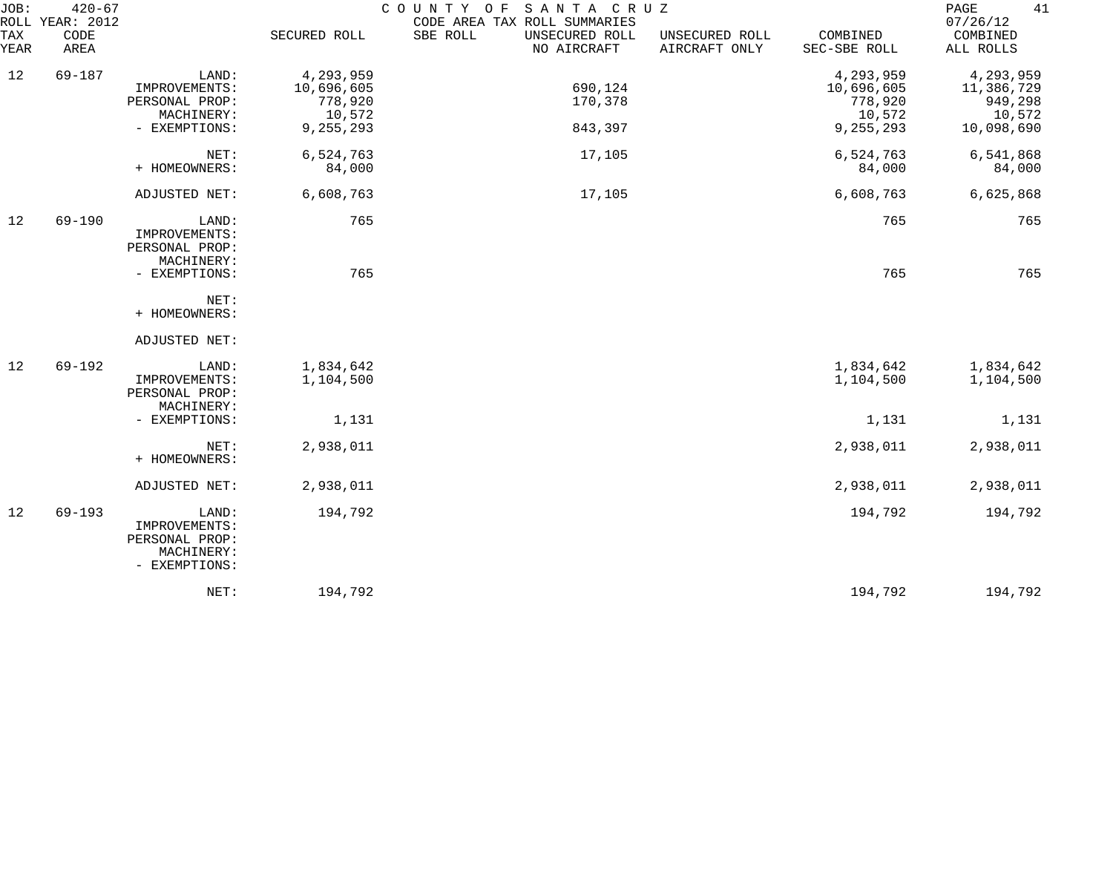| JOB:<br>ROLL | $420 - 67$<br>YEAR: 2012 |                                                                         |                         | SANTA CRUZ<br>COUNTY OF<br>CODE AREA TAX ROLL SUMMARIES |                                 |                          | 41<br>PAGE<br>07/26/12  |
|--------------|--------------------------|-------------------------------------------------------------------------|-------------------------|---------------------------------------------------------|---------------------------------|--------------------------|-------------------------|
| TAX<br>YEAR  | CODE<br>AREA             |                                                                         | SECURED ROLL            | SBE ROLL<br>UNSECURED ROLL<br>NO AIRCRAFT               | UNSECURED ROLL<br>AIRCRAFT ONLY | COMBINED<br>SEC-SBE ROLL | COMBINED<br>ALL ROLLS   |
| 12           | $69 - 187$               | LAND:<br>IMPROVEMENTS:                                                  | 4,293,959<br>10,696,605 | 690,124                                                 |                                 | 4,293,959<br>10,696,605  | 4,293,959<br>11,386,729 |
|              |                          | PERSONAL PROP:<br>MACHINERY:                                            | 778,920<br>10,572       | 170,378                                                 |                                 | 778,920<br>10,572        | 949,298<br>10,572       |
|              |                          | - EXEMPTIONS:                                                           | 9,255,293               | 843,397                                                 |                                 | 9,255,293                | 10,098,690              |
|              |                          | NET:<br>+ HOMEOWNERS:                                                   | 6,524,763<br>84,000     | 17,105                                                  |                                 | 6,524,763<br>84,000      | 6,541,868<br>84,000     |
|              |                          | ADJUSTED NET:                                                           | 6,608,763               | 17,105                                                  |                                 | 6,608,763                | 6,625,868               |
| 12           | $69 - 190$               | LAND:<br>IMPROVEMENTS:<br>PERSONAL PROP:<br>MACHINERY:                  | 765                     |                                                         |                                 | 765                      | 765                     |
|              |                          | - EXEMPTIONS:                                                           | 765                     |                                                         |                                 | 765                      | 765                     |
|              |                          | NET:<br>+ HOMEOWNERS:                                                   |                         |                                                         |                                 |                          |                         |
|              |                          | ADJUSTED NET:                                                           |                         |                                                         |                                 |                          |                         |
| 12           | $69 - 192$               | LAND:<br>IMPROVEMENTS:<br>PERSONAL PROP:<br>MACHINERY:                  | 1,834,642<br>1,104,500  |                                                         |                                 | 1,834,642<br>1,104,500   | 1,834,642<br>1,104,500  |
|              |                          | - EXEMPTIONS:                                                           | 1,131                   |                                                         |                                 | 1,131                    | 1,131                   |
|              |                          | NET:<br>+ HOMEOWNERS:                                                   | 2,938,011               |                                                         |                                 | 2,938,011                | 2,938,011               |
|              |                          | ADJUSTED NET:                                                           | 2,938,011               |                                                         |                                 | 2,938,011                | 2,938,011               |
| 12           | $69 - 193$               | LAND:<br>IMPROVEMENTS:<br>PERSONAL PROP:<br>MACHINERY:<br>- EXEMPTIONS: | 194,792                 |                                                         |                                 | 194,792                  | 194,792                 |
|              |                          | NET:                                                                    | 194,792                 |                                                         |                                 | 194,792                  | 194,792                 |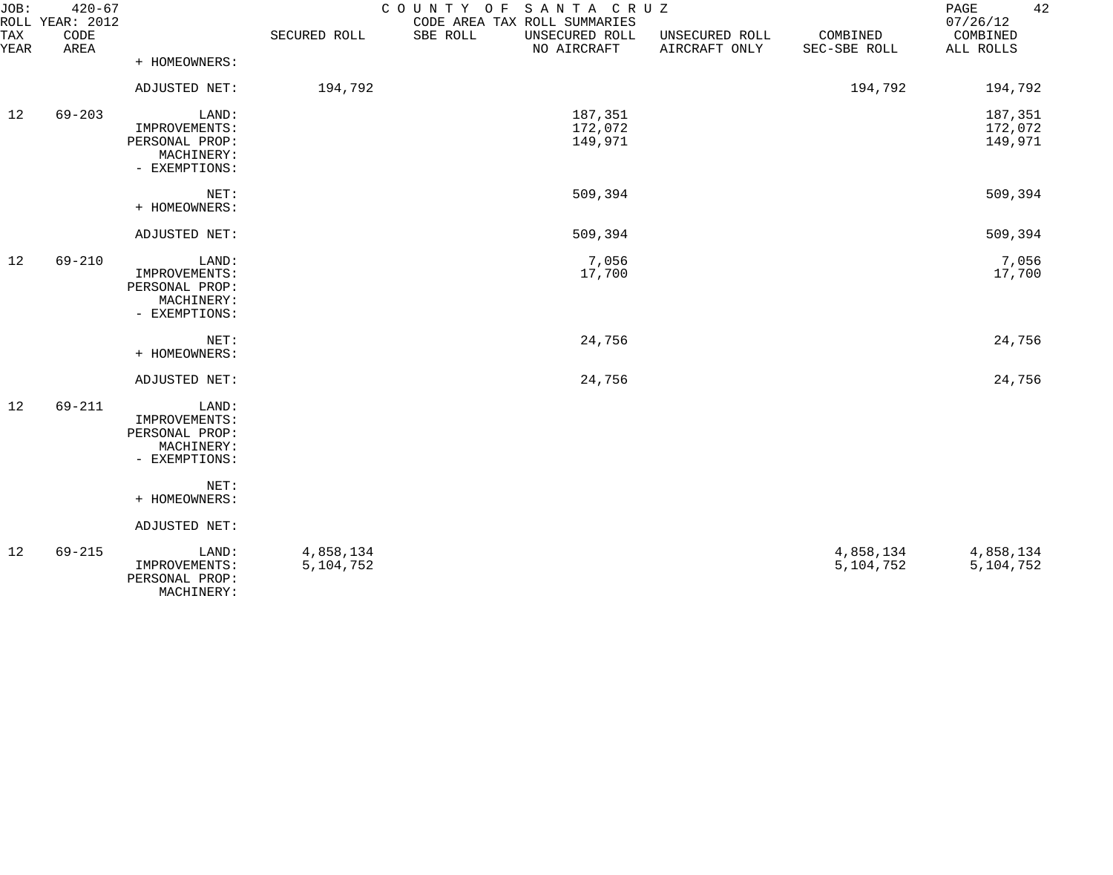| JOB:        | $420 - 67$<br>ROLL YEAR: 2012 |                                                                         |                        | COUNTY OF SANTA CRUZ<br>CODE AREA TAX ROLL SUMMARIES |                                 |                          | 42<br>PAGE<br>07/26/12        |
|-------------|-------------------------------|-------------------------------------------------------------------------|------------------------|------------------------------------------------------|---------------------------------|--------------------------|-------------------------------|
| TAX<br>YEAR | CODE<br>AREA                  |                                                                         | SECURED ROLL           | SBE ROLL<br>UNSECURED ROLL<br>NO AIRCRAFT            | UNSECURED ROLL<br>AIRCRAFT ONLY | COMBINED<br>SEC-SBE ROLL | COMBINED<br>ALL ROLLS         |
|             |                               | + HOMEOWNERS:                                                           |                        |                                                      |                                 |                          |                               |
|             |                               | ADJUSTED NET:                                                           | 194,792                |                                                      |                                 | 194,792                  | 194,792                       |
| 12          | $69 - 203$                    | LAND:<br>IMPROVEMENTS:<br>PERSONAL PROP:<br>MACHINERY:<br>- EXEMPTIONS: |                        | 187,351<br>172,072<br>149,971                        |                                 |                          | 187,351<br>172,072<br>149,971 |
|             |                               | NET:<br>+ HOMEOWNERS:                                                   |                        | 509,394                                              |                                 |                          | 509,394                       |
|             |                               | ADJUSTED NET:                                                           |                        | 509,394                                              |                                 |                          | 509,394                       |
| 12          | $69 - 210$                    | LAND:<br>IMPROVEMENTS:<br>PERSONAL PROP:<br>MACHINERY:<br>- EXEMPTIONS: |                        | 7,056<br>17,700                                      |                                 |                          | 7,056<br>17,700               |
|             |                               | NET:<br>+ HOMEOWNERS:                                                   |                        | 24,756                                               |                                 |                          | 24,756                        |
|             |                               | ADJUSTED NET:                                                           |                        | 24,756                                               |                                 |                          | 24,756                        |
| 12          | 69-211                        | LAND:<br>IMPROVEMENTS:<br>PERSONAL PROP:<br>MACHINERY:<br>- EXEMPTIONS: |                        |                                                      |                                 |                          |                               |
|             |                               | NET:<br>+ HOMEOWNERS:                                                   |                        |                                                      |                                 |                          |                               |
|             |                               | ADJUSTED NET:                                                           |                        |                                                      |                                 |                          |                               |
| 12          | $69 - 215$                    | LAND:<br>IMPROVEMENTS:<br>PERSONAL PROP:<br>MACHINERY:                  | 4,858,134<br>5,104,752 |                                                      |                                 | 4,858,134<br>5,104,752   | 4,858,134<br>5, 104, 752      |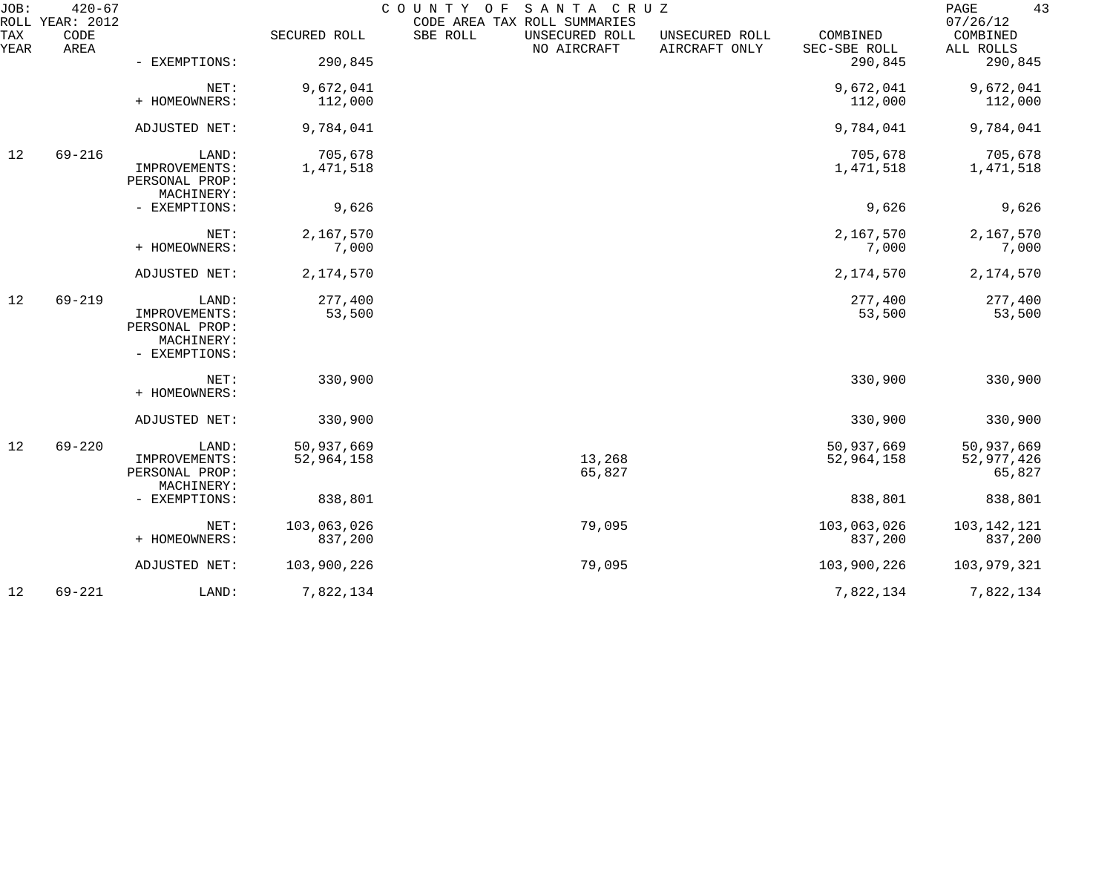| JOB:        | $420 - 67$<br>ROLL YEAR: 2012 |                                                                |              | COUNTY OF<br>CODE AREA TAX ROLL SUMMARIES | SANTA CRUZ       |                                 |                          | 43<br>PAGE<br>07/26/12 |
|-------------|-------------------------------|----------------------------------------------------------------|--------------|-------------------------------------------|------------------|---------------------------------|--------------------------|------------------------|
| TAX<br>YEAR | CODE<br>AREA                  |                                                                | SECURED ROLL | SBE ROLL<br>UNSECURED ROLL<br>NO AIRCRAFT |                  | UNSECURED ROLL<br>AIRCRAFT ONLY | COMBINED<br>SEC-SBE ROLL | COMBINED<br>ALL ROLLS  |
|             |                               | - EXEMPTIONS:                                                  | 290,845      |                                           |                  |                                 | 290,845                  | 290,845                |
|             |                               | NET:                                                           | 9,672,041    |                                           |                  |                                 | 9,672,041                | 9,672,041              |
|             |                               | + HOMEOWNERS:                                                  | 112,000      |                                           |                  |                                 | 112,000                  | 112,000                |
|             |                               | ADJUSTED NET:                                                  | 9,784,041    |                                           |                  |                                 | 9,784,041                | 9,784,041              |
| 12          | $69 - 216$                    | LAND:                                                          | 705,678      |                                           |                  |                                 | 705,678                  | 705,678                |
|             |                               | IMPROVEMENTS:<br>PERSONAL PROP:<br>MACHINERY:                  | 1,471,518    |                                           |                  |                                 | 1,471,518                | 1,471,518              |
|             |                               | - EXEMPTIONS:                                                  | 9,626        |                                           |                  |                                 | 9,626                    | 9,626                  |
|             |                               | NET:                                                           | 2,167,570    |                                           |                  |                                 | 2,167,570                | 2,167,570              |
|             |                               | + HOMEOWNERS:                                                  | 7,000        |                                           |                  |                                 | 7,000                    | 7,000                  |
|             |                               | ADJUSTED NET:                                                  | 2,174,570    |                                           |                  |                                 | 2,174,570                | 2,174,570              |
| 12          | $69 - 219$                    | LAND:                                                          | 277,400      |                                           |                  |                                 | 277,400                  | 277,400                |
|             |                               | IMPROVEMENTS:<br>PERSONAL PROP:<br>MACHINERY:<br>- EXEMPTIONS: | 53,500       |                                           |                  |                                 | 53,500                   | 53,500                 |
|             |                               | NET:<br>+ HOMEOWNERS:                                          | 330,900      |                                           |                  |                                 | 330,900                  | 330,900                |
|             |                               | ADJUSTED NET:                                                  | 330,900      |                                           |                  |                                 | 330,900                  | 330,900                |
| 12          | $69 - 220$                    | LAND:                                                          | 50,937,669   |                                           |                  |                                 | 50,937,669               | 50,937,669             |
|             |                               | IMPROVEMENTS:<br>PERSONAL PROP:<br>MACHINERY:                  | 52,964,158   |                                           | 13,268<br>65,827 |                                 | 52,964,158               | 52,977,426<br>65,827   |
|             |                               | - EXEMPTIONS:                                                  | 838,801      |                                           |                  |                                 | 838,801                  | 838,801                |
|             |                               | NET:                                                           | 103,063,026  |                                           | 79,095           |                                 | 103,063,026              | 103,142,121            |
|             |                               | + HOMEOWNERS:                                                  | 837,200      |                                           |                  |                                 | 837,200                  | 837,200                |
|             |                               | ADJUSTED NET:                                                  | 103,900,226  |                                           | 79,095           |                                 | 103,900,226              | 103,979,321            |
| 12          | $69 - 221$                    | LAND:                                                          | 7,822,134    |                                           |                  |                                 | 7,822,134                | 7,822,134              |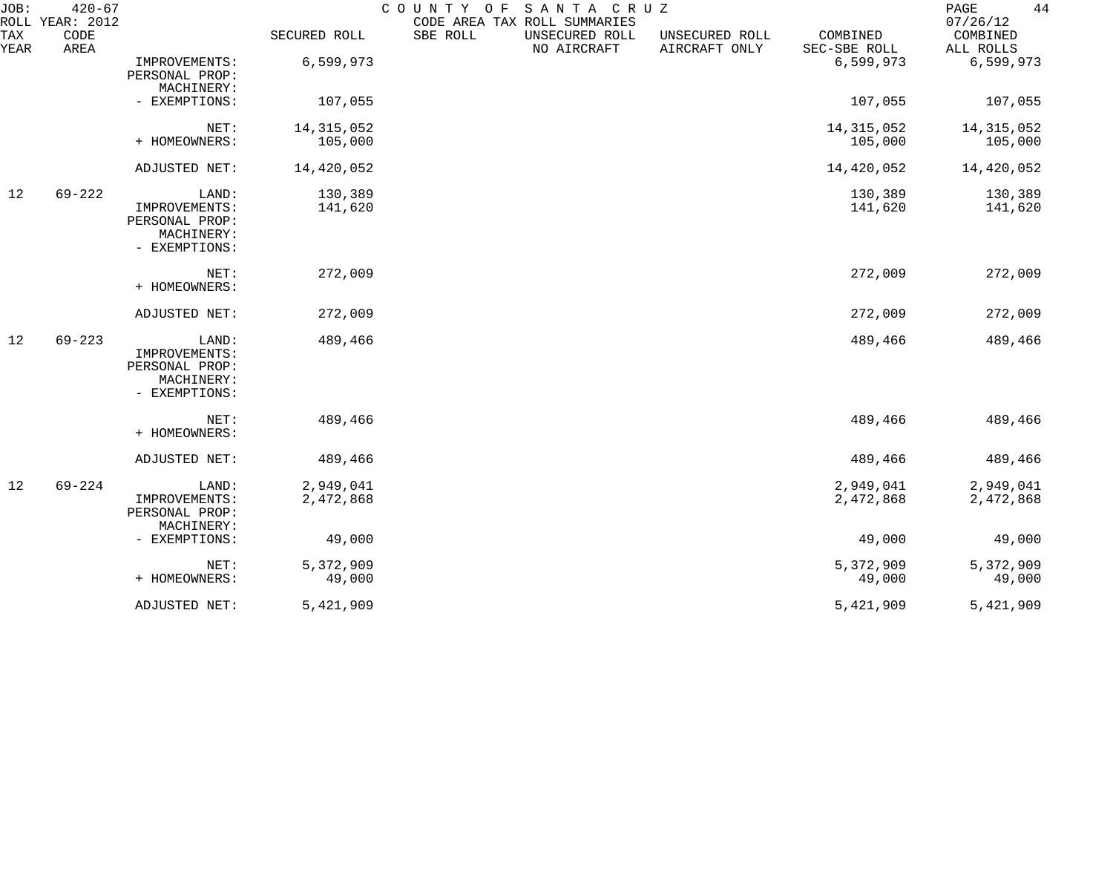| JOB:<br>ROLL | $420 - 67$<br>YEAR: 2012 |                                                                         |                        | SANTA CRUZ<br>COUNTY OF<br>CODE AREA TAX ROLL SUMMARIES |                                 |                          | 44<br>PAGE<br>07/26/12 |
|--------------|--------------------------|-------------------------------------------------------------------------|------------------------|---------------------------------------------------------|---------------------------------|--------------------------|------------------------|
| TAX<br>YEAR  | CODE<br>AREA             |                                                                         | SECURED ROLL           | SBE ROLL<br>UNSECURED ROLL<br>NO AIRCRAFT               | UNSECURED ROLL<br>AIRCRAFT ONLY | COMBINED<br>SEC-SBE ROLL | COMBINED<br>ALL ROLLS  |
|              |                          | IMPROVEMENTS:<br>PERSONAL PROP:<br>MACHINERY:                           | 6,599,973              |                                                         |                                 | 6,599,973                | 6,599,973              |
|              |                          | - EXEMPTIONS:                                                           | 107,055                |                                                         |                                 | 107,055                  | 107,055                |
|              |                          | NET:                                                                    | 14, 315, 052           |                                                         |                                 | 14, 315, 052             | 14, 315, 052           |
|              |                          | + HOMEOWNERS:                                                           | 105,000                |                                                         |                                 | 105,000                  | 105,000                |
|              |                          | ADJUSTED NET:                                                           | 14,420,052             |                                                         |                                 | 14,420,052               | 14,420,052             |
| 12           | $69 - 222$               | LAND:                                                                   | 130,389                |                                                         |                                 | 130,389                  | 130,389                |
|              |                          | IMPROVEMENTS:<br>PERSONAL PROP:<br>MACHINERY:<br>- EXEMPTIONS:          | 141,620                |                                                         |                                 | 141,620                  | 141,620                |
|              |                          | NET:<br>+ HOMEOWNERS:                                                   | 272,009                |                                                         |                                 | 272,009                  | 272,009                |
|              |                          | ADJUSTED NET:                                                           | 272,009                |                                                         |                                 | 272,009                  | 272,009                |
| 12           | $69 - 223$               | LAND:<br>IMPROVEMENTS:<br>PERSONAL PROP:<br>MACHINERY:<br>- EXEMPTIONS: | 489,466                |                                                         |                                 | 489,466                  | 489,466                |
|              |                          | NET:<br>+ HOMEOWNERS:                                                   | 489,466                |                                                         |                                 | 489,466                  | 489,466                |
|              |                          | ADJUSTED NET:                                                           | 489,466                |                                                         |                                 | 489,466                  | 489,466                |
| 12           | $69 - 224$               | LAND:<br>IMPROVEMENTS:<br>PERSONAL PROP:<br>MACHINERY:                  | 2,949,041<br>2,472,868 |                                                         |                                 | 2,949,041<br>2,472,868   | 2,949,041<br>2,472,868 |
|              |                          | - EXEMPTIONS:                                                           | 49,000                 |                                                         |                                 | 49,000                   | 49,000                 |
|              |                          | NET:                                                                    | 5,372,909              |                                                         |                                 | 5,372,909                | 5,372,909              |
|              |                          | + HOMEOWNERS:                                                           | 49,000                 |                                                         |                                 | 49,000                   | 49,000                 |
|              |                          | ADJUSTED NET:                                                           | 5,421,909              |                                                         |                                 | 5,421,909                | 5,421,909              |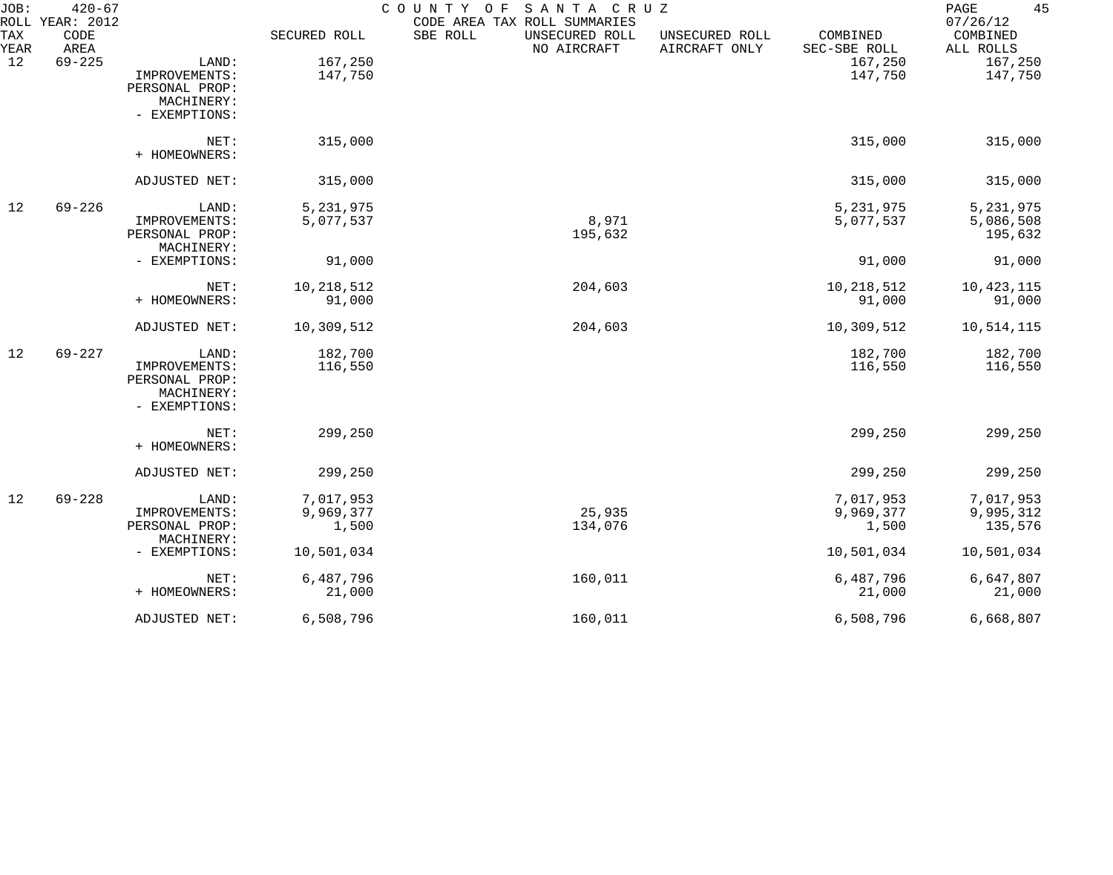| JOB:        | $420 - 67$<br>ROLL YEAR: 2012 |                |              | COUNTY OF<br>SANTA CRUZ<br>CODE AREA TAX ROLL SUMMARIES |                                 |                          | 45<br>PAGE<br>07/26/12 |
|-------------|-------------------------------|----------------|--------------|---------------------------------------------------------|---------------------------------|--------------------------|------------------------|
| TAX<br>YEAR | CODE<br>AREA                  |                | SECURED ROLL | SBE ROLL<br>UNSECURED ROLL<br>NO AIRCRAFT               | UNSECURED ROLL<br>AIRCRAFT ONLY | COMBINED<br>SEC-SBE ROLL | COMBINED<br>ALL ROLLS  |
| 12          | $69 - 225$                    | LAND:          | 167,250      |                                                         |                                 | 167,250                  | 167,250                |
|             |                               | IMPROVEMENTS:  | 147,750      |                                                         |                                 | 147,750                  | 147,750                |
|             |                               | PERSONAL PROP: |              |                                                         |                                 |                          |                        |
|             |                               | MACHINERY:     |              |                                                         |                                 |                          |                        |
|             |                               | - EXEMPTIONS:  |              |                                                         |                                 |                          |                        |
|             |                               | NET:           | 315,000      |                                                         |                                 | 315,000                  | 315,000                |
|             |                               | + HOMEOWNERS:  |              |                                                         |                                 |                          |                        |
|             |                               | ADJUSTED NET:  | 315,000      |                                                         |                                 | 315,000                  | 315,000                |
| 12          | $69 - 226$                    | LAND:          | 5, 231, 975  |                                                         |                                 | 5, 231, 975              | 5,231,975              |
|             |                               | IMPROVEMENTS:  | 5,077,537    | 8,971                                                   |                                 | 5,077,537                | 5,086,508              |
|             |                               | PERSONAL PROP: |              | 195,632                                                 |                                 |                          | 195,632                |
|             |                               | MACHINERY:     |              |                                                         |                                 |                          |                        |
|             |                               | - EXEMPTIONS:  | 91,000       |                                                         |                                 | 91,000                   | 91,000                 |
|             |                               | NET:           | 10,218,512   | 204,603                                                 |                                 | 10,218,512               | 10,423,115             |
|             |                               | + HOMEOWNERS:  | 91,000       |                                                         |                                 | 91,000                   | 91,000                 |
|             |                               | ADJUSTED NET:  | 10,309,512   | 204,603                                                 |                                 | 10,309,512               | 10,514,115             |
| 12          | $69 - 227$                    | LAND:          | 182,700      |                                                         |                                 | 182,700                  | 182,700                |
|             |                               | IMPROVEMENTS:  | 116,550      |                                                         |                                 | 116,550                  | 116,550                |
|             |                               | PERSONAL PROP: |              |                                                         |                                 |                          |                        |
|             |                               | MACHINERY:     |              |                                                         |                                 |                          |                        |
|             |                               | - EXEMPTIONS:  |              |                                                         |                                 |                          |                        |
|             |                               | NET:           | 299,250      |                                                         |                                 | 299,250                  | 299,250                |
|             |                               | + HOMEOWNERS:  |              |                                                         |                                 |                          |                        |
|             |                               | ADJUSTED NET:  | 299,250      |                                                         |                                 | 299,250                  | 299,250                |
| 12          | $69 - 228$                    | LAND:          | 7,017,953    |                                                         |                                 | 7,017,953                | 7,017,953              |
|             |                               | IMPROVEMENTS:  | 9,969,377    | 25,935                                                  |                                 | 9,969,377                | 9,995,312              |
|             |                               | PERSONAL PROP: | 1,500        | 134,076                                                 |                                 | 1,500                    | 135,576                |
|             |                               | MACHINERY:     |              |                                                         |                                 |                          |                        |
|             |                               | - EXEMPTIONS:  | 10,501,034   |                                                         |                                 | 10,501,034               | 10,501,034             |
|             |                               | NET:           | 6,487,796    | 160,011                                                 |                                 | 6,487,796                | 6,647,807              |
|             |                               | + HOMEOWNERS:  | 21,000       |                                                         |                                 | 21,000                   | 21,000                 |
|             |                               | ADJUSTED NET:  | 6,508,796    | 160,011                                                 |                                 | 6,508,796                | 6,668,807              |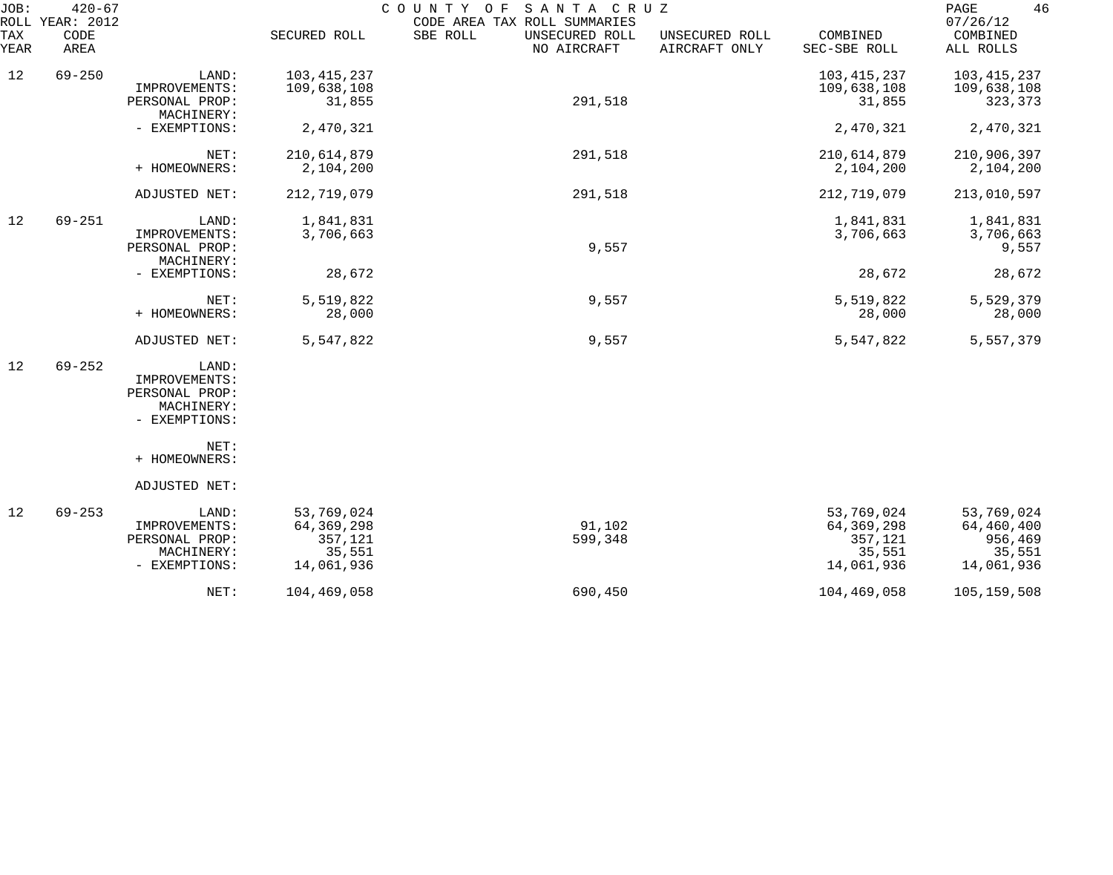| JOB:        | $420 - 67$<br>ROLL YEAR: 2012 |                              |               | SANTA CRUZ<br>COUNTY OF<br>CODE AREA TAX ROLL SUMMARIES |                                 |                          | 46<br>PAGE<br>07/26/12 |
|-------------|-------------------------------|------------------------------|---------------|---------------------------------------------------------|---------------------------------|--------------------------|------------------------|
| TAX<br>YEAR | CODE<br>AREA                  |                              | SECURED ROLL  | SBE ROLL<br>UNSECURED ROLL<br>NO AIRCRAFT               | UNSECURED ROLL<br>AIRCRAFT ONLY | COMBINED<br>SEC-SBE ROLL | COMBINED<br>ALL ROLLS  |
| 12          | $69 - 250$                    | LAND:                        | 103, 415, 237 |                                                         |                                 | 103,415,237              | 103, 415, 237          |
|             |                               | IMPROVEMENTS:                | 109,638,108   |                                                         |                                 | 109,638,108              | 109,638,108            |
|             |                               | PERSONAL PROP:<br>MACHINERY: | 31,855        | 291,518                                                 |                                 | 31,855                   | 323,373                |
|             |                               | - EXEMPTIONS:                | 2,470,321     |                                                         |                                 | 2,470,321                | 2,470,321              |
|             |                               | NET:                         | 210,614,879   | 291,518                                                 |                                 | 210,614,879              | 210,906,397            |
|             |                               | + HOMEOWNERS:                | 2,104,200     |                                                         |                                 | 2,104,200                | 2,104,200              |
|             |                               | ADJUSTED NET:                | 212,719,079   | 291,518                                                 |                                 | 212,719,079              | 213,010,597            |
| 12          | $69 - 251$                    | LAND:                        | 1,841,831     |                                                         |                                 | 1,841,831                | 1,841,831              |
|             |                               | IMPROVEMENTS:                | 3,706,663     |                                                         |                                 | 3,706,663                | 3,706,663              |
|             |                               | PERSONAL PROP:<br>MACHINERY: |               | 9,557                                                   |                                 |                          | 9,557                  |
|             |                               | - EXEMPTIONS:                | 28,672        |                                                         |                                 | 28,672                   | 28,672                 |
|             |                               |                              |               |                                                         |                                 |                          |                        |
|             |                               | NET:                         | 5,519,822     | 9,557                                                   |                                 | 5,519,822                | 5,529,379              |
|             |                               | + HOMEOWNERS:                | 28,000        |                                                         |                                 | 28,000                   | 28,000                 |
|             |                               | ADJUSTED NET:                | 5,547,822     | 9,557                                                   |                                 | 5,547,822                | 5,557,379              |
| 12          | $69 - 252$                    | LAND:                        |               |                                                         |                                 |                          |                        |
|             |                               | IMPROVEMENTS:                |               |                                                         |                                 |                          |                        |
|             |                               | PERSONAL PROP:<br>MACHINERY: |               |                                                         |                                 |                          |                        |
|             |                               | - EXEMPTIONS:                |               |                                                         |                                 |                          |                        |
|             |                               |                              |               |                                                         |                                 |                          |                        |
|             |                               | NET:<br>+ HOMEOWNERS:        |               |                                                         |                                 |                          |                        |
|             |                               |                              |               |                                                         |                                 |                          |                        |
|             |                               | ADJUSTED NET:                |               |                                                         |                                 |                          |                        |
| 12          | $69 - 253$                    | LAND:                        | 53,769,024    |                                                         |                                 | 53,769,024               | 53,769,024             |
|             |                               | IMPROVEMENTS:                | 64,369,298    | 91,102                                                  |                                 | 64, 369, 298             | 64,460,400             |
|             |                               | PERSONAL PROP:               | 357,121       | 599,348                                                 |                                 | 357,121                  | 956,469                |
|             |                               | MACHINERY:                   | 35,551        |                                                         |                                 | 35,551                   | 35,551                 |
|             |                               | - EXEMPTIONS:                | 14,061,936    |                                                         |                                 | 14,061,936               | 14,061,936             |
|             |                               | NET:                         | 104,469,058   | 690,450                                                 |                                 | 104,469,058              | 105, 159, 508          |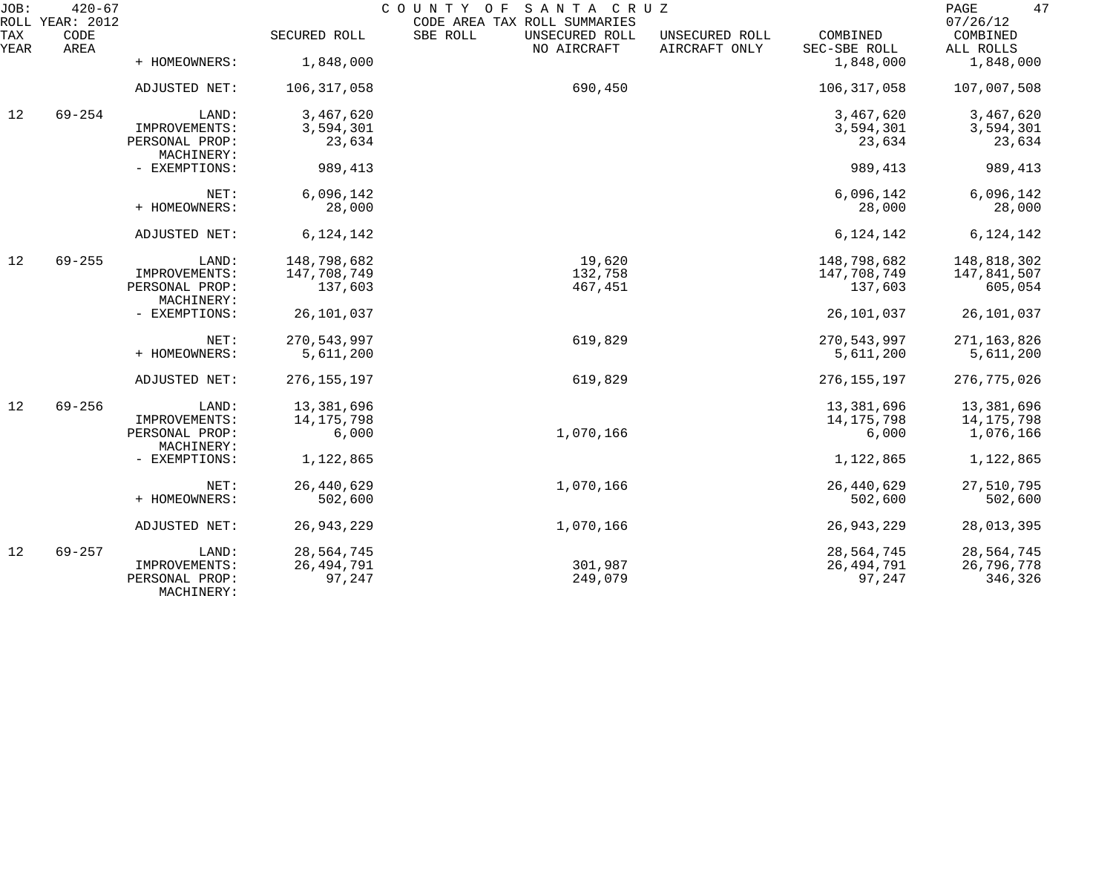| JOB:        | $420 - 67$<br>ROLL YEAR: 2012 |                              |               | COUNTY OF SANTA CRUZ<br>CODE AREA TAX ROLL SUMMARIES |                                 |                          | 47<br>PAGE<br>07/26/12 |
|-------------|-------------------------------|------------------------------|---------------|------------------------------------------------------|---------------------------------|--------------------------|------------------------|
| TAX<br>YEAR | CODE<br>AREA                  |                              | SECURED ROLL  | SBE ROLL<br>UNSECURED ROLL<br>NO AIRCRAFT            | UNSECURED ROLL<br>AIRCRAFT ONLY | COMBINED<br>SEC-SBE ROLL | COMBINED<br>ALL ROLLS  |
|             |                               | + HOMEOWNERS:                | 1,848,000     |                                                      |                                 | 1,848,000                | 1,848,000              |
|             |                               | ADJUSTED NET:                | 106,317,058   | 690,450                                              |                                 | 106, 317, 058            | 107,007,508            |
| 12          | $69 - 254$                    | LAND:                        | 3,467,620     |                                                      |                                 | 3,467,620                | 3,467,620              |
|             |                               | IMPROVEMENTS:                | 3,594,301     |                                                      |                                 | 3,594,301                | 3,594,301              |
|             |                               | PERSONAL PROP:<br>MACHINERY: | 23,634        |                                                      |                                 | 23,634                   | 23,634                 |
|             |                               | - EXEMPTIONS:                | 989,413       |                                                      |                                 | 989, 413                 | 989,413                |
|             |                               | NET:                         | 6,096,142     |                                                      |                                 | 6,096,142                | 6,096,142              |
|             |                               | + HOMEOWNERS:                | 28,000        |                                                      |                                 | 28,000                   | 28,000                 |
|             |                               | ADJUSTED NET:                | 6, 124, 142   |                                                      |                                 | 6, 124, 142              | 6, 124, 142            |
| 12          | $69 - 255$                    | LAND:                        | 148,798,682   | 19,620                                               |                                 | 148,798,682              | 148,818,302            |
|             |                               | IMPROVEMENTS:                | 147,708,749   | 132,758                                              |                                 | 147,708,749              | 147,841,507            |
|             |                               | PERSONAL PROP:               | 137,603       | 467,451                                              |                                 | 137,603                  | 605,054                |
|             |                               | MACHINERY:                   |               |                                                      |                                 |                          |                        |
|             |                               | - EXEMPTIONS:                | 26,101,037    |                                                      |                                 | 26,101,037               | 26,101,037             |
|             |                               | NET:                         | 270, 543, 997 | 619,829                                              |                                 | 270,543,997              | 271, 163, 826          |
|             |                               | + HOMEOWNERS:                | 5,611,200     |                                                      |                                 | 5,611,200                | 5,611,200              |
|             |                               | ADJUSTED NET:                | 276, 155, 197 | 619,829                                              |                                 | 276, 155, 197            | 276, 775, 026          |
| 12          | $69 - 256$                    | LAND:                        | 13,381,696    |                                                      |                                 | 13,381,696               | 13,381,696             |
|             |                               | IMPROVEMENTS:                | 14, 175, 798  |                                                      |                                 | 14, 175, 798             | 14,175,798             |
|             |                               | PERSONAL PROP:<br>MACHINERY: | 6,000         | 1,070,166                                            |                                 | 6,000                    | 1,076,166              |
|             |                               | - EXEMPTIONS:                | 1,122,865     |                                                      |                                 | 1,122,865                | 1,122,865              |
|             |                               | NET:                         | 26, 440, 629  | 1,070,166                                            |                                 | 26,440,629               | 27,510,795             |
|             |                               | + HOMEOWNERS:                | 502,600       |                                                      |                                 | 502,600                  | 502,600                |
|             |                               | ADJUSTED NET:                | 26, 943, 229  | 1,070,166                                            |                                 | 26,943,229               | 28,013,395             |
| 12          | $69 - 257$                    | LAND:                        | 28,564,745    |                                                      |                                 | 28,564,745               | 28,564,745             |
|             |                               | IMPROVEMENTS:                | 26, 494, 791  | 301,987                                              |                                 | 26,494,791               | 26,796,778             |
|             |                               | PERSONAL PROP:<br>MACHINERY: | 97,247        | 249,079                                              |                                 | 97,247                   | 346,326                |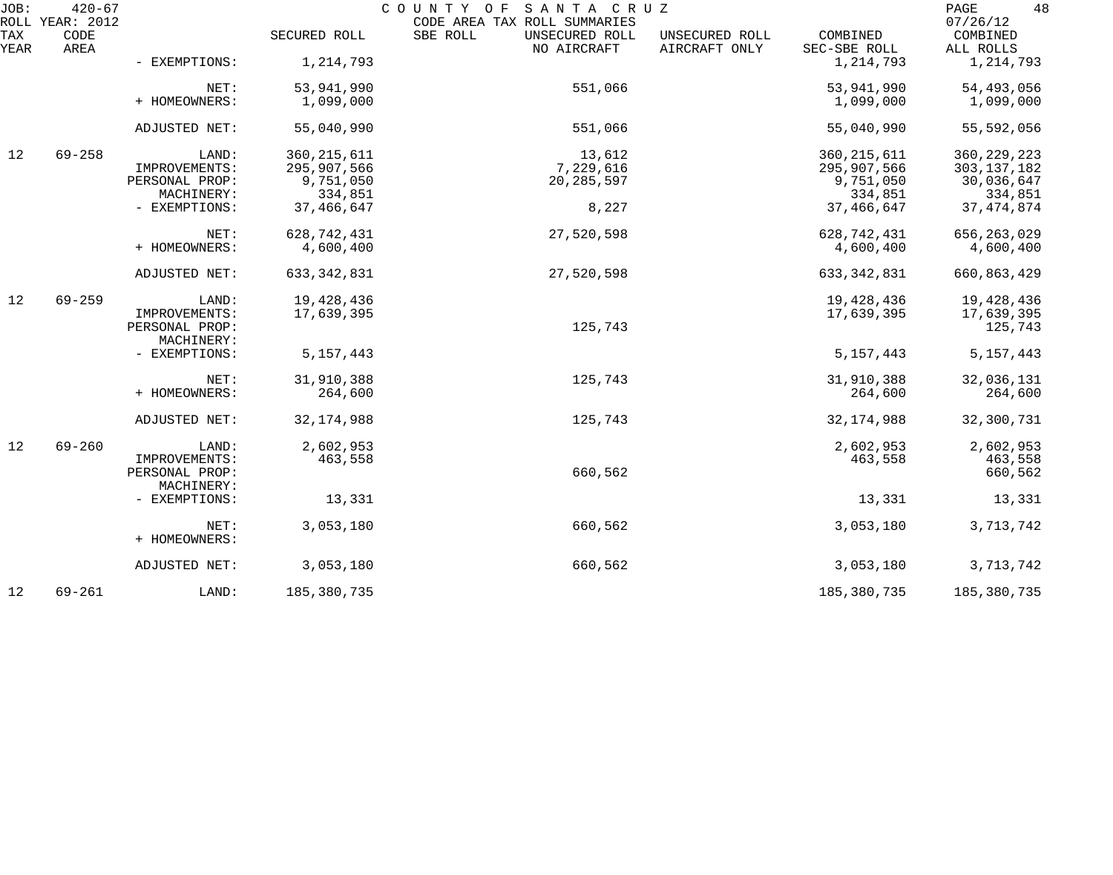| JOB:        | $420 - 67$<br>ROLL YEAR: 2012 |                              |               | COUNTY OF SANTA CRUZ<br>CODE AREA TAX ROLL SUMMARIES |                                 |                          | 48<br>PAGE<br>07/26/12 |
|-------------|-------------------------------|------------------------------|---------------|------------------------------------------------------|---------------------------------|--------------------------|------------------------|
| TAX<br>YEAR | CODE<br>AREA                  |                              | SECURED ROLL  | SBE ROLL<br>UNSECURED ROLL<br>NO AIRCRAFT            | UNSECURED ROLL<br>AIRCRAFT ONLY | COMBINED<br>SEC-SBE ROLL | COMBINED<br>ALL ROLLS  |
|             |                               | - EXEMPTIONS:                | 1,214,793     |                                                      |                                 | 1,214,793                | 1,214,793              |
|             |                               | NET:                         | 53,941,990    | 551,066                                              |                                 | 53,941,990               | 54,493,056             |
|             |                               | + HOMEOWNERS:                | 1,099,000     |                                                      |                                 | 1,099,000                | 1,099,000              |
|             |                               | ADJUSTED NET:                | 55,040,990    | 551,066                                              |                                 | 55,040,990               | 55,592,056             |
| 12          | $69 - 258$                    | LAND:                        | 360, 215, 611 | 13,612                                               |                                 | 360, 215, 611            | 360, 229, 223          |
|             |                               | IMPROVEMENTS:                | 295,907,566   | 7,229,616                                            |                                 | 295,907,566              | 303, 137, 182          |
|             |                               | PERSONAL PROP:               | 9,751,050     | 20, 285, 597                                         |                                 | 9,751,050                | 30,036,647             |
|             |                               | MACHINERY:                   | 334,851       |                                                      |                                 | 334,851                  | 334,851                |
|             |                               | - EXEMPTIONS:                | 37, 466, 647  | 8,227                                                |                                 | 37, 466, 647             | 37, 474, 874           |
|             |                               | NET:                         | 628, 742, 431 | 27,520,598                                           |                                 | 628, 742, 431            | 656, 263, 029          |
|             |                               | + HOMEOWNERS:                | 4,600,400     |                                                      |                                 | 4,600,400                | 4,600,400              |
|             |                               | ADJUSTED NET:                | 633, 342, 831 | 27,520,598                                           |                                 | 633, 342, 831            | 660,863,429            |
| 12          | $69 - 259$                    | LAND:                        | 19,428,436    |                                                      |                                 | 19,428,436               | 19,428,436             |
|             |                               | IMPROVEMENTS:                | 17,639,395    |                                                      |                                 | 17,639,395               | 17,639,395             |
|             |                               | PERSONAL PROP:<br>MACHINERY: |               | 125,743                                              |                                 |                          | 125,743                |
|             |                               | - EXEMPTIONS:                | 5, 157, 443   |                                                      |                                 | 5, 157, 443              | 5, 157, 443            |
|             |                               | NET:                         | 31,910,388    | 125,743                                              |                                 | 31,910,388               | 32,036,131             |
|             |                               | + HOMEOWNERS:                | 264,600       |                                                      |                                 | 264,600                  | 264,600                |
|             |                               | ADJUSTED NET:                | 32, 174, 988  | 125,743                                              |                                 | 32, 174, 988             | 32,300,731             |
| 12          | $69 - 260$                    | LAND:                        | 2,602,953     |                                                      |                                 | 2,602,953                | 2,602,953              |
|             |                               | IMPROVEMENTS:                | 463,558       |                                                      |                                 | 463,558                  | 463,558                |
|             |                               | PERSONAL PROP:               |               | 660,562                                              |                                 |                          | 660,562                |
|             |                               | MACHINERY:                   |               |                                                      |                                 |                          |                        |
|             |                               | - EXEMPTIONS:                | 13,331        |                                                      |                                 | 13,331                   | 13,331                 |
|             |                               | NET:                         | 3,053,180     | 660,562                                              |                                 | 3,053,180                | 3,713,742              |
|             |                               | + HOMEOWNERS:                |               |                                                      |                                 |                          |                        |
|             |                               | ADJUSTED NET:                | 3,053,180     | 660,562                                              |                                 | 3,053,180                | 3,713,742              |
| 12          | $69 - 261$                    | LAND:                        | 185,380,735   |                                                      |                                 | 185,380,735              | 185,380,735            |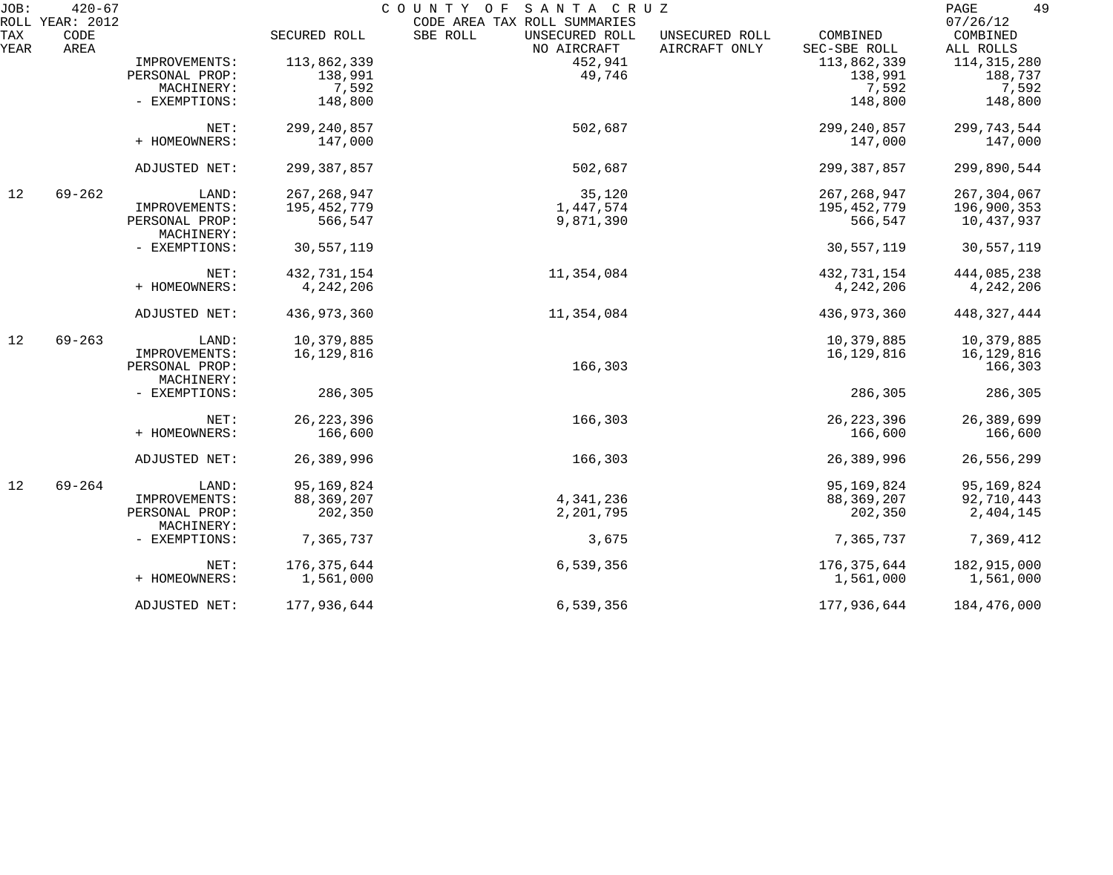| JOB:<br>ROLL | $420 - 67$<br>YEAR: 2012 |                                 |               | COUNTY OF<br>SANTA CRUZ<br>CODE AREA TAX ROLL SUMMARIES |                                 |                          | 49<br>PAGE<br>07/26/12 |
|--------------|--------------------------|---------------------------------|---------------|---------------------------------------------------------|---------------------------------|--------------------------|------------------------|
| TAX<br>YEAR  | CODE<br>AREA             |                                 | SECURED ROLL  | SBE ROLL<br>UNSECURED ROLL<br>NO AIRCRAFT               | UNSECURED ROLL<br>AIRCRAFT ONLY | COMBINED<br>SEC-SBE ROLL | COMBINED<br>ALL ROLLS  |
|              |                          | IMPROVEMENTS:                   | 113,862,339   | 452,941                                                 |                                 | 113,862,339              | 114, 315, 280          |
|              |                          | PERSONAL PROP:                  | 138,991       | 49,746                                                  |                                 | 138,991                  | 188,737                |
|              |                          | MACHINERY:                      | 7,592         |                                                         |                                 | 7,592                    | 7,592                  |
|              |                          | - EXEMPTIONS:                   | 148,800       |                                                         |                                 | 148,800                  | 148,800                |
|              |                          | NET:                            | 299, 240, 857 | 502,687                                                 |                                 | 299, 240, 857            | 299, 743, 544          |
|              |                          | + HOMEOWNERS:                   | 147,000       |                                                         |                                 | 147,000                  | 147,000                |
|              |                          | ADJUSTED NET:                   | 299, 387, 857 | 502,687                                                 |                                 | 299, 387, 857            | 299,890,544            |
| 12           | $69 - 262$               | LAND:                           | 267, 268, 947 | 35,120                                                  |                                 | 267, 268, 947            | 267, 304, 067          |
|              |                          | IMPROVEMENTS:                   | 195, 452, 779 | 1,447,574                                               |                                 | 195, 452, 779            | 196,900,353            |
|              |                          | PERSONAL PROP:<br>MACHINERY:    | 566,547       | 9,871,390                                               |                                 | 566,547                  | 10,437,937             |
|              |                          | - EXEMPTIONS:                   | 30,557,119    |                                                         |                                 | 30,557,119               | 30,557,119             |
|              |                          | NET:                            | 432,731,154   | 11,354,084                                              |                                 | 432,731,154              | 444,085,238            |
|              |                          | + HOMEOWNERS:                   | 4,242,206     |                                                         |                                 | 4, 242, 206              | 4,242,206              |
|              |                          | ADJUSTED NET:                   | 436, 973, 360 | 11,354,084                                              |                                 | 436,973,360              | 448, 327, 444          |
| 12           | $69 - 263$               | LAND:                           | 10,379,885    |                                                         |                                 | 10,379,885               | 10,379,885             |
|              |                          | IMPROVEMENTS:<br>PERSONAL PROP: | 16,129,816    | 166,303                                                 |                                 | 16,129,816               | 16,129,816<br>166,303  |
|              |                          | MACHINERY:                      |               |                                                         |                                 |                          |                        |
|              |                          | - EXEMPTIONS:                   | 286,305       |                                                         |                                 | 286,305                  | 286,305                |
|              |                          | NET:                            | 26, 223, 396  | 166,303                                                 |                                 | 26, 223, 396             | 26,389,699             |
|              |                          | + HOMEOWNERS:                   | 166,600       |                                                         |                                 | 166,600                  | 166,600                |
|              |                          | ADJUSTED NET:                   | 26,389,996    | 166,303                                                 |                                 | 26,389,996               | 26,556,299             |
| 12           | $69 - 264$               | LAND:                           | 95,169,824    |                                                         |                                 | 95,169,824               | 95,169,824             |
|              |                          | IMPROVEMENTS:                   | 88, 369, 207  | 4,341,236                                               |                                 | 88, 369, 207             | 92,710,443             |
|              |                          | PERSONAL PROP:<br>MACHINERY:    | 202,350       | 2,201,795                                               |                                 | 202,350                  | 2,404,145              |
|              |                          | - EXEMPTIONS:                   | 7,365,737     | 3,675                                                   |                                 | 7,365,737                | 7,369,412              |
|              |                          | NET:                            | 176, 375, 644 | 6,539,356                                               |                                 | 176, 375, 644            | 182,915,000            |
|              |                          | + HOMEOWNERS:                   | 1,561,000     |                                                         |                                 | 1,561,000                | 1,561,000              |
|              |                          | ADJUSTED NET:                   | 177,936,644   | 6,539,356                                               |                                 | 177,936,644              | 184,476,000            |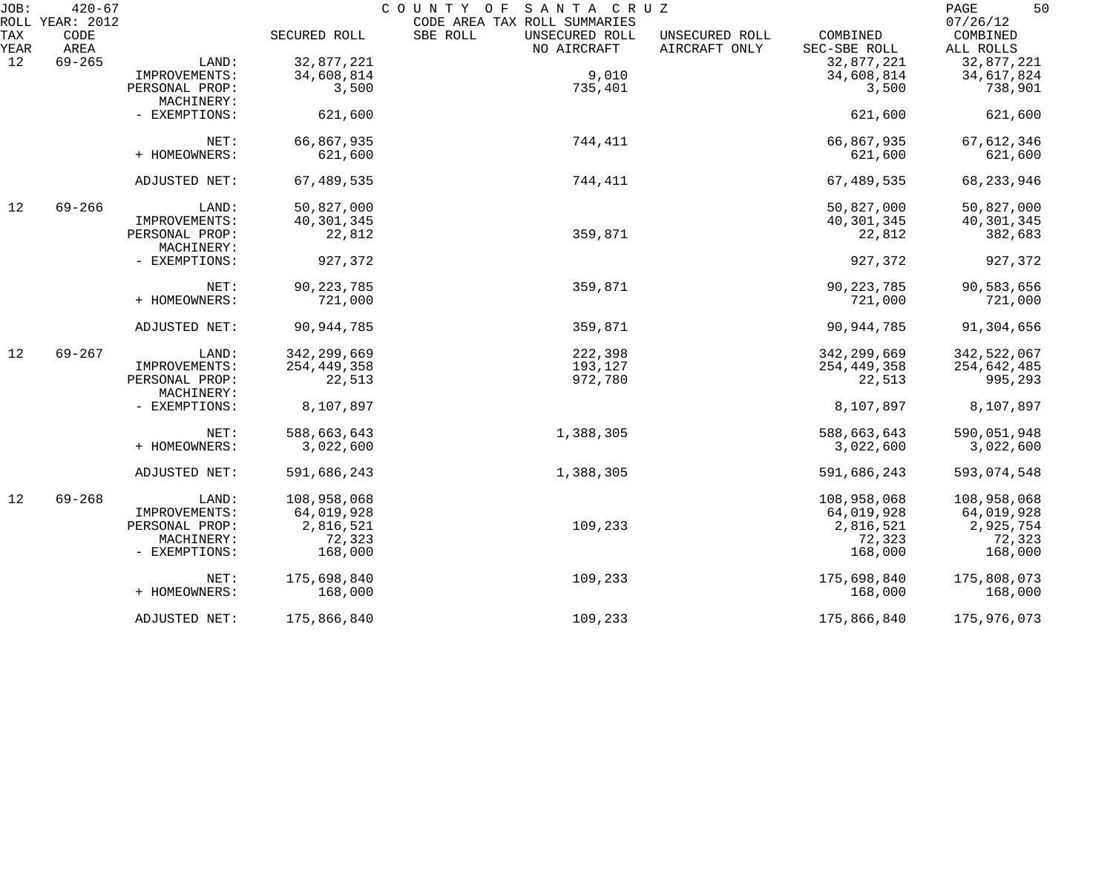| JOB:        | $420 - 67$<br>ROLL YEAR: 2012 |                |               | COUNTY OF<br>SANTA CRUZ<br>CODE AREA TAX ROLL SUMMARIES |                                 |                          | 50<br>PAGE<br>07/26/12 |
|-------------|-------------------------------|----------------|---------------|---------------------------------------------------------|---------------------------------|--------------------------|------------------------|
| TAX<br>YEAR | CODE<br>AREA                  |                | SECURED ROLL  | SBE ROLL<br>UNSECURED ROLL<br>NO AIRCRAFT               | UNSECURED ROLL<br>AIRCRAFT ONLY | COMBINED<br>SEC-SBE ROLL | COMBINED<br>ALL ROLLS  |
| 12          | $69 - 265$                    | LAND:          | 32,877,221    |                                                         |                                 | 32,877,221               | 32,877,221             |
|             |                               | IMPROVEMENTS:  | 34,608,814    | 9,010                                                   |                                 | 34,608,814               | 34,617,824             |
|             |                               | PERSONAL PROP: | 3,500         | 735,401                                                 |                                 | 3,500                    | 738,901                |
|             |                               | MACHINERY:     |               |                                                         |                                 |                          |                        |
|             |                               | - EXEMPTIONS:  | 621,600       |                                                         |                                 | 621,600                  | 621,600                |
|             |                               | NET:           | 66,867,935    | 744,411                                                 |                                 | 66,867,935               | 67, 612, 346           |
|             |                               | + HOMEOWNERS:  | 621,600       |                                                         |                                 | 621,600                  | 621,600                |
|             |                               | ADJUSTED NET:  | 67,489,535    | 744,411                                                 |                                 | 67,489,535               | 68, 233, 946           |
| 12          | $69 - 266$                    | LAND:          | 50,827,000    |                                                         |                                 | 50,827,000               | 50,827,000             |
|             |                               | IMPROVEMENTS:  | 40, 301, 345  |                                                         |                                 | 40,301,345               | 40,301,345             |
|             |                               | PERSONAL PROP: | 22,812        | 359,871                                                 |                                 | 22,812                   | 382,683                |
|             |                               | MACHINERY:     |               |                                                         |                                 |                          |                        |
|             |                               | - EXEMPTIONS:  | 927,372       |                                                         |                                 | 927,372                  | 927,372                |
|             |                               | NET:           | 90, 223, 785  | 359,871                                                 |                                 | 90, 223, 785             | 90,583,656             |
|             |                               | + HOMEOWNERS:  | 721,000       |                                                         |                                 | 721,000                  | 721,000                |
|             |                               | ADJUSTED NET:  | 90, 944, 785  | 359,871                                                 |                                 | 90, 944, 785             | 91,304,656             |
| 12          | $69 - 267$                    | LAND:          | 342, 299, 669 | 222,398                                                 |                                 | 342,299,669              | 342,522,067            |
|             |                               | IMPROVEMENTS:  | 254, 449, 358 | 193,127                                                 |                                 | 254,449,358              | 254,642,485            |
|             |                               | PERSONAL PROP: | 22,513        | 972,780                                                 |                                 | 22,513                   | 995,293                |
|             |                               | MACHINERY:     |               |                                                         |                                 |                          |                        |
|             |                               | - EXEMPTIONS:  | 8,107,897     |                                                         |                                 | 8,107,897                | 8,107,897              |
|             |                               | NET:           | 588,663,643   | 1,388,305                                               |                                 | 588,663,643              | 590,051,948            |
|             |                               | + HOMEOWNERS:  | 3,022,600     |                                                         |                                 | 3,022,600                | 3,022,600              |
|             |                               | ADJUSTED NET:  | 591,686,243   | 1,388,305                                               |                                 | 591,686,243              | 593,074,548            |
| 12          | $69 - 268$                    | LAND:          | 108,958,068   |                                                         |                                 | 108,958,068              | 108,958,068            |
|             |                               | IMPROVEMENTS:  | 64,019,928    |                                                         |                                 | 64,019,928               | 64,019,928             |
|             |                               | PERSONAL PROP: | 2,816,521     | 109,233                                                 |                                 | 2,816,521                | 2,925,754              |
|             |                               | MACHINERY:     | 72,323        |                                                         |                                 | 72,323                   | 72,323                 |
|             |                               | - EXEMPTIONS:  | 168,000       |                                                         |                                 | 168,000                  | 168,000                |
|             |                               | NET:           | 175,698,840   | 109,233                                                 |                                 | 175,698,840              | 175,808,073            |
|             |                               | + HOMEOWNERS:  | 168,000       |                                                         |                                 | 168,000                  | 168,000                |
|             |                               | ADJUSTED NET:  | 175,866,840   | 109,233                                                 |                                 | 175,866,840              | 175,976,073            |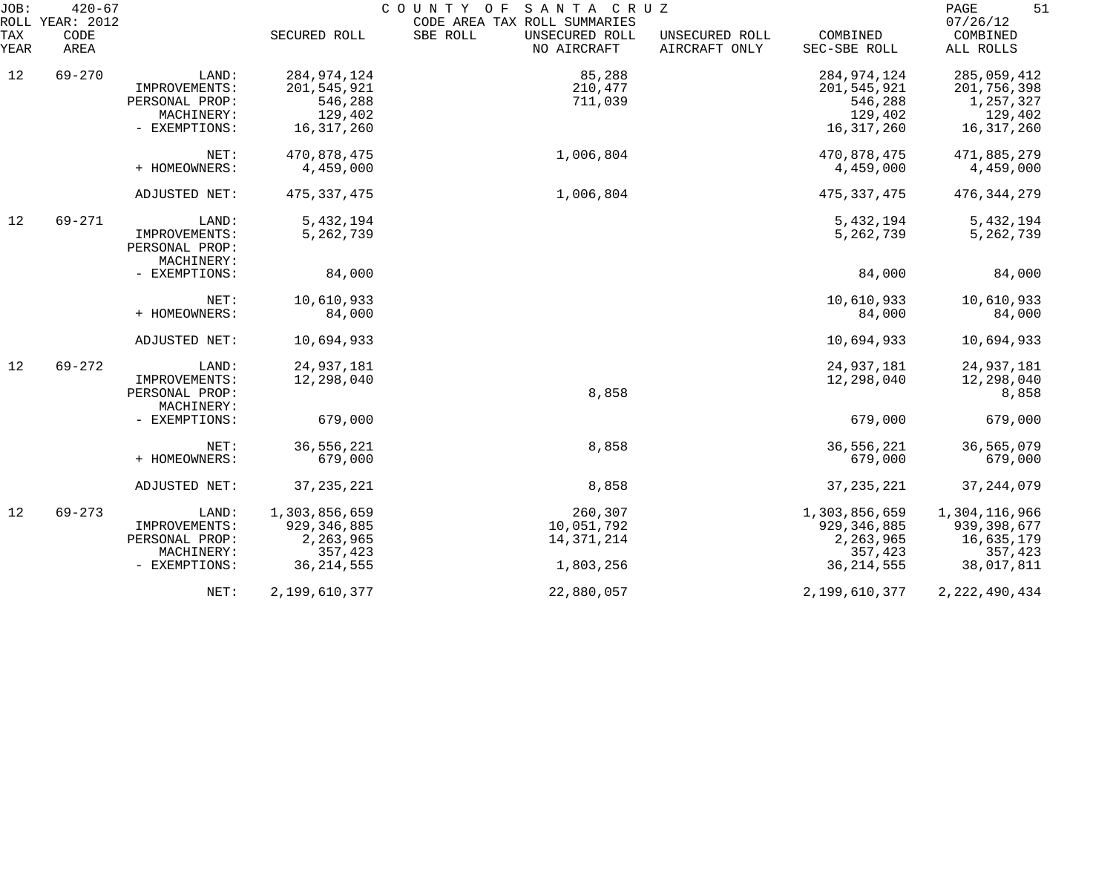| JOB:        | $420 - 67$<br>ROLL YEAR: 2012 |                                               |               | COUNTY OF SANTA CRUZ<br>CODE AREA TAX ROLL SUMMARIES |                                 |                          | PAGE<br>51<br>07/26/12 |
|-------------|-------------------------------|-----------------------------------------------|---------------|------------------------------------------------------|---------------------------------|--------------------------|------------------------|
| TAX<br>YEAR | CODE<br>AREA                  |                                               | SECURED ROLL  | SBE ROLL<br>UNSECURED ROLL<br>NO AIRCRAFT            | UNSECURED ROLL<br>AIRCRAFT ONLY | COMBINED<br>SEC-SBE ROLL | COMBINED<br>ALL ROLLS  |
| 12          | $69 - 270$                    | LAND:                                         | 284, 974, 124 | 85,288                                               |                                 | 284, 974, 124            | 285,059,412            |
|             |                               | IMPROVEMENTS:                                 | 201,545,921   | 210,477                                              |                                 | 201,545,921              | 201,756,398            |
|             |                               | PERSONAL PROP:                                | 546,288       | 711,039                                              |                                 | 546,288                  | 1,257,327              |
|             |                               | MACHINERY:                                    | 129,402       |                                                      |                                 | 129,402                  | 129,402                |
|             |                               | - EXEMPTIONS:                                 | 16,317,260    |                                                      |                                 | 16, 317, 260             | 16, 317, 260           |
|             |                               | NET:                                          | 470,878,475   | 1,006,804                                            |                                 | 470,878,475              | 471,885,279            |
|             |                               | + HOMEOWNERS:                                 | 4,459,000     |                                                      |                                 | 4,459,000                | 4,459,000              |
|             |                               | ADJUSTED NET:                                 | 475, 337, 475 | 1,006,804                                            |                                 | 475, 337, 475            | 476, 344, 279          |
| 12          | $69 - 271$                    | LAND:                                         | 5,432,194     |                                                      |                                 | 5,432,194                | 5,432,194              |
|             |                               | IMPROVEMENTS:<br>PERSONAL PROP:<br>MACHINERY: | 5,262,739     |                                                      |                                 | 5,262,739                | 5, 262, 739            |
|             |                               | - EXEMPTIONS:                                 | 84,000        |                                                      |                                 | 84,000                   | 84,000                 |
|             |                               | NET:                                          | 10,610,933    |                                                      |                                 | 10,610,933               | 10,610,933             |
|             |                               | + HOMEOWNERS:                                 | 84,000        |                                                      |                                 | 84,000                   | 84,000                 |
|             |                               | ADJUSTED NET:                                 | 10,694,933    |                                                      |                                 | 10,694,933               | 10,694,933             |
| 12          | $69 - 272$                    | LAND:                                         | 24,937,181    |                                                      |                                 | 24,937,181               | 24,937,181             |
|             |                               | IMPROVEMENTS:                                 | 12,298,040    |                                                      |                                 | 12,298,040               | 12,298,040             |
|             |                               | PERSONAL PROP:<br>MACHINERY:                  |               | 8,858                                                |                                 |                          | 8,858                  |
|             |                               | - EXEMPTIONS:                                 | 679,000       |                                                      |                                 | 679,000                  | 679,000                |
|             |                               | NET:                                          | 36,556,221    | 8,858                                                |                                 | 36,556,221               | 36,565,079             |
|             |                               | + HOMEOWNERS:                                 | 679,000       |                                                      |                                 | 679,000                  | 679,000                |
|             |                               | ADJUSTED NET:                                 | 37, 235, 221  | 8,858                                                |                                 | 37, 235, 221             | 37, 244, 079           |
| 12          | $69 - 273$                    | LAND:                                         | 1,303,856,659 | 260,307                                              |                                 | 1,303,856,659            | 1,304,116,966          |
|             |                               | IMPROVEMENTS:                                 | 929, 346, 885 | 10,051,792                                           |                                 | 929, 346, 885            | 939, 398, 677          |
|             |                               | PERSONAL PROP:                                | 2,263,965     | 14,371,214                                           |                                 | 2,263,965                | 16,635,179             |
|             |                               | MACHINERY:                                    | 357,423       |                                                      |                                 | 357,423                  | 357,423                |
|             |                               | - EXEMPTIONS:                                 | 36, 214, 555  | 1,803,256                                            |                                 | 36, 214, 555             | 38,017,811             |
|             |                               | NET:                                          | 2,199,610,377 | 22,880,057                                           |                                 | 2,199,610,377            | 2, 222, 490, 434       |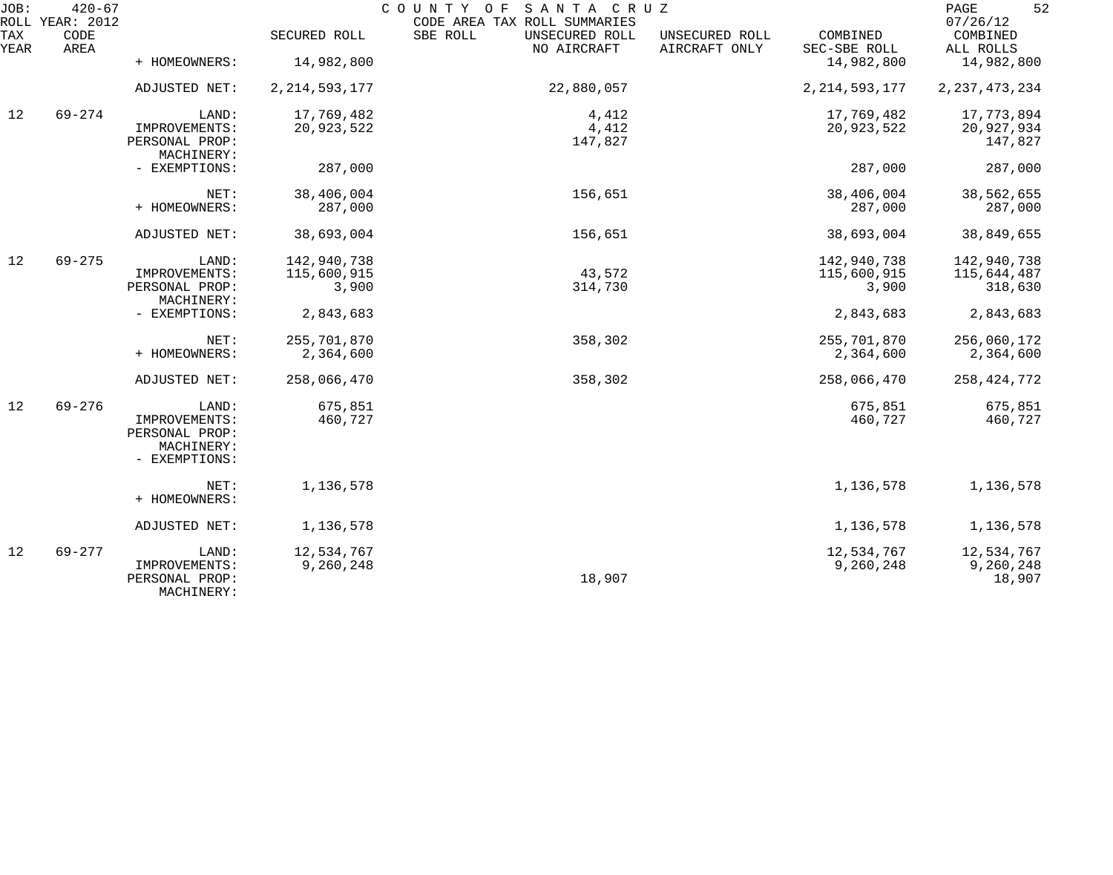| JOB:        | $420 - 67$<br>ROLL YEAR: 2012 |                                                                |                         | COUNTY OF SANTA CRUZ<br>CODE AREA TAX ROLL SUMMARIES |                                 |                          | 52<br>PAGE<br>07/26/12            |
|-------------|-------------------------------|----------------------------------------------------------------|-------------------------|------------------------------------------------------|---------------------------------|--------------------------|-----------------------------------|
| TAX<br>YEAR | CODE<br>AREA                  |                                                                | SECURED ROLL            | SBE ROLL<br>UNSECURED ROLL<br>NO AIRCRAFT            | UNSECURED ROLL<br>AIRCRAFT ONLY | COMBINED<br>SEC-SBE ROLL | COMBINED<br>ALL ROLLS             |
|             |                               | + HOMEOWNERS:                                                  | 14,982,800              |                                                      |                                 | 14,982,800               | 14,982,800                        |
|             |                               | ADJUSTED NET:                                                  | 2, 214, 593, 177        | 22,880,057                                           |                                 | 2, 214, 593, 177         | 2, 237, 473, 234                  |
| 12          | $69 - 274$                    | LAND:                                                          | 17,769,482              | 4,412                                                |                                 | 17,769,482               | 17,773,894                        |
|             |                               | IMPROVEMENTS:<br>PERSONAL PROP:<br>MACHINERY:                  | 20,923,522              | 4,412<br>147,827                                     |                                 | 20,923,522               | 20,927,934<br>147,827             |
|             |                               | - EXEMPTIONS:                                                  | 287,000                 |                                                      |                                 | 287,000                  | 287,000                           |
|             |                               | NET:                                                           | 38,406,004              | 156,651                                              |                                 | 38,406,004               | 38,562,655                        |
|             |                               | + HOMEOWNERS:                                                  | 287,000                 |                                                      |                                 | 287,000                  | 287,000                           |
|             |                               | ADJUSTED NET:                                                  | 38,693,004              | 156,651                                              |                                 | 38,693,004               | 38,849,655                        |
| 12          | $69 - 275$                    | LAND:                                                          | 142,940,738             |                                                      |                                 | 142,940,738              | 142,940,738                       |
|             |                               | IMPROVEMENTS:                                                  | 115,600,915             | 43,572                                               |                                 | 115,600,915              | 115,644,487                       |
|             |                               | PERSONAL PROP:<br>MACHINERY:                                   | 3,900                   | 314,730                                              |                                 | 3,900                    | 318,630                           |
|             |                               | - EXEMPTIONS:                                                  | 2,843,683               |                                                      |                                 | 2,843,683                | 2,843,683                         |
|             |                               | NET:                                                           | 255,701,870             | 358,302                                              |                                 | 255,701,870              | 256,060,172                       |
|             |                               | + HOMEOWNERS:                                                  | 2,364,600               |                                                      |                                 | 2,364,600                | 2,364,600                         |
|             |                               | ADJUSTED NET:                                                  | 258,066,470             | 358,302                                              |                                 | 258,066,470              | 258, 424, 772                     |
| 12          | $69 - 276$                    | LAND:                                                          | 675,851                 |                                                      |                                 | 675,851                  | 675,851                           |
|             |                               | IMPROVEMENTS:<br>PERSONAL PROP:<br>MACHINERY:<br>- EXEMPTIONS: | 460,727                 |                                                      |                                 | 460,727                  | 460,727                           |
|             |                               | NET:<br>+ HOMEOWNERS:                                          | 1,136,578               |                                                      |                                 | 1,136,578                | 1,136,578                         |
|             |                               | ADJUSTED NET:                                                  | 1,136,578               |                                                      |                                 | 1,136,578                | 1,136,578                         |
| 12          | $69 - 277$                    | LAND:<br>IMPROVEMENTS:<br>PERSONAL PROP:<br>MACHINERY:         | 12,534,767<br>9,260,248 | 18,907                                               |                                 | 12,534,767<br>9,260,248  | 12,534,767<br>9,260,248<br>18,907 |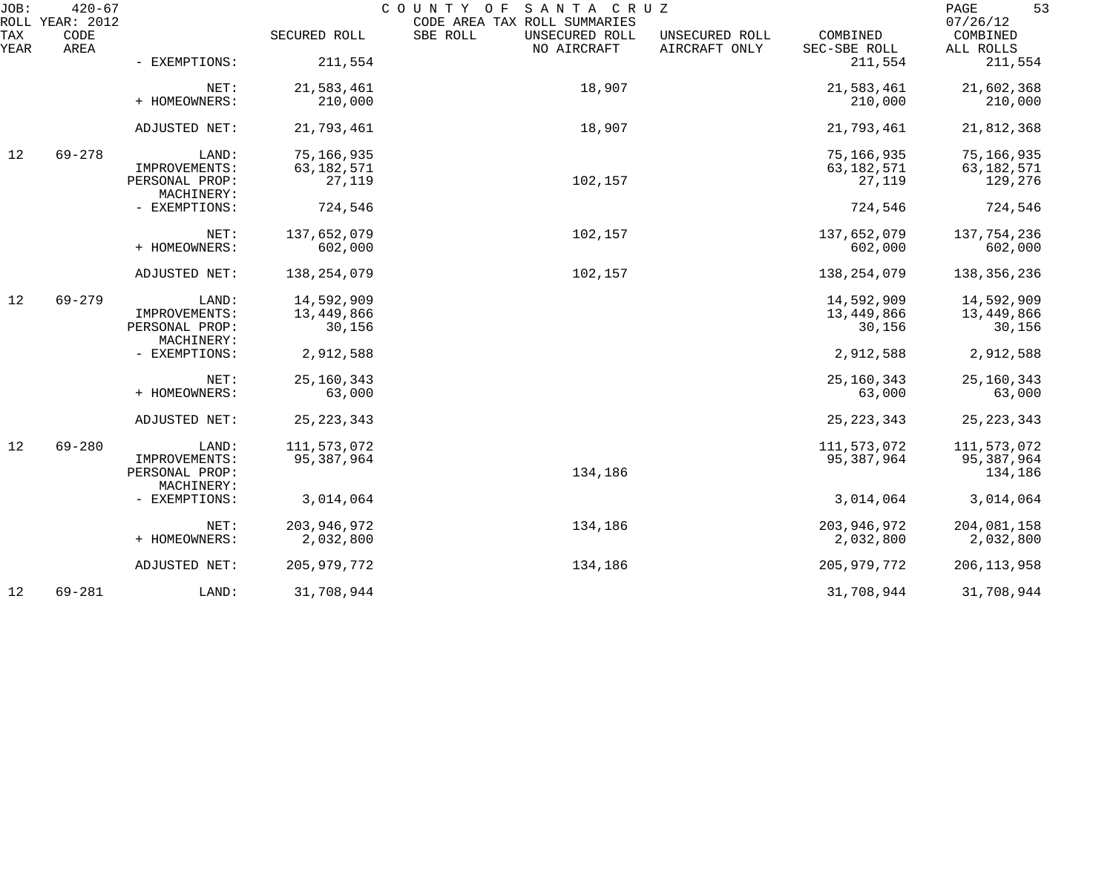| JOB:        | $420 - 67$<br>ROLL YEAR: 2012 |                              |               | COUNTY OF<br>SANTA CRUZ<br>CODE AREA TAX ROLL SUMMARIES |                                 |                          | 53<br>PAGE<br>07/26/12 |
|-------------|-------------------------------|------------------------------|---------------|---------------------------------------------------------|---------------------------------|--------------------------|------------------------|
| TAX<br>YEAR | CODE<br>AREA                  |                              | SECURED ROLL  | SBE ROLL<br>UNSECURED ROLL<br>NO AIRCRAFT               | UNSECURED ROLL<br>AIRCRAFT ONLY | COMBINED<br>SEC-SBE ROLL | COMBINED<br>ALL ROLLS  |
|             |                               | - EXEMPTIONS:                | 211,554       |                                                         |                                 | 211,554                  | 211,554                |
|             |                               | NET:                         | 21,583,461    | 18,907                                                  |                                 | 21,583,461               | 21,602,368             |
|             |                               | + HOMEOWNERS:                | 210,000       |                                                         |                                 | 210,000                  | 210,000                |
|             |                               | ADJUSTED NET:                | 21,793,461    | 18,907                                                  |                                 | 21,793,461               | 21,812,368             |
| 12          | $69 - 278$                    | LAND:                        | 75,166,935    |                                                         |                                 | 75,166,935               | 75,166,935             |
|             |                               | IMPROVEMENTS:                | 63, 182, 571  |                                                         |                                 | 63, 182, 571             | 63, 182, 571           |
|             |                               | PERSONAL PROP:<br>MACHINERY: | 27,119        | 102,157                                                 |                                 | 27,119                   | 129,276                |
|             |                               | - EXEMPTIONS:                | 724,546       |                                                         |                                 | 724,546                  | 724,546                |
|             |                               | NET:                         | 137,652,079   | 102,157                                                 |                                 | 137,652,079              | 137,754,236            |
|             |                               | + HOMEOWNERS:                | 602,000       |                                                         |                                 | 602,000                  | 602,000                |
|             |                               | ADJUSTED NET:                | 138,254,079   | 102,157                                                 |                                 | 138,254,079              | 138, 356, 236          |
| 12          | $69 - 279$                    | LAND:                        | 14,592,909    |                                                         |                                 | 14,592,909               | 14,592,909             |
|             |                               | IMPROVEMENTS:                | 13,449,866    |                                                         |                                 | 13,449,866               | 13,449,866             |
|             |                               | PERSONAL PROP:<br>MACHINERY: | 30,156        |                                                         |                                 | 30,156                   | 30,156                 |
|             |                               | - EXEMPTIONS:                | 2,912,588     |                                                         |                                 | 2,912,588                | 2,912,588              |
|             |                               | NET:                         | 25, 160, 343  |                                                         |                                 | 25, 160, 343             | 25, 160, 343           |
|             |                               | + HOMEOWNERS:                | 63,000        |                                                         |                                 | 63,000                   | 63,000                 |
|             |                               | ADJUSTED NET:                | 25, 223, 343  |                                                         |                                 | 25, 223, 343             | 25, 223, 343           |
| 12          | $69 - 280$                    | LAND:                        | 111,573,072   |                                                         |                                 | 111,573,072              | 111,573,072            |
|             |                               | IMPROVEMENTS:                | 95,387,964    |                                                         |                                 | 95,387,964               | 95,387,964             |
|             |                               | PERSONAL PROP:               |               | 134,186                                                 |                                 |                          | 134,186                |
|             |                               | MACHINERY:                   |               |                                                         |                                 |                          |                        |
|             |                               | - EXEMPTIONS:                | 3,014,064     |                                                         |                                 | 3,014,064                | 3,014,064              |
|             |                               | NET:                         | 203, 946, 972 | 134,186                                                 |                                 | 203,946,972              | 204,081,158            |
|             |                               | + HOMEOWNERS:                | 2,032,800     |                                                         |                                 | 2,032,800                | 2,032,800              |
|             |                               | ADJUSTED NET:                | 205, 979, 772 | 134,186                                                 |                                 | 205, 979, 772            | 206, 113, 958          |
| 12          | $69 - 281$                    | LAND:                        | 31,708,944    |                                                         |                                 | 31,708,944               | 31,708,944             |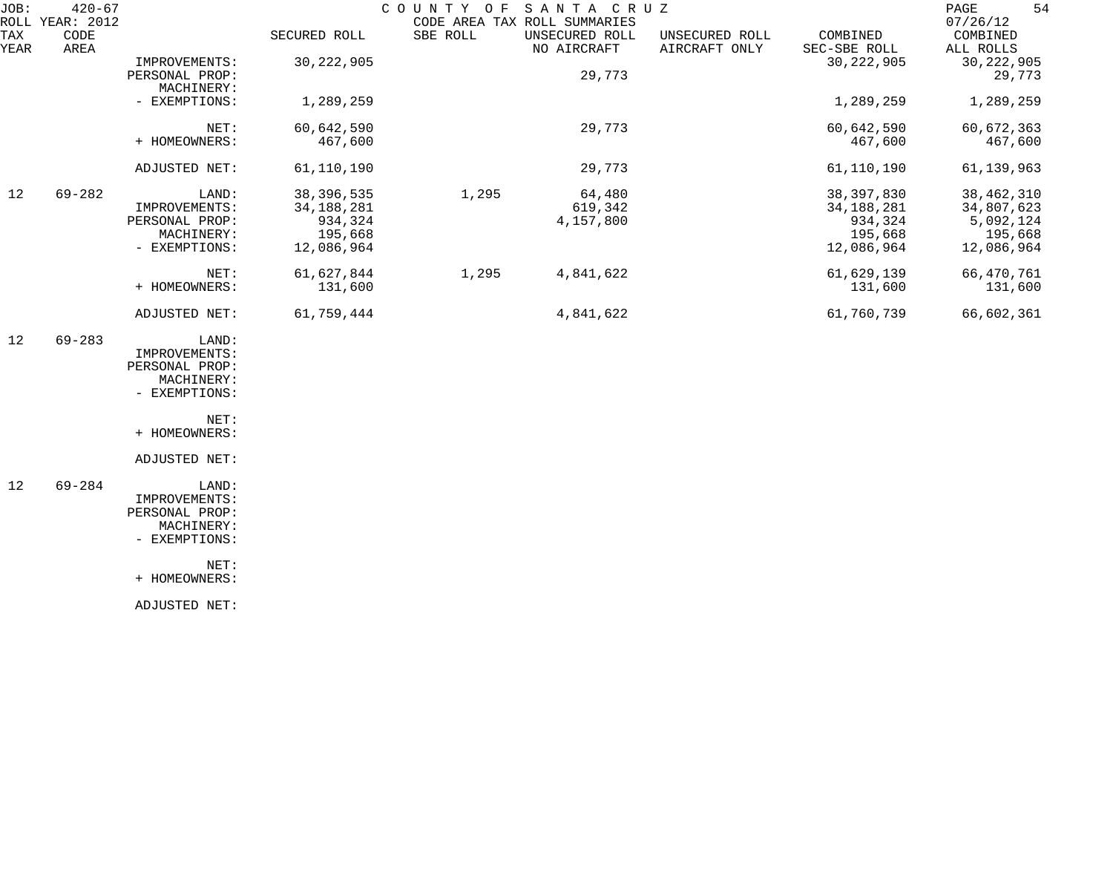| JOB:        | $420 - 67$<br>ROLL YEAR: 2012 |                                                                         |                                                                  | COUNTY OF | SANTA CRUZ<br>CODE AREA TAX ROLL SUMMARIES |                                 |                                                                  | 54<br>PAGE<br>07/26/12                                           |
|-------------|-------------------------------|-------------------------------------------------------------------------|------------------------------------------------------------------|-----------|--------------------------------------------|---------------------------------|------------------------------------------------------------------|------------------------------------------------------------------|
| TAX<br>YEAR | CODE<br>AREA                  |                                                                         | SECURED ROLL                                                     | SBE ROLL  | UNSECURED ROLL<br>NO AIRCRAFT              | UNSECURED ROLL<br>AIRCRAFT ONLY | COMBINED<br>SEC-SBE ROLL                                         | COMBINED<br>ALL ROLLS                                            |
|             |                               | IMPROVEMENTS:<br>PERSONAL PROP:                                         | 30, 222, 905                                                     |           | 29,773                                     |                                 | 30, 222, 905                                                     | 30, 222, 905<br>29,773                                           |
|             |                               | MACHINERY:<br>- EXEMPTIONS:                                             | 1,289,259                                                        |           |                                            |                                 | 1,289,259                                                        | 1,289,259                                                        |
|             |                               | NET:<br>+ HOMEOWNERS:                                                   | 60,642,590<br>467,600                                            |           | 29,773                                     |                                 | 60,642,590<br>467,600                                            | 60,672,363<br>467,600                                            |
|             |                               | ADJUSTED NET:                                                           | 61,110,190                                                       |           | 29,773                                     |                                 | 61,110,190                                                       | 61, 139, 963                                                     |
| 12          | $69 - 282$                    | LAND:<br>IMPROVEMENTS:<br>PERSONAL PROP:<br>MACHINERY:<br>- EXEMPTIONS: | 38, 396, 535<br>34, 188, 281<br>934,324<br>195,668<br>12,086,964 | 1,295     | 64,480<br>619,342<br>4,157,800             |                                 | 38, 397, 830<br>34, 188, 281<br>934,324<br>195,668<br>12,086,964 | 38, 462, 310<br>34,807,623<br>5,092,124<br>195,668<br>12,086,964 |
|             |                               | NET:<br>+ HOMEOWNERS:                                                   | 61,627,844<br>131,600                                            | 1,295     | 4,841,622                                  |                                 | 61,629,139<br>131,600                                            | 66,470,761<br>131,600                                            |
|             |                               | ADJUSTED NET:                                                           | 61,759,444                                                       |           | 4,841,622                                  |                                 | 61,760,739                                                       | 66,602,361                                                       |
| 12          | $69 - 283$                    | LAND:<br>IMPROVEMENTS:<br>PERSONAL PROP:<br>MACHINERY:<br>- EXEMPTIONS: |                                                                  |           |                                            |                                 |                                                                  |                                                                  |
|             |                               | NET:<br>+ HOMEOWNERS:                                                   |                                                                  |           |                                            |                                 |                                                                  |                                                                  |
|             |                               | ADJUSTED NET:                                                           |                                                                  |           |                                            |                                 |                                                                  |                                                                  |
| 12          | $69 - 284$                    | LAND:<br>IMPROVEMENTS:<br>PERSONAL PROP:<br>MACHINERY:<br>- EXEMPTIONS: |                                                                  |           |                                            |                                 |                                                                  |                                                                  |
|             |                               | NET:<br>+ HOMEOWNERS:                                                   |                                                                  |           |                                            |                                 |                                                                  |                                                                  |
|             |                               | ADJUSTED NET:                                                           |                                                                  |           |                                            |                                 |                                                                  |                                                                  |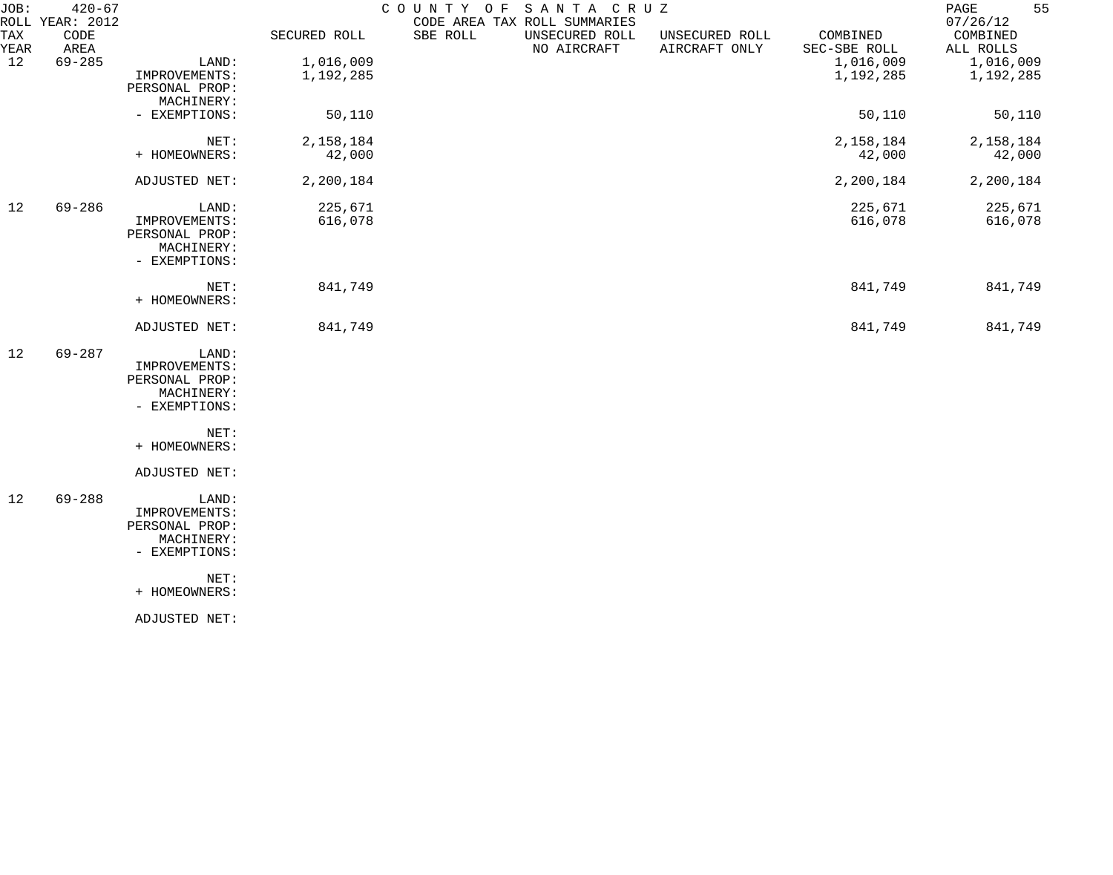| JOB:        | $420 - 67$<br>ROLL YEAR: 2012 |                                 |              | COUNTY OF | SANTA CRUZ<br>CODE AREA TAX ROLL SUMMARIES |                                 |                          | 55<br>PAGE<br>07/26/12 |
|-------------|-------------------------------|---------------------------------|--------------|-----------|--------------------------------------------|---------------------------------|--------------------------|------------------------|
| TAX<br>YEAR | CODE<br>AREA                  |                                 | SECURED ROLL | SBE ROLL  | UNSECURED ROLL<br>NO AIRCRAFT              | UNSECURED ROLL<br>AIRCRAFT ONLY | COMBINED<br>SEC-SBE ROLL | COMBINED<br>ALL ROLLS  |
| 12          | $69 - 285$                    | LAND:                           | 1,016,009    |           |                                            |                                 | 1,016,009                | 1,016,009              |
|             |                               | IMPROVEMENTS:<br>PERSONAL PROP: | 1,192,285    |           |                                            |                                 | 1,192,285                | 1,192,285              |
|             |                               | MACHINERY:<br>- EXEMPTIONS:     | 50,110       |           |                                            |                                 | 50,110                   | 50,110                 |
|             |                               |                                 |              |           |                                            |                                 |                          |                        |
|             |                               | NET:                            | 2,158,184    |           |                                            |                                 | 2,158,184                | 2,158,184              |
|             |                               | + HOMEOWNERS:                   | 42,000       |           |                                            |                                 | 42,000                   | 42,000                 |
|             |                               | ADJUSTED NET:                   | 2,200,184    |           |                                            |                                 | 2,200,184                | 2,200,184              |
| 12          | $69 - 286$                    | LAND:                           | 225,671      |           |                                            |                                 | 225,671                  | 225,671                |
|             |                               | IMPROVEMENTS:<br>PERSONAL PROP: | 616,078      |           |                                            |                                 | 616,078                  | 616,078                |
|             |                               | MACHINERY:                      |              |           |                                            |                                 |                          |                        |
|             |                               | - EXEMPTIONS:                   |              |           |                                            |                                 |                          |                        |
|             |                               | NET:                            | 841,749      |           |                                            |                                 | 841,749                  | 841,749                |
|             |                               | + HOMEOWNERS:                   |              |           |                                            |                                 |                          |                        |
|             |                               | ADJUSTED NET:                   | 841,749      |           |                                            |                                 | 841,749                  | 841,749                |
| 12          | $69 - 287$                    | LAND:                           |              |           |                                            |                                 |                          |                        |
|             |                               | IMPROVEMENTS:                   |              |           |                                            |                                 |                          |                        |
|             |                               | PERSONAL PROP:                  |              |           |                                            |                                 |                          |                        |
|             |                               | MACHINERY:                      |              |           |                                            |                                 |                          |                        |
|             |                               | - EXEMPTIONS:                   |              |           |                                            |                                 |                          |                        |
|             |                               | NET:                            |              |           |                                            |                                 |                          |                        |
|             |                               | + HOMEOWNERS:                   |              |           |                                            |                                 |                          |                        |
|             |                               | ADJUSTED NET:                   |              |           |                                            |                                 |                          |                        |
| 12          | $69 - 288$                    | LAND:                           |              |           |                                            |                                 |                          |                        |
|             |                               | IMPROVEMENTS:                   |              |           |                                            |                                 |                          |                        |
|             |                               | PERSONAL PROP:                  |              |           |                                            |                                 |                          |                        |
|             |                               | MACHINERY:                      |              |           |                                            |                                 |                          |                        |
|             |                               | - EXEMPTIONS:                   |              |           |                                            |                                 |                          |                        |
|             |                               | NET:                            |              |           |                                            |                                 |                          |                        |
|             |                               | + HOMEOWNERS:                   |              |           |                                            |                                 |                          |                        |
|             |                               | ADJUSTED NET:                   |              |           |                                            |                                 |                          |                        |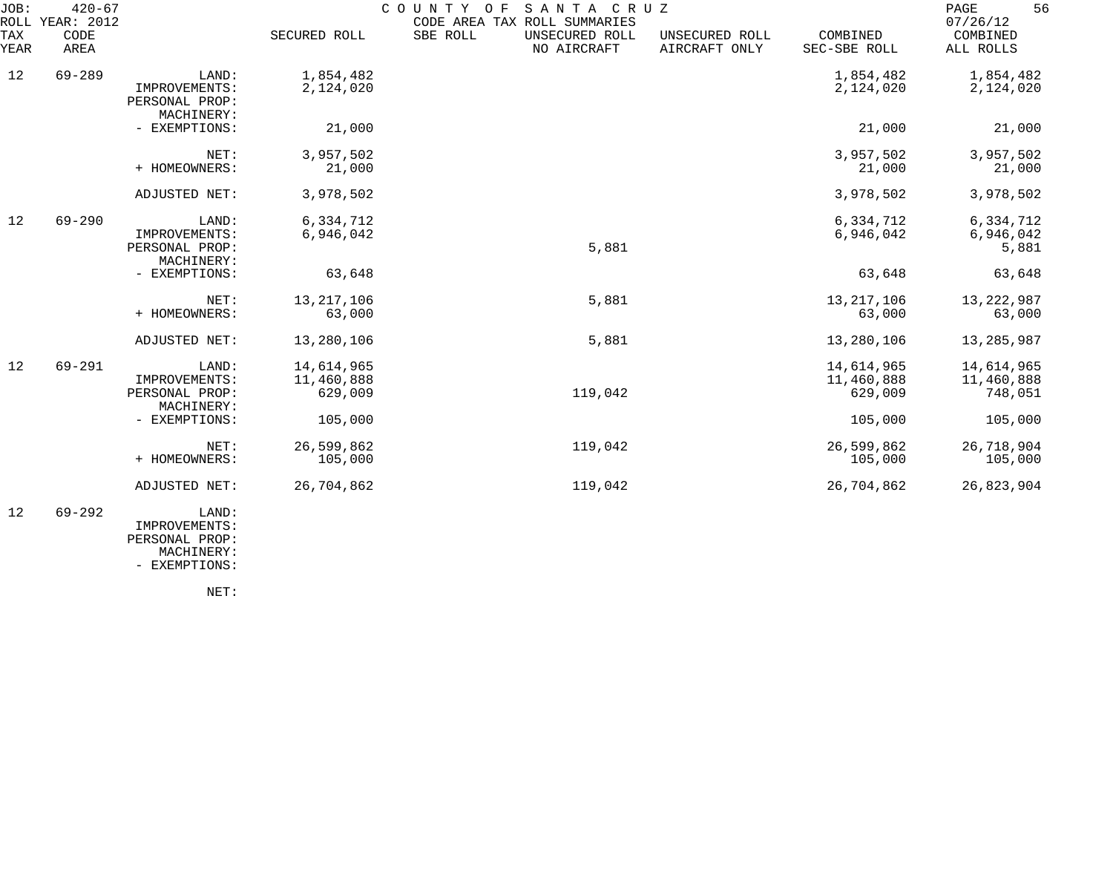| JOB:<br>ROLL | $420 - 67$<br>YEAR: 2012 |                                                        | COUNTY OF SANTA CRUZ<br>CODE AREA TAX ROLL SUMMARIES |                                           |                                 |                                     |                                     |
|--------------|--------------------------|--------------------------------------------------------|------------------------------------------------------|-------------------------------------------|---------------------------------|-------------------------------------|-------------------------------------|
| TAX<br>YEAR  | CODE<br>AREA             |                                                        | SECURED ROLL                                         | SBE ROLL<br>UNSECURED ROLL<br>NO AIRCRAFT | UNSECURED ROLL<br>AIRCRAFT ONLY | COMBINED<br>SEC-SBE ROLL            | COMBINED<br>ALL ROLLS               |
| 12           | $69 - 289$               | LAND:<br>IMPROVEMENTS:<br>PERSONAL PROP:<br>MACHINERY: | 1,854,482<br>2,124,020                               |                                           |                                 | 1,854,482<br>2,124,020              | 1,854,482<br>2,124,020              |
|              |                          | - EXEMPTIONS:                                          | 21,000                                               |                                           |                                 | 21,000                              | 21,000                              |
|              |                          | NET:<br>+ HOMEOWNERS:                                  | 3,957,502<br>21,000                                  |                                           |                                 | 3,957,502<br>21,000                 | 3,957,502<br>21,000                 |
|              |                          | ADJUSTED NET:                                          | 3,978,502                                            |                                           |                                 | 3,978,502                           | 3,978,502                           |
| 12           | $69 - 290$               | LAND:<br>IMPROVEMENTS:<br>PERSONAL PROP:<br>MACHINERY: | 6,334,712<br>6,946,042                               | 5,881                                     |                                 | 6,334,712<br>6,946,042              | 6,334,712<br>6,946,042<br>5,881     |
|              |                          | - EXEMPTIONS:                                          | 63,648                                               |                                           |                                 | 63,648                              | 63,648                              |
|              |                          | NET:<br>+ HOMEOWNERS:                                  | 13, 217, 106<br>63,000                               | 5,881                                     |                                 | 13, 217, 106<br>63,000              | 13, 222, 987<br>63,000              |
|              |                          | ADJUSTED NET:                                          | 13,280,106                                           | 5,881                                     |                                 | 13,280,106                          | 13,285,987                          |
| 12           | $69 - 291$               | LAND:<br>IMPROVEMENTS:<br>PERSONAL PROP:<br>MACHINERY: | 14,614,965<br>11,460,888<br>629,009                  | 119,042                                   |                                 | 14,614,965<br>11,460,888<br>629,009 | 14,614,965<br>11,460,888<br>748,051 |
|              |                          | - EXEMPTIONS:                                          | 105,000                                              |                                           |                                 | 105,000                             | 105,000                             |
|              |                          | NET:<br>+ HOMEOWNERS:                                  | 26,599,862<br>105,000                                | 119,042                                   |                                 | 26,599,862<br>105,000               | 26,718,904<br>105,000               |
|              |                          | ADJUSTED NET:                                          | 26,704,862                                           | 119,042                                   |                                 | 26,704,862                          | 26,823,904                          |
| 12           | $69 - 292$               | LAND:<br>IMPROVEMENTS:                                 |                                                      |                                           |                                 |                                     |                                     |

 PERSONAL PROP: MACHINERY:

- EXEMPTIONS:

NET: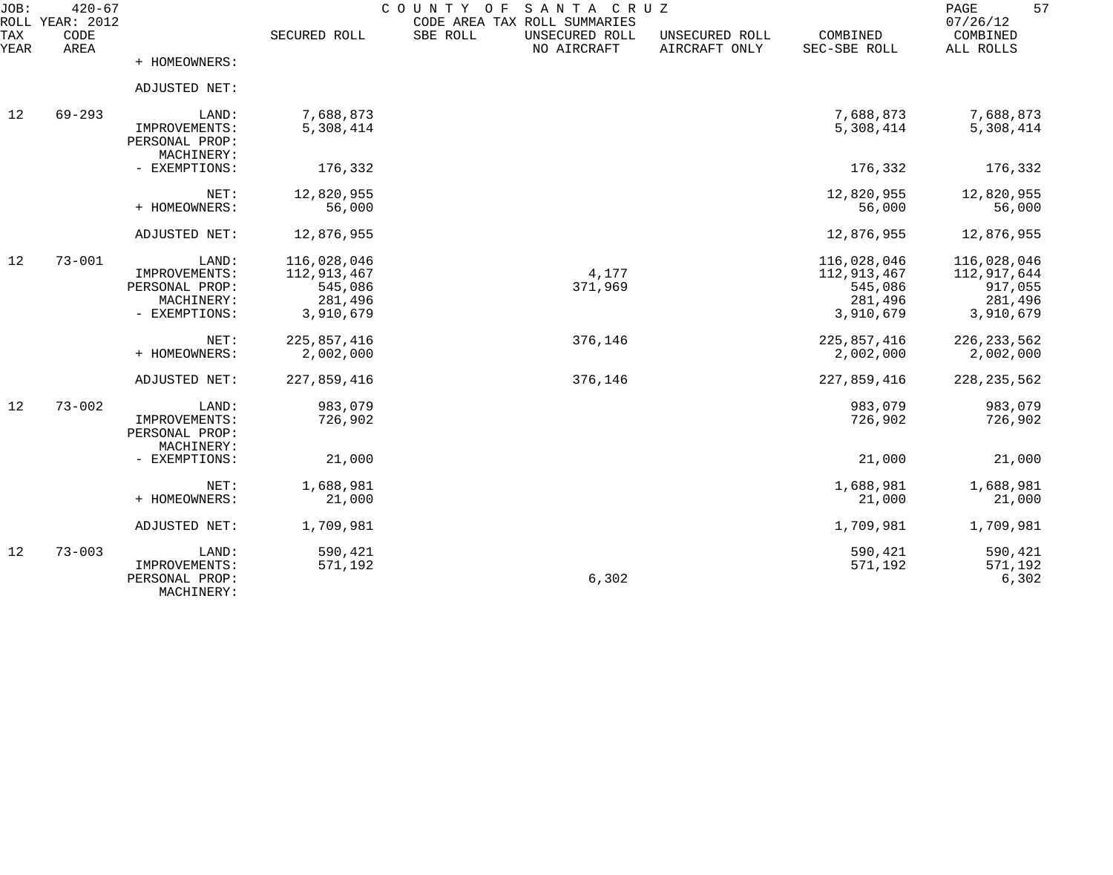| JOB:        | $420 - 67$<br>ROLL YEAR: 2012 |                                                                         |                                                               | COUNTY OF<br>SANTA CRUZ<br>CODE AREA TAX ROLL SUMMARIES |                                 |                                                               | 57<br>PAGE<br>07/26/12                                        |
|-------------|-------------------------------|-------------------------------------------------------------------------|---------------------------------------------------------------|---------------------------------------------------------|---------------------------------|---------------------------------------------------------------|---------------------------------------------------------------|
| TAX<br>YEAR | CODE<br>AREA                  |                                                                         | SECURED ROLL                                                  | SBE ROLL<br>UNSECURED ROLL<br>NO AIRCRAFT               | UNSECURED ROLL<br>AIRCRAFT ONLY | COMBINED<br>SEC-SBE ROLL                                      | COMBINED<br>ALL ROLLS                                         |
|             |                               | + HOMEOWNERS:                                                           |                                                               |                                                         |                                 |                                                               |                                                               |
|             |                               | ADJUSTED NET:                                                           |                                                               |                                                         |                                 |                                                               |                                                               |
| 12          | $69 - 293$                    | LAND:<br>IMPROVEMENTS:<br>PERSONAL PROP:<br>MACHINERY:                  | 7,688,873<br>5,308,414                                        |                                                         |                                 | 7,688,873<br>5,308,414                                        | 7,688,873<br>5,308,414                                        |
|             |                               | - EXEMPTIONS:                                                           | 176,332                                                       |                                                         |                                 | 176,332                                                       | 176,332                                                       |
|             |                               | NET:<br>+ HOMEOWNERS:                                                   | 12,820,955<br>56,000                                          |                                                         |                                 | 12,820,955<br>56,000                                          | 12,820,955<br>56,000                                          |
|             |                               | ADJUSTED NET:                                                           | 12,876,955                                                    |                                                         |                                 | 12,876,955                                                    | 12,876,955                                                    |
| 12          | $73 - 001$                    | LAND:<br>IMPROVEMENTS:<br>PERSONAL PROP:<br>MACHINERY:<br>- EXEMPTIONS: | 116,028,046<br>112,913,467<br>545,086<br>281,496<br>3,910,679 | 4,177<br>371,969                                        |                                 | 116,028,046<br>112,913,467<br>545,086<br>281,496<br>3,910,679 | 116,028,046<br>112,917,644<br>917,055<br>281,496<br>3,910,679 |
|             |                               | NET:<br>+ HOMEOWNERS:                                                   | 225,857,416<br>2,002,000                                      | 376,146                                                 |                                 | 225,857,416<br>2,002,000                                      | 226, 233, 562<br>2,002,000                                    |
|             |                               | ADJUSTED NET:                                                           | 227,859,416                                                   | 376,146                                                 |                                 | 227,859,416                                                   | 228, 235, 562                                                 |
| 12          | $73 - 002$                    | LAND:<br>IMPROVEMENTS:<br>PERSONAL PROP:<br>MACHINERY:                  | 983,079<br>726,902                                            |                                                         |                                 | 983,079<br>726,902                                            | 983,079<br>726,902                                            |
|             |                               | - EXEMPTIONS:                                                           | 21,000                                                        |                                                         |                                 | 21,000                                                        | 21,000                                                        |
|             |                               | NET:<br>+ HOMEOWNERS:                                                   | 1,688,981<br>21,000                                           |                                                         |                                 | 1,688,981<br>21,000                                           | 1,688,981<br>21,000                                           |
|             |                               | ADJUSTED NET:                                                           | 1,709,981                                                     |                                                         |                                 | 1,709,981                                                     | 1,709,981                                                     |
| 12          | $73 - 003$                    | LAND:<br>IMPROVEMENTS:<br>PERSONAL PROP:<br>MACHINERY:                  | 590,421<br>571,192                                            | 6,302                                                   |                                 | 590,421<br>571,192                                            | 590,421<br>571,192<br>6,302                                   |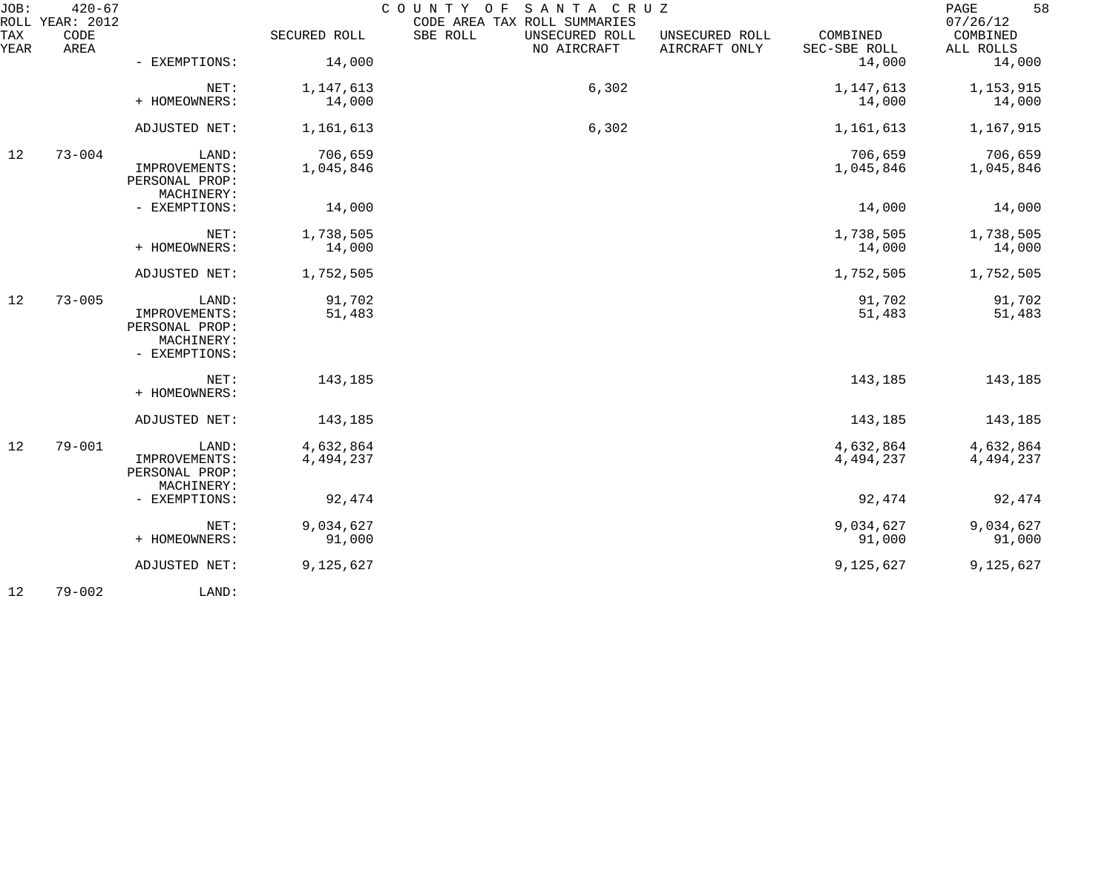| JOB:        | $420 - 67$<br>ROLL YEAR: 2012 |                                               |              | COUNTY OF<br>SANTA CRUZ<br>CODE AREA TAX ROLL SUMMARIES |                                 |                          | 58<br>PAGE<br>07/26/12 |
|-------------|-------------------------------|-----------------------------------------------|--------------|---------------------------------------------------------|---------------------------------|--------------------------|------------------------|
| TAX<br>YEAR | CODE<br>AREA                  |                                               | SECURED ROLL | SBE ROLL<br>UNSECURED ROLL<br>NO AIRCRAFT               | UNSECURED ROLL<br>AIRCRAFT ONLY | COMBINED<br>SEC-SBE ROLL | COMBINED<br>ALL ROLLS  |
|             |                               | - EXEMPTIONS:                                 | 14,000       |                                                         |                                 | 14,000                   | 14,000                 |
|             |                               | NET:                                          | 1,147,613    | 6,302                                                   |                                 | 1,147,613                | 1,153,915              |
|             |                               | + HOMEOWNERS:                                 | 14,000       |                                                         |                                 | 14,000                   | 14,000                 |
|             |                               | ADJUSTED NET:                                 | 1,161,613    | 6,302                                                   |                                 | 1,161,613                | 1,167,915              |
| 12          | $73 - 004$                    | LAND:                                         | 706,659      |                                                         |                                 | 706,659                  | 706,659                |
|             |                               | IMPROVEMENTS:<br>PERSONAL PROP:<br>MACHINERY: | 1,045,846    |                                                         |                                 | 1,045,846                | 1,045,846              |
|             |                               | - EXEMPTIONS:                                 | 14,000       |                                                         |                                 | 14,000                   | 14,000                 |
|             |                               | NET:                                          | 1,738,505    |                                                         |                                 | 1,738,505                | 1,738,505              |
|             |                               | + HOMEOWNERS:                                 | 14,000       |                                                         |                                 | 14,000                   | 14,000                 |
|             |                               | ADJUSTED NET:                                 | 1,752,505    |                                                         |                                 | 1,752,505                | 1,752,505              |
| 12          | $73 - 005$                    | LAND:                                         | 91,702       |                                                         |                                 | 91,702                   | 91,702                 |
|             |                               | IMPROVEMENTS:<br>PERSONAL PROP:               | 51,483       |                                                         |                                 | 51,483                   | 51,483                 |
|             |                               | MACHINERY:<br>- EXEMPTIONS:                   |              |                                                         |                                 |                          |                        |
|             |                               | NET:<br>+ HOMEOWNERS:                         | 143,185      |                                                         |                                 | 143,185                  | 143,185                |
|             |                               |                                               |              |                                                         |                                 |                          |                        |
|             |                               | ADJUSTED NET:                                 | 143,185      |                                                         |                                 | 143,185                  | 143,185                |
| 12          | $79 - 001$                    | LAND:                                         | 4,632,864    |                                                         |                                 | 4,632,864                | 4,632,864              |
|             |                               | IMPROVEMENTS:<br>PERSONAL PROP:<br>MACHINERY: | 4,494,237    |                                                         |                                 | 4,494,237                | 4,494,237              |
|             |                               | - EXEMPTIONS:                                 | 92,474       |                                                         |                                 | 92,474                   | 92,474                 |
|             |                               | NET:                                          | 9,034,627    |                                                         |                                 | 9,034,627                | 9,034,627              |
|             |                               | + HOMEOWNERS:                                 | 91,000       |                                                         |                                 | 91,000                   | 91,000                 |
|             |                               | ADJUSTED NET:                                 | 9,125,627    |                                                         |                                 | 9,125,627                | 9,125,627              |
| 12          | $79 - 002$                    | LAND:                                         |              |                                                         |                                 |                          |                        |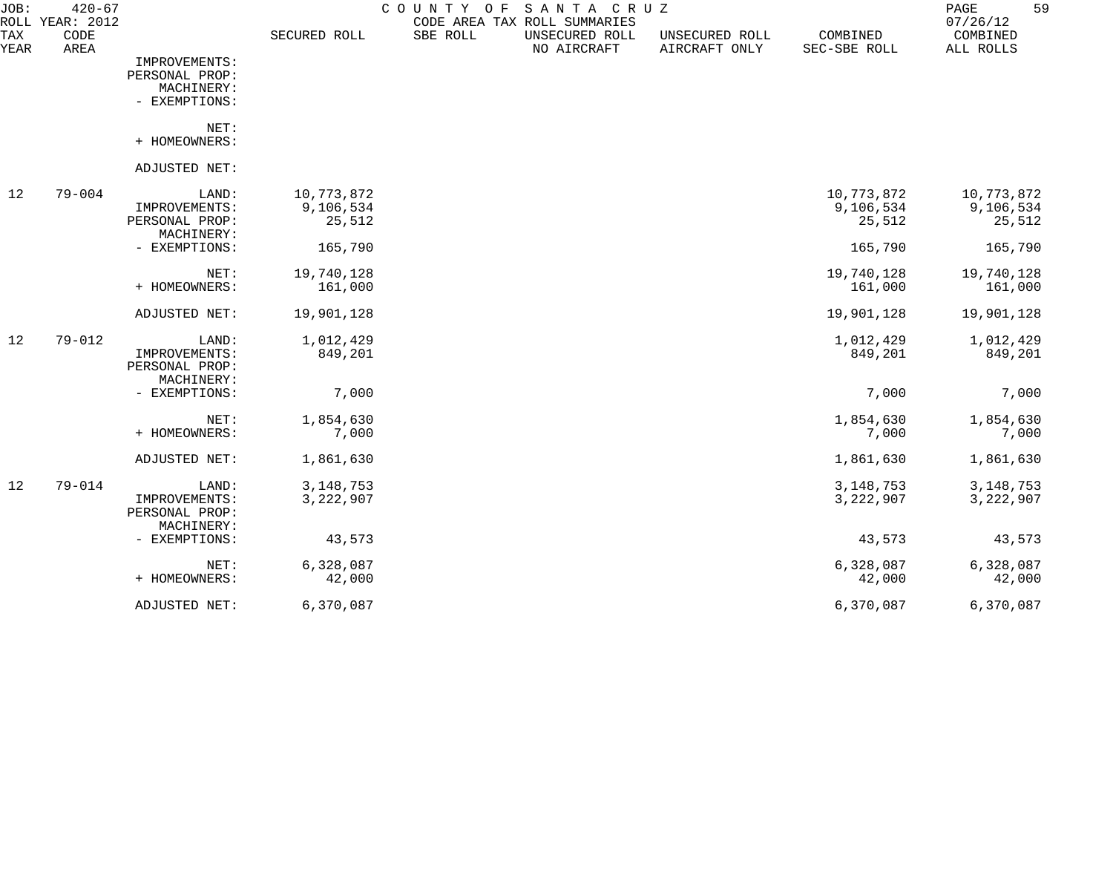| JOB:        | $420 - 67$<br>ROLL YEAR: 2012 |                              |              | C O U N T Y<br>O F<br>CODE AREA TAX ROLL SUMMARIES | SANTA CRUZ                    |                                 |                          | 59<br>PAGE<br>07/26/12 |
|-------------|-------------------------------|------------------------------|--------------|----------------------------------------------------|-------------------------------|---------------------------------|--------------------------|------------------------|
| TAX<br>YEAR | CODE<br>AREA                  |                              | SECURED ROLL | SBE ROLL                                           | UNSECURED ROLL<br>NO AIRCRAFT | UNSECURED ROLL<br>AIRCRAFT ONLY | COMBINED<br>SEC-SBE ROLL | COMBINED<br>ALL ROLLS  |
|             |                               | IMPROVEMENTS:                |              |                                                    |                               |                                 |                          |                        |
|             |                               | PERSONAL PROP:               |              |                                                    |                               |                                 |                          |                        |
|             |                               | MACHINERY:                   |              |                                                    |                               |                                 |                          |                        |
|             |                               | - EXEMPTIONS:                |              |                                                    |                               |                                 |                          |                        |
|             |                               | NET:                         |              |                                                    |                               |                                 |                          |                        |
|             |                               | + HOMEOWNERS:                |              |                                                    |                               |                                 |                          |                        |
|             |                               | ADJUSTED NET:                |              |                                                    |                               |                                 |                          |                        |
| 12          | $79 - 004$                    | LAND:                        | 10,773,872   |                                                    |                               |                                 | 10,773,872               | 10,773,872             |
|             |                               | IMPROVEMENTS:                | 9,106,534    |                                                    |                               |                                 | 9,106,534                | 9,106,534              |
|             |                               | PERSONAL PROP:<br>MACHINERY: | 25,512       |                                                    |                               |                                 | 25,512                   | 25,512                 |
|             |                               | - EXEMPTIONS:                | 165,790      |                                                    |                               |                                 | 165,790                  | 165,790                |
|             |                               | NET:                         | 19,740,128   |                                                    |                               |                                 | 19,740,128               | 19,740,128             |
|             |                               | + HOMEOWNERS:                | 161,000      |                                                    |                               |                                 | 161,000                  | 161,000                |
|             |                               | ADJUSTED NET:                | 19,901,128   |                                                    |                               |                                 | 19,901,128               | 19,901,128             |
| 12          | $79 - 012$                    | LAND:                        | 1,012,429    |                                                    |                               |                                 | 1,012,429                | 1,012,429              |
|             |                               | IMPROVEMENTS:                | 849,201      |                                                    |                               |                                 | 849,201                  | 849,201                |
|             |                               | PERSONAL PROP:               |              |                                                    |                               |                                 |                          |                        |
|             |                               | MACHINERY:                   |              |                                                    |                               |                                 |                          |                        |
|             |                               | - EXEMPTIONS:                | 7,000        |                                                    |                               |                                 | 7,000                    | 7,000                  |
|             |                               | NET:                         | 1,854,630    |                                                    |                               |                                 | 1,854,630                | 1,854,630              |
|             |                               | + HOMEOWNERS:                | 7,000        |                                                    |                               |                                 | 7,000                    | 7,000                  |
|             |                               | ADJUSTED NET:                | 1,861,630    |                                                    |                               |                                 | 1,861,630                | 1,861,630              |
| 12          | $79 - 014$                    | LAND:                        | 3, 148, 753  |                                                    |                               |                                 | 3, 148, 753              | 3, 148, 753            |
|             |                               | IMPROVEMENTS:                | 3, 222, 907  |                                                    |                               |                                 | 3, 222, 907              | 3,222,907              |
|             |                               | PERSONAL PROP:               |              |                                                    |                               |                                 |                          |                        |
|             |                               | MACHINERY:<br>- EXEMPTIONS:  | 43,573       |                                                    |                               |                                 | 43,573                   | 43,573                 |
|             |                               |                              |              |                                                    |                               |                                 |                          |                        |
|             |                               | NET:                         | 6,328,087    |                                                    |                               |                                 | 6,328,087                | 6,328,087              |
|             |                               | + HOMEOWNERS:                | 42,000       |                                                    |                               |                                 | 42,000                   | 42,000                 |
|             |                               | ADJUSTED NET:                | 6,370,087    |                                                    |                               |                                 | 6,370,087                | 6,370,087              |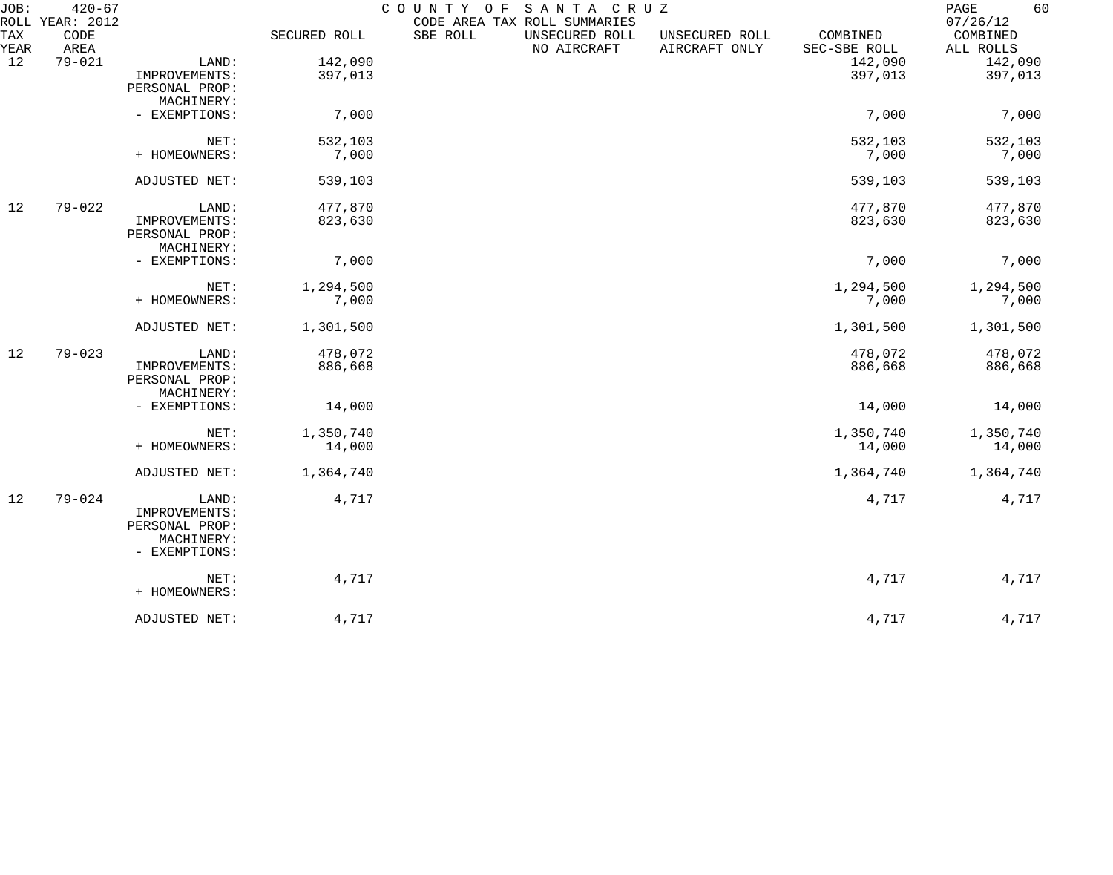| JOB:        | $420 - 67$<br>ROLL YEAR: 2012 |                                 |              | COUNTY OF<br>CODE AREA TAX ROLL SUMMARIES | SANTA CRUZ                    |                                 |                          | 60<br>PAGE<br>07/26/12 |
|-------------|-------------------------------|---------------------------------|--------------|-------------------------------------------|-------------------------------|---------------------------------|--------------------------|------------------------|
| TAX<br>YEAR | CODE<br>AREA                  |                                 | SECURED ROLL | SBE ROLL                                  | UNSECURED ROLL<br>NO AIRCRAFT | UNSECURED ROLL<br>AIRCRAFT ONLY | COMBINED<br>SEC-SBE ROLL | COMBINED<br>ALL ROLLS  |
| 12          | $79 - 021$                    | LAND:                           | 142,090      |                                           |                               |                                 | 142,090                  | 142,090                |
|             |                               | IMPROVEMENTS:                   | 397,013      |                                           |                               |                                 | 397,013                  | 397,013                |
|             |                               | PERSONAL PROP:                  |              |                                           |                               |                                 |                          |                        |
|             |                               | MACHINERY:                      |              |                                           |                               |                                 |                          |                        |
|             |                               | - EXEMPTIONS:                   | 7,000        |                                           |                               |                                 | 7,000                    | 7,000                  |
|             |                               | NET:                            | 532,103      |                                           |                               |                                 | 532,103                  | 532,103                |
|             |                               | + HOMEOWNERS:                   | 7,000        |                                           |                               |                                 | 7,000                    | 7,000                  |
|             |                               | ADJUSTED NET:                   | 539,103      |                                           |                               |                                 | 539,103                  | 539,103                |
| 12          | $79 - 022$                    | LAND:                           | 477,870      |                                           |                               |                                 | 477,870                  | 477,870                |
|             |                               | IMPROVEMENTS:<br>PERSONAL PROP: | 823,630      |                                           |                               |                                 | 823,630                  | 823,630                |
|             |                               | MACHINERY:                      |              |                                           |                               |                                 |                          |                        |
|             |                               | - EXEMPTIONS:                   | 7,000        |                                           |                               |                                 | 7,000                    | 7,000                  |
|             |                               | NET:                            | 1,294,500    |                                           |                               |                                 | 1,294,500                | 1,294,500              |
|             |                               | + HOMEOWNERS:                   | 7,000        |                                           |                               |                                 | 7,000                    | 7,000                  |
|             |                               | ADJUSTED NET:                   | 1,301,500    |                                           |                               |                                 | 1,301,500                | 1,301,500              |
| 12          | $79 - 023$                    | LAND:                           | 478,072      |                                           |                               |                                 | 478,072                  | 478,072                |
|             |                               | IMPROVEMENTS:                   | 886,668      |                                           |                               |                                 | 886,668                  | 886,668                |
|             |                               | PERSONAL PROP:                  |              |                                           |                               |                                 |                          |                        |
|             |                               | MACHINERY:                      |              |                                           |                               |                                 |                          |                        |
|             |                               | - EXEMPTIONS:                   | 14,000       |                                           |                               |                                 | 14,000                   | 14,000                 |
|             |                               | NET:                            | 1,350,740    |                                           |                               |                                 | 1,350,740                | 1,350,740              |
|             |                               | + HOMEOWNERS:                   | 14,000       |                                           |                               |                                 | 14,000                   | 14,000                 |
|             |                               | ADJUSTED NET:                   | 1,364,740    |                                           |                               |                                 | 1,364,740                | 1,364,740              |
| 12          | $79 - 024$                    | LAND:<br>IMPROVEMENTS:          | 4,717        |                                           |                               |                                 | 4,717                    | 4,717                  |
|             |                               | PERSONAL PROP:                  |              |                                           |                               |                                 |                          |                        |
|             |                               | MACHINERY:<br>- EXEMPTIONS:     |              |                                           |                               |                                 |                          |                        |
|             |                               | NET:                            | 4,717        |                                           |                               |                                 | 4,717                    | 4,717                  |
|             |                               | + HOMEOWNERS:                   |              |                                           |                               |                                 |                          |                        |
|             |                               | ADJUSTED NET:                   | 4,717        |                                           |                               |                                 | 4,717                    | 4,717                  |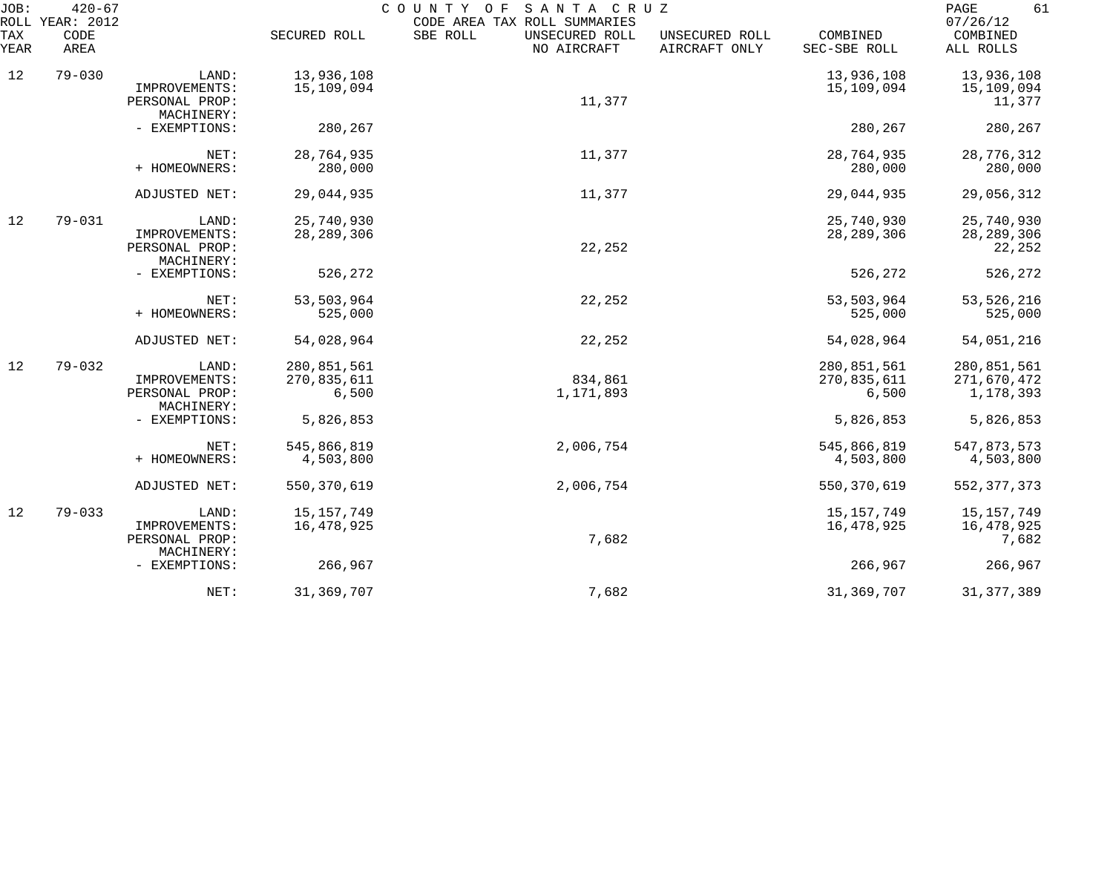| JOB:        | $420 - 67$<br>ROLL YEAR: 2012 |                                                        |                                     | COUNTY OF<br>SANTA CRUZ<br>CODE AREA TAX ROLL SUMMARIES |                                 |                                     | PAGE<br>61<br>07/26/12                  |
|-------------|-------------------------------|--------------------------------------------------------|-------------------------------------|---------------------------------------------------------|---------------------------------|-------------------------------------|-----------------------------------------|
| TAX<br>YEAR | CODE<br>AREA                  |                                                        | SECURED ROLL                        | SBE ROLL<br>UNSECURED ROLL<br>NO AIRCRAFT               | UNSECURED ROLL<br>AIRCRAFT ONLY | COMBINED<br>SEC-SBE ROLL            | COMBINED<br>ALL ROLLS                   |
| 12          | $79 - 030$                    | LAND:<br>IMPROVEMENTS:<br>PERSONAL PROP:<br>MACHINERY: | 13,936,108<br>15,109,094            | 11,377                                                  |                                 | 13,936,108<br>15,109,094            | 13,936,108<br>15,109,094<br>11,377      |
|             |                               | - EXEMPTIONS:                                          | 280,267                             |                                                         |                                 | 280,267                             | 280,267                                 |
|             |                               | NET:<br>+ HOMEOWNERS:                                  | 28,764,935<br>280,000               | 11,377                                                  |                                 | 28,764,935<br>280,000               | 28,776,312<br>280,000                   |
|             |                               | ADJUSTED NET:                                          | 29,044,935                          | 11,377                                                  |                                 | 29,044,935                          | 29,056,312                              |
| 12          | $79 - 031$                    | LAND:<br>IMPROVEMENTS:<br>PERSONAL PROP:<br>MACHINERY: | 25,740,930<br>28, 289, 306          | 22,252                                                  |                                 | 25,740,930<br>28, 289, 306          | 25,740,930<br>28, 289, 306<br>22,252    |
|             |                               | - EXEMPTIONS:                                          | 526,272                             |                                                         |                                 | 526,272                             | 526,272                                 |
|             |                               | NET:<br>+ HOMEOWNERS:                                  | 53,503,964<br>525,000               | 22,252                                                  |                                 | 53,503,964<br>525,000               | 53, 526, 216<br>525,000                 |
|             |                               | ADJUSTED NET:                                          | 54,028,964                          | 22,252                                                  |                                 | 54,028,964                          | 54,051,216                              |
| 12          | $79 - 032$                    | LAND:<br>IMPROVEMENTS:<br>PERSONAL PROP:<br>MACHINERY: | 280,851,561<br>270,835,611<br>6,500 | 834,861<br>1,171,893                                    |                                 | 280,851,561<br>270,835,611<br>6,500 | 280,851,561<br>271,670,472<br>1,178,393 |
|             |                               | - EXEMPTIONS:                                          | 5,826,853                           |                                                         |                                 | 5,826,853                           | 5,826,853                               |
|             |                               | NET:<br>+ HOMEOWNERS:                                  | 545,866,819<br>4,503,800            | 2,006,754                                               |                                 | 545,866,819<br>4,503,800            | 547,873,573<br>4,503,800                |
|             |                               | ADJUSTED NET:                                          | 550, 370, 619                       | 2,006,754                                               |                                 | 550, 370, 619                       | 552, 377, 373                           |
| 12          | $79 - 033$                    | LAND:<br>IMPROVEMENTS:<br>PERSONAL PROP:<br>MACHINERY: | 15, 157, 749<br>16,478,925          | 7,682                                                   |                                 | 15, 157, 749<br>16,478,925          | 15,157,749<br>16,478,925<br>7,682       |
|             |                               | - EXEMPTIONS:                                          | 266,967                             |                                                         |                                 | 266,967                             | 266,967                                 |
|             |                               | NET:                                                   | 31,369,707                          | 7,682                                                   |                                 | 31, 369, 707                        | 31, 377, 389                            |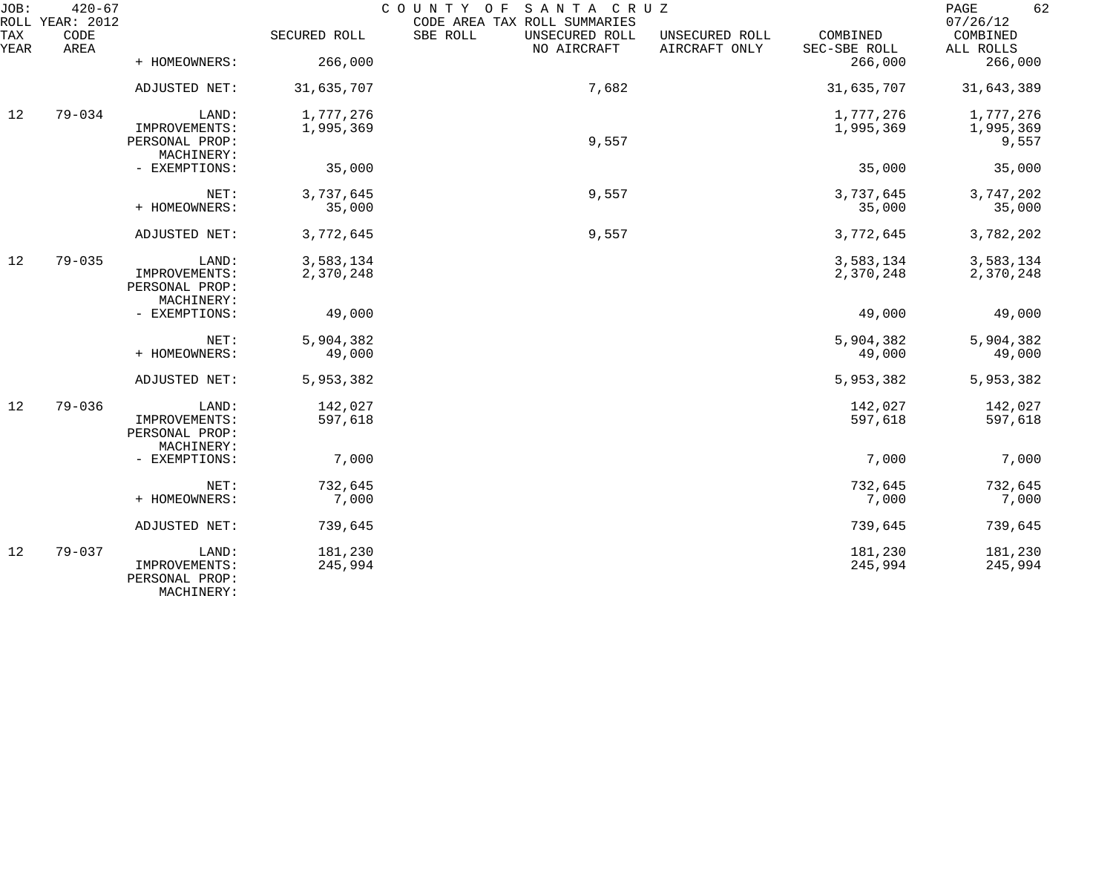| JOB:        | $420 - 67$<br>ROLL YEAR: 2012 |                                               |              | COUNTY OF<br>SANTA CRUZ<br>CODE AREA TAX ROLL SUMMARIES |                                 |                          | 62<br>PAGE<br>07/26/12 |
|-------------|-------------------------------|-----------------------------------------------|--------------|---------------------------------------------------------|---------------------------------|--------------------------|------------------------|
| TAX<br>YEAR | CODE<br>AREA                  |                                               | SECURED ROLL | SBE ROLL<br>UNSECURED ROLL<br>NO AIRCRAFT               | UNSECURED ROLL<br>AIRCRAFT ONLY | COMBINED<br>SEC-SBE ROLL | COMBINED<br>ALL ROLLS  |
|             |                               | + HOMEOWNERS:                                 | 266,000      |                                                         |                                 | 266,000                  | 266,000                |
|             |                               | ADJUSTED NET:                                 | 31,635,707   | 7,682                                                   |                                 | 31,635,707               | 31,643,389             |
| 12          | $79 - 034$                    | LAND:                                         | 1,777,276    |                                                         |                                 | 1,777,276                | 1,777,276              |
|             |                               | IMPROVEMENTS:<br>PERSONAL PROP:               | 1,995,369    | 9,557                                                   |                                 | 1,995,369                | 1,995,369<br>9,557     |
|             |                               | MACHINERY:                                    |              |                                                         |                                 |                          |                        |
|             |                               | - EXEMPTIONS:                                 | 35,000       |                                                         |                                 | 35,000                   | 35,000                 |
|             |                               | NET:                                          | 3,737,645    | 9,557                                                   |                                 | 3,737,645                | 3,747,202              |
|             |                               | + HOMEOWNERS:                                 | 35,000       |                                                         |                                 | 35,000                   | 35,000                 |
|             |                               | ADJUSTED NET:                                 | 3,772,645    | 9,557                                                   |                                 | 3,772,645                | 3,782,202              |
| 12          | $79 - 035$                    | LAND:                                         | 3,583,134    |                                                         |                                 | 3,583,134                | 3,583,134              |
|             |                               | IMPROVEMENTS:<br>PERSONAL PROP:               | 2,370,248    |                                                         |                                 | 2,370,248                | 2,370,248              |
|             |                               | MACHINERY:                                    |              |                                                         |                                 |                          |                        |
|             |                               | - EXEMPTIONS:                                 | 49,000       |                                                         |                                 | 49,000                   | 49,000                 |
|             |                               | NET:                                          | 5,904,382    |                                                         |                                 | 5,904,382                | 5,904,382              |
|             |                               | + HOMEOWNERS:                                 | 49,000       |                                                         |                                 | 49,000                   | 49,000                 |
|             |                               | ADJUSTED NET:                                 | 5,953,382    |                                                         |                                 | 5,953,382                | 5,953,382              |
| 12          | $79 - 036$                    | LAND:                                         | 142,027      |                                                         |                                 | 142,027                  | 142,027                |
|             |                               | IMPROVEMENTS:<br>PERSONAL PROP:               | 597,618      |                                                         |                                 | 597,618                  | 597,618                |
|             |                               | MACHINERY:                                    |              |                                                         |                                 |                          |                        |
|             |                               | - EXEMPTIONS:                                 | 7,000        |                                                         |                                 | 7,000                    | 7,000                  |
|             |                               | NET:                                          | 732,645      |                                                         |                                 | 732,645                  | 732,645                |
|             |                               | + HOMEOWNERS:                                 | 7,000        |                                                         |                                 | 7,000                    | 7,000                  |
|             |                               | ADJUSTED NET:                                 | 739,645      |                                                         |                                 | 739,645                  | 739,645                |
| 12          | $79 - 037$                    | LAND:                                         | 181,230      |                                                         |                                 | 181,230                  | 181,230                |
|             |                               | IMPROVEMENTS:<br>PERSONAL PROP:<br>MACHINERY: | 245,994      |                                                         |                                 | 245,994                  | 245,994                |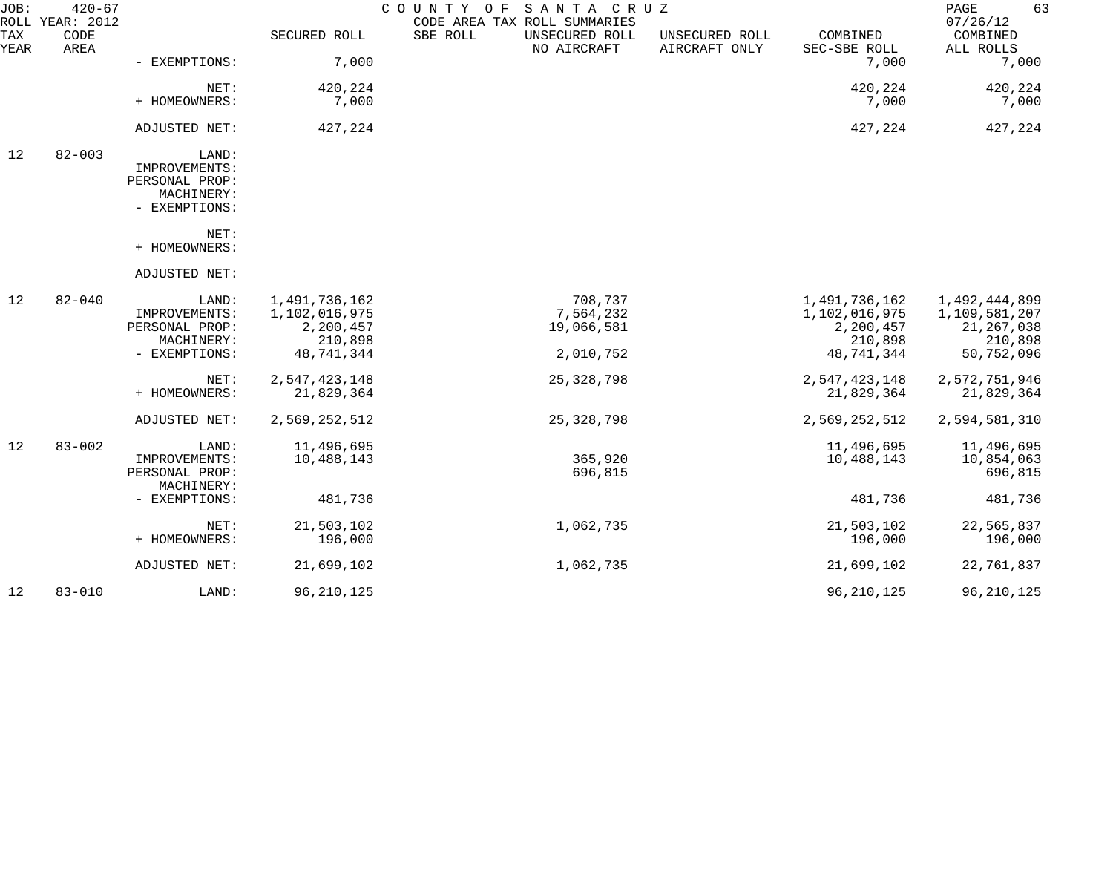| JOB:        | $420 - 67$<br>ROLL YEAR: 2012 |                                                                         |                                                                      | SANTA CRUZ<br>COUNTY OF<br>CODE AREA TAX ROLL SUMMARIES |                                 |                                                                      | 63<br>PAGE<br>07/26/12                                                  |
|-------------|-------------------------------|-------------------------------------------------------------------------|----------------------------------------------------------------------|---------------------------------------------------------|---------------------------------|----------------------------------------------------------------------|-------------------------------------------------------------------------|
| TAX<br>YEAR | CODE<br>AREA                  |                                                                         | SECURED ROLL                                                         | SBE ROLL<br>UNSECURED ROLL<br>NO AIRCRAFT               | UNSECURED ROLL<br>AIRCRAFT ONLY | COMBINED<br>SEC-SBE ROLL                                             | COMBINED<br>ALL ROLLS                                                   |
|             |                               | - EXEMPTIONS:                                                           | 7,000                                                                |                                                         |                                 | 7,000                                                                | 7,000                                                                   |
|             |                               | NET:                                                                    | 420,224                                                              |                                                         |                                 | 420,224                                                              | 420,224                                                                 |
|             |                               | + HOMEOWNERS:                                                           | 7,000                                                                |                                                         |                                 | 7,000                                                                | 7,000                                                                   |
|             |                               | ADJUSTED NET:                                                           | 427,224                                                              |                                                         |                                 | 427,224                                                              | 427,224                                                                 |
| 12          | $82 - 003$                    | LAND:<br>IMPROVEMENTS:<br>PERSONAL PROP:<br>MACHINERY:<br>- EXEMPTIONS: |                                                                      |                                                         |                                 |                                                                      |                                                                         |
|             |                               | NET:<br>+ HOMEOWNERS:                                                   |                                                                      |                                                         |                                 |                                                                      |                                                                         |
|             |                               | ADJUSTED NET:                                                           |                                                                      |                                                         |                                 |                                                                      |                                                                         |
| 12          | $82 - 040$                    | LAND:<br>IMPROVEMENTS:<br>PERSONAL PROP:<br>MACHINERY:<br>- EXEMPTIONS: | 1,491,736,162<br>1,102,016,975<br>2,200,457<br>210,898<br>48,741,344 | 708,737<br>7,564,232<br>19,066,581<br>2,010,752         |                                 | 1,491,736,162<br>1,102,016,975<br>2,200,457<br>210,898<br>48,741,344 | 1,492,444,899<br>1,109,581,207<br>21, 267, 038<br>210,898<br>50,752,096 |
|             |                               | NET:<br>+ HOMEOWNERS:                                                   | 2,547,423,148<br>21,829,364                                          | 25, 328, 798                                            |                                 | 2,547,423,148<br>21,829,364                                          | 2,572,751,946<br>21,829,364                                             |
|             |                               | ADJUSTED NET:                                                           | 2,569,252,512                                                        | 25, 328, 798                                            |                                 | 2,569,252,512                                                        | 2,594,581,310                                                           |
| 12          | $83 - 002$                    | LAND:<br>IMPROVEMENTS:<br>PERSONAL PROP:<br>MACHINERY:                  | 11,496,695<br>10,488,143                                             | 365,920<br>696,815                                      |                                 | 11,496,695<br>10,488,143                                             | 11,496,695<br>10,854,063<br>696,815                                     |
|             |                               | - EXEMPTIONS:                                                           | 481,736                                                              |                                                         |                                 | 481,736                                                              | 481,736                                                                 |
|             |                               | NET:<br>+ HOMEOWNERS:                                                   | 21,503,102<br>196,000                                                | 1,062,735                                               |                                 | 21,503,102<br>196,000                                                | 22,565,837<br>196,000                                                   |
|             |                               | ADJUSTED NET:                                                           | 21,699,102                                                           | 1,062,735                                               |                                 | 21,699,102                                                           | 22,761,837                                                              |
| 12          | $83 - 010$                    | LAND:                                                                   | 96, 210, 125                                                         |                                                         |                                 | 96, 210, 125                                                         | 96, 210, 125                                                            |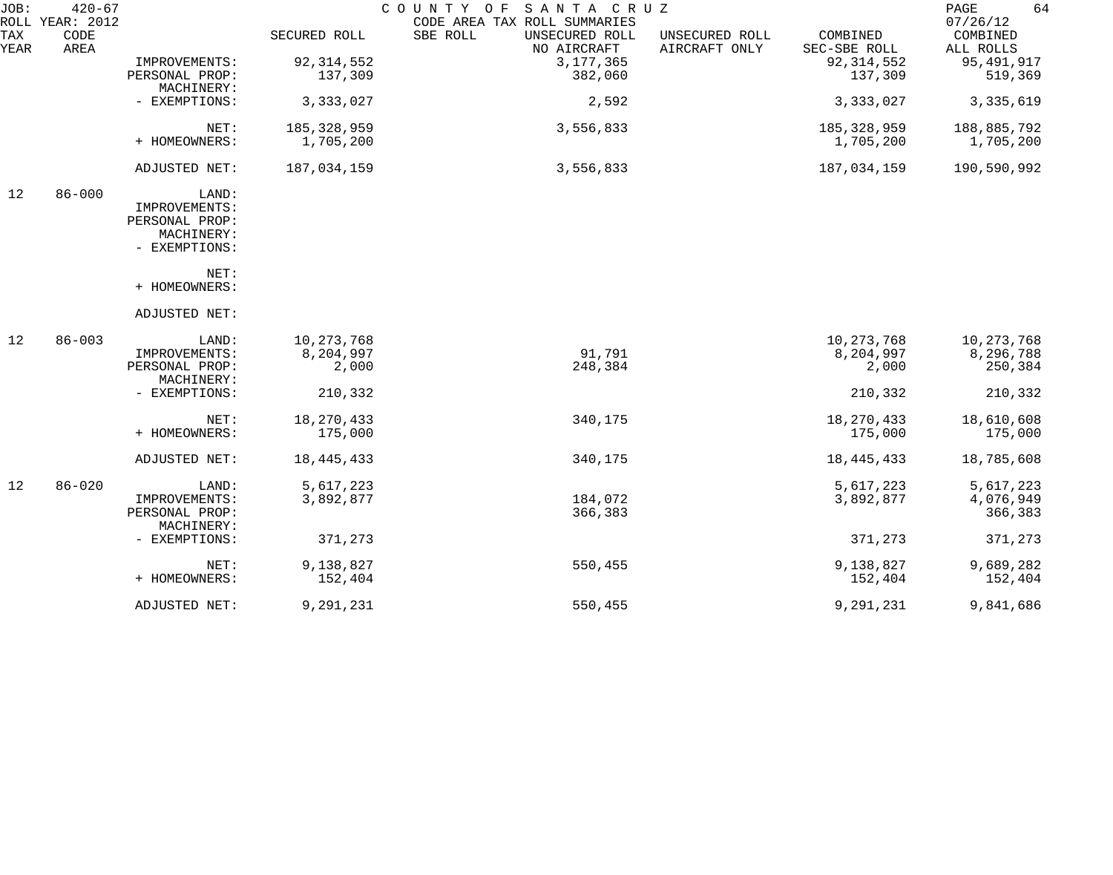| JOB:        | $420 - 67$<br>ROLL YEAR: 2012 |                              |               | COUNTY OF SANTA CRUZ<br>CODE AREA TAX ROLL SUMMARIES |                                 |                          | 64<br>PAGE<br>07/26/12 |
|-------------|-------------------------------|------------------------------|---------------|------------------------------------------------------|---------------------------------|--------------------------|------------------------|
| TAX<br>YEAR | CODE<br>AREA                  |                              | SECURED ROLL  | SBE ROLL<br>UNSECURED ROLL<br>NO AIRCRAFT            | UNSECURED ROLL<br>AIRCRAFT ONLY | COMBINED<br>SEC-SBE ROLL | COMBINED<br>ALL ROLLS  |
|             |                               | IMPROVEMENTS:                | 92, 314, 552  | 3, 177, 365                                          |                                 | 92, 314, 552             | 95, 491, 917           |
|             |                               | PERSONAL PROP:<br>MACHINERY: | 137,309       | 382,060                                              |                                 | 137,309                  | 519,369                |
|             |                               | - EXEMPTIONS:                | 3,333,027     | 2,592                                                |                                 | 3,333,027                | 3, 335, 619            |
|             |                               | NET:                         | 185, 328, 959 | 3,556,833                                            |                                 | 185, 328, 959            | 188,885,792            |
|             |                               | + HOMEOWNERS:                | 1,705,200     |                                                      |                                 | 1,705,200                | 1,705,200              |
|             |                               | ADJUSTED NET:                | 187,034,159   | 3,556,833                                            |                                 | 187,034,159              | 190,590,992            |
| 12          | $86 - 000$                    | LAND:                        |               |                                                      |                                 |                          |                        |
|             |                               | IMPROVEMENTS:                |               |                                                      |                                 |                          |                        |
|             |                               | PERSONAL PROP:               |               |                                                      |                                 |                          |                        |
|             |                               | MACHINERY:                   |               |                                                      |                                 |                          |                        |
|             |                               | - EXEMPTIONS:                |               |                                                      |                                 |                          |                        |
|             |                               | NET:                         |               |                                                      |                                 |                          |                        |
|             |                               | + HOMEOWNERS:                |               |                                                      |                                 |                          |                        |
|             |                               | ADJUSTED NET:                |               |                                                      |                                 |                          |                        |
| 12          | $86 - 003$                    | LAND:                        | 10, 273, 768  |                                                      |                                 | 10,273,768               | 10,273,768             |
|             |                               | IMPROVEMENTS:                | 8,204,997     | 91,791                                               |                                 | 8,204,997                | 8,296,788              |
|             |                               | PERSONAL PROP:<br>MACHINERY: | 2,000         | 248,384                                              |                                 | 2,000                    | 250,384                |
|             |                               | - EXEMPTIONS:                | 210,332       |                                                      |                                 | 210,332                  | 210,332                |
|             |                               | NET:                         | 18,270,433    | 340,175                                              |                                 | 18,270,433               | 18,610,608             |
|             |                               | + HOMEOWNERS:                | 175,000       |                                                      |                                 | 175,000                  | 175,000                |
|             |                               |                              |               |                                                      |                                 |                          |                        |
|             |                               | ADJUSTED NET:                | 18, 445, 433  | 340,175                                              |                                 | 18, 445, 433             | 18,785,608             |
| 12          | $86 - 020$                    | LAND:                        | 5,617,223     |                                                      |                                 | 5,617,223                | 5,617,223              |
|             |                               | IMPROVEMENTS:                | 3,892,877     | 184,072                                              |                                 | 3,892,877                | 4,076,949              |
|             |                               | PERSONAL PROP:               |               | 366,383                                              |                                 |                          | 366,383                |
|             |                               | MACHINERY:                   |               |                                                      |                                 |                          |                        |
|             |                               | - EXEMPTIONS:                | 371,273       |                                                      |                                 | 371,273                  | 371,273                |
|             |                               | NET:                         | 9,138,827     | 550,455                                              |                                 | 9,138,827                | 9,689,282              |
|             |                               | + HOMEOWNERS:                | 152,404       |                                                      |                                 | 152,404                  | 152,404                |
|             |                               | ADJUSTED NET:                | 9,291,231     | 550,455                                              |                                 | 9,291,231                | 9,841,686              |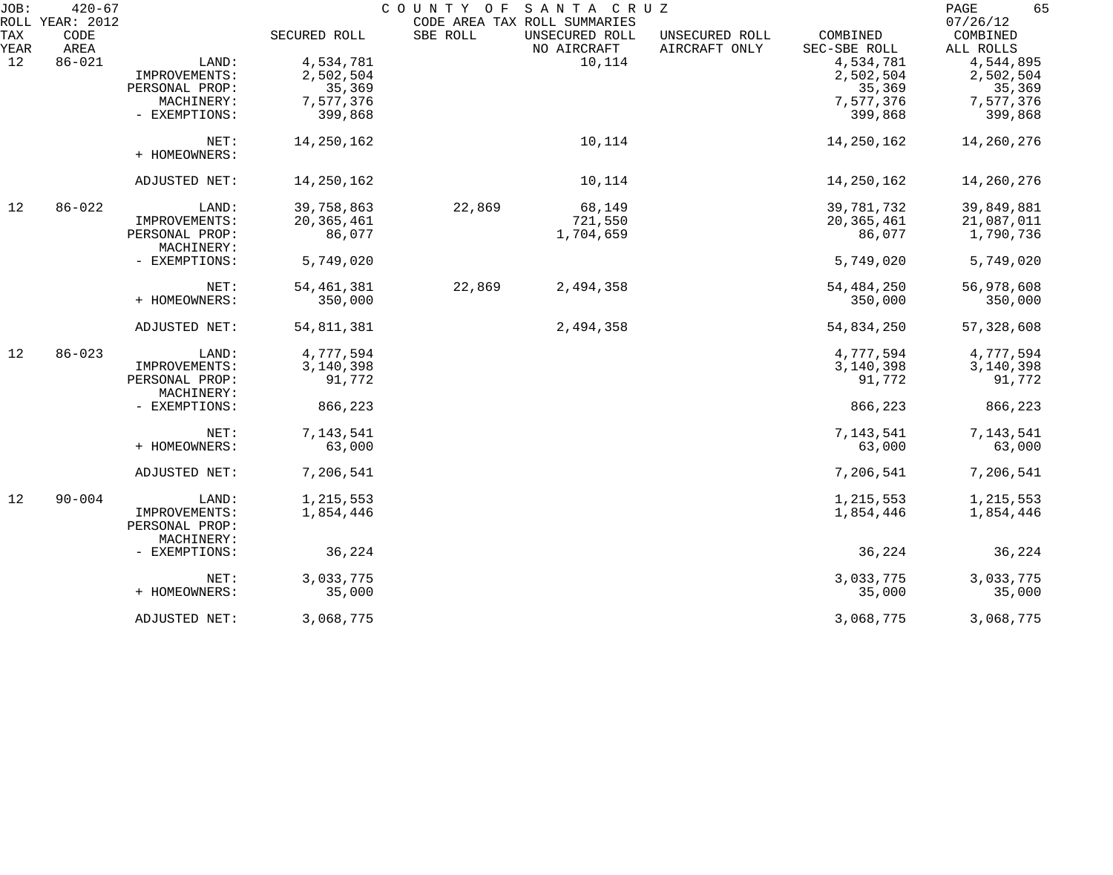| JOB:               | $420 - 67$                      |                |              | COUNTY OF | SANTA CRUZ                                                    |                                 |                          | 65<br>PAGE<br>07/26/12 |
|--------------------|---------------------------------|----------------|--------------|-----------|---------------------------------------------------------------|---------------------------------|--------------------------|------------------------|
| <b>TAX</b><br>YEAR | ROLL YEAR: 2012<br>CODE<br>AREA |                | SECURED ROLL | SBE ROLL  | CODE AREA TAX ROLL SUMMARIES<br>UNSECURED ROLL<br>NO AIRCRAFT | UNSECURED ROLL<br>AIRCRAFT ONLY | COMBINED<br>SEC-SBE ROLL | COMBINED<br>ALL ROLLS  |
| 12                 | $86 - 021$                      | LAND:          | 4,534,781    |           | 10,114                                                        |                                 | 4,534,781                | 4,544,895              |
|                    |                                 | IMPROVEMENTS:  | 2,502,504    |           |                                                               |                                 | 2,502,504                | 2,502,504              |
|                    |                                 | PERSONAL PROP: |              |           |                                                               |                                 |                          |                        |
|                    |                                 |                | 35,369       |           |                                                               |                                 | 35,369                   | 35,369                 |
|                    |                                 | MACHINERY:     | 7,577,376    |           |                                                               |                                 | 7,577,376                | 7,577,376              |
|                    |                                 | - EXEMPTIONS:  | 399,868      |           |                                                               |                                 | 399,868                  | 399,868                |
|                    |                                 | NET:           | 14,250,162   |           | 10,114                                                        |                                 | 14,250,162               | 14,260,276             |
|                    |                                 | + HOMEOWNERS:  |              |           |                                                               |                                 |                          |                        |
|                    |                                 | ADJUSTED NET:  | 14,250,162   |           | 10,114                                                        |                                 | 14,250,162               | 14,260,276             |
| 12                 | $86 - 022$                      | LAND:          | 39,758,863   | 22,869    | 68,149                                                        |                                 | 39,781,732               | 39,849,881             |
|                    |                                 | IMPROVEMENTS:  | 20, 365, 461 |           | 721,550                                                       |                                 | 20,365,461               | 21,087,011             |
|                    |                                 | PERSONAL PROP: | 86,077       |           | 1,704,659                                                     |                                 | 86,077                   | 1,790,736              |
|                    |                                 | MACHINERY:     |              |           |                                                               |                                 |                          |                        |
|                    |                                 | - EXEMPTIONS:  | 5,749,020    |           |                                                               |                                 | 5,749,020                | 5,749,020              |
|                    |                                 |                |              |           |                                                               |                                 |                          |                        |
|                    |                                 | NET:           | 54, 461, 381 | 22,869    | 2,494,358                                                     |                                 | 54, 484, 250             | 56,978,608             |
|                    |                                 | + HOMEOWNERS:  | 350,000      |           |                                                               |                                 | 350,000                  | 350,000                |
|                    |                                 | ADJUSTED NET:  | 54,811,381   |           | 2,494,358                                                     |                                 | 54,834,250               | 57, 328, 608           |
| 12                 | $86 - 023$                      | LAND:          | 4,777,594    |           |                                                               |                                 | 4,777,594                | 4,777,594              |
|                    |                                 | IMPROVEMENTS:  | 3,140,398    |           |                                                               |                                 | 3,140,398                | 3,140,398              |
|                    |                                 | PERSONAL PROP: | 91,772       |           |                                                               |                                 | 91,772                   | 91,772                 |
|                    |                                 | MACHINERY:     |              |           |                                                               |                                 |                          |                        |
|                    |                                 | - EXEMPTIONS:  | 866,223      |           |                                                               |                                 | 866,223                  | 866,223                |
|                    |                                 | NET:           | 7,143,541    |           |                                                               |                                 | 7,143,541                | 7, 143, 541            |
|                    |                                 | + HOMEOWNERS:  | 63,000       |           |                                                               |                                 | 63,000                   | 63,000                 |
|                    |                                 |                |              |           |                                                               |                                 |                          |                        |
|                    |                                 | ADJUSTED NET:  | 7,206,541    |           |                                                               |                                 | 7,206,541                | 7,206,541              |
| 12                 | $90 - 004$                      | LAND:          | 1,215,553    |           |                                                               |                                 | 1,215,553                | 1,215,553              |
|                    |                                 | IMPROVEMENTS:  | 1,854,446    |           |                                                               |                                 | 1,854,446                | 1,854,446              |
|                    |                                 | PERSONAL PROP: |              |           |                                                               |                                 |                          |                        |
|                    |                                 | MACHINERY:     |              |           |                                                               |                                 |                          |                        |
|                    |                                 | - EXEMPTIONS:  | 36,224       |           |                                                               |                                 | 36,224                   | 36,224                 |
|                    |                                 | NET:           | 3,033,775    |           |                                                               |                                 | 3,033,775                | 3,033,775              |
|                    |                                 | + HOMEOWNERS:  |              |           |                                                               |                                 |                          |                        |
|                    |                                 |                | 35,000       |           |                                                               |                                 | 35,000                   | 35,000                 |
|                    |                                 | ADJUSTED NET:  | 3,068,775    |           |                                                               |                                 | 3,068,775                | 3,068,775              |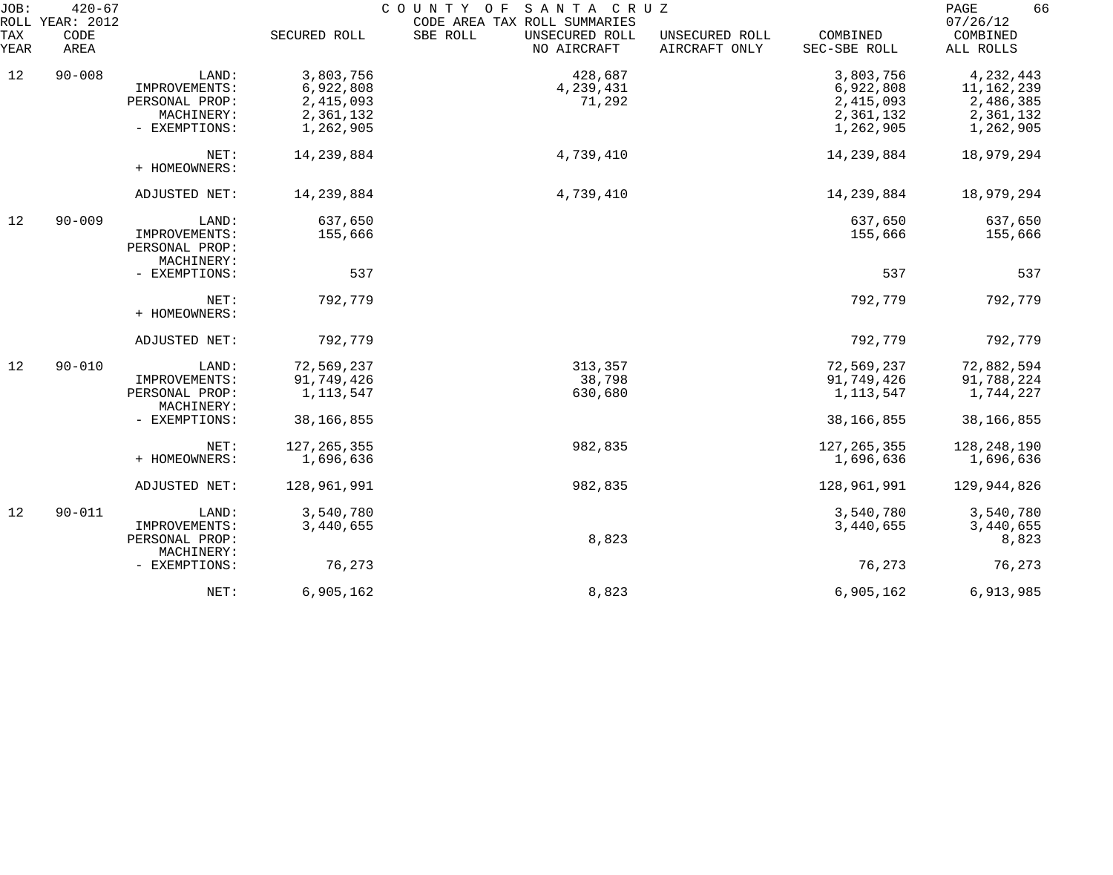| JOB:        | $420 - 67$<br>ROLL YEAR: 2012 |                                               |               | COUNTY OF SANTA CRUZ<br>CODE AREA TAX ROLL SUMMARIES |                                 |                          | 66<br>PAGE<br>07/26/12 |
|-------------|-------------------------------|-----------------------------------------------|---------------|------------------------------------------------------|---------------------------------|--------------------------|------------------------|
| TAX<br>YEAR | CODE<br>AREA                  |                                               | SECURED ROLL  | SBE ROLL<br>UNSECURED ROLL<br>NO AIRCRAFT            | UNSECURED ROLL<br>AIRCRAFT ONLY | COMBINED<br>SEC-SBE ROLL | COMBINED<br>ALL ROLLS  |
| 12          | $90 - 008$                    | LAND:                                         | 3,803,756     | 428,687                                              |                                 | 3,803,756                | 4,232,443              |
|             |                               | IMPROVEMENTS:                                 | 6,922,808     | 4,239,431                                            |                                 | 6,922,808                | 11,162,239             |
|             |                               | PERSONAL PROP:                                | 2,415,093     | 71,292                                               |                                 | 2,415,093                | 2,486,385              |
|             |                               | MACHINERY:                                    | 2,361,132     |                                                      |                                 | 2,361,132                | 2,361,132              |
|             |                               | - EXEMPTIONS:                                 | 1,262,905     |                                                      |                                 | 1,262,905                | 1,262,905              |
|             |                               | NET:<br>+ HOMEOWNERS:                         | 14, 239, 884  | 4,739,410                                            |                                 | 14,239,884               | 18,979,294             |
|             |                               | ADJUSTED NET:                                 | 14,239,884    | 4,739,410                                            |                                 | 14,239,884               | 18,979,294             |
| 12          | $90 - 009$                    | LAND:                                         | 637,650       |                                                      |                                 | 637,650                  | 637,650                |
|             |                               | IMPROVEMENTS:<br>PERSONAL PROP:<br>MACHINERY: | 155,666       |                                                      |                                 | 155,666                  | 155,666                |
|             |                               | - EXEMPTIONS:                                 | 537           |                                                      |                                 | 537                      | 537                    |
|             |                               | NET:<br>+ HOMEOWNERS:                         | 792,779       |                                                      |                                 | 792,779                  | 792,779                |
|             |                               | ADJUSTED NET:                                 | 792,779       |                                                      |                                 | 792,779                  | 792,779                |
| 12          | $90 - 010$                    | LAND:                                         | 72,569,237    | 313,357                                              |                                 | 72,569,237               | 72,882,594             |
|             |                               | IMPROVEMENTS:                                 | 91,749,426    | 38,798                                               |                                 | 91,749,426               | 91,788,224             |
|             |                               | PERSONAL PROP:<br>MACHINERY:                  | 1,113,547     | 630,680                                              |                                 | 1,113,547                | 1,744,227              |
|             |                               | - EXEMPTIONS:                                 | 38,166,855    |                                                      |                                 | 38, 166, 855             | 38, 166, 855           |
|             |                               | NET:                                          | 127, 265, 355 | 982,835                                              |                                 | 127, 265, 355            | 128, 248, 190          |
|             |                               | + HOMEOWNERS:                                 | 1,696,636     |                                                      |                                 | 1,696,636                | 1,696,636              |
|             |                               | ADJUSTED NET:                                 | 128,961,991   | 982,835                                              |                                 | 128,961,991              | 129,944,826            |
| 12          | $90 - 011$                    | LAND:                                         | 3,540,780     |                                                      |                                 | 3,540,780                | 3,540,780              |
|             |                               | IMPROVEMENTS:                                 | 3,440,655     |                                                      |                                 | 3,440,655                | 3,440,655              |
|             |                               | PERSONAL PROP:                                |               | 8,823                                                |                                 |                          | 8,823                  |
|             |                               | MACHINERY:<br>- EXEMPTIONS:                   | 76,273        |                                                      |                                 | 76,273                   | 76,273                 |
|             |                               |                                               |               |                                                      |                                 |                          |                        |
|             |                               | NET:                                          | 6,905,162     | 8,823                                                |                                 | 6,905,162                | 6,913,985              |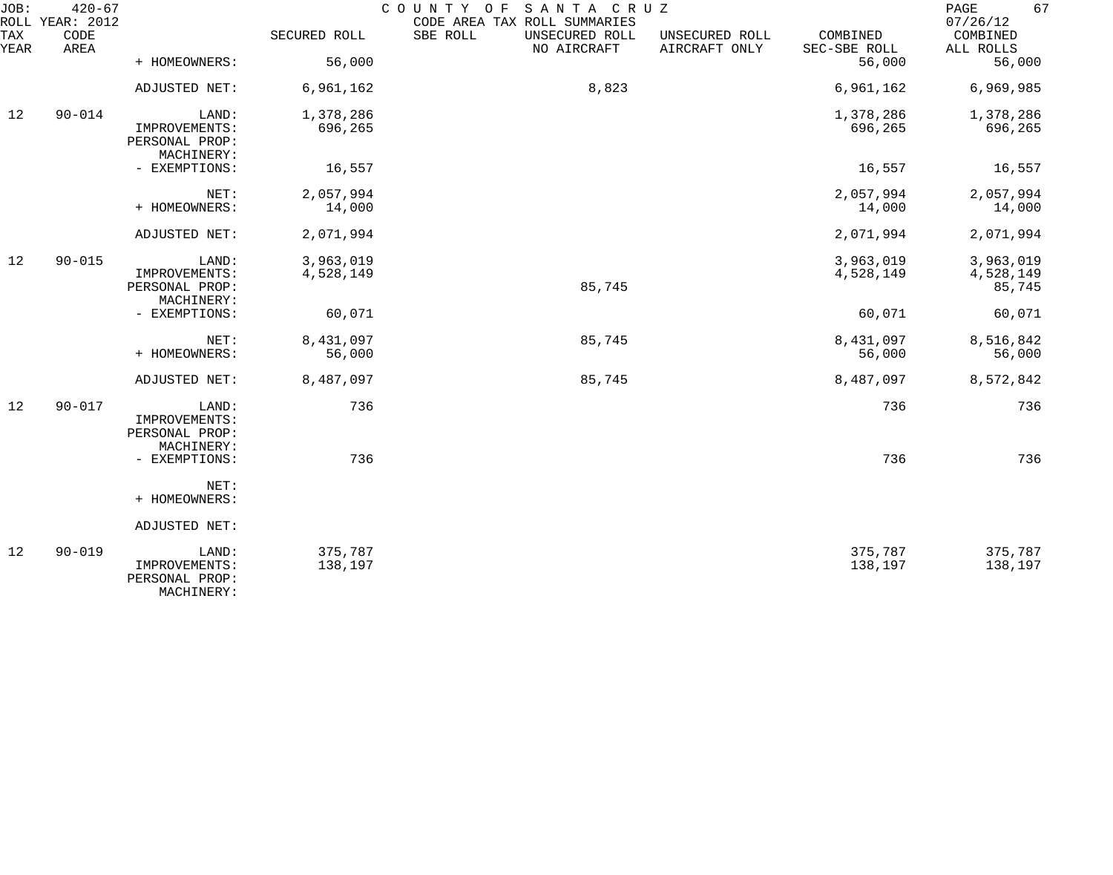| JOB:        | $420 - 67$<br>ROLL YEAR: 2012 |                                                        |                    | SANTA CRUZ<br>COUNTY OF<br>CODE AREA TAX ROLL SUMMARIES |                                 |                          | 67<br>PAGE<br>07/26/12 |
|-------------|-------------------------------|--------------------------------------------------------|--------------------|---------------------------------------------------------|---------------------------------|--------------------------|------------------------|
| TAX<br>YEAR | CODE<br>AREA                  |                                                        | SECURED ROLL       | SBE ROLL<br>UNSECURED ROLL<br>NO AIRCRAFT               | UNSECURED ROLL<br>AIRCRAFT ONLY | COMBINED<br>SEC-SBE ROLL | COMBINED<br>ALL ROLLS  |
|             |                               | + HOMEOWNERS:                                          | 56,000             |                                                         |                                 | 56,000                   | 56,000                 |
|             |                               | ADJUSTED NET:                                          | 6,961,162          | 8,823                                                   |                                 | 6,961,162                | 6,969,985              |
| 12          | $90 - 014$                    | LAND:                                                  | 1,378,286          |                                                         |                                 | 1,378,286                | 1,378,286              |
|             |                               | IMPROVEMENTS:<br>PERSONAL PROP:<br>MACHINERY:          | 696,265            |                                                         |                                 | 696,265                  | 696,265                |
|             |                               | - EXEMPTIONS:                                          | 16,557             |                                                         |                                 | 16,557                   | 16,557                 |
|             |                               | NET:                                                   | 2,057,994          |                                                         |                                 | 2,057,994                | 2,057,994              |
|             |                               | + HOMEOWNERS:                                          | 14,000             |                                                         |                                 | 14,000                   | 14,000                 |
|             |                               | ADJUSTED NET:                                          | 2,071,994          |                                                         |                                 | 2,071,994                | 2,071,994              |
| 12          | $90 - 015$                    | LAND:                                                  | 3,963,019          |                                                         |                                 | 3,963,019                | 3,963,019              |
|             |                               | IMPROVEMENTS:<br>PERSONAL PROP:<br>MACHINERY:          | 4,528,149          | 85,745                                                  |                                 | 4,528,149                | 4,528,149<br>85,745    |
|             |                               | - EXEMPTIONS:                                          | 60,071             |                                                         |                                 | 60,071                   | 60,071                 |
|             |                               | NET:                                                   | 8,431,097          | 85,745                                                  |                                 | 8,431,097                | 8,516,842              |
|             |                               | + HOMEOWNERS:                                          | 56,000             |                                                         |                                 | 56,000                   | 56,000                 |
|             |                               | ADJUSTED NET:                                          | 8,487,097          | 85,745                                                  |                                 | 8,487,097                | 8,572,842              |
| 12          | $90 - 017$                    | LAND:<br>IMPROVEMENTS:<br>PERSONAL PROP:               | 736                |                                                         |                                 | 736                      | 736                    |
|             |                               | MACHINERY:<br>- EXEMPTIONS:                            | 736                |                                                         |                                 | 736                      | 736                    |
|             |                               | NET:<br>+ HOMEOWNERS:                                  |                    |                                                         |                                 |                          |                        |
|             |                               | ADJUSTED NET:                                          |                    |                                                         |                                 |                          |                        |
| 12          | $90 - 019$                    | LAND:<br>IMPROVEMENTS:<br>PERSONAL PROP:<br>MACHINERY: | 375,787<br>138,197 |                                                         |                                 | 375,787<br>138,197       | 375,787<br>138,197     |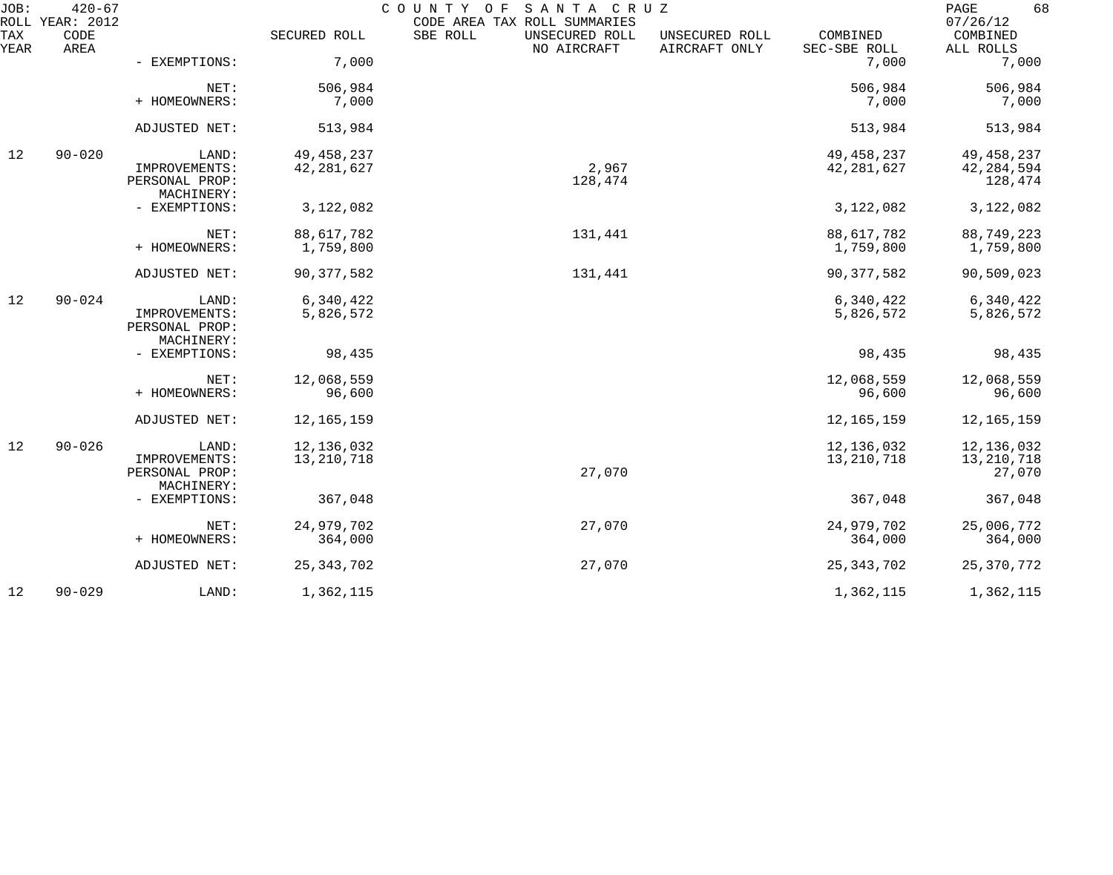| JOB:        | $420 - 67$<br>ROLL YEAR: 2012 |                             |              | COUNTY OF SANTA CRUZ<br>CODE AREA TAX ROLL SUMMARIES |                                 |                          | 68<br>PAGE<br>07/26/12 |
|-------------|-------------------------------|-----------------------------|--------------|------------------------------------------------------|---------------------------------|--------------------------|------------------------|
| TAX<br>YEAR | CODE<br>AREA                  |                             | SECURED ROLL | SBE ROLL<br>UNSECURED ROLL<br>NO AIRCRAFT            | UNSECURED ROLL<br>AIRCRAFT ONLY | COMBINED<br>SEC-SBE ROLL | COMBINED<br>ALL ROLLS  |
|             |                               | - EXEMPTIONS:               | 7,000        |                                                      |                                 | 7,000                    | 7,000                  |
|             |                               | NET:<br>+ HOMEOWNERS:       | 506,984      |                                                      |                                 | 506,984                  | 506,984                |
|             |                               |                             | 7,000        |                                                      |                                 | 7,000                    | 7,000                  |
|             |                               | ADJUSTED NET:               | 513,984      |                                                      |                                 | 513,984                  | 513,984                |
| 12          | $90 - 020$                    | LAND:                       | 49, 458, 237 |                                                      |                                 | 49, 458, 237             | 49, 458, 237           |
|             |                               | IMPROVEMENTS:               | 42, 281, 627 | 2,967                                                |                                 | 42, 281, 627             | 42, 284, 594           |
|             |                               | PERSONAL PROP:              |              | 128,474                                              |                                 |                          | 128,474                |
|             |                               | MACHINERY:<br>- EXEMPTIONS: | 3,122,082    |                                                      |                                 | 3,122,082                | 3,122,082              |
|             |                               |                             |              |                                                      |                                 |                          |                        |
|             |                               | NET:                        | 88, 617, 782 | 131,441                                              |                                 | 88, 617, 782             | 88,749,223             |
|             |                               | + HOMEOWNERS:               | 1,759,800    |                                                      |                                 | 1,759,800                | 1,759,800              |
|             |                               | ADJUSTED NET:               | 90, 377, 582 | 131,441                                              |                                 | 90, 377, 582             | 90,509,023             |
| 12          | $90 - 024$                    | LAND:                       | 6,340,422    |                                                      |                                 | 6,340,422                | 6,340,422              |
|             |                               | IMPROVEMENTS:               | 5,826,572    |                                                      |                                 | 5,826,572                | 5,826,572              |
|             |                               | PERSONAL PROP:              |              |                                                      |                                 |                          |                        |
|             |                               | MACHINERY:<br>- EXEMPTIONS: | 98,435       |                                                      |                                 | 98,435                   | 98,435                 |
|             |                               |                             |              |                                                      |                                 |                          |                        |
|             |                               | NET:                        | 12,068,559   |                                                      |                                 | 12,068,559               | 12,068,559             |
|             |                               | + HOMEOWNERS:               | 96,600       |                                                      |                                 | 96,600                   | 96,600                 |
|             |                               | ADJUSTED NET:               | 12, 165, 159 |                                                      |                                 | 12, 165, 159             | 12, 165, 159           |
| 12          | $90 - 026$                    | LAND:                       | 12,136,032   |                                                      |                                 | 12,136,032               | 12,136,032             |
|             |                               | IMPROVEMENTS:               | 13, 210, 718 |                                                      |                                 | 13, 210, 718             | 13,210,718             |
|             |                               | PERSONAL PROP:              |              | 27,070                                               |                                 |                          | 27,070                 |
|             |                               | MACHINERY:                  |              |                                                      |                                 |                          |                        |
|             |                               | - EXEMPTIONS:               | 367,048      |                                                      |                                 | 367,048                  | 367,048                |
|             |                               | NET:                        | 24,979,702   | 27,070                                               |                                 | 24,979,702               | 25,006,772             |
|             |                               | + HOMEOWNERS:               | 364,000      |                                                      |                                 | 364,000                  | 364,000                |
|             |                               | ADJUSTED NET:               | 25, 343, 702 | 27,070                                               |                                 | 25, 343, 702             | 25, 370, 772           |
| 12          | $90 - 029$                    | LAND:                       | 1,362,115    |                                                      |                                 | 1,362,115                | 1,362,115              |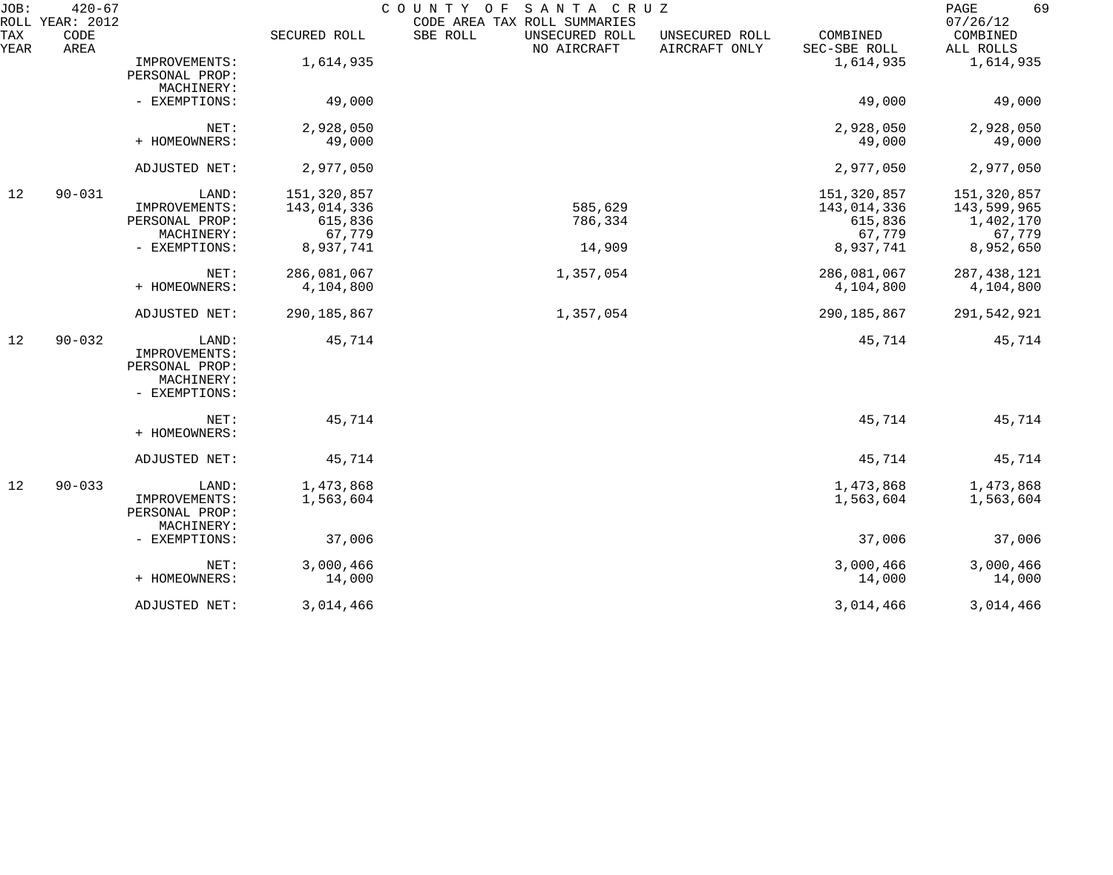| JOB:        | $420 - 67$<br>ROLL YEAR: 2012 |                                                                         |                                                              | COUNTY OF<br>SANTA CRUZ<br>CODE AREA TAX ROLL SUMMARIES |                                 |                                                              | 69<br>PAGE<br>07/26/12                                         |
|-------------|-------------------------------|-------------------------------------------------------------------------|--------------------------------------------------------------|---------------------------------------------------------|---------------------------------|--------------------------------------------------------------|----------------------------------------------------------------|
| TAX<br>YEAR | CODE<br>AREA                  |                                                                         | SECURED ROLL                                                 | SBE ROLL<br>UNSECURED ROLL<br>NO AIRCRAFT               | UNSECURED ROLL<br>AIRCRAFT ONLY | COMBINED<br>SEC-SBE ROLL                                     | COMBINED<br>ALL ROLLS                                          |
|             |                               | IMPROVEMENTS:<br>PERSONAL PROP:<br>MACHINERY:                           | 1,614,935                                                    |                                                         |                                 | 1,614,935                                                    | 1,614,935                                                      |
|             |                               | - EXEMPTIONS:                                                           | 49,000                                                       |                                                         |                                 | 49,000                                                       | 49,000                                                         |
|             |                               | NET:<br>+ HOMEOWNERS:                                                   | 2,928,050<br>49,000                                          |                                                         |                                 | 2,928,050<br>49,000                                          | 2,928,050<br>49,000                                            |
|             |                               | ADJUSTED NET:                                                           | 2,977,050                                                    |                                                         |                                 | 2,977,050                                                    | 2,977,050                                                      |
| 12          | $90 - 031$                    | LAND:<br>IMPROVEMENTS:<br>PERSONAL PROP:<br>MACHINERY:<br>- EXEMPTIONS: | 151,320,857<br>143,014,336<br>615,836<br>67,779<br>8,937,741 | 585,629<br>786,334<br>14,909                            |                                 | 151,320,857<br>143,014,336<br>615,836<br>67,779<br>8,937,741 | 151,320,857<br>143,599,965<br>1,402,170<br>67,779<br>8,952,650 |
|             |                               | NET:<br>+ HOMEOWNERS:                                                   | 286,081,067<br>4,104,800                                     | 1,357,054                                               |                                 | 286,081,067<br>4,104,800                                     | 287, 438, 121<br>4,104,800                                     |
|             |                               | ADJUSTED NET:                                                           | 290, 185, 867                                                | 1,357,054                                               |                                 | 290, 185, 867                                                | 291,542,921                                                    |
| 12          | $90 - 032$                    | LAND:<br>IMPROVEMENTS:<br>PERSONAL PROP:<br>MACHINERY:<br>- EXEMPTIONS: | 45,714                                                       |                                                         |                                 | 45,714                                                       | 45,714                                                         |
|             |                               | NET:<br>+ HOMEOWNERS:                                                   | 45,714                                                       |                                                         |                                 | 45,714                                                       | 45,714                                                         |
|             |                               | ADJUSTED NET:                                                           | 45,714                                                       |                                                         |                                 | 45,714                                                       | 45,714                                                         |
| 12          | $90 - 033$                    | LAND:<br>IMPROVEMENTS:<br>PERSONAL PROP:<br>MACHINERY:                  | 1,473,868<br>1,563,604                                       |                                                         |                                 | 1,473,868<br>1,563,604                                       | 1,473,868<br>1,563,604                                         |
|             |                               | - EXEMPTIONS:                                                           | 37,006                                                       |                                                         |                                 | 37,006                                                       | 37,006                                                         |
|             |                               | NET:<br>+ HOMEOWNERS:                                                   | 3,000,466<br>14,000                                          |                                                         |                                 | 3,000,466<br>14,000                                          | 3,000,466<br>14,000                                            |
|             |                               | ADJUSTED NET:                                                           | 3,014,466                                                    |                                                         |                                 | 3,014,466                                                    | 3,014,466                                                      |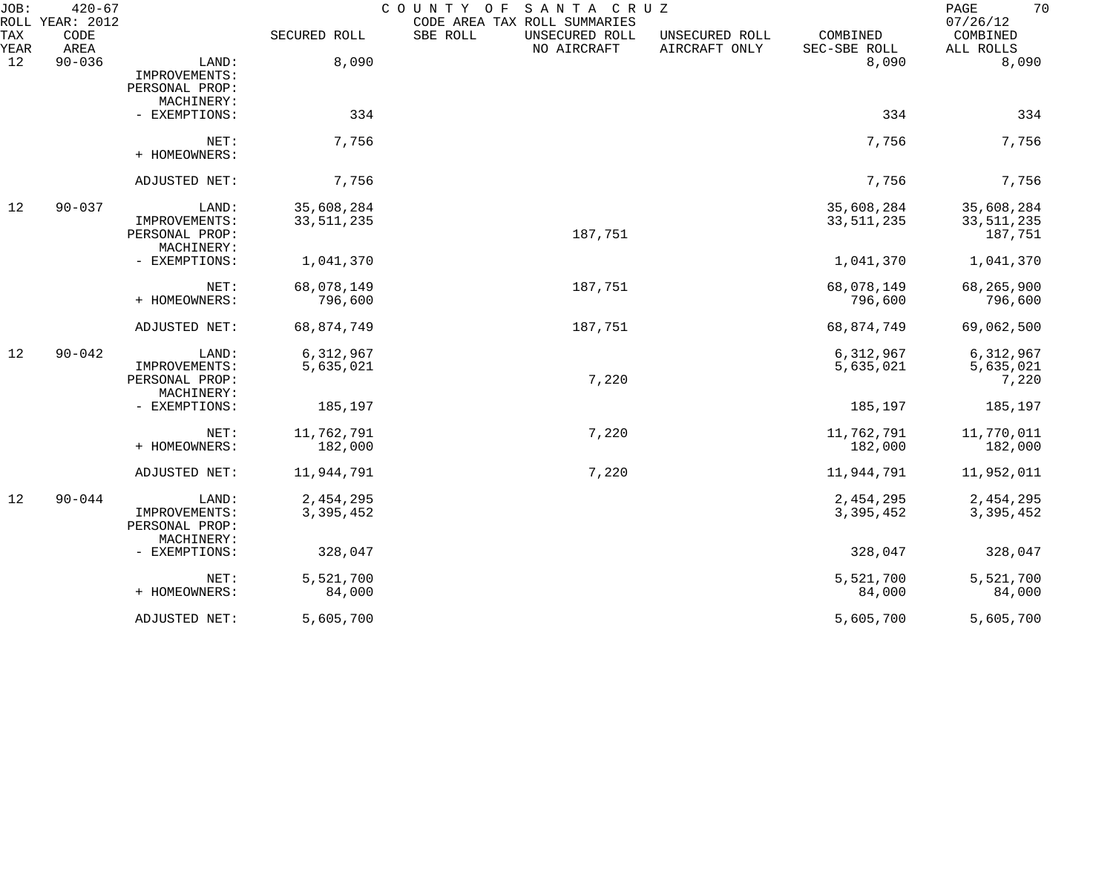| JOB:        | $420 - 67$<br>ROLL YEAR: 2012 |                                                        |                            | COUNTY OF<br>SANTA CRUZ<br>CODE AREA TAX ROLL SUMMARIES |                                 |                            | 70<br>PAGE<br>07/26/12                |
|-------------|-------------------------------|--------------------------------------------------------|----------------------------|---------------------------------------------------------|---------------------------------|----------------------------|---------------------------------------|
| TAX<br>YEAR | CODE<br>AREA                  |                                                        | SECURED ROLL               | SBE ROLL<br>UNSECURED ROLL<br>NO AIRCRAFT               | UNSECURED ROLL<br>AIRCRAFT ONLY | COMBINED<br>SEC-SBE ROLL   | COMBINED<br>ALL ROLLS                 |
| 12          | $90 - 036$                    | LAND:<br>IMPROVEMENTS:<br>PERSONAL PROP:               | 8,090                      |                                                         |                                 | 8,090                      | 8,090                                 |
|             |                               | MACHINERY:<br>- EXEMPTIONS:                            | 334                        |                                                         |                                 | 334                        | 334                                   |
|             |                               | NET:<br>+ HOMEOWNERS:                                  | 7,756                      |                                                         |                                 | 7,756                      | 7,756                                 |
|             |                               | ADJUSTED NET:                                          | 7,756                      |                                                         |                                 | 7,756                      | 7,756                                 |
| 12          | $90 - 037$                    | LAND:<br>IMPROVEMENTS:<br>PERSONAL PROP:<br>MACHINERY: | 35,608,284<br>33, 511, 235 | 187,751                                                 |                                 | 35,608,284<br>33, 511, 235 | 35,608,284<br>33, 511, 235<br>187,751 |
|             |                               | - EXEMPTIONS:                                          | 1,041,370                  |                                                         |                                 | 1,041,370                  | 1,041,370                             |
|             |                               | NET:<br>+ HOMEOWNERS:                                  | 68,078,149<br>796,600      | 187,751                                                 |                                 | 68,078,149<br>796,600      | 68,265,900<br>796,600                 |
|             |                               | ADJUSTED NET:                                          | 68,874,749                 | 187,751                                                 |                                 | 68,874,749                 | 69,062,500                            |
| 12          | $90 - 042$                    | LAND:<br>IMPROVEMENTS:<br>PERSONAL PROP:<br>MACHINERY: | 6,312,967<br>5,635,021     | 7,220                                                   |                                 | 6, 312, 967<br>5,635,021   | 6,312,967<br>5,635,021<br>7,220       |
|             |                               | - EXEMPTIONS:                                          | 185,197                    |                                                         |                                 | 185,197                    | 185,197                               |
|             |                               | NET:<br>+ HOMEOWNERS:                                  | 11,762,791<br>182,000      | 7,220                                                   |                                 | 11,762,791<br>182,000      | 11,770,011<br>182,000                 |
|             |                               | ADJUSTED NET:                                          | 11,944,791                 | 7,220                                                   |                                 | 11,944,791                 | 11,952,011                            |
| 12          | $90 - 044$                    | LAND:<br>IMPROVEMENTS:<br>PERSONAL PROP:<br>MACHINERY: | 2,454,295<br>3,395,452     |                                                         |                                 | 2,454,295<br>3,395,452     | 2,454,295<br>3,395,452                |
|             |                               | - EXEMPTIONS:                                          | 328,047                    |                                                         |                                 | 328,047                    | 328,047                               |
|             |                               | NET:<br>+ HOMEOWNERS:                                  | 5,521,700<br>84,000        |                                                         |                                 | 5,521,700<br>84,000        | 5,521,700<br>84,000                   |
|             |                               | ADJUSTED NET:                                          | 5,605,700                  |                                                         |                                 | 5,605,700                  | 5,605,700                             |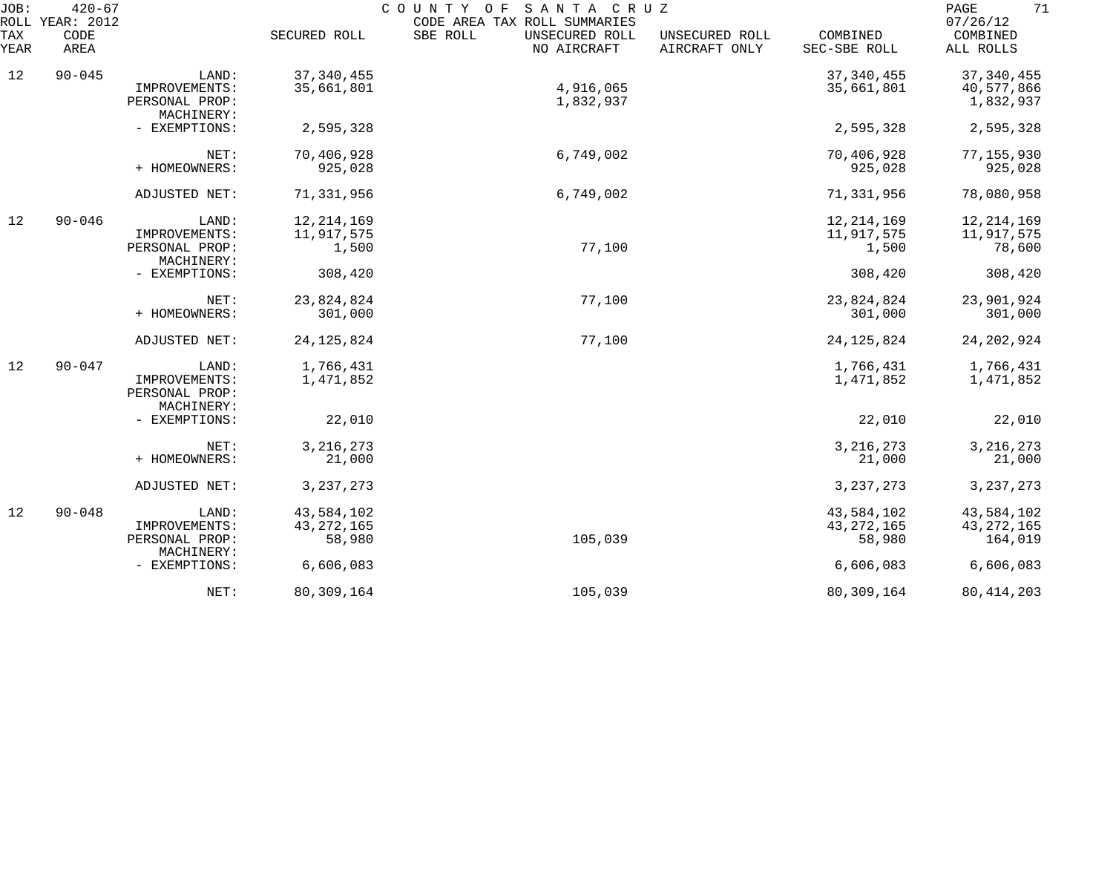| JOB:        | $420 - 67$<br>ROLL YEAR: 2012 |                                                        |                                      | COUNTY OF<br>SANTA CRUZ<br>CODE AREA TAX ROLL SUMMARIES |                                 |                                      | 71<br>PAGE<br>07/26/12                |
|-------------|-------------------------------|--------------------------------------------------------|--------------------------------------|---------------------------------------------------------|---------------------------------|--------------------------------------|---------------------------------------|
| TAX<br>YEAR | CODE<br>AREA                  |                                                        | SECURED ROLL                         | SBE ROLL<br>UNSECURED ROLL<br>NO AIRCRAFT               | UNSECURED ROLL<br>AIRCRAFT ONLY | COMBINED<br>SEC-SBE ROLL             | COMBINED<br>ALL ROLLS                 |
| 12          | $90 - 045$                    | LAND:                                                  | 37, 340, 455                         |                                                         |                                 | 37, 340, 455                         | 37, 340, 455                          |
|             |                               | IMPROVEMENTS:<br>PERSONAL PROP:<br>MACHINERY:          | 35,661,801                           | 4,916,065<br>1,832,937                                  |                                 | 35,661,801                           | 40,577,866<br>1,832,937               |
|             |                               | - EXEMPTIONS:                                          | 2,595,328                            |                                                         |                                 | 2,595,328                            | 2,595,328                             |
|             |                               | NET:<br>+ HOMEOWNERS:                                  | 70,406,928<br>925,028                | 6,749,002                                               |                                 | 70,406,928<br>925,028                | 77, 155, 930<br>925,028               |
|             |                               | ADJUSTED NET:                                          | 71,331,956                           | 6,749,002                                               |                                 | 71,331,956                           | 78,080,958                            |
| 12          | $90 - 046$                    | LAND:                                                  | 12, 214, 169                         |                                                         |                                 | 12, 214, 169                         | 12, 214, 169                          |
|             |                               | IMPROVEMENTS:<br>PERSONAL PROP:<br>MACHINERY:          | 11,917,575<br>1,500                  | 77,100                                                  |                                 | 11,917,575<br>1,500                  | 11,917,575<br>78,600                  |
|             |                               | - EXEMPTIONS:                                          | 308,420                              |                                                         |                                 | 308,420                              | 308,420                               |
|             |                               | NET:<br>+ HOMEOWNERS:                                  | 23,824,824<br>301,000                | 77,100                                                  |                                 | 23,824,824<br>301,000                | 23,901,924<br>301,000                 |
|             |                               | ADJUSTED NET:                                          | 24, 125, 824                         | 77,100                                                  |                                 | 24, 125, 824                         | 24, 202, 924                          |
| 12          | $90 - 047$                    | LAND:<br>IMPROVEMENTS:<br>PERSONAL PROP:<br>MACHINERY: | 1,766,431<br>1,471,852               |                                                         |                                 | 1,766,431<br>1,471,852               | 1,766,431<br>1,471,852                |
|             |                               | - EXEMPTIONS:                                          | 22,010                               |                                                         |                                 | 22,010                               | 22,010                                |
|             |                               | NET:<br>+ HOMEOWNERS:                                  | 3, 216, 273<br>21,000                |                                                         |                                 | 3, 216, 273<br>21,000                | 3, 216, 273<br>21,000                 |
|             |                               | ADJUSTED NET:                                          | 3, 237, 273                          |                                                         |                                 | 3, 237, 273                          | 3, 237, 273                           |
| 12          | $90 - 048$                    | LAND:<br>IMPROVEMENTS:<br>PERSONAL PROP:               | 43,584,102<br>43, 272, 165<br>58,980 | 105,039                                                 |                                 | 43,584,102<br>43, 272, 165<br>58,980 | 43,584,102<br>43, 272, 165<br>164,019 |
|             |                               | MACHINERY:<br>- EXEMPTIONS:                            | 6,606,083                            |                                                         |                                 | 6,606,083                            | 6,606,083                             |
|             |                               | NET:                                                   | 80, 309, 164                         | 105,039                                                 |                                 | 80,309,164                           | 80, 414, 203                          |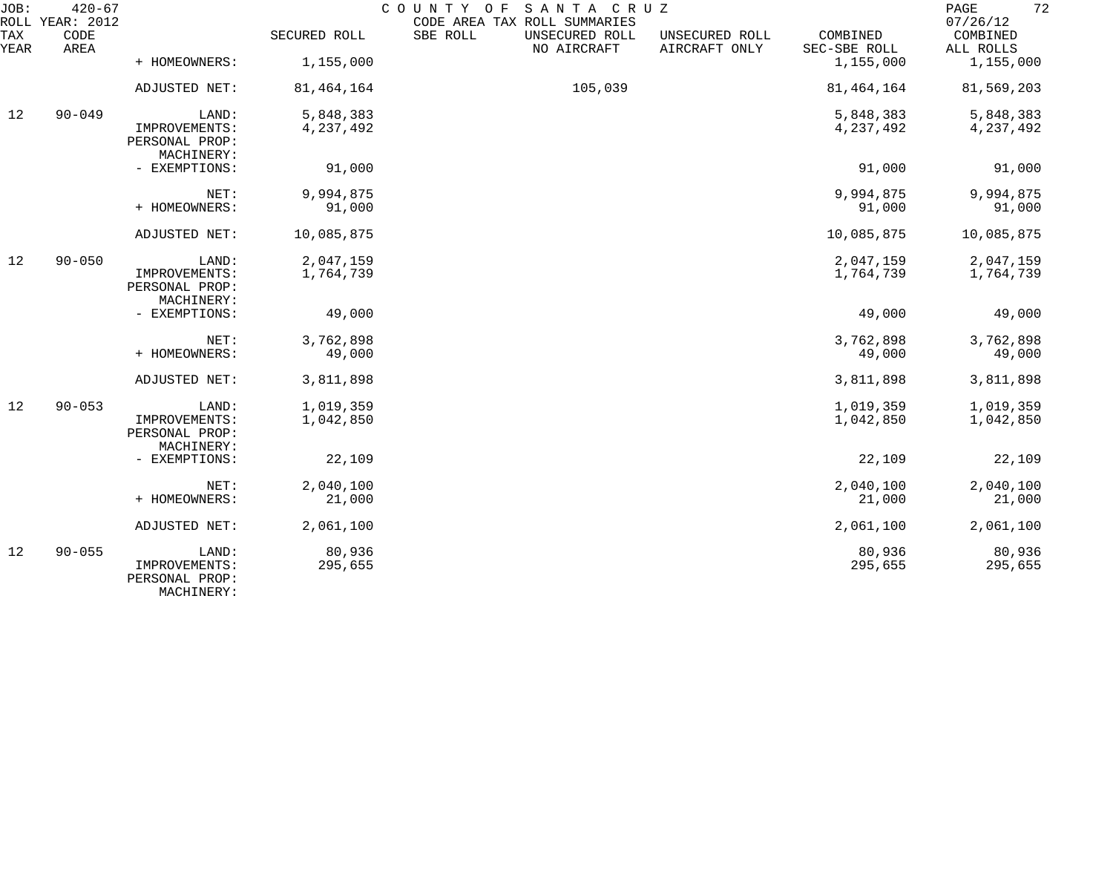| JOB:        | $420 - 67$<br>ROLL YEAR: 2012 |                                                        |                   | COUNTY OF<br>SANTA CRUZ<br>CODE AREA TAX ROLL SUMMARIES |                                 |                          | 72<br>PAGE<br>07/26/12 |
|-------------|-------------------------------|--------------------------------------------------------|-------------------|---------------------------------------------------------|---------------------------------|--------------------------|------------------------|
| TAX<br>YEAR | CODE<br>AREA                  |                                                        | SECURED ROLL      | SBE ROLL<br>UNSECURED ROLL<br>NO AIRCRAFT               | UNSECURED ROLL<br>AIRCRAFT ONLY | COMBINED<br>SEC-SBE ROLL | COMBINED<br>ALL ROLLS  |
|             |                               | + HOMEOWNERS:                                          | 1,155,000         |                                                         |                                 | 1,155,000                | 1,155,000              |
|             |                               | ADJUSTED NET:                                          | 81, 464, 164      | 105,039                                                 |                                 | 81, 464, 164             | 81,569,203             |
| 12          | $90 - 049$                    | LAND:                                                  | 5,848,383         |                                                         |                                 | 5,848,383                | 5,848,383              |
|             |                               | IMPROVEMENTS:<br>PERSONAL PROP:<br>MACHINERY:          | 4,237,492         |                                                         |                                 | 4,237,492                | 4, 237, 492            |
|             |                               | - EXEMPTIONS:                                          | 91,000            |                                                         |                                 | 91,000                   | 91,000                 |
|             |                               | NET:                                                   | 9,994,875         |                                                         |                                 | 9,994,875                | 9,994,875              |
|             |                               | + HOMEOWNERS:                                          | 91,000            |                                                         |                                 | 91,000                   | 91,000                 |
|             |                               | ADJUSTED NET:                                          | 10,085,875        |                                                         |                                 | 10,085,875               | 10,085,875             |
| 12          | $90 - 050$                    | LAND:                                                  | 2,047,159         |                                                         |                                 | 2,047,159                | 2,047,159              |
|             |                               | IMPROVEMENTS:<br>PERSONAL PROP:<br>MACHINERY:          | 1,764,739         |                                                         |                                 | 1,764,739                | 1,764,739              |
|             |                               | - EXEMPTIONS:                                          | 49,000            |                                                         |                                 | 49,000                   | 49,000                 |
|             |                               | NET:                                                   | 3,762,898         |                                                         |                                 | 3,762,898                | 3,762,898              |
|             |                               | + HOMEOWNERS:                                          | 49,000            |                                                         |                                 | 49,000                   | 49,000                 |
|             |                               | ADJUSTED NET:                                          | 3,811,898         |                                                         |                                 | 3,811,898                | 3,811,898              |
| 12          | $90 - 053$                    | LAND:                                                  | 1,019,359         |                                                         |                                 | 1,019,359                | 1,019,359              |
|             |                               | IMPROVEMENTS:<br>PERSONAL PROP:<br>MACHINERY:          | 1,042,850         |                                                         |                                 | 1,042,850                | 1,042,850              |
|             |                               | - EXEMPTIONS:                                          | 22,109            |                                                         |                                 | 22,109                   | 22,109                 |
|             |                               | NET:                                                   | 2,040,100         |                                                         |                                 | 2,040,100                | 2,040,100              |
|             |                               | + HOMEOWNERS:                                          | 21,000            |                                                         |                                 | 21,000                   | 21,000                 |
|             |                               | ADJUSTED NET:                                          | 2,061,100         |                                                         |                                 | 2,061,100                | 2,061,100              |
| 12          | $90 - 055$                    | LAND:<br>IMPROVEMENTS:<br>PERSONAL PROP:<br>MACHINERY: | 80,936<br>295,655 |                                                         |                                 | 80,936<br>295,655        | 80,936<br>295,655      |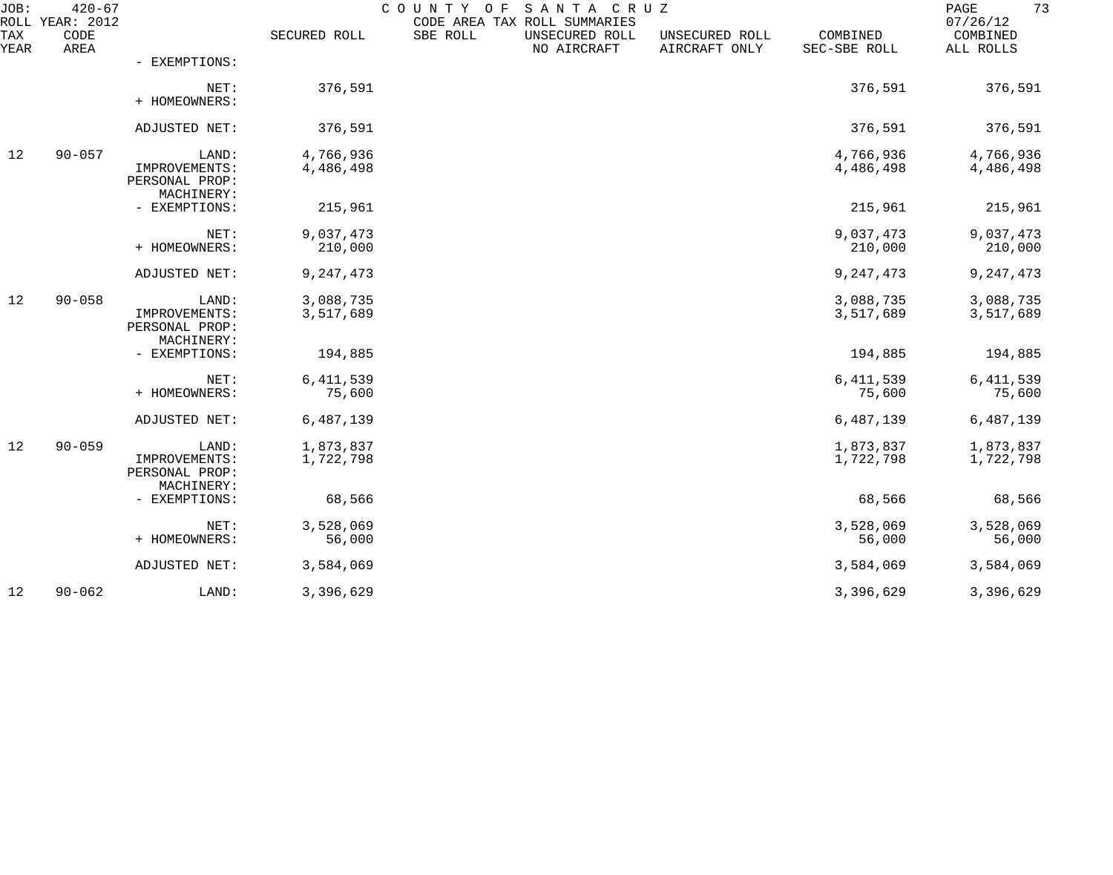| JOB:               | $420 - 67$<br>ROLL YEAR: 2012 |                                                        |                        | COUNTY OF SANTA CRUZ<br>CODE AREA TAX ROLL SUMMARIES |                                 |                          | 73<br>PAGE<br>07/26/12 |
|--------------------|-------------------------------|--------------------------------------------------------|------------------------|------------------------------------------------------|---------------------------------|--------------------------|------------------------|
| <b>TAX</b><br>YEAR | CODE<br>AREA                  |                                                        | SECURED ROLL           | SBE ROLL<br>UNSECURED ROLL<br>NO AIRCRAFT            | UNSECURED ROLL<br>AIRCRAFT ONLY | COMBINED<br>SEC-SBE ROLL | COMBINED<br>ALL ROLLS  |
|                    |                               | - EXEMPTIONS:                                          |                        |                                                      |                                 |                          |                        |
|                    |                               | NET:<br>+ HOMEOWNERS:                                  | 376,591                |                                                      |                                 | 376,591                  | 376,591                |
|                    |                               | ADJUSTED NET:                                          | 376,591                |                                                      |                                 | 376,591                  | 376,591                |
| 12                 | $90 - 057$                    | LAND:<br>IMPROVEMENTS:<br>PERSONAL PROP:<br>MACHINERY: | 4,766,936<br>4,486,498 |                                                      |                                 | 4,766,936<br>4,486,498   | 4,766,936<br>4,486,498 |
|                    |                               | - EXEMPTIONS:                                          | 215,961                |                                                      |                                 | 215,961                  | 215,961                |
|                    |                               | NET:<br>+ HOMEOWNERS:                                  | 9,037,473<br>210,000   |                                                      |                                 | 9,037,473<br>210,000     | 9,037,473<br>210,000   |
|                    |                               | ADJUSTED NET:                                          | 9,247,473              |                                                      |                                 | 9,247,473                | 9, 247, 473            |
| 12                 | $90 - 058$                    | LAND:<br>IMPROVEMENTS:<br>PERSONAL PROP:<br>MACHINERY: | 3,088,735<br>3,517,689 |                                                      |                                 | 3,088,735<br>3,517,689   | 3,088,735<br>3,517,689 |
|                    |                               | - EXEMPTIONS:                                          | 194,885                |                                                      |                                 | 194,885                  | 194,885                |
|                    |                               | NET:<br>+ HOMEOWNERS:                                  | 6, 411, 539<br>75,600  |                                                      |                                 | 6, 411, 539<br>75,600    | 6, 411, 539<br>75,600  |
|                    |                               | ADJUSTED NET:                                          | 6,487,139              |                                                      |                                 | 6,487,139                | 6,487,139              |
| 12                 | $90 - 059$                    | LAND:<br>IMPROVEMENTS:<br>PERSONAL PROP:               | 1,873,837<br>1,722,798 |                                                      |                                 | 1,873,837<br>1,722,798   | 1,873,837<br>1,722,798 |
|                    |                               | MACHINERY:<br>- EXEMPTIONS:                            | 68,566                 |                                                      |                                 | 68,566                   | 68,566                 |
|                    |                               | NET:<br>+ HOMEOWNERS:                                  | 3,528,069<br>56,000    |                                                      |                                 | 3,528,069<br>56,000      | 3,528,069<br>56,000    |
|                    |                               | ADJUSTED NET:                                          | 3,584,069              |                                                      |                                 | 3,584,069                | 3,584,069              |
| 12                 | $90 - 062$                    | LAND:                                                  | 3,396,629              |                                                      |                                 | 3,396,629                | 3,396,629              |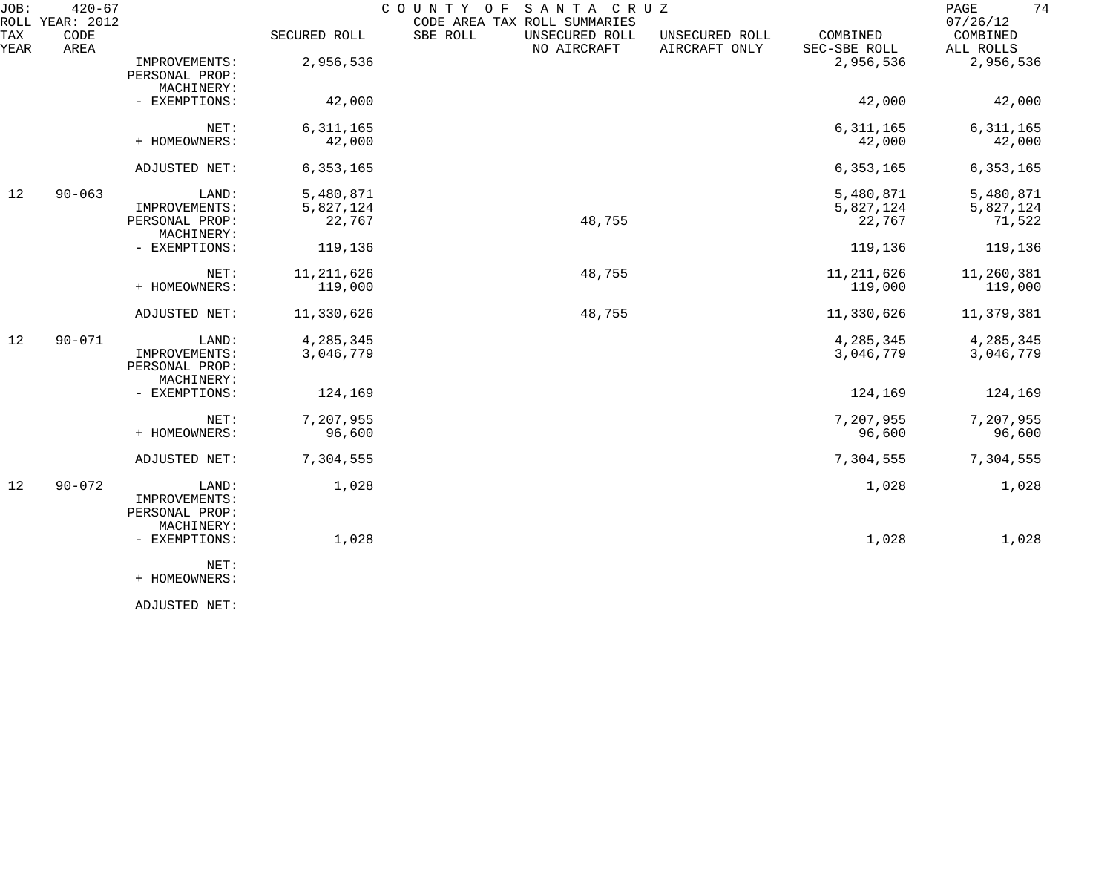| JOB:<br>ROLL | $420 - 67$<br>YEAR: 2012 |                                                        |                                  | COUNTY OF<br>SANTA CRUZ<br>CODE AREA TAX ROLL SUMMARIES |                                 |                                  | 74<br>PAGE<br>07/26/12           |
|--------------|--------------------------|--------------------------------------------------------|----------------------------------|---------------------------------------------------------|---------------------------------|----------------------------------|----------------------------------|
| TAX<br>YEAR  | CODE<br>AREA             |                                                        | SECURED ROLL                     | SBE ROLL<br>UNSECURED ROLL<br>NO AIRCRAFT               | UNSECURED ROLL<br>AIRCRAFT ONLY | COMBINED<br>SEC-SBE ROLL         | COMBINED<br>ALL ROLLS            |
|              |                          | IMPROVEMENTS:<br>PERSONAL PROP:<br>MACHINERY:          | 2,956,536                        |                                                         |                                 | 2,956,536                        | 2,956,536                        |
|              |                          | - EXEMPTIONS:                                          | 42,000                           |                                                         |                                 | 42,000                           | 42,000                           |
|              |                          | NET:<br>+ HOMEOWNERS:                                  | 6,311,165<br>42,000              |                                                         |                                 | 6,311,165<br>42,000              | 6, 311, 165<br>42,000            |
|              |                          | ADJUSTED NET:                                          | 6, 353, 165                      |                                                         |                                 | 6, 353, 165                      | 6, 353, 165                      |
| 12           | $90 - 063$               | LAND:<br>IMPROVEMENTS:<br>PERSONAL PROP:<br>MACHINERY: | 5,480,871<br>5,827,124<br>22,767 | 48,755                                                  |                                 | 5,480,871<br>5,827,124<br>22,767 | 5,480,871<br>5,827,124<br>71,522 |
|              |                          | - EXEMPTIONS:                                          | 119,136                          |                                                         |                                 | 119,136                          | 119,136                          |
|              |                          | NET:<br>+ HOMEOWNERS:                                  | 11, 211, 626<br>119,000          | 48,755                                                  |                                 | 11, 211, 626<br>119,000          | 11,260,381<br>119,000            |
|              |                          | ADJUSTED NET:                                          | 11,330,626                       | 48,755                                                  |                                 | 11,330,626                       | 11,379,381                       |
| 12           | $90 - 071$               | LAND:<br>IMPROVEMENTS:<br>PERSONAL PROP:<br>MACHINERY: | 4,285,345<br>3,046,779           |                                                         |                                 | 4,285,345<br>3,046,779           | 4,285,345<br>3,046,779           |
|              |                          | - EXEMPTIONS:                                          | 124,169                          |                                                         |                                 | 124,169                          | 124,169                          |
|              |                          | NET:<br>+ HOMEOWNERS:                                  | 7,207,955<br>96,600              |                                                         |                                 | 7,207,955<br>96,600              | 7,207,955<br>96,600              |
|              |                          | ADJUSTED NET:                                          | 7,304,555                        |                                                         |                                 | 7,304,555                        | 7,304,555                        |
| 12           | $90 - 072$               | LAND:<br>IMPROVEMENTS:<br>PERSONAL PROP:<br>MACHINERY: | 1,028                            |                                                         |                                 | 1,028                            | 1,028                            |
|              |                          | - EXEMPTIONS:<br>NET:                                  | 1,028                            |                                                         |                                 | 1,028                            | 1,028                            |
|              |                          | + HOMEOWNERS:                                          |                                  |                                                         |                                 |                                  |                                  |

ADJUSTED NET: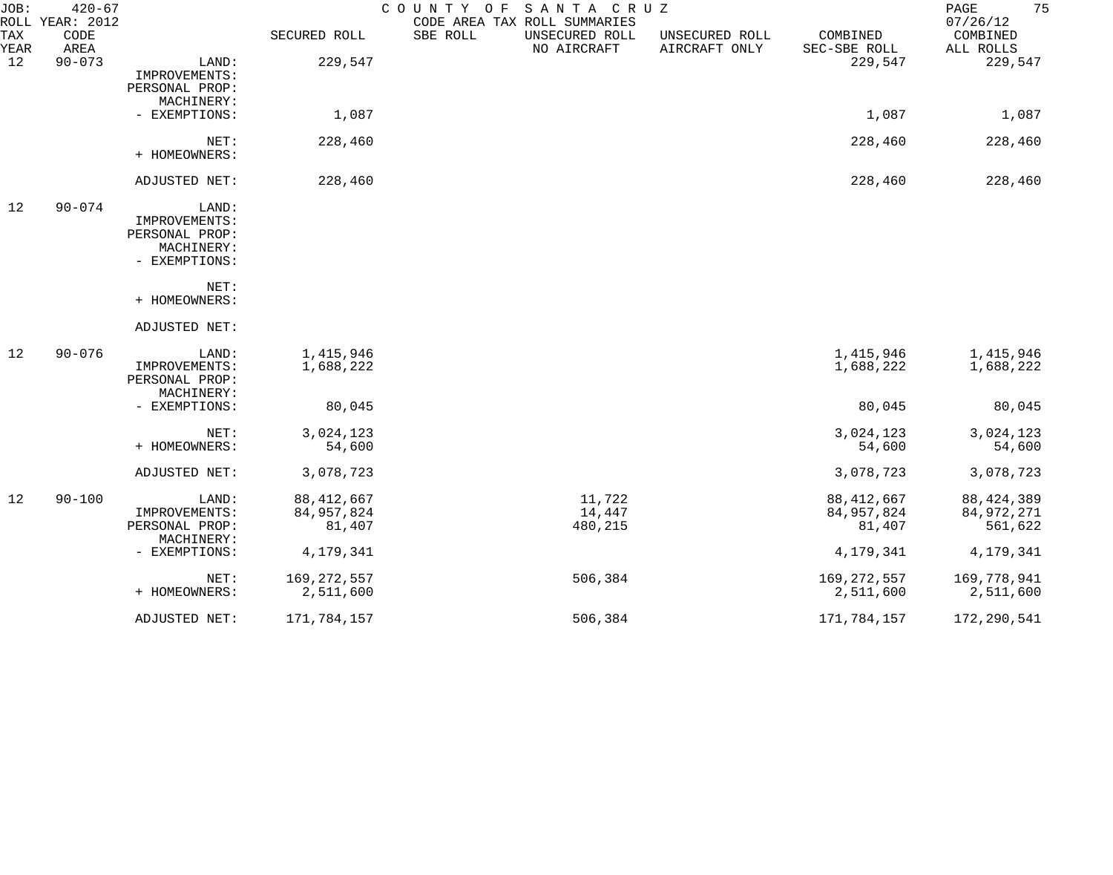| JOB:        | $420 - 67$<br>ROLL YEAR: 2012 |                                                                         |                                        | COUNTY OF<br>SANTA CRUZ<br>CODE AREA TAX ROLL SUMMARIES |                                 |                                        | 75<br>PAGE<br>07/26/12                |
|-------------|-------------------------------|-------------------------------------------------------------------------|----------------------------------------|---------------------------------------------------------|---------------------------------|----------------------------------------|---------------------------------------|
| TAX<br>YEAR | CODE<br>AREA                  |                                                                         | SECURED ROLL                           | SBE ROLL<br>UNSECURED ROLL<br>NO AIRCRAFT               | UNSECURED ROLL<br>AIRCRAFT ONLY | COMBINED<br>SEC-SBE ROLL               | COMBINED<br>ALL ROLLS                 |
| 12          | $90 - 073$                    | LAND:<br>IMPROVEMENTS:<br>PERSONAL PROP:                                | 229,547                                |                                                         |                                 | 229,547                                | 229,547                               |
|             |                               | MACHINERY:<br>- EXEMPTIONS:                                             | 1,087                                  |                                                         |                                 | 1,087                                  | 1,087                                 |
|             |                               | NET:<br>+ HOMEOWNERS:                                                   | 228,460                                |                                                         |                                 | 228,460                                | 228,460                               |
|             |                               | ADJUSTED NET:                                                           | 228,460                                |                                                         |                                 | 228,460                                | 228,460                               |
| 12          | $90 - 074$                    | LAND:<br>IMPROVEMENTS:<br>PERSONAL PROP:<br>MACHINERY:<br>- EXEMPTIONS: |                                        |                                                         |                                 |                                        |                                       |
|             |                               | NET:<br>+ HOMEOWNERS:                                                   |                                        |                                                         |                                 |                                        |                                       |
|             |                               | ADJUSTED NET:                                                           |                                        |                                                         |                                 |                                        |                                       |
| 12          | $90 - 076$                    | LAND:<br>IMPROVEMENTS:<br>PERSONAL PROP:<br>MACHINERY:                  | 1,415,946<br>1,688,222                 |                                                         |                                 | 1,415,946<br>1,688,222                 | 1,415,946<br>1,688,222                |
|             |                               | - EXEMPTIONS:                                                           | 80,045                                 |                                                         |                                 | 80,045                                 | 80,045                                |
|             |                               | NET:<br>+ HOMEOWNERS:                                                   | 3,024,123<br>54,600                    |                                                         |                                 | 3,024,123<br>54,600                    | 3,024,123<br>54,600                   |
|             |                               | ADJUSTED NET:                                                           | 3,078,723                              |                                                         |                                 | 3,078,723                              | 3,078,723                             |
| 12          | $90 - 100$                    | LAND:<br>IMPROVEMENTS:<br>PERSONAL PROP:<br>MACHINERY:                  | 88, 412, 667<br>84, 957, 824<br>81,407 | 11,722<br>14,447<br>480,215                             |                                 | 88, 412, 667<br>84, 957, 824<br>81,407 | 88, 424, 389<br>84,972,271<br>561,622 |
|             |                               | - EXEMPTIONS:                                                           | 4,179,341                              |                                                         |                                 | 4,179,341                              | 4,179,341                             |
|             |                               | NET:<br>+ HOMEOWNERS:                                                   | 169, 272, 557<br>2,511,600             | 506,384                                                 |                                 | 169, 272, 557<br>2,511,600             | 169,778,941<br>2,511,600              |
|             |                               | ADJUSTED NET:                                                           | 171,784,157                            | 506,384                                                 |                                 | 171,784,157                            | 172,290,541                           |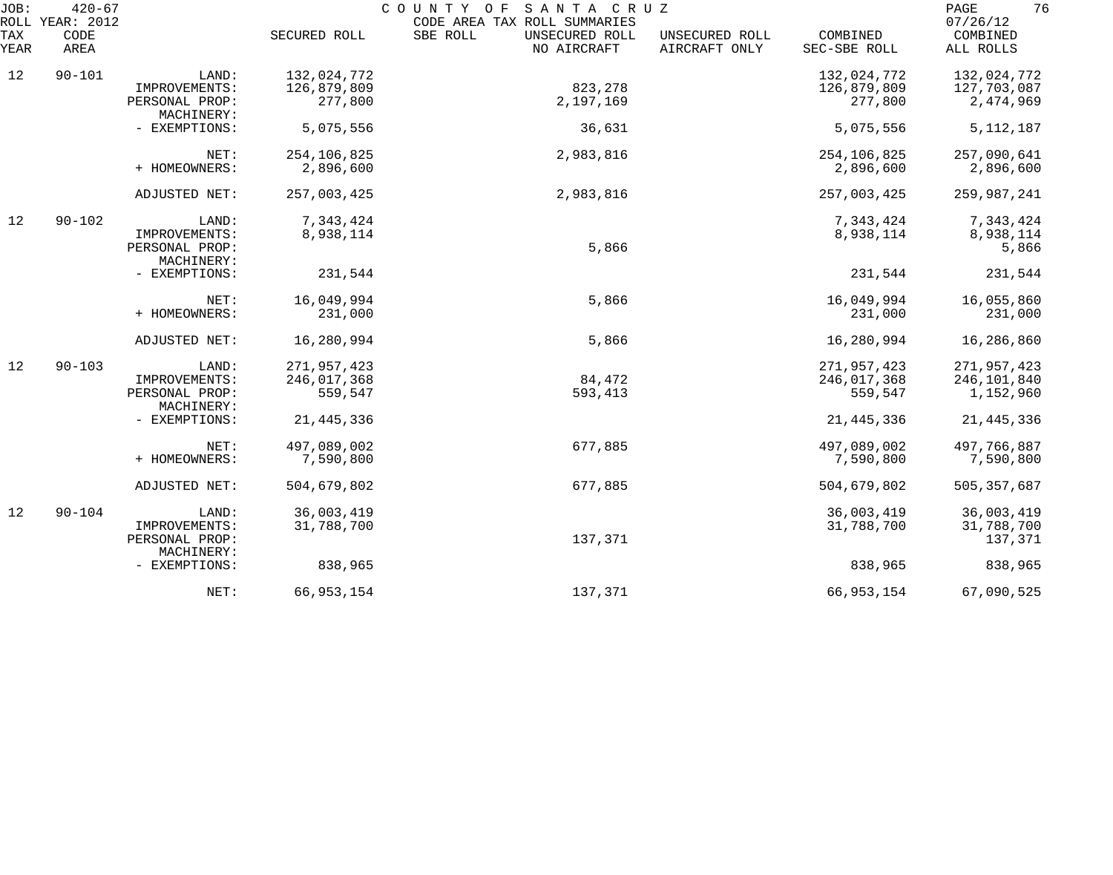| JOB:<br>ROLL | $420 - 67$<br>YEAR: 2012 |                              |              | SANTA CRUZ<br>COUNTY OF<br>CODE AREA TAX ROLL SUMMARIES |                                 |                          | 76<br>PAGE<br>07/26/12 |
|--------------|--------------------------|------------------------------|--------------|---------------------------------------------------------|---------------------------------|--------------------------|------------------------|
| TAX<br>YEAR  | CODE<br>AREA             |                              | SECURED ROLL | SBE ROLL<br>UNSECURED ROLL<br>NO AIRCRAFT               | UNSECURED ROLL<br>AIRCRAFT ONLY | COMBINED<br>SEC-SBE ROLL | COMBINED<br>ALL ROLLS  |
| 12           | $90 - 101$               | LAND:                        | 132,024,772  |                                                         |                                 | 132,024,772              | 132,024,772            |
|              |                          | IMPROVEMENTS:                | 126,879,809  | 823,278                                                 |                                 | 126,879,809              | 127,703,087            |
|              |                          | PERSONAL PROP:<br>MACHINERY: | 277,800      | 2,197,169                                               |                                 | 277,800                  | 2,474,969              |
|              |                          | - EXEMPTIONS:                | 5,075,556    | 36,631                                                  |                                 | 5,075,556                | 5, 112, 187            |
|              |                          | NET:                         | 254,106,825  | 2,983,816                                               |                                 | 254,106,825              | 257,090,641            |
|              |                          | + HOMEOWNERS:                | 2,896,600    |                                                         |                                 | 2,896,600                | 2,896,600              |
|              |                          | ADJUSTED NET:                | 257,003,425  | 2,983,816                                               |                                 | 257,003,425              | 259,987,241            |
| 12           | $90 - 102$               | LAND:                        | 7,343,424    |                                                         |                                 | 7,343,424                | 7,343,424              |
|              |                          | IMPROVEMENTS:                | 8,938,114    |                                                         |                                 | 8,938,114                | 8,938,114              |
|              |                          | PERSONAL PROP:               |              | 5,866                                                   |                                 |                          | 5,866                  |
|              |                          | MACHINERY:                   |              |                                                         |                                 |                          |                        |
|              |                          | - EXEMPTIONS:                | 231,544      |                                                         |                                 | 231,544                  | 231,544                |
|              |                          | NET:                         | 16,049,994   | 5,866                                                   |                                 | 16,049,994               | 16,055,860             |
|              |                          | + HOMEOWNERS:                | 231,000      |                                                         |                                 | 231,000                  | 231,000                |
|              |                          | ADJUSTED NET:                | 16,280,994   | 5,866                                                   |                                 | 16,280,994               | 16,286,860             |
| 12           | $90 - 103$               | LAND:                        | 271,957,423  |                                                         |                                 | 271,957,423              | 271,957,423            |
|              |                          | IMPROVEMENTS:                | 246,017,368  | 84,472                                                  |                                 | 246,017,368              | 246,101,840            |
|              |                          | PERSONAL PROP:<br>MACHINERY: | 559,547      | 593,413                                                 |                                 | 559,547                  | 1,152,960              |
|              |                          | - EXEMPTIONS:                | 21, 445, 336 |                                                         |                                 | 21, 445, 336             | 21, 445, 336           |
|              |                          | NET:                         | 497,089,002  | 677,885                                                 |                                 | 497,089,002              | 497,766,887            |
|              |                          | + HOMEOWNERS:                | 7,590,800    |                                                         |                                 | 7,590,800                | 7,590,800              |
|              |                          | ADJUSTED NET:                | 504,679,802  | 677,885                                                 |                                 | 504,679,802              | 505, 357, 687          |
| 12           | $90 - 104$               | LAND:                        | 36,003,419   |                                                         |                                 | 36,003,419               | 36,003,419             |
|              |                          | IMPROVEMENTS:                | 31,788,700   |                                                         |                                 | 31,788,700               | 31,788,700             |
|              |                          | PERSONAL PROP:               |              | 137,371                                                 |                                 |                          | 137,371                |
|              |                          | MACHINERY:                   |              |                                                         |                                 |                          |                        |
|              |                          | - EXEMPTIONS:                | 838,965      |                                                         |                                 | 838,965                  | 838,965                |
|              |                          | NET:                         | 66, 953, 154 | 137,371                                                 |                                 | 66, 953, 154             | 67,090,525             |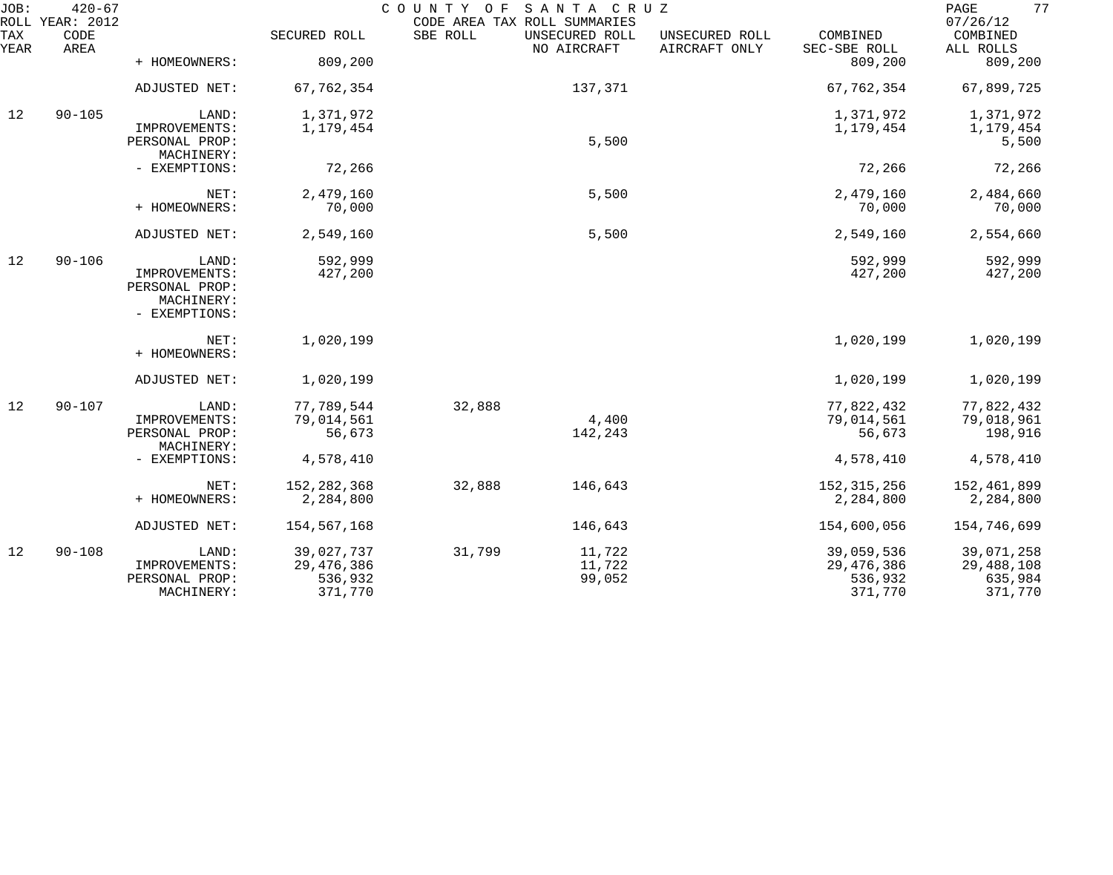| JOB:        | $420 - 67$<br>ROLL YEAR: 2012 |                              |                    | COUNTY OF<br>CODE AREA TAX ROLL SUMMARIES | SANTA CRUZ                    |                                 |                          | 77<br>PAGE<br>07/26/12 |
|-------------|-------------------------------|------------------------------|--------------------|-------------------------------------------|-------------------------------|---------------------------------|--------------------------|------------------------|
| TAX<br>YEAR | CODE<br>AREA                  |                              | SECURED ROLL       | SBE ROLL                                  | UNSECURED ROLL<br>NO AIRCRAFT | UNSECURED ROLL<br>AIRCRAFT ONLY | COMBINED<br>SEC-SBE ROLL | COMBINED<br>ALL ROLLS  |
|             |                               | + HOMEOWNERS:                | 809,200            |                                           |                               |                                 | 809,200                  | 809,200                |
|             |                               | ADJUSTED NET:                | 67,762,354         |                                           | 137,371                       |                                 | 67,762,354               | 67,899,725             |
| 12          | $90 - 105$                    | LAND:                        | 1,371,972          |                                           |                               |                                 | 1,371,972                | 1,371,972              |
|             |                               | IMPROVEMENTS:                | 1,179,454          |                                           |                               |                                 | 1,179,454                | 1,179,454              |
|             |                               | PERSONAL PROP:<br>MACHINERY: |                    |                                           | 5,500                         |                                 |                          | 5,500                  |
|             |                               | - EXEMPTIONS:                | 72,266             |                                           |                               |                                 | 72,266                   | 72,266                 |
|             |                               | NET:                         | 2,479,160          |                                           | 5,500                         |                                 | 2,479,160                | 2,484,660              |
|             |                               | + HOMEOWNERS:                | 70,000             |                                           |                               |                                 | 70,000                   | 70,000                 |
|             |                               | ADJUSTED NET:                | 2,549,160          |                                           | 5,500                         |                                 | 2,549,160                | 2,554,660              |
| 12          | $90 - 106$                    | LAND:                        | 592,999            |                                           |                               |                                 | 592,999                  | 592,999                |
|             |                               | IMPROVEMENTS:                | 427,200            |                                           |                               |                                 | 427,200                  | 427,200                |
|             |                               | PERSONAL PROP:<br>MACHINERY: |                    |                                           |                               |                                 |                          |                        |
|             |                               | - EXEMPTIONS:                |                    |                                           |                               |                                 |                          |                        |
|             |                               | NET:<br>+ HOMEOWNERS:        | 1,020,199          |                                           |                               |                                 | 1,020,199                | 1,020,199              |
|             |                               |                              |                    |                                           |                               |                                 |                          |                        |
|             |                               | ADJUSTED NET:                | 1,020,199          |                                           |                               |                                 | 1,020,199                | 1,020,199              |
| 12          | $90 - 107$                    | LAND:                        | 77,789,544         | 32,888                                    |                               |                                 | 77,822,432               | 77,822,432             |
|             |                               | IMPROVEMENTS:                | 79,014,561         |                                           | 4,400                         |                                 | 79,014,561               | 79,018,961             |
|             |                               | PERSONAL PROP:<br>MACHINERY: | 56,673             |                                           | 142,243                       |                                 | 56,673                   | 198,916                |
|             |                               | - EXEMPTIONS:                | 4,578,410          |                                           |                               |                                 | 4,578,410                | 4,578,410              |
|             |                               | NET:                         | 152, 282, 368      | 32,888                                    | 146,643                       |                                 | 152, 315, 256            | 152,461,899            |
|             |                               | + HOMEOWNERS:                | 2,284,800          |                                           |                               |                                 | 2,284,800                | 2,284,800              |
|             |                               | ADJUSTED NET:                | 154,567,168        |                                           | 146,643                       |                                 | 154,600,056              | 154,746,699            |
| 12          | $90 - 108$                    | LAND:                        | 39,027,737         | 31,799                                    | 11,722                        |                                 | 39,059,536               | 39,071,258             |
|             |                               | IMPROVEMENTS:                | 29, 476, 386       |                                           | 11,722                        |                                 | 29, 476, 386             | 29,488,108             |
|             |                               | PERSONAL PROP:<br>MACHINERY: | 536,932<br>371,770 |                                           | 99,052                        |                                 | 536,932<br>371,770       | 635,984<br>371,770     |
|             |                               |                              |                    |                                           |                               |                                 |                          |                        |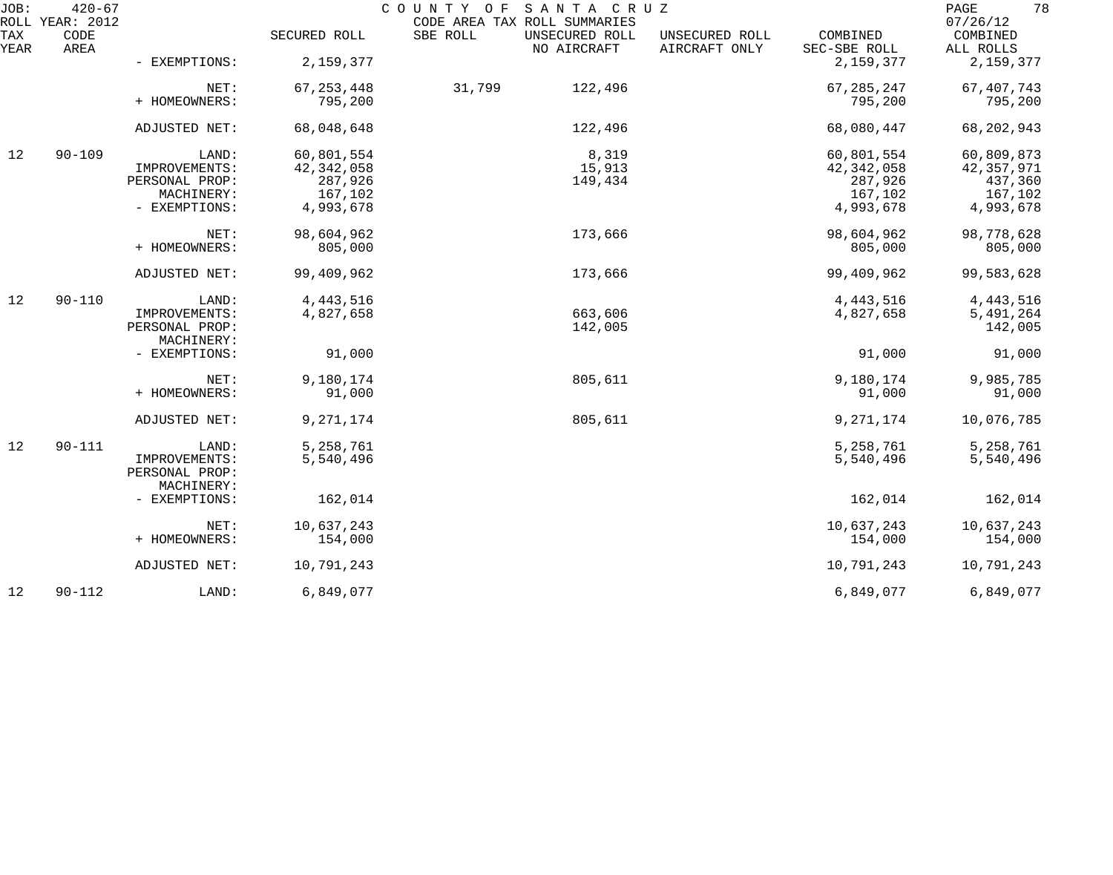| JOB:        | $420 - 67$<br>ROLL YEAR: 2012 |                |              | SANTA CRUZ<br>COUNTY OF<br>CODE AREA TAX ROLL SUMMARIES |                                 |                          | 78<br>PAGE<br>07/26/12 |
|-------------|-------------------------------|----------------|--------------|---------------------------------------------------------|---------------------------------|--------------------------|------------------------|
| TAX<br>YEAR | CODE<br>AREA                  |                | SECURED ROLL | SBE ROLL<br>UNSECURED ROLL<br>NO AIRCRAFT               | UNSECURED ROLL<br>AIRCRAFT ONLY | COMBINED<br>SEC-SBE ROLL | COMBINED<br>ALL ROLLS  |
|             |                               | - EXEMPTIONS:  | 2,159,377    |                                                         |                                 | 2,159,377                | 2,159,377              |
|             |                               | NET:           | 67, 253, 448 | 31,799<br>122,496                                       |                                 | 67, 285, 247             | 67, 407, 743           |
|             |                               | + HOMEOWNERS:  | 795,200      |                                                         |                                 | 795,200                  | 795,200                |
|             |                               | ADJUSTED NET:  | 68,048,648   | 122,496                                                 |                                 | 68,080,447               | 68, 202, 943           |
| 12          | $90 - 109$                    | LAND:          | 60,801,554   | 8,319                                                   |                                 | 60,801,554               | 60,809,873             |
|             |                               | IMPROVEMENTS:  | 42, 342, 058 | 15,913                                                  |                                 | 42, 342, 058             | 42, 357, 971           |
|             |                               | PERSONAL PROP: | 287,926      | 149,434                                                 |                                 | 287,926                  | 437,360                |
|             |                               | MACHINERY:     | 167,102      |                                                         |                                 | 167,102                  | 167,102                |
|             |                               | - EXEMPTIONS:  | 4,993,678    |                                                         |                                 | 4,993,678                | 4,993,678              |
|             |                               | NET:           | 98,604,962   | 173,666                                                 |                                 | 98,604,962               | 98,778,628             |
|             |                               | + HOMEOWNERS:  | 805,000      |                                                         |                                 | 805,000                  | 805,000                |
|             |                               | ADJUSTED NET:  | 99,409,962   | 173,666                                                 |                                 | 99,409,962               | 99,583,628             |
| 12          | $90 - 110$                    | LAND:          | 4, 443, 516  |                                                         |                                 | 4, 443, 516              | 4, 443, 516            |
|             |                               | IMPROVEMENTS:  | 4,827,658    | 663,606                                                 |                                 | 4,827,658                | 5,491,264              |
|             |                               | PERSONAL PROP: |              | 142,005                                                 |                                 |                          | 142,005                |
|             |                               | MACHINERY:     |              |                                                         |                                 |                          |                        |
|             |                               | - EXEMPTIONS:  | 91,000       |                                                         |                                 | 91,000                   | 91,000                 |
|             |                               | NET:           | 9,180,174    | 805,611                                                 |                                 | 9,180,174                | 9,985,785              |
|             |                               | + HOMEOWNERS:  | 91,000       |                                                         |                                 | 91,000                   | 91,000                 |
|             |                               | ADJUSTED NET:  | 9, 271, 174  | 805,611                                                 |                                 | 9, 271, 174              | 10,076,785             |
| 12          | $90 - 111$                    | LAND:          | 5,258,761    |                                                         |                                 | 5,258,761                | 5,258,761              |
|             |                               | IMPROVEMENTS:  | 5,540,496    |                                                         |                                 | 5,540,496                | 5,540,496              |
|             |                               | PERSONAL PROP: |              |                                                         |                                 |                          |                        |
|             |                               | MACHINERY:     |              |                                                         |                                 |                          |                        |
|             |                               | - EXEMPTIONS:  | 162,014      |                                                         |                                 | 162,014                  | 162,014                |
|             |                               | NET:           | 10,637,243   |                                                         |                                 | 10,637,243               | 10,637,243             |
|             |                               | + HOMEOWNERS:  | 154,000      |                                                         |                                 | 154,000                  | 154,000                |
|             |                               | ADJUSTED NET:  | 10,791,243   |                                                         |                                 | 10,791,243               | 10,791,243             |
| 12          | $90 - 112$                    | LAND:          | 6,849,077    |                                                         |                                 | 6,849,077                | 6,849,077              |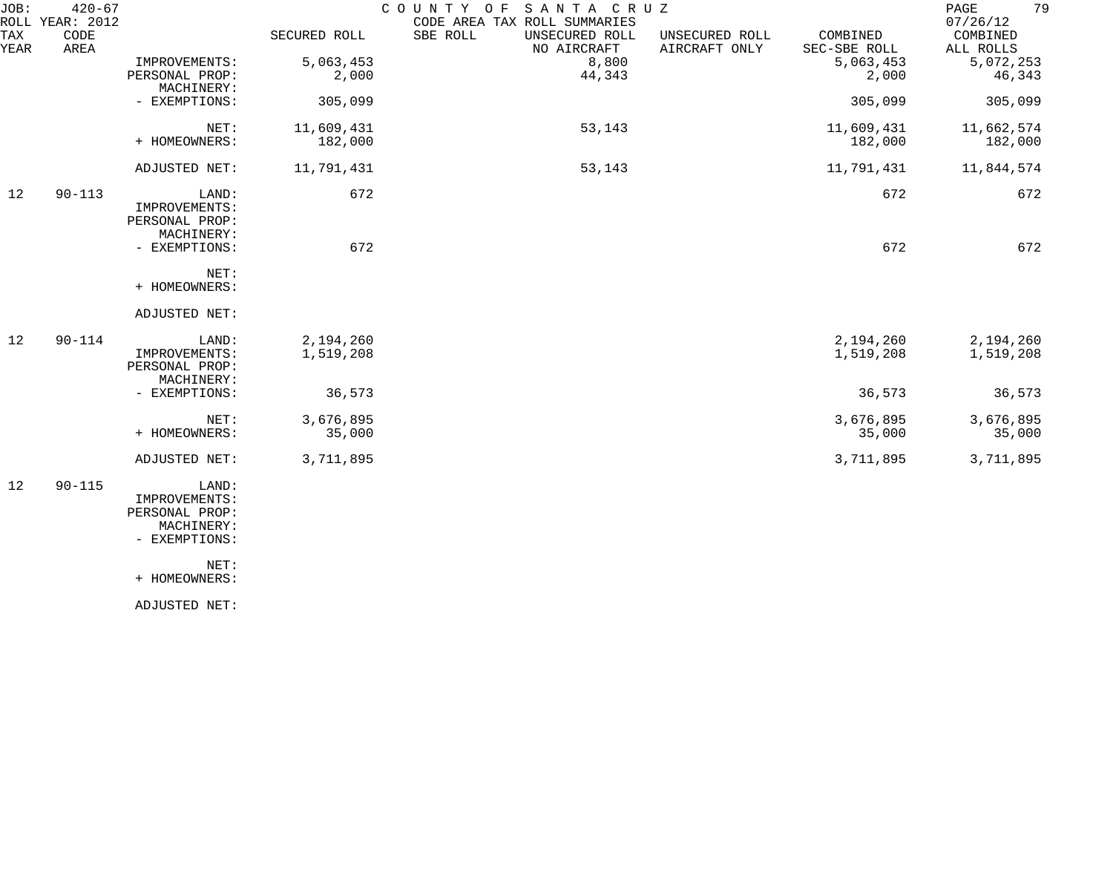| JOB:<br>ROLL | $420 - 67$<br>YEAR: 2012 |                              |              | COUNTY OF<br>SANTA CRUZ<br>CODE AREA TAX ROLL SUMMARIES |                                 |                          | 79<br>$\mathop{\mathrm{PAGE}}$<br>07/26/12 |
|--------------|--------------------------|------------------------------|--------------|---------------------------------------------------------|---------------------------------|--------------------------|--------------------------------------------|
| TAX<br>YEAR  | CODE<br>AREA             |                              | SECURED ROLL | SBE ROLL<br>UNSECURED ROLL<br>NO AIRCRAFT               | UNSECURED ROLL<br>AIRCRAFT ONLY | COMBINED<br>SEC-SBE ROLL | COMBINED<br>ALL ROLLS                      |
|              |                          | IMPROVEMENTS:                | 5,063,453    | 8,800                                                   |                                 | 5,063,453                | 5,072,253                                  |
|              |                          | PERSONAL PROP:<br>MACHINERY: | 2,000        | 44,343                                                  |                                 | 2,000                    | 46,343                                     |
|              |                          | - EXEMPTIONS:                | 305,099      |                                                         |                                 | 305,099                  | 305,099                                    |
|              |                          | NET:                         | 11,609,431   | 53,143                                                  |                                 | 11,609,431               | 11,662,574                                 |
|              |                          | + HOMEOWNERS:                | 182,000      |                                                         |                                 | 182,000                  | 182,000                                    |
|              |                          | ADJUSTED NET:                | 11,791,431   | 53,143                                                  |                                 | 11,791,431               | 11,844,574                                 |
| 12           | $90 - 113$               | LAND:                        | 672          |                                                         |                                 | 672                      | 672                                        |
|              |                          | IMPROVEMENTS:                |              |                                                         |                                 |                          |                                            |
|              |                          | PERSONAL PROP:               |              |                                                         |                                 |                          |                                            |
|              |                          | MACHINERY:                   |              |                                                         |                                 |                          |                                            |
|              |                          | - EXEMPTIONS:                | 672          |                                                         |                                 | 672                      | 672                                        |
|              |                          | NET:                         |              |                                                         |                                 |                          |                                            |
|              |                          | + HOMEOWNERS:                |              |                                                         |                                 |                          |                                            |
|              |                          | ADJUSTED NET:                |              |                                                         |                                 |                          |                                            |
| 12           | $90 - 114$               | LAND:                        | 2,194,260    |                                                         |                                 | 2,194,260                | 2,194,260                                  |
|              |                          | IMPROVEMENTS:                | 1,519,208    |                                                         |                                 | 1,519,208                | 1,519,208                                  |
|              |                          | PERSONAL PROP:               |              |                                                         |                                 |                          |                                            |
|              |                          | MACHINERY:                   |              |                                                         |                                 |                          |                                            |
|              |                          | - EXEMPTIONS:                | 36,573       |                                                         |                                 | 36,573                   | 36,573                                     |
|              |                          | NET:                         | 3,676,895    |                                                         |                                 | 3,676,895                | 3,676,895                                  |
|              |                          | + HOMEOWNERS:                | 35,000       |                                                         |                                 | 35,000                   | 35,000                                     |
|              |                          | ADJUSTED NET:                | 3,711,895    |                                                         |                                 | 3,711,895                | 3,711,895                                  |
| 12           | $90 - 115$               | LAND:                        |              |                                                         |                                 |                          |                                            |
|              |                          | IMPROVEMENTS:                |              |                                                         |                                 |                          |                                            |
|              |                          | PERSONAL PROP:               |              |                                                         |                                 |                          |                                            |
|              |                          | MACHINERY:                   |              |                                                         |                                 |                          |                                            |
|              |                          | - EXEMPTIONS:                |              |                                                         |                                 |                          |                                            |
|              |                          | NET:                         |              |                                                         |                                 |                          |                                            |
|              |                          | + HOMEOWNERS:                |              |                                                         |                                 |                          |                                            |
|              |                          | ADJUSTED NET:                |              |                                                         |                                 |                          |                                            |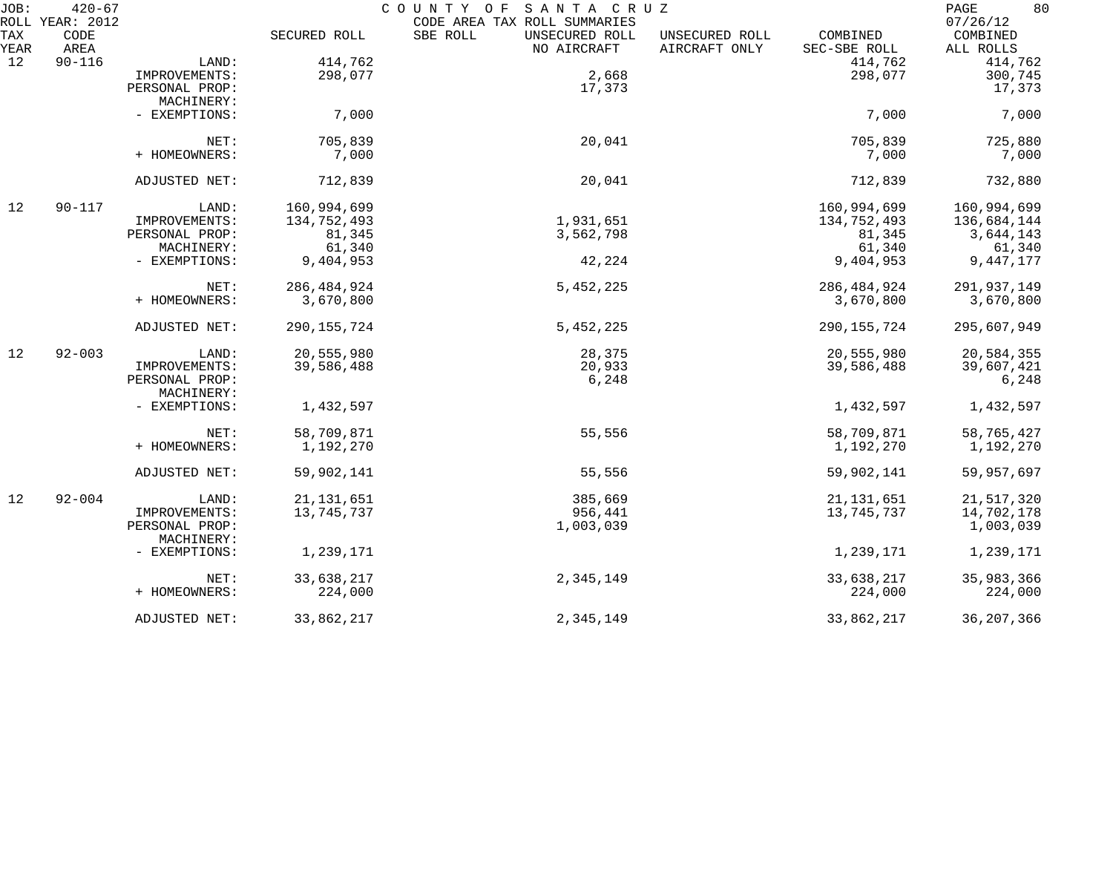| JOB:        | $420 - 67$<br>ROLL YEAR: 2012 |                              |               | COUNTY OF<br>SANTA CRUZ<br>CODE AREA TAX ROLL SUMMARIES |                                 |                          | 80<br>PAGE<br>07/26/12 |
|-------------|-------------------------------|------------------------------|---------------|---------------------------------------------------------|---------------------------------|--------------------------|------------------------|
| TAX<br>YEAR | CODE<br>AREA                  |                              | SECURED ROLL  | SBE ROLL<br>UNSECURED ROLL<br>NO AIRCRAFT               | UNSECURED ROLL<br>AIRCRAFT ONLY | COMBINED<br>SEC-SBE ROLL | COMBINED<br>ALL ROLLS  |
| 12          | $90 - 116$                    | LAND:                        | 414,762       |                                                         |                                 | 414,762                  | 414,762                |
|             |                               | IMPROVEMENTS:                | 298,077       | 2,668                                                   |                                 | 298,077                  | 300,745                |
|             |                               | PERSONAL PROP:               |               | 17,373                                                  |                                 |                          | 17,373                 |
|             |                               | MACHINERY:                   |               |                                                         |                                 |                          |                        |
|             |                               | - EXEMPTIONS:                | 7,000         |                                                         |                                 | 7,000                    | 7,000                  |
|             |                               | NET:                         | 705,839       | 20,041                                                  |                                 | 705,839                  | 725,880                |
|             |                               | + HOMEOWNERS:                | 7,000         |                                                         |                                 | 7,000                    | 7,000                  |
|             |                               | ADJUSTED NET:                | 712,839       | 20,041                                                  |                                 | 712,839                  | 732,880                |
| 12          | $90 - 117$                    | LAND:                        | 160,994,699   |                                                         |                                 | 160,994,699              | 160,994,699            |
|             |                               | IMPROVEMENTS:                | 134,752,493   | 1,931,651                                               |                                 | 134,752,493              | 136,684,144            |
|             |                               | PERSONAL PROP:               | 81,345        | 3,562,798                                               |                                 | 81,345                   | 3,644,143              |
|             |                               | MACHINERY:                   | 61,340        |                                                         |                                 | 61,340                   | 61,340                 |
|             |                               | - EXEMPTIONS:                | 9,404,953     | 42,224                                                  |                                 | 9,404,953                | 9,447,177              |
|             |                               | NET:                         | 286, 484, 924 | 5,452,225                                               |                                 | 286, 484, 924            | 291,937,149            |
|             |                               | + HOMEOWNERS:                | 3,670,800     |                                                         |                                 | 3,670,800                | 3,670,800              |
|             |                               | ADJUSTED NET:                | 290, 155, 724 | 5,452,225                                               |                                 | 290, 155, 724            | 295,607,949            |
| 12          | $92 - 003$                    | LAND:                        | 20,555,980    | 28,375                                                  |                                 | 20,555,980               | 20,584,355             |
|             |                               | IMPROVEMENTS:                | 39,586,488    | 20,933                                                  |                                 | 39,586,488               | 39,607,421             |
|             |                               | PERSONAL PROP:<br>MACHINERY: |               | 6,248                                                   |                                 |                          | 6,248                  |
|             |                               | - EXEMPTIONS:                | 1,432,597     |                                                         |                                 | 1,432,597                | 1,432,597              |
|             |                               | NET:                         | 58,709,871    | 55,556                                                  |                                 | 58,709,871               | 58,765,427             |
|             |                               | + HOMEOWNERS:                | 1,192,270     |                                                         |                                 | 1,192,270                | 1,192,270              |
|             |                               | ADJUSTED NET:                | 59,902,141    | 55,556                                                  |                                 | 59,902,141               | 59,957,697             |
| 12          | $92 - 004$                    | LAND:                        | 21, 131, 651  | 385,669                                                 |                                 | 21, 131, 651             | 21,517,320             |
|             |                               | IMPROVEMENTS:                | 13,745,737    | 956,441                                                 |                                 | 13,745,737               | 14,702,178             |
|             |                               | PERSONAL PROP:<br>MACHINERY: |               | 1,003,039                                               |                                 |                          | 1,003,039              |
|             |                               | - EXEMPTIONS:                | 1,239,171     |                                                         |                                 | 1,239,171                | 1,239,171              |
|             |                               | NET:                         | 33,638,217    | 2,345,149                                               |                                 | 33,638,217               | 35,983,366             |
|             |                               | + HOMEOWNERS:                | 224,000       |                                                         |                                 | 224,000                  | 224,000                |
|             |                               | ADJUSTED NET:                | 33,862,217    | 2,345,149                                               |                                 | 33,862,217               | 36, 207, 366           |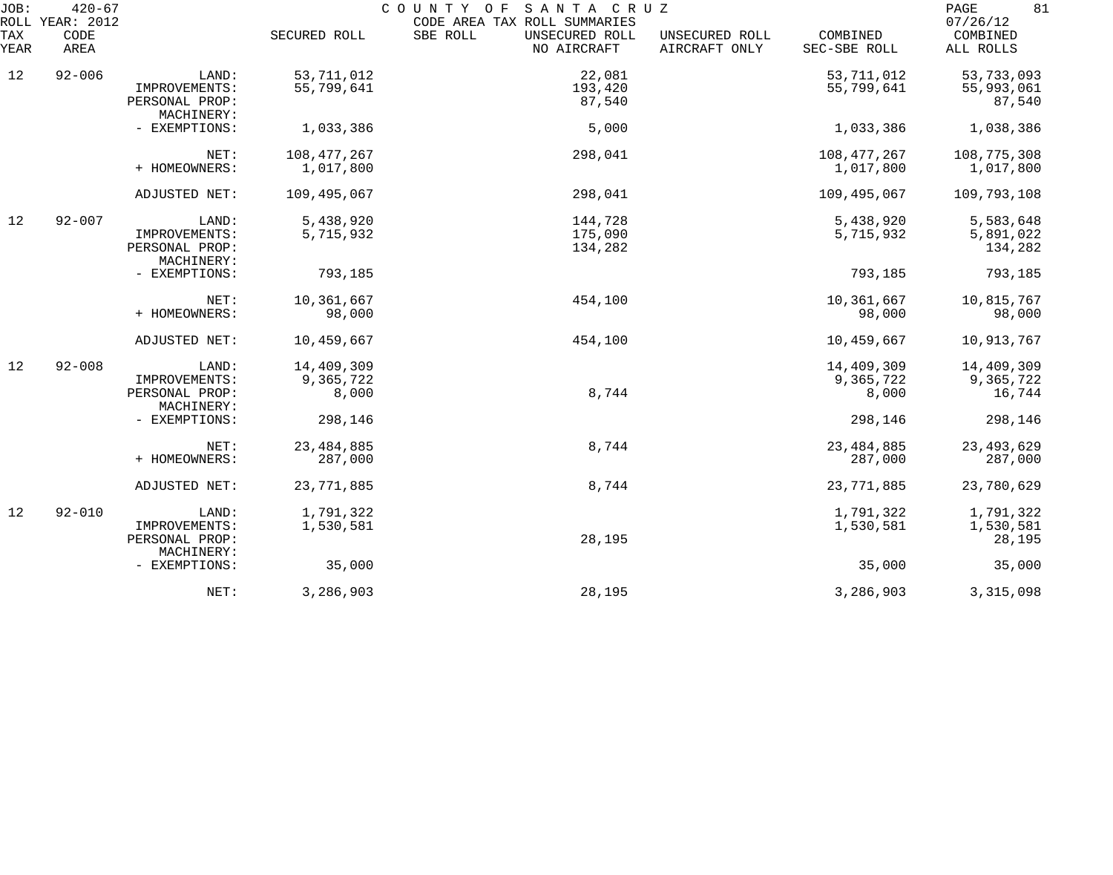| JOB:        | $420 - 67$<br>ROLL YEAR: 2012 |                                                        |                                  | SANTA CRUZ<br>COUNTY OF<br>CODE AREA TAX ROLL SUMMARIES |                                 |                                  | 81<br>PAGE<br>07/26/12            |
|-------------|-------------------------------|--------------------------------------------------------|----------------------------------|---------------------------------------------------------|---------------------------------|----------------------------------|-----------------------------------|
| TAX<br>YEAR | CODE<br>AREA                  |                                                        | SECURED ROLL                     | SBE ROLL<br>UNSECURED ROLL<br>NO AIRCRAFT               | UNSECURED ROLL<br>AIRCRAFT ONLY | COMBINED<br>SEC-SBE ROLL         | COMBINED<br>ALL ROLLS             |
| 12          | $92 - 006$                    | LAND:                                                  | 53, 711, 012                     | 22,081                                                  |                                 | 53, 711, 012                     | 53,733,093                        |
|             |                               | IMPROVEMENTS:<br>PERSONAL PROP:<br>MACHINERY:          | 55,799,641                       | 193,420<br>87,540                                       |                                 | 55,799,641                       | 55,993,061<br>87,540              |
|             |                               | - EXEMPTIONS:                                          | 1,033,386                        | 5,000                                                   |                                 | 1,033,386                        | 1,038,386                         |
|             |                               | NET:<br>+ HOMEOWNERS:                                  | 108, 477, 267<br>1,017,800       | 298,041                                                 |                                 | 108, 477, 267<br>1,017,800       | 108,775,308<br>1,017,800          |
|             |                               | ADJUSTED NET:                                          | 109,495,067                      | 298,041                                                 |                                 | 109,495,067                      | 109,793,108                       |
| 12          | $92 - 007$                    | LAND:<br>IMPROVEMENTS:<br>PERSONAL PROP:<br>MACHINERY: | 5,438,920<br>5,715,932           | 144,728<br>175,090<br>134,282                           |                                 | 5,438,920<br>5,715,932           | 5,583,648<br>5,891,022<br>134,282 |
|             |                               | - EXEMPTIONS:                                          | 793,185                          |                                                         |                                 | 793,185                          | 793,185                           |
|             |                               | NET:<br>+ HOMEOWNERS:                                  | 10,361,667<br>98,000             | 454,100                                                 |                                 | 10,361,667<br>98,000             | 10,815,767<br>98,000              |
|             |                               | ADJUSTED NET:                                          | 10,459,667                       | 454,100                                                 |                                 | 10,459,667                       | 10,913,767                        |
| 12          | $92 - 008$                    | LAND:<br>IMPROVEMENTS:<br>PERSONAL PROP:<br>MACHINERY: | 14,409,309<br>9,365,722<br>8,000 | 8,744                                                   |                                 | 14,409,309<br>9,365,722<br>8,000 | 14,409,309<br>9,365,722<br>16,744 |
|             |                               | - EXEMPTIONS:                                          | 298,146                          |                                                         |                                 | 298,146                          | 298,146                           |
|             |                               | NET:<br>+ HOMEOWNERS:                                  | 23, 484, 885<br>287,000          | 8,744                                                   |                                 | 23, 484, 885<br>287,000          | 23, 493, 629<br>287,000           |
|             |                               | ADJUSTED NET:                                          | 23,771,885                       | 8,744                                                   |                                 | 23,771,885                       | 23,780,629                        |
| 12          | $92 - 010$                    | LAND:<br>IMPROVEMENTS:<br>PERSONAL PROP:<br>MACHINERY: | 1,791,322<br>1,530,581           | 28,195                                                  |                                 | 1,791,322<br>1,530,581           | 1,791,322<br>1,530,581<br>28,195  |
|             |                               | - EXEMPTIONS:                                          | 35,000                           |                                                         |                                 | 35,000                           | 35,000                            |
|             |                               | NET:                                                   | 3,286,903                        | 28,195                                                  |                                 | 3,286,903                        | 3, 315, 098                       |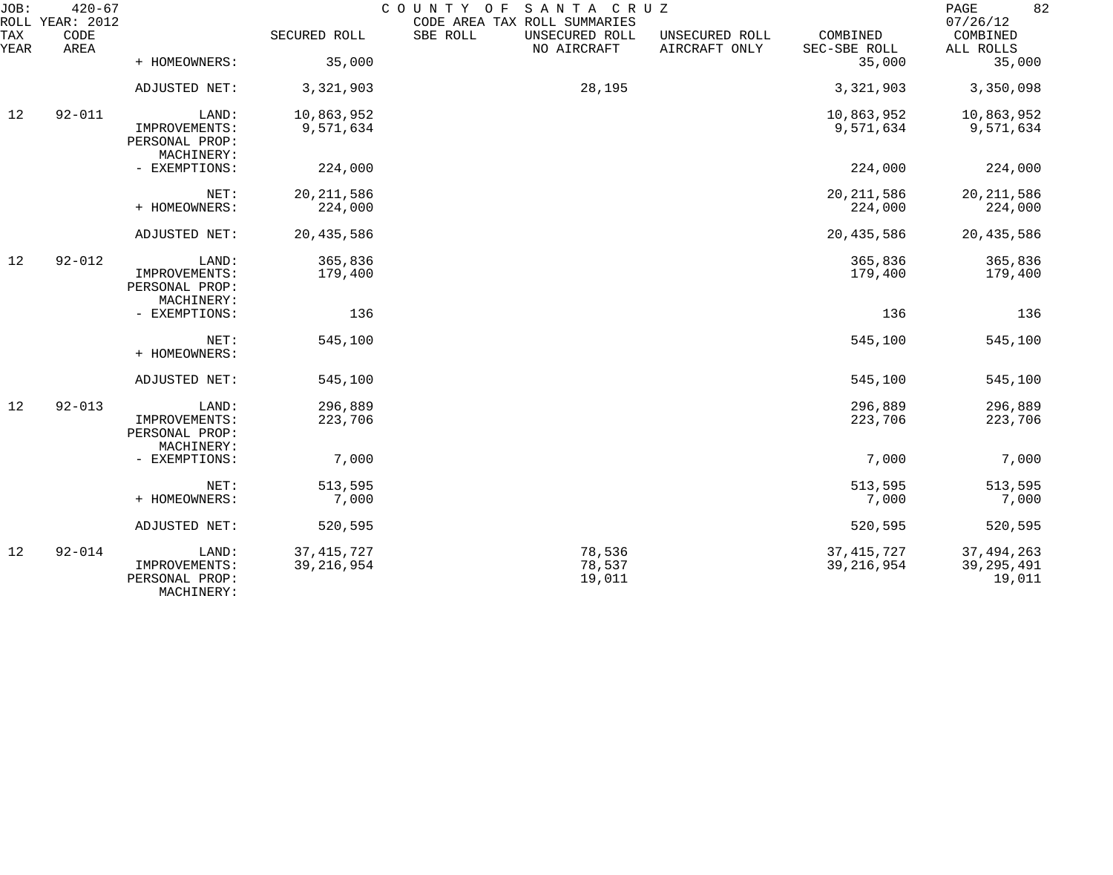| JOB:<br>ROLL | $420 - 67$<br>YEAR: 2012 |                                                        |                              | COUNTY OF<br>SANTA CRUZ<br>CODE AREA TAX ROLL SUMMARIES |                                 |                              | 82<br>PAGE<br>07/26/12                 |
|--------------|--------------------------|--------------------------------------------------------|------------------------------|---------------------------------------------------------|---------------------------------|------------------------------|----------------------------------------|
| TAX<br>YEAR  | CODE<br>AREA             |                                                        | SECURED ROLL                 | SBE ROLL<br>UNSECURED ROLL<br>NO AIRCRAFT               | UNSECURED ROLL<br>AIRCRAFT ONLY | COMBINED<br>SEC-SBE ROLL     | COMBINED<br>ALL ROLLS                  |
|              |                          | + HOMEOWNERS:                                          | 35,000                       |                                                         |                                 | 35,000                       | 35,000                                 |
|              |                          | ADJUSTED NET:                                          | 3,321,903                    | 28,195                                                  |                                 | 3,321,903                    | 3,350,098                              |
| 12           | $92 - 011$               | LAND:<br>IMPROVEMENTS:                                 | 10,863,952<br>9,571,634      |                                                         |                                 | 10,863,952<br>9,571,634      | 10,863,952<br>9,571,634                |
|              |                          | PERSONAL PROP:<br>MACHINERY:<br>- EXEMPTIONS:          | 224,000                      |                                                         |                                 | 224,000                      | 224,000                                |
|              |                          |                                                        |                              |                                                         |                                 |                              |                                        |
|              |                          | NET:<br>+ HOMEOWNERS:                                  | 20, 211, 586<br>224,000      |                                                         |                                 | 20, 211, 586<br>224,000      | 20, 211, 586<br>224,000                |
|              |                          | ADJUSTED NET:                                          | 20,435,586                   |                                                         |                                 | 20, 435, 586                 | 20,435,586                             |
| 12           | $92 - 012$               | LAND:<br>IMPROVEMENTS:<br>PERSONAL PROP:<br>MACHINERY: | 365,836<br>179,400           |                                                         |                                 | 365,836<br>179,400           | 365,836<br>179,400                     |
|              |                          | - EXEMPTIONS:                                          | 136                          |                                                         |                                 | 136                          | 136                                    |
|              |                          | NET:<br>+ HOMEOWNERS:                                  | 545,100                      |                                                         |                                 | 545,100                      | 545,100                                |
|              |                          | ADJUSTED NET:                                          | 545,100                      |                                                         |                                 | 545,100                      | 545,100                                |
| 12           | $92 - 013$               | LAND:<br>IMPROVEMENTS:<br>PERSONAL PROP:<br>MACHINERY: | 296,889<br>223,706           |                                                         |                                 | 296,889<br>223,706           | 296,889<br>223,706                     |
|              |                          | - EXEMPTIONS:                                          | 7,000                        |                                                         |                                 | 7,000                        | 7,000                                  |
|              |                          | NET:<br>+ HOMEOWNERS:                                  | 513,595<br>7,000             |                                                         |                                 | 513,595<br>7,000             | 513,595<br>7,000                       |
|              |                          | ADJUSTED NET:                                          | 520,595                      |                                                         |                                 | 520,595                      | 520,595                                |
| 12           | $92 - 014$               | LAND:<br>IMPROVEMENTS:<br>PERSONAL PROP:<br>MACHINERY: | 37, 415, 727<br>39, 216, 954 | 78,536<br>78,537<br>19,011                              |                                 | 37, 415, 727<br>39, 216, 954 | 37, 494, 263<br>39, 295, 491<br>19,011 |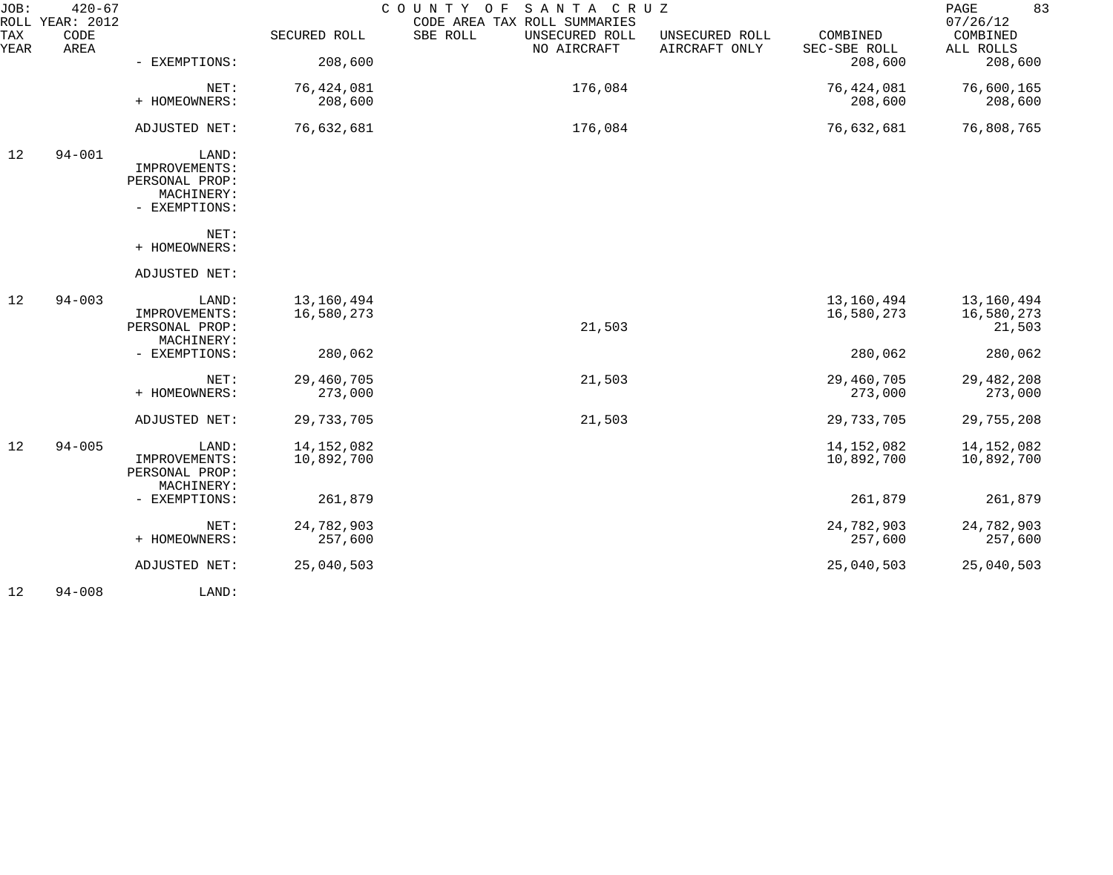| JOB:        | $420 - 67$<br>ROLL YEAR: 2012 |                                 |              | COUNTY<br>SANTA CRUZ<br>O F<br>CODE AREA TAX ROLL SUMMARIES |                                 |                          | 83<br>PAGE<br>07/26/12 |
|-------------|-------------------------------|---------------------------------|--------------|-------------------------------------------------------------|---------------------------------|--------------------------|------------------------|
| TAX<br>YEAR | CODE<br>AREA                  |                                 | SECURED ROLL | SBE ROLL<br>UNSECURED ROLL<br>NO AIRCRAFT                   | UNSECURED ROLL<br>AIRCRAFT ONLY | COMBINED<br>SEC-SBE ROLL | COMBINED<br>ALL ROLLS  |
|             |                               | - EXEMPTIONS:                   | 208,600      |                                                             |                                 | 208,600                  | 208,600                |
|             |                               | NET:                            | 76,424,081   | 176,084                                                     |                                 | 76,424,081               | 76,600,165             |
|             |                               | + HOMEOWNERS:                   | 208,600      |                                                             |                                 | 208,600                  | 208,600                |
|             |                               | ADJUSTED NET:                   | 76,632,681   | 176,084                                                     |                                 | 76,632,681               | 76,808,765             |
| 12          | $94 - 001$                    | LAND:                           |              |                                                             |                                 |                          |                        |
|             |                               | IMPROVEMENTS:<br>PERSONAL PROP: |              |                                                             |                                 |                          |                        |
|             |                               | MACHINERY:                      |              |                                                             |                                 |                          |                        |
|             |                               | - EXEMPTIONS:                   |              |                                                             |                                 |                          |                        |
|             |                               | NET:                            |              |                                                             |                                 |                          |                        |
|             |                               | + HOMEOWNERS:                   |              |                                                             |                                 |                          |                        |
|             |                               | ADJUSTED NET:                   |              |                                                             |                                 |                          |                        |
| 12          | $94 - 003$                    | LAND:                           | 13,160,494   |                                                             |                                 | 13,160,494               | 13,160,494             |
|             |                               | IMPROVEMENTS:                   | 16,580,273   |                                                             |                                 | 16,580,273               | 16,580,273             |
|             |                               | PERSONAL PROP:<br>MACHINERY:    |              | 21,503                                                      |                                 |                          | 21,503                 |
|             |                               | - EXEMPTIONS:                   | 280,062      |                                                             |                                 | 280,062                  | 280,062                |
|             |                               | NET:                            | 29,460,705   | 21,503                                                      |                                 | 29,460,705               | 29, 482, 208           |
|             |                               | + HOMEOWNERS:                   | 273,000      |                                                             |                                 | 273,000                  | 273,000                |
|             |                               | ADJUSTED NET:                   | 29,733,705   | 21,503                                                      |                                 | 29,733,705               | 29,755,208             |
| 12          | $94 - 005$                    | LAND:                           | 14, 152, 082 |                                                             |                                 | 14, 152, 082             | 14,152,082             |
|             |                               | IMPROVEMENTS:                   | 10,892,700   |                                                             |                                 | 10,892,700               | 10,892,700             |
|             |                               | PERSONAL PROP:<br>MACHINERY:    |              |                                                             |                                 |                          |                        |
|             |                               | - EXEMPTIONS:                   | 261,879      |                                                             |                                 | 261,879                  | 261,879                |
|             |                               | NET:                            | 24,782,903   |                                                             |                                 | 24,782,903               | 24,782,903             |
|             |                               | + HOMEOWNERS:                   | 257,600      |                                                             |                                 | 257,600                  | 257,600                |
|             |                               | ADJUSTED NET:                   | 25,040,503   |                                                             |                                 | 25,040,503               | 25,040,503             |
| 12          | $94 - 008$                    | LAND:                           |              |                                                             |                                 |                          |                        |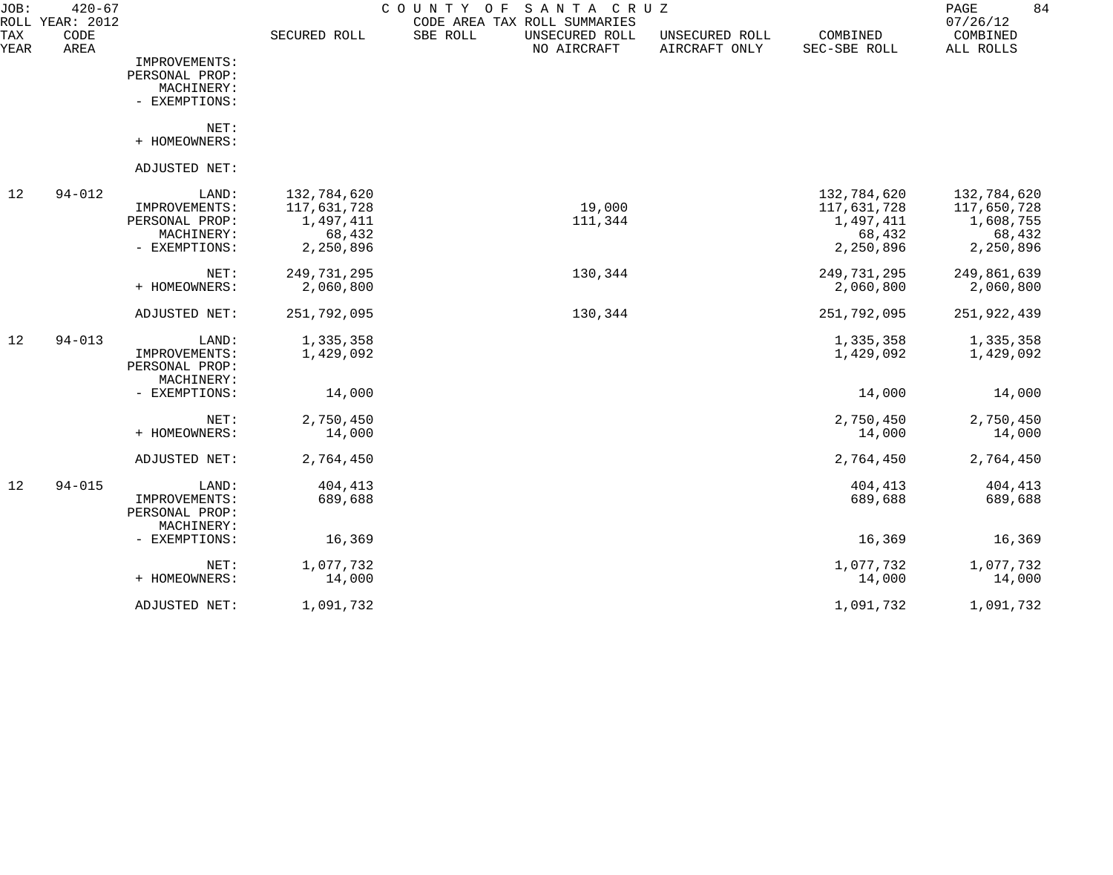| JOB:        | $420 - 67$<br>ROLL YEAR: 2012 |                             |                     | SANTA CRUZ<br>COUNTY<br>O F<br>CODE AREA TAX ROLL SUMMARIES |                                 |                          | 84<br>PAGE<br>07/26/12 |
|-------------|-------------------------------|-----------------------------|---------------------|-------------------------------------------------------------|---------------------------------|--------------------------|------------------------|
| TAX<br>YEAR | CODE<br>AREA                  |                             | SECURED ROLL        | SBE ROLL<br>UNSECURED ROLL<br>NO AIRCRAFT                   | UNSECURED ROLL<br>AIRCRAFT ONLY | COMBINED<br>SEC-SBE ROLL | COMBINED<br>ALL ROLLS  |
|             |                               | IMPROVEMENTS:               |                     |                                                             |                                 |                          |                        |
|             |                               | PERSONAL PROP:              |                     |                                                             |                                 |                          |                        |
|             |                               | MACHINERY:                  |                     |                                                             |                                 |                          |                        |
|             |                               | - EXEMPTIONS:               |                     |                                                             |                                 |                          |                        |
|             |                               | NET:                        |                     |                                                             |                                 |                          |                        |
|             |                               | + HOMEOWNERS:               |                     |                                                             |                                 |                          |                        |
|             |                               | ADJUSTED NET:               |                     |                                                             |                                 |                          |                        |
| 12          | $94 - 012$                    | LAND:                       | 132,784,620         |                                                             |                                 | 132,784,620              | 132,784,620            |
|             |                               | IMPROVEMENTS:               | 117,631,728         | 19,000                                                      |                                 | 117,631,728              | 117,650,728            |
|             |                               | PERSONAL PROP:              | 1,497,411           | 111,344                                                     |                                 | 1,497,411                | 1,608,755              |
|             |                               | MACHINERY:<br>- EXEMPTIONS: | 68,432<br>2,250,896 |                                                             |                                 | 68,432<br>2,250,896      | 68,432<br>2,250,896    |
|             |                               |                             |                     |                                                             |                                 |                          |                        |
|             |                               | NET:                        | 249,731,295         | 130,344                                                     |                                 | 249,731,295              | 249,861,639            |
|             |                               | + HOMEOWNERS:               | 2,060,800           |                                                             |                                 | 2,060,800                | 2,060,800              |
|             |                               | ADJUSTED NET:               | 251,792,095         | 130,344                                                     |                                 | 251,792,095              | 251,922,439            |
| 12          | $94 - 013$                    | LAND:                       | 1,335,358           |                                                             |                                 | 1,335,358                | 1,335,358              |
|             |                               | IMPROVEMENTS:               | 1,429,092           |                                                             |                                 | 1,429,092                | 1,429,092              |
|             |                               | PERSONAL PROP:              |                     |                                                             |                                 |                          |                        |
|             |                               | MACHINERY:<br>- EXEMPTIONS: | 14,000              |                                                             |                                 | 14,000                   | 14,000                 |
|             |                               |                             |                     |                                                             |                                 |                          |                        |
|             |                               | NET:                        | 2,750,450           |                                                             |                                 | 2,750,450                | 2,750,450              |
|             |                               | + HOMEOWNERS:               | 14,000              |                                                             |                                 | 14,000                   | 14,000                 |
|             |                               | ADJUSTED NET:               | 2,764,450           |                                                             |                                 | 2,764,450                | 2,764,450              |
| 12          | $94 - 015$                    | LAND:                       | 404,413             |                                                             |                                 | 404,413                  | 404,413                |
|             |                               | IMPROVEMENTS:               | 689,688             |                                                             |                                 | 689,688                  | 689,688                |
|             |                               | PERSONAL PROP:              |                     |                                                             |                                 |                          |                        |
|             |                               | MACHINERY:<br>- EXEMPTIONS: |                     |                                                             |                                 |                          |                        |
|             |                               |                             | 16,369              |                                                             |                                 | 16,369                   | 16,369                 |
|             |                               | NET:                        | 1,077,732           |                                                             |                                 | 1,077,732                | 1,077,732              |
|             |                               | + HOMEOWNERS:               | 14,000              |                                                             |                                 | 14,000                   | 14,000                 |
|             |                               | ADJUSTED NET:               | 1,091,732           |                                                             |                                 | 1,091,732                | 1,091,732              |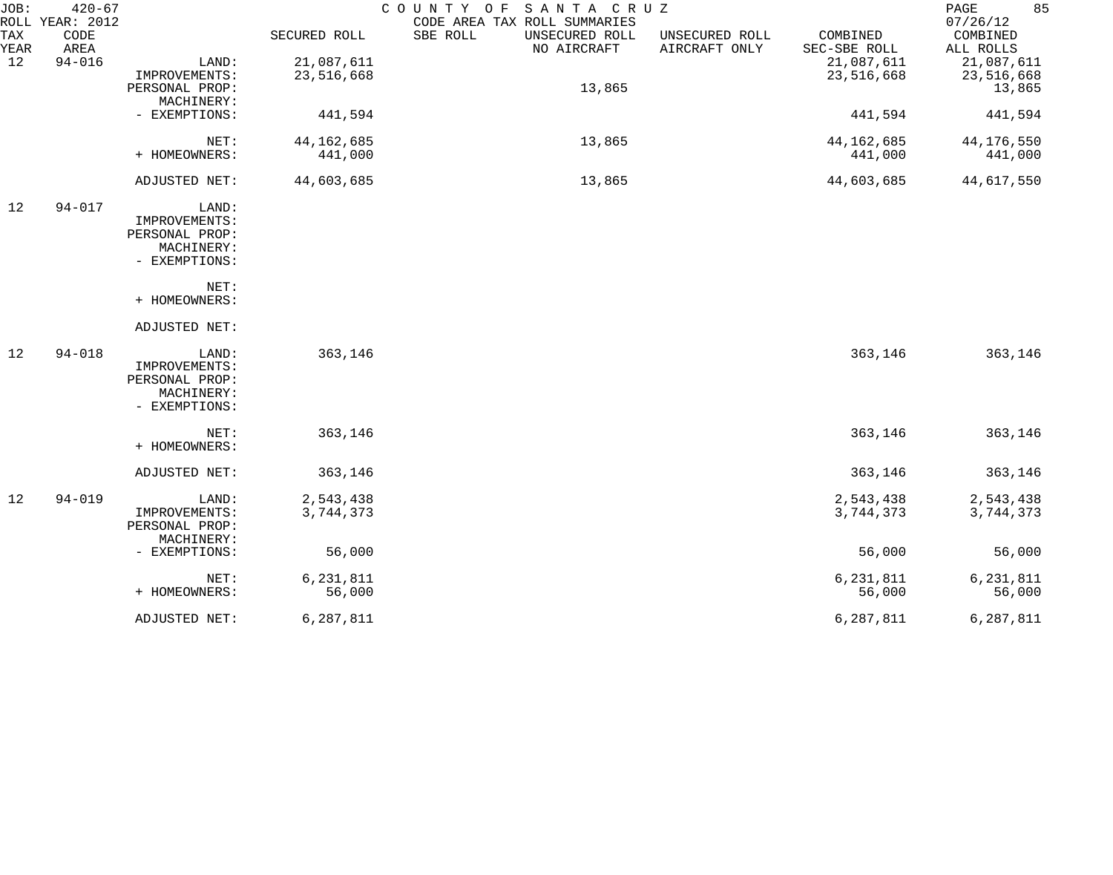| JOB:        | $420 - 67$<br>ROLL YEAR: 2012 |                |              | COUNTY OF<br>SANTA CRUZ<br>CODE AREA TAX ROLL SUMMARIES |                                 |                          | 85<br>PAGE<br>07/26/12 |
|-------------|-------------------------------|----------------|--------------|---------------------------------------------------------|---------------------------------|--------------------------|------------------------|
| TAX<br>YEAR | CODE<br>AREA                  |                | SECURED ROLL | SBE ROLL<br>UNSECURED ROLL<br>NO AIRCRAFT               | UNSECURED ROLL<br>AIRCRAFT ONLY | COMBINED<br>SEC-SBE ROLL | COMBINED<br>ALL ROLLS  |
| 12          | $94 - 016$                    | LAND:          | 21,087,611   |                                                         |                                 | 21,087,611               | 21,087,611             |
|             |                               | IMPROVEMENTS:  | 23,516,668   |                                                         |                                 | 23,516,668               | 23,516,668             |
|             |                               | PERSONAL PROP: |              | 13,865                                                  |                                 |                          | 13,865                 |
|             |                               | MACHINERY:     |              |                                                         |                                 |                          |                        |
|             |                               | - EXEMPTIONS:  | 441,594      |                                                         |                                 | 441,594                  | 441,594                |
|             |                               | NET:           | 44, 162, 685 | 13,865                                                  |                                 | 44, 162, 685             | 44,176,550             |
|             |                               | + HOMEOWNERS:  | 441,000      |                                                         |                                 | 441,000                  | 441,000                |
|             |                               | ADJUSTED NET:  | 44,603,685   | 13,865                                                  |                                 | 44,603,685               | 44,617,550             |
| 12          | $94 - 017$                    | LAND:          |              |                                                         |                                 |                          |                        |
|             |                               | IMPROVEMENTS:  |              |                                                         |                                 |                          |                        |
|             |                               | PERSONAL PROP: |              |                                                         |                                 |                          |                        |
|             |                               | MACHINERY:     |              |                                                         |                                 |                          |                        |
|             |                               | - EXEMPTIONS:  |              |                                                         |                                 |                          |                        |
|             |                               | NET:           |              |                                                         |                                 |                          |                        |
|             |                               | + HOMEOWNERS:  |              |                                                         |                                 |                          |                        |
|             |                               | ADJUSTED NET:  |              |                                                         |                                 |                          |                        |
| 12          | $94 - 018$                    | LAND:          | 363,146      |                                                         |                                 | 363,146                  | 363,146                |
|             |                               | IMPROVEMENTS:  |              |                                                         |                                 |                          |                        |
|             |                               | PERSONAL PROP: |              |                                                         |                                 |                          |                        |
|             |                               | MACHINERY:     |              |                                                         |                                 |                          |                        |
|             |                               | - EXEMPTIONS:  |              |                                                         |                                 |                          |                        |
|             |                               | NET:           | 363,146      |                                                         |                                 | 363,146                  | 363,146                |
|             |                               | + HOMEOWNERS:  |              |                                                         |                                 |                          |                        |
|             |                               | ADJUSTED NET:  | 363,146      |                                                         |                                 | 363,146                  | 363,146                |
| 12          | $94 - 019$                    | LAND:          | 2,543,438    |                                                         |                                 | 2,543,438                | 2,543,438              |
|             |                               | IMPROVEMENTS:  | 3,744,373    |                                                         |                                 | 3,744,373                | 3,744,373              |
|             |                               | PERSONAL PROP: |              |                                                         |                                 |                          |                        |
|             |                               | MACHINERY:     |              |                                                         |                                 |                          |                        |
|             |                               | - EXEMPTIONS:  | 56,000       |                                                         |                                 | 56,000                   | 56,000                 |
|             |                               | NET:           | 6, 231, 811  |                                                         |                                 | 6, 231, 811              | 6,231,811              |
|             |                               | + HOMEOWNERS:  | 56,000       |                                                         |                                 | 56,000                   | 56,000                 |
|             |                               | ADJUSTED NET:  | 6,287,811    |                                                         |                                 | 6,287,811                | 6,287,811              |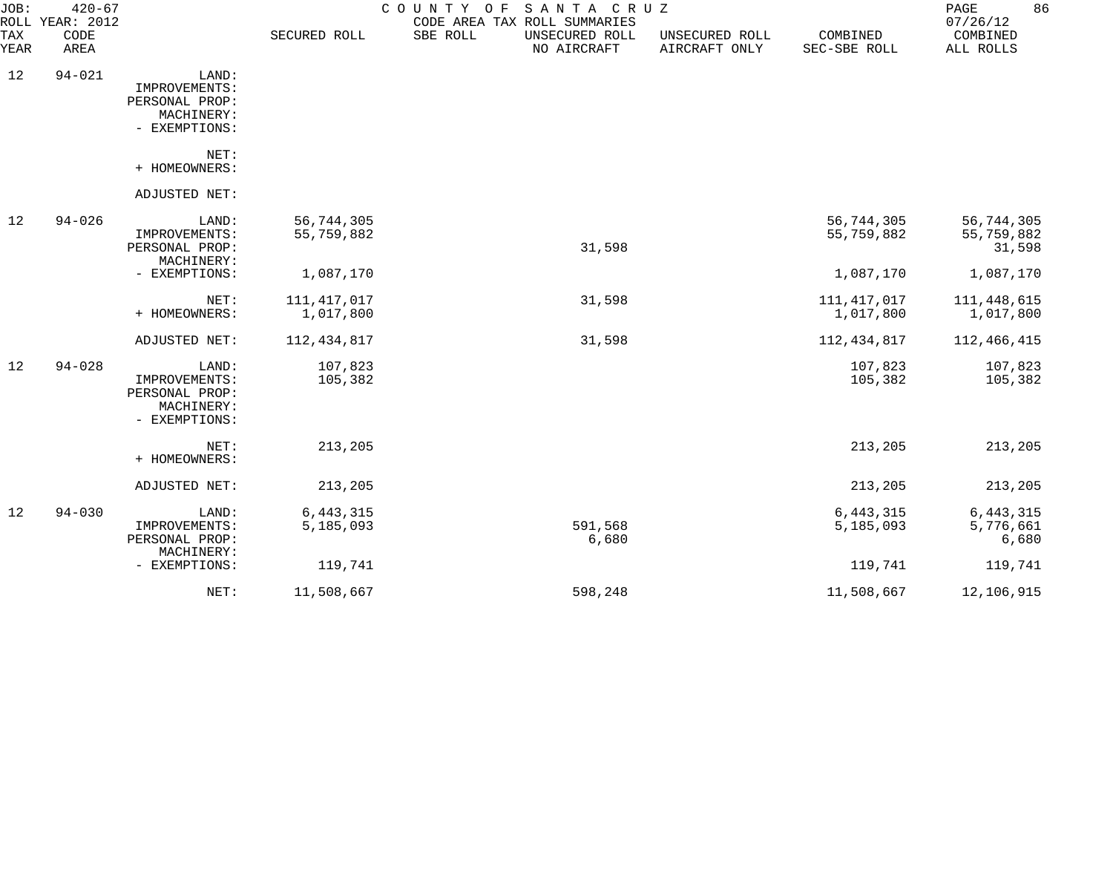| JOB:        | $420 - 67$<br>ROLL YEAR: 2012 |                                                                         |                            | COUNTY OF<br>SANTA CRUZ<br>CODE AREA TAX ROLL SUMMARIES |                  |                                 |                            | 86<br>PAGE<br>07/26/12             |
|-------------|-------------------------------|-------------------------------------------------------------------------|----------------------------|---------------------------------------------------------|------------------|---------------------------------|----------------------------|------------------------------------|
| TAX<br>YEAR | CODE<br>AREA                  |                                                                         | SECURED ROLL               | SBE ROLL<br>UNSECURED ROLL<br>NO AIRCRAFT               |                  | UNSECURED ROLL<br>AIRCRAFT ONLY | COMBINED<br>SEC-SBE ROLL   | COMBINED<br>ALL ROLLS              |
| 12          | $94 - 021$                    | LAND:<br>IMPROVEMENTS:<br>PERSONAL PROP:<br>MACHINERY:<br>- EXEMPTIONS: |                            |                                                         |                  |                                 |                            |                                    |
|             |                               | NET:<br>+ HOMEOWNERS:                                                   |                            |                                                         |                  |                                 |                            |                                    |
|             |                               | ADJUSTED NET:                                                           |                            |                                                         |                  |                                 |                            |                                    |
| 12          | $94 - 026$                    | LAND:<br>IMPROVEMENTS:<br>PERSONAL PROP:<br>MACHINERY:                  | 56,744,305<br>55,759,882   |                                                         | 31,598           |                                 | 56,744,305<br>55,759,882   | 56,744,305<br>55,759,882<br>31,598 |
|             |                               | - EXEMPTIONS:                                                           | 1,087,170                  |                                                         |                  |                                 | 1,087,170                  | 1,087,170                          |
|             |                               | NET:<br>+ HOMEOWNERS:                                                   | 111, 417, 017<br>1,017,800 |                                                         | 31,598           |                                 | 111, 417, 017<br>1,017,800 | 111, 448, 615<br>1,017,800         |
|             |                               | ADJUSTED NET:                                                           | 112, 434, 817              |                                                         | 31,598           |                                 | 112, 434, 817              | 112, 466, 415                      |
| 12          | $94 - 028$                    | LAND:<br>IMPROVEMENTS:<br>PERSONAL PROP:<br>MACHINERY:<br>- EXEMPTIONS: | 107,823<br>105,382         |                                                         |                  |                                 | 107,823<br>105,382         | 107,823<br>105,382                 |
|             |                               | NET:<br>+ HOMEOWNERS:                                                   | 213,205                    |                                                         |                  |                                 | 213,205                    | 213,205                            |
|             |                               | ADJUSTED NET:                                                           | 213,205                    |                                                         |                  |                                 | 213,205                    | 213,205                            |
| 12          | $94 - 030$                    | LAND:<br>IMPROVEMENTS:<br>PERSONAL PROP:                                | 6, 443, 315<br>5,185,093   |                                                         | 591,568<br>6,680 |                                 | 6, 443, 315<br>5,185,093   | 6, 443, 315<br>5,776,661<br>6,680  |
|             |                               | MACHINERY:<br>- EXEMPTIONS:                                             | 119,741                    |                                                         |                  |                                 | 119,741                    | 119,741                            |
|             |                               | NET:                                                                    | 11,508,667                 |                                                         | 598,248          |                                 | 11,508,667                 | 12,106,915                         |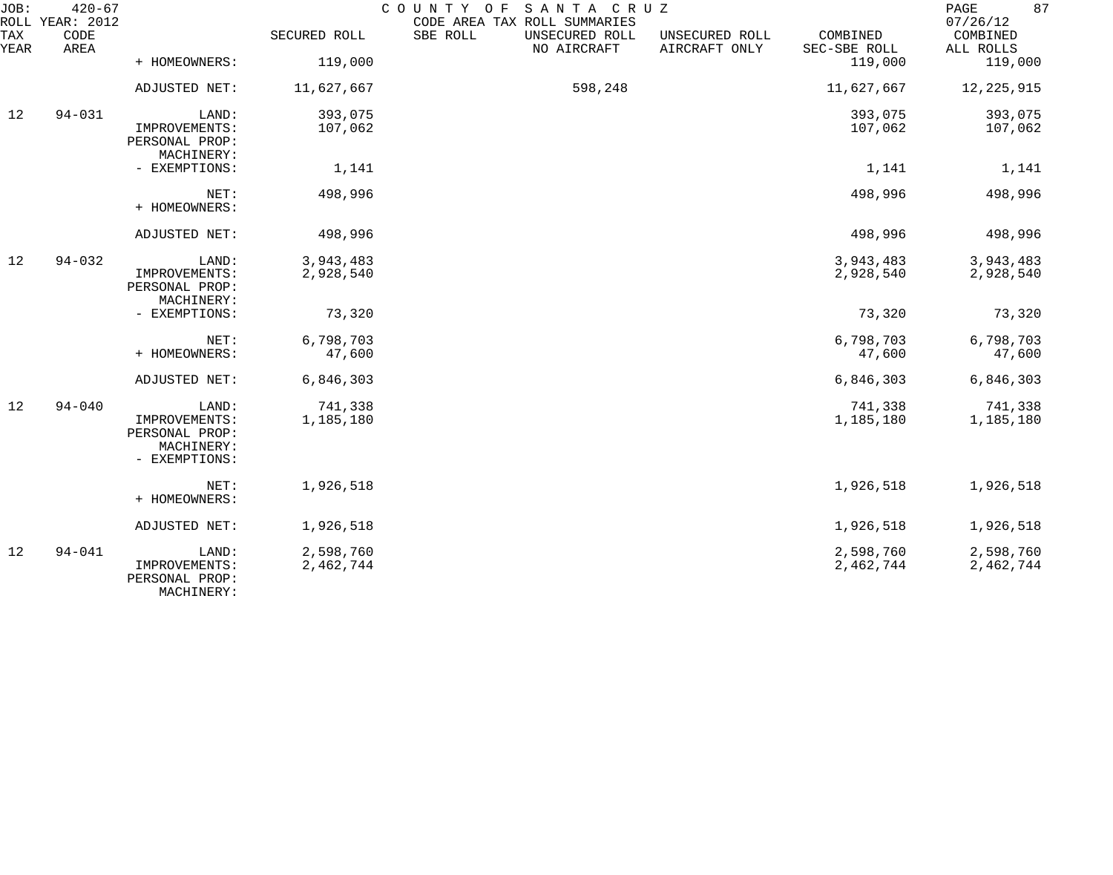| JOB:<br>ROLL | $420 - 67$<br>YEAR: 2012 |                                                                |                        | COUNTY OF<br>SANTA CRUZ<br>CODE AREA TAX ROLL SUMMARIES |                                 |                          | 87<br>$\mathop{\mathrm{PAGE}}$<br>07/26/12 |
|--------------|--------------------------|----------------------------------------------------------------|------------------------|---------------------------------------------------------|---------------------------------|--------------------------|--------------------------------------------|
| TAX<br>YEAR  | CODE<br>AREA             |                                                                | SECURED ROLL           | SBE ROLL<br>UNSECURED ROLL<br>NO AIRCRAFT               | UNSECURED ROLL<br>AIRCRAFT ONLY | COMBINED<br>SEC-SBE ROLL | COMBINED<br>ALL ROLLS                      |
|              |                          | + HOMEOWNERS:                                                  | 119,000                |                                                         |                                 | 119,000                  | 119,000                                    |
|              |                          | ADJUSTED NET:                                                  | 11,627,667             | 598,248                                                 |                                 | 11,627,667               | 12, 225, 915                               |
| 12           | $94 - 031$               | LAND:                                                          | 393,075                |                                                         |                                 | 393,075                  | 393,075                                    |
|              |                          | IMPROVEMENTS:<br>PERSONAL PROP:<br>MACHINERY:                  | 107,062                |                                                         |                                 | 107,062                  | 107,062                                    |
|              |                          | - EXEMPTIONS:                                                  | 1,141                  |                                                         |                                 | 1,141                    | 1,141                                      |
|              |                          | NET:<br>+ HOMEOWNERS:                                          | 498,996                |                                                         |                                 | 498,996                  | 498,996                                    |
|              |                          | ADJUSTED NET:                                                  | 498,996                |                                                         |                                 | 498,996                  | 498,996                                    |
| 12           | $94 - 032$               | LAND:                                                          | 3,943,483              |                                                         |                                 | 3,943,483                | 3,943,483                                  |
|              |                          | IMPROVEMENTS:<br>PERSONAL PROP:<br>MACHINERY:                  | 2,928,540              |                                                         |                                 | 2,928,540                | 2,928,540                                  |
|              |                          | - EXEMPTIONS:                                                  | 73,320                 |                                                         |                                 | 73,320                   | 73,320                                     |
|              |                          | NET:                                                           | 6,798,703              |                                                         |                                 | 6,798,703                | 6,798,703                                  |
|              |                          | + HOMEOWNERS:                                                  | 47,600                 |                                                         |                                 | 47,600                   | 47,600                                     |
|              |                          | ADJUSTED NET:                                                  | 6,846,303              |                                                         |                                 | 6,846,303                | 6,846,303                                  |
| 12           | $94 - 040$               | LAND:                                                          | 741,338                |                                                         |                                 | 741,338                  | 741,338                                    |
|              |                          | IMPROVEMENTS:<br>PERSONAL PROP:<br>MACHINERY:<br>- EXEMPTIONS: | 1,185,180              |                                                         |                                 | 1,185,180                | 1,185,180                                  |
|              |                          | NET:<br>+ HOMEOWNERS:                                          | 1,926,518              |                                                         |                                 | 1,926,518                | 1,926,518                                  |
|              |                          | ADJUSTED NET:                                                  | 1,926,518              |                                                         |                                 | 1,926,518                | 1,926,518                                  |
| 12           | $94 - 041$               | LAND:<br>IMPROVEMENTS:<br>PERSONAL PROP:                       | 2,598,760<br>2,462,744 |                                                         |                                 | 2,598,760<br>2,462,744   | 2,598,760<br>2,462,744                     |

MACHINERY: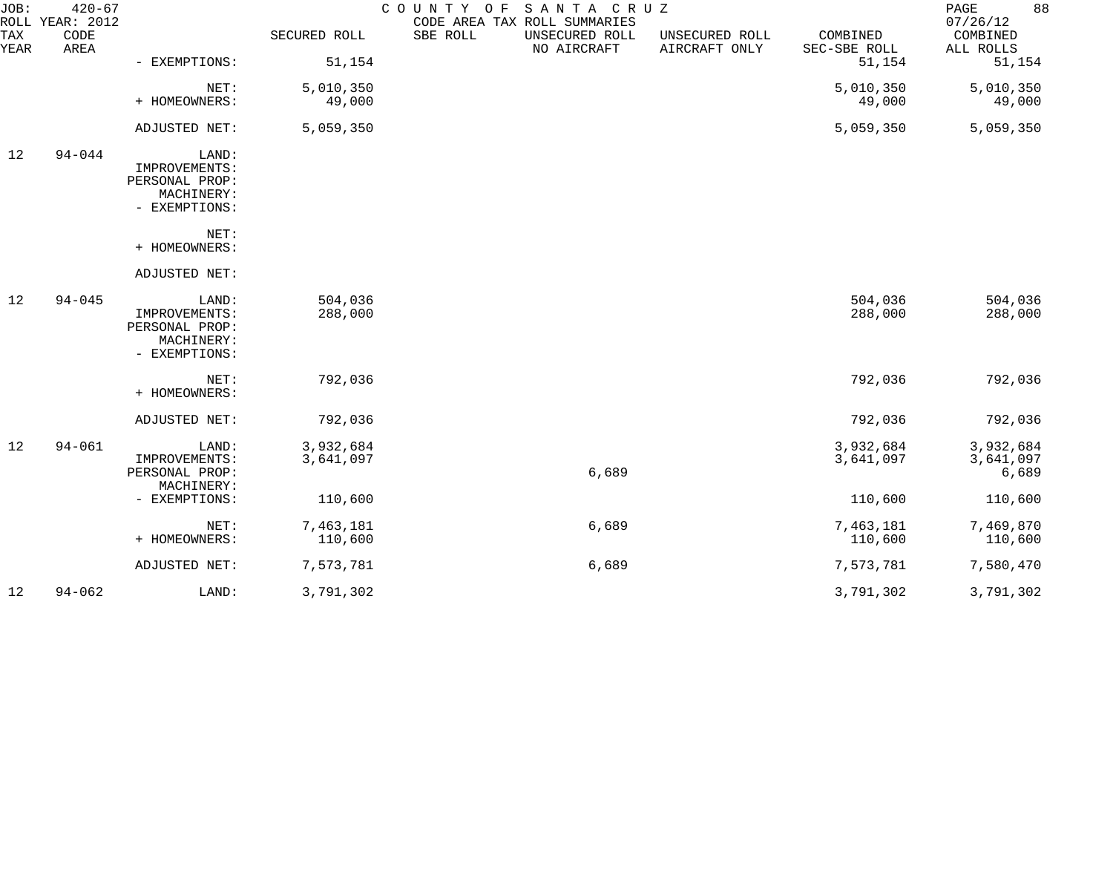| JOB:        | $420 - 67$<br>ROLL YEAR: 2012 |                                 |              | COUNTY OF SANTA CRUZ<br>CODE AREA TAX ROLL SUMMARIES |                               |                                 |                          | 88<br>PAGE<br>07/26/12 |
|-------------|-------------------------------|---------------------------------|--------------|------------------------------------------------------|-------------------------------|---------------------------------|--------------------------|------------------------|
| TAX<br>YEAR | CODE<br>AREA                  |                                 | SECURED ROLL | SBE ROLL                                             | UNSECURED ROLL<br>NO AIRCRAFT | UNSECURED ROLL<br>AIRCRAFT ONLY | COMBINED<br>SEC-SBE ROLL | COMBINED<br>ALL ROLLS  |
|             |                               | - EXEMPTIONS:                   | 51,154       |                                                      |                               |                                 | 51,154                   | 51,154                 |
|             |                               | NET:                            | 5,010,350    |                                                      |                               |                                 | 5,010,350                | 5,010,350              |
|             |                               | + HOMEOWNERS:                   | 49,000       |                                                      |                               |                                 | 49,000                   | 49,000                 |
|             |                               | ADJUSTED NET:                   | 5,059,350    |                                                      |                               |                                 | 5,059,350                | 5,059,350              |
| 12          | $94 - 044$                    | LAND:                           |              |                                                      |                               |                                 |                          |                        |
|             |                               | IMPROVEMENTS:<br>PERSONAL PROP: |              |                                                      |                               |                                 |                          |                        |
|             |                               | MACHINERY:                      |              |                                                      |                               |                                 |                          |                        |
|             |                               | - EXEMPTIONS:                   |              |                                                      |                               |                                 |                          |                        |
|             |                               | NET:                            |              |                                                      |                               |                                 |                          |                        |
|             |                               | + HOMEOWNERS:                   |              |                                                      |                               |                                 |                          |                        |
|             |                               | ADJUSTED NET:                   |              |                                                      |                               |                                 |                          |                        |
| 12          | $94 - 045$                    | LAND:                           | 504,036      |                                                      |                               |                                 | 504,036                  | 504,036                |
|             |                               | IMPROVEMENTS:                   | 288,000      |                                                      |                               |                                 | 288,000                  | 288,000                |
|             |                               | PERSONAL PROP:<br>MACHINERY:    |              |                                                      |                               |                                 |                          |                        |
|             |                               | - EXEMPTIONS:                   |              |                                                      |                               |                                 |                          |                        |
|             |                               | NET:                            | 792,036      |                                                      |                               |                                 | 792,036                  | 792,036                |
|             |                               | + HOMEOWNERS:                   |              |                                                      |                               |                                 |                          |                        |
|             |                               | ADJUSTED NET:                   | 792,036      |                                                      |                               |                                 | 792,036                  | 792,036                |
| 12          | $94 - 061$                    | LAND:                           | 3,932,684    |                                                      |                               |                                 | 3,932,684                | 3,932,684              |
|             |                               | IMPROVEMENTS:                   | 3,641,097    |                                                      |                               |                                 | 3,641,097                | 3,641,097              |
|             |                               | PERSONAL PROP:                  |              |                                                      | 6,689                         |                                 |                          | 6,689                  |
|             |                               | MACHINERY:                      |              |                                                      |                               |                                 |                          |                        |
|             |                               | - EXEMPTIONS:                   | 110,600      |                                                      |                               |                                 | 110,600                  | 110,600                |
|             |                               | NET:                            | 7,463,181    |                                                      | 6,689                         |                                 | 7,463,181                | 7,469,870              |
|             |                               | + HOMEOWNERS:                   | 110,600      |                                                      |                               |                                 | 110,600                  | 110,600                |
|             |                               | ADJUSTED NET:                   | 7,573,781    |                                                      | 6,689                         |                                 | 7,573,781                | 7,580,470              |
| 12          | $94 - 062$                    | LAND:                           | 3,791,302    |                                                      |                               |                                 | 3,791,302                | 3,791,302              |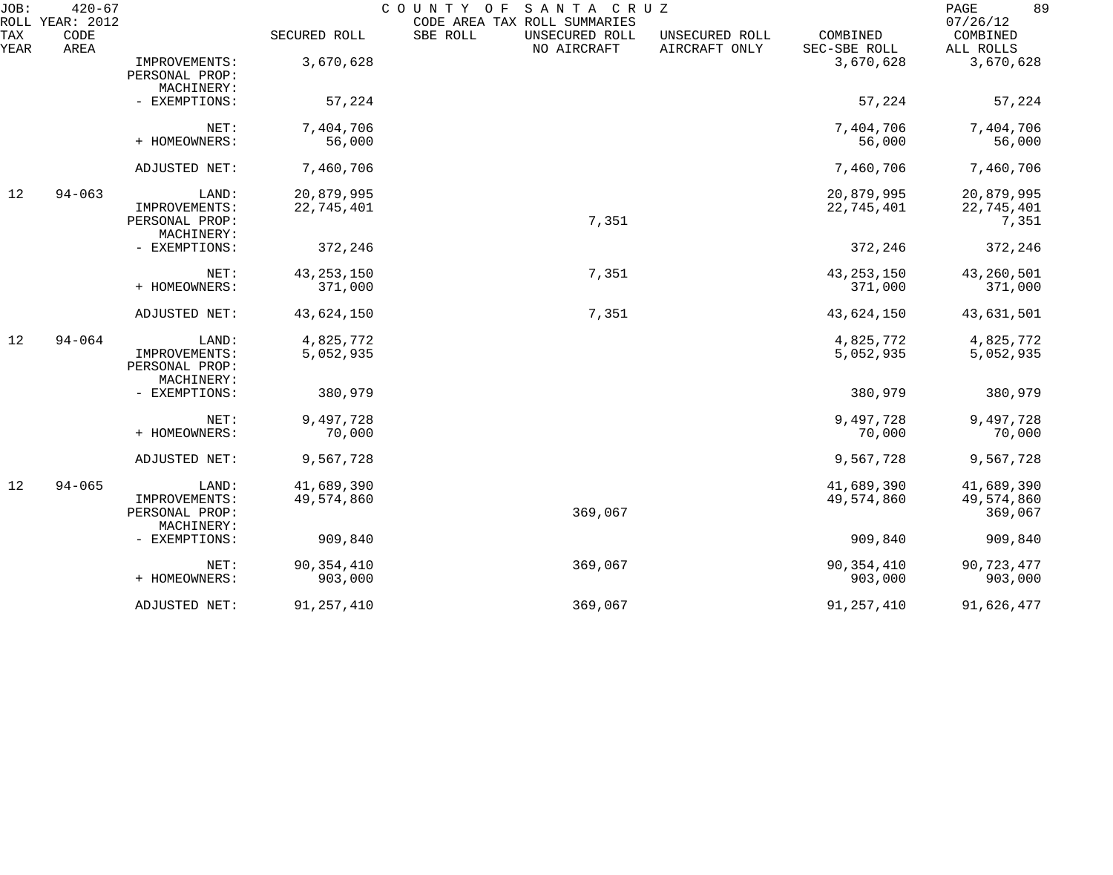| JOB:<br>ROLL | $420 - 67$<br>YEAR: 2012 |                |              | COUNTY<br>O F<br>SANTA CRUZ<br>CODE AREA TAX ROLL SUMMARIES |                                 |                          | 89<br>PAGE<br>07/26/12 |
|--------------|--------------------------|----------------|--------------|-------------------------------------------------------------|---------------------------------|--------------------------|------------------------|
| TAX<br>YEAR  | CODE<br>AREA             |                | SECURED ROLL | SBE ROLL<br>UNSECURED ROLL<br>NO AIRCRAFT                   | UNSECURED ROLL<br>AIRCRAFT ONLY | COMBINED<br>SEC-SBE ROLL | COMBINED<br>ALL ROLLS  |
|              |                          | IMPROVEMENTS:  | 3,670,628    |                                                             |                                 | 3,670,628                | 3,670,628              |
|              |                          | PERSONAL PROP: |              |                                                             |                                 |                          |                        |
|              |                          | MACHINERY:     |              |                                                             |                                 |                          |                        |
|              |                          | - EXEMPTIONS:  | 57,224       |                                                             |                                 | 57,224                   | 57,224                 |
|              |                          | NET:           | 7,404,706    |                                                             |                                 | 7,404,706                | 7,404,706              |
|              |                          | + HOMEOWNERS:  | 56,000       |                                                             |                                 | 56,000                   | 56,000                 |
|              |                          | ADJUSTED NET:  | 7,460,706    |                                                             |                                 | 7,460,706                | 7,460,706              |
| 12           | $94 - 063$               | LAND:          | 20,879,995   |                                                             |                                 | 20,879,995               | 20,879,995             |
|              |                          | IMPROVEMENTS:  | 22,745,401   |                                                             |                                 | 22,745,401               | 22,745,401             |
|              |                          | PERSONAL PROP: |              | 7,351                                                       |                                 |                          | 7,351                  |
|              |                          | MACHINERY:     |              |                                                             |                                 |                          |                        |
|              |                          | - EXEMPTIONS:  | 372,246      |                                                             |                                 | 372,246                  | 372,246                |
|              |                          | NET:           | 43, 253, 150 | 7,351                                                       |                                 | 43, 253, 150             | 43,260,501             |
|              |                          | + HOMEOWNERS:  | 371,000      |                                                             |                                 | 371,000                  | 371,000                |
|              |                          | ADJUSTED NET:  | 43,624,150   | 7,351                                                       |                                 | 43,624,150               | 43,631,501             |
| 12           | $94 - 064$               | LAND:          | 4,825,772    |                                                             |                                 | 4,825,772                | 4,825,772              |
|              |                          | IMPROVEMENTS:  | 5,052,935    |                                                             |                                 | 5,052,935                | 5,052,935              |
|              |                          | PERSONAL PROP: |              |                                                             |                                 |                          |                        |
|              |                          | MACHINERY:     |              |                                                             |                                 |                          |                        |
|              |                          | - EXEMPTIONS:  | 380,979      |                                                             |                                 | 380,979                  | 380,979                |
|              |                          | NET:           | 9,497,728    |                                                             |                                 | 9,497,728                | 9,497,728              |
|              |                          | + HOMEOWNERS:  | 70,000       |                                                             |                                 | 70,000                   | 70,000                 |
|              |                          | ADJUSTED NET:  | 9,567,728    |                                                             |                                 | 9,567,728                | 9,567,728              |
| 12           | $94 - 065$               | LAND:          | 41,689,390   |                                                             |                                 | 41,689,390               | 41,689,390             |
|              |                          | IMPROVEMENTS:  | 49,574,860   |                                                             |                                 | 49,574,860               | 49,574,860             |
|              |                          | PERSONAL PROP: |              | 369,067                                                     |                                 |                          | 369,067                |
|              |                          | MACHINERY:     |              |                                                             |                                 |                          |                        |
|              |                          | - EXEMPTIONS:  | 909,840      |                                                             |                                 | 909,840                  | 909,840                |
|              |                          | NET:           | 90, 354, 410 | 369,067                                                     |                                 | 90, 354, 410             | 90,723,477             |
|              |                          | + HOMEOWNERS:  | 903,000      |                                                             |                                 | 903,000                  | 903,000                |
|              |                          | ADJUSTED NET:  | 91, 257, 410 | 369,067                                                     |                                 | 91, 257, 410             | 91,626,477             |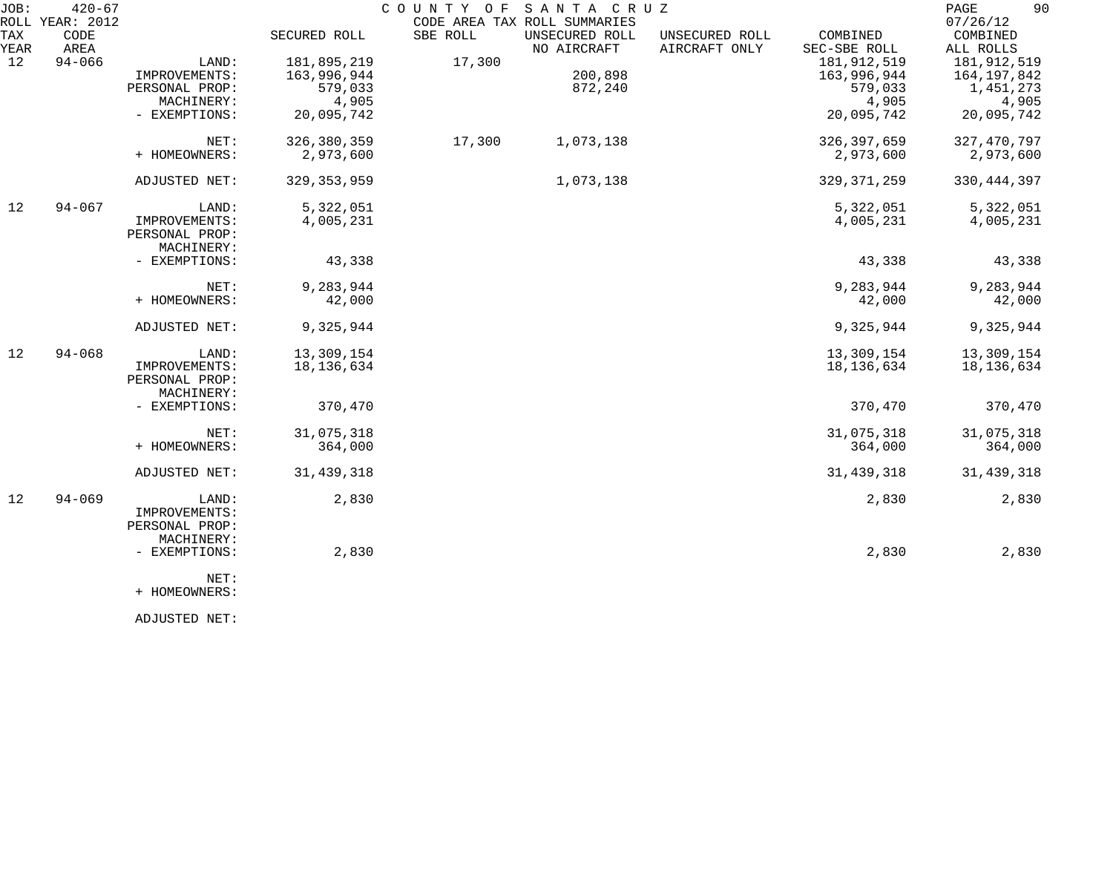| JOB:        | $420 - 67$<br>ROLL YEAR: 2012 |                             |               |          | COUNTY OF SANTA CRUZ<br>CODE AREA TAX ROLL SUMMARIES |                                 |                          | 90<br>PAGE<br>07/26/12 |
|-------------|-------------------------------|-----------------------------|---------------|----------|------------------------------------------------------|---------------------------------|--------------------------|------------------------|
| TAX<br>YEAR | CODE<br>AREA                  |                             | SECURED ROLL  | SBE ROLL | UNSECURED ROLL<br>NO AIRCRAFT                        | UNSECURED ROLL<br>AIRCRAFT ONLY | COMBINED<br>SEC-SBE ROLL | COMBINED<br>ALL ROLLS  |
| 12          | $94 - 066$                    | LAND:                       | 181,895,219   | 17,300   |                                                      |                                 | 181, 912, 519            | 181,912,519            |
|             |                               | IMPROVEMENTS:               | 163,996,944   |          | 200,898                                              |                                 | 163,996,944              | 164,197,842            |
|             |                               | PERSONAL PROP:              | 579,033       |          | 872,240                                              |                                 | 579,033                  | 1,451,273              |
|             |                               | MACHINERY:                  | 4,905         |          |                                                      |                                 | 4,905                    | 4,905                  |
|             |                               | - EXEMPTIONS:               | 20,095,742    |          |                                                      |                                 | 20,095,742               | 20,095,742             |
|             |                               | NET:                        | 326,380,359   | 17,300   | 1,073,138                                            |                                 | 326, 397, 659            | 327, 470, 797          |
|             |                               | + HOMEOWNERS:               | 2,973,600     |          |                                                      |                                 | 2,973,600                | 2,973,600              |
|             |                               | ADJUSTED NET:               | 329, 353, 959 |          | 1,073,138                                            |                                 | 329, 371, 259            | 330, 444, 397          |
| 12          | $94 - 067$                    | LAND:                       | 5,322,051     |          |                                                      |                                 | 5,322,051                | 5,322,051              |
|             |                               | IMPROVEMENTS:               | 4,005,231     |          |                                                      |                                 | 4,005,231                | 4,005,231              |
|             |                               | PERSONAL PROP:              |               |          |                                                      |                                 |                          |                        |
|             |                               | MACHINERY:                  |               |          |                                                      |                                 |                          |                        |
|             |                               | - EXEMPTIONS:               | 43,338        |          |                                                      |                                 | 43,338                   | 43,338                 |
|             |                               | NET:                        | 9,283,944     |          |                                                      |                                 | 9,283,944                | 9,283,944              |
|             |                               | + HOMEOWNERS:               | 42,000        |          |                                                      |                                 | 42,000                   | 42,000                 |
|             |                               | ADJUSTED NET:               | 9,325,944     |          |                                                      |                                 | 9,325,944                | 9,325,944              |
| 12          | $94 - 068$                    | LAND:                       | 13,309,154    |          |                                                      |                                 | 13,309,154               | 13,309,154             |
|             |                               | IMPROVEMENTS:               | 18,136,634    |          |                                                      |                                 | 18, 136, 634             | 18,136,634             |
|             |                               | PERSONAL PROP:              |               |          |                                                      |                                 |                          |                        |
|             |                               | MACHINERY:<br>- EXEMPTIONS: | 370,470       |          |                                                      |                                 | 370,470                  | 370,470                |
|             |                               |                             |               |          |                                                      |                                 |                          |                        |
|             |                               | NET:                        | 31,075,318    |          |                                                      |                                 | 31,075,318               | 31,075,318             |
|             |                               | + HOMEOWNERS:               | 364,000       |          |                                                      |                                 | 364,000                  | 364,000                |
|             |                               | ADJUSTED NET:               | 31, 439, 318  |          |                                                      |                                 | 31, 439, 318             | 31,439,318             |
| 12          | $94 - 069$                    | LAND:                       | 2,830         |          |                                                      |                                 | 2,830                    | 2,830                  |
|             |                               | IMPROVEMENTS:               |               |          |                                                      |                                 |                          |                        |
|             |                               | PERSONAL PROP:              |               |          |                                                      |                                 |                          |                        |
|             |                               | MACHINERY:                  |               |          |                                                      |                                 |                          |                        |
|             |                               | - EXEMPTIONS:               | 2,830         |          |                                                      |                                 | 2,830                    | 2,830                  |
|             |                               | NET:                        |               |          |                                                      |                                 |                          |                        |

+ HOMEOWNERS:

ADJUSTED NET: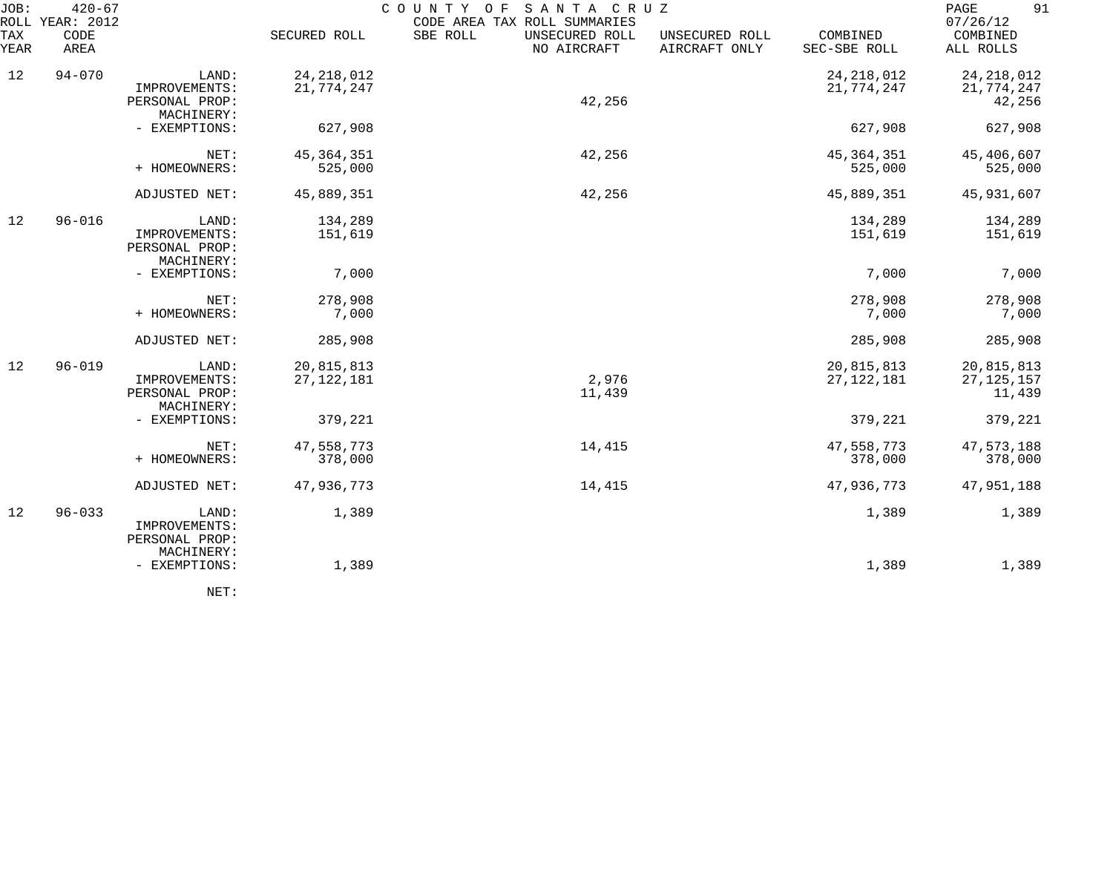| JOB:        | $420 - 67$<br>ROLL YEAR: 2012 |                                                        |                            | SANTA CRUZ<br>C O U N T Y<br>O F<br>CODE AREA TAX ROLL SUMMARIES |                                 |                            | 91<br>PAGE<br>07/26/12               |
|-------------|-------------------------------|--------------------------------------------------------|----------------------------|------------------------------------------------------------------|---------------------------------|----------------------------|--------------------------------------|
| TAX<br>YEAR | CODE<br>AREA                  |                                                        | SECURED ROLL               | SBE ROLL<br>UNSECURED ROLL<br>NO AIRCRAFT                        | UNSECURED ROLL<br>AIRCRAFT ONLY | COMBINED<br>SEC-SBE ROLL   | COMBINED<br>ALL ROLLS                |
| 12          | $94 - 070$                    | LAND:<br>IMPROVEMENTS:<br>PERSONAL PROP:<br>MACHINERY: | 24, 218, 012<br>21,774,247 | 42,256                                                           |                                 | 24, 218, 012<br>21,774,247 | 24, 218, 012<br>21,774,247<br>42,256 |
|             |                               | - EXEMPTIONS:                                          | 627,908                    |                                                                  |                                 | 627,908                    | 627,908                              |
|             |                               | NET:<br>+ HOMEOWNERS:                                  | 45, 364, 351<br>525,000    | 42,256                                                           |                                 | 45, 364, 351<br>525,000    | 45,406,607<br>525,000                |
|             |                               | ADJUSTED NET:                                          | 45,889,351                 | 42,256                                                           |                                 | 45,889,351                 | 45,931,607                           |
| 12          | $96 - 016$                    | LAND:<br>IMPROVEMENTS:<br>PERSONAL PROP:<br>MACHINERY: | 134,289<br>151,619         |                                                                  |                                 | 134,289<br>151,619         | 134,289<br>151,619                   |
|             |                               | - EXEMPTIONS:                                          | 7,000                      |                                                                  |                                 | 7,000                      | 7,000                                |
|             |                               | NET:<br>+ HOMEOWNERS:                                  | 278,908<br>7,000           |                                                                  |                                 | 278,908<br>7,000           | 278,908<br>7,000                     |
|             |                               | ADJUSTED NET:                                          | 285,908                    |                                                                  |                                 | 285,908                    | 285,908                              |
| 12          | $96 - 019$                    | LAND:<br>IMPROVEMENTS:<br>PERSONAL PROP:<br>MACHINERY: | 20,815,813<br>27, 122, 181 | 2,976<br>11,439                                                  |                                 | 20,815,813<br>27, 122, 181 | 20,815,813<br>27, 125, 157<br>11,439 |
|             |                               | - EXEMPTIONS:                                          | 379,221                    |                                                                  |                                 | 379,221                    | 379,221                              |
|             |                               | NET:<br>+ HOMEOWNERS:                                  | 47,558,773<br>378,000      | 14,415                                                           |                                 | 47,558,773<br>378,000      | 47,573,188<br>378,000                |
|             |                               | ADJUSTED NET:                                          | 47,936,773                 | 14,415                                                           |                                 | 47,936,773                 | 47,951,188                           |
| 12          | $96 - 033$                    | LAND:<br>IMPROVEMENTS:<br>PERSONAL PROP:<br>MACHINERY: | 1,389                      |                                                                  |                                 | 1,389                      | 1,389                                |
|             |                               | - EXEMPTIONS:                                          | 1,389                      |                                                                  |                                 | 1,389                      | 1,389                                |
|             |                               |                                                        |                            |                                                                  |                                 |                            |                                      |

NET: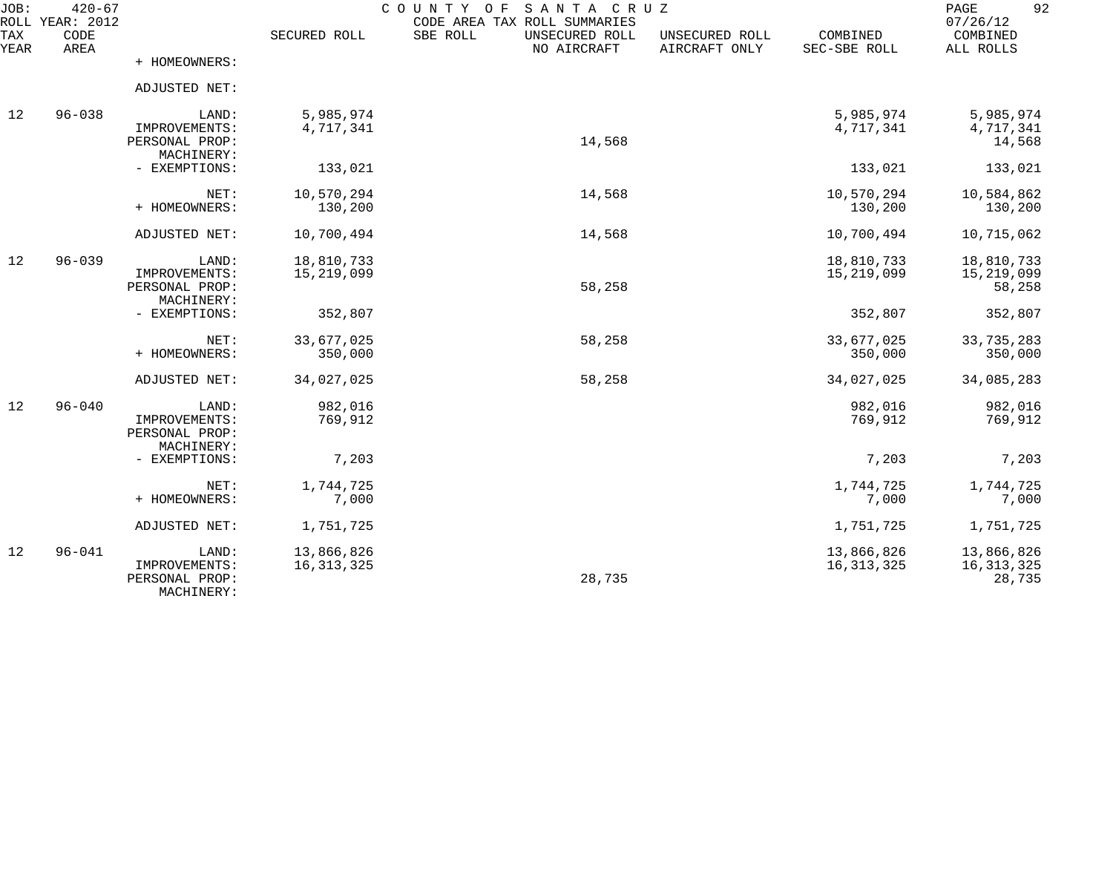| JOB:<br><b>TAX</b> | $420 - 67$<br>ROLL YEAR: 2012<br>CODE |                                                        | SECURED ROLL               | COUNTY OF<br>SANTA CRUZ<br>CODE AREA TAX ROLL SUMMARIES<br>SBE ROLL<br>UNSECURED ROLL | UNSECURED ROLL | COMBINED                   | 92<br>PAGE<br>07/26/12<br>COMBINED   |
|--------------------|---------------------------------------|--------------------------------------------------------|----------------------------|---------------------------------------------------------------------------------------|----------------|----------------------------|--------------------------------------|
| YEAR               | AREA                                  | + HOMEOWNERS:                                          |                            | NO AIRCRAFT                                                                           | AIRCRAFT ONLY  | SEC-SBE ROLL               | ALL ROLLS                            |
|                    |                                       | ADJUSTED NET:                                          |                            |                                                                                       |                |                            |                                      |
| 12                 | $96 - 038$                            | LAND:<br>IMPROVEMENTS:<br>PERSONAL PROP:<br>MACHINERY: | 5,985,974<br>4,717,341     | 14,568                                                                                |                | 5,985,974<br>4,717,341     | 5,985,974<br>4,717,341<br>14,568     |
|                    |                                       | - EXEMPTIONS:                                          | 133,021                    |                                                                                       |                | 133,021                    | 133,021                              |
|                    |                                       | NET:<br>+ HOMEOWNERS:                                  | 10,570,294<br>130,200      | 14,568                                                                                |                | 10,570,294<br>130,200      | 10,584,862<br>130,200                |
|                    |                                       | ADJUSTED NET:                                          | 10,700,494                 | 14,568                                                                                |                | 10,700,494                 | 10,715,062                           |
| 12                 | $96 - 039$                            | LAND:<br>IMPROVEMENTS:<br>PERSONAL PROP:<br>MACHINERY: | 18,810,733<br>15, 219, 099 | 58,258                                                                                |                | 18,810,733<br>15,219,099   | 18,810,733<br>15, 219, 099<br>58,258 |
|                    |                                       | - EXEMPTIONS:                                          | 352,807                    |                                                                                       |                | 352,807                    | 352,807                              |
|                    |                                       | NET:<br>+ HOMEOWNERS:                                  | 33,677,025<br>350,000      | 58,258                                                                                |                | 33,677,025<br>350,000      | 33,735,283<br>350,000                |
|                    |                                       | ADJUSTED NET:                                          | 34,027,025                 | 58,258                                                                                |                | 34,027,025                 | 34,085,283                           |
| 12                 | $96 - 040$                            | LAND:<br>IMPROVEMENTS:<br>PERSONAL PROP:               | 982,016<br>769,912         |                                                                                       |                | 982,016<br>769,912         | 982,016<br>769,912                   |
|                    |                                       | MACHINERY:<br>- EXEMPTIONS:                            | 7,203                      |                                                                                       |                | 7,203                      | 7,203                                |
|                    |                                       | NET:<br>+ HOMEOWNERS:                                  | 1,744,725<br>7,000         |                                                                                       |                | 1,744,725<br>7,000         | 1,744,725<br>7,000                   |
|                    |                                       | ADJUSTED NET:                                          | 1,751,725                  |                                                                                       |                | 1,751,725                  | 1,751,725                            |
| 12                 | $96 - 041$                            | LAND:<br>IMPROVEMENTS:<br>PERSONAL PROP:<br>MACHINERY: | 13,866,826<br>16, 313, 325 | 28,735                                                                                |                | 13,866,826<br>16, 313, 325 | 13,866,826<br>16, 313, 325<br>28,735 |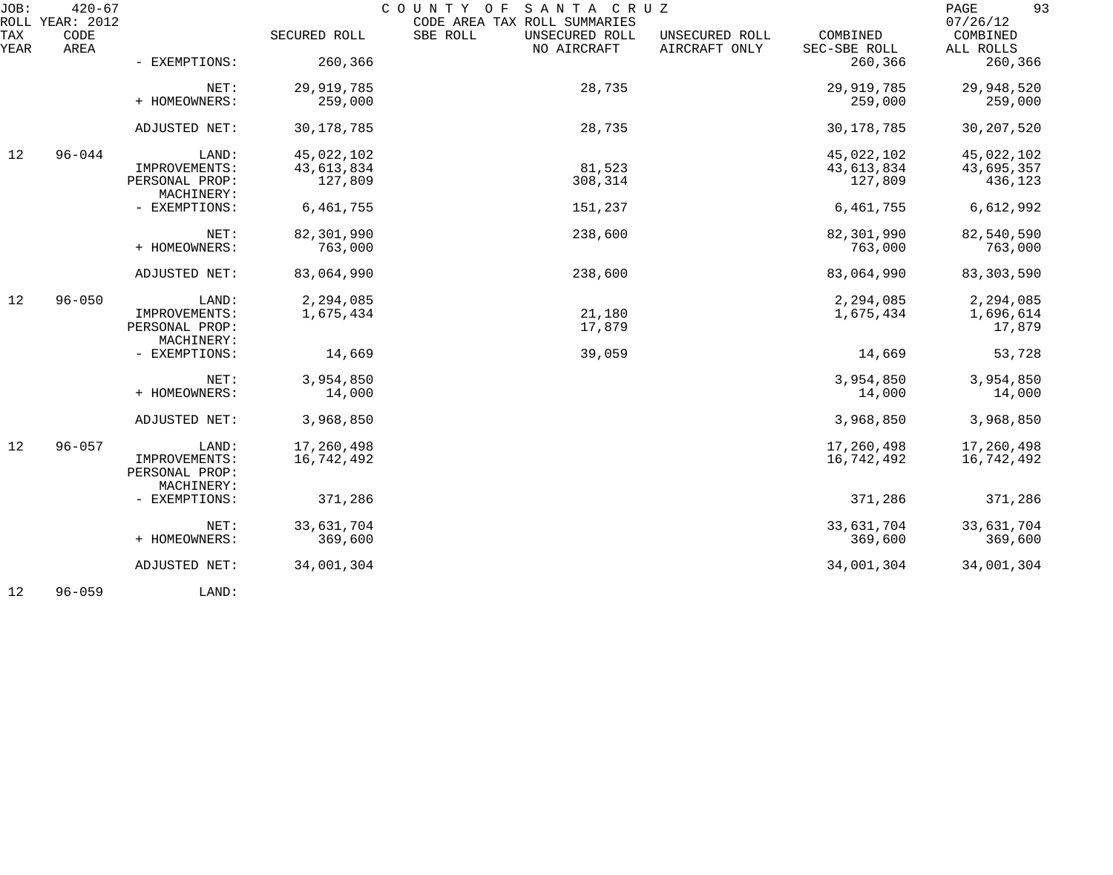| JOB:        | $420 - 67$<br>ROLL YEAR: 2012 |                                 |              | COUNTY OF SANTA CRUZ<br>CODE AREA TAX ROLL SUMMARIES |                                 |                          | 93<br>PAGE<br>07/26/12 |
|-------------|-------------------------------|---------------------------------|--------------|------------------------------------------------------|---------------------------------|--------------------------|------------------------|
| TAX<br>YEAR | CODE<br>AREA                  |                                 | SECURED ROLL | SBE ROLL<br>UNSECURED ROLL<br>NO AIRCRAFT            | UNSECURED ROLL<br>AIRCRAFT ONLY | COMBINED<br>SEC-SBE ROLL | COMBINED<br>ALL ROLLS  |
|             |                               | - EXEMPTIONS:                   | 260,366      |                                                      |                                 | 260,366                  | 260,366                |
|             |                               | NET:                            | 29,919,785   | 28,735                                               |                                 | 29,919,785               | 29,948,520             |
|             |                               | + HOMEOWNERS:                   | 259,000      |                                                      |                                 | 259,000                  | 259,000                |
|             |                               | ADJUSTED NET:                   | 30, 178, 785 | 28,735                                               |                                 | 30, 178, 785             | 30, 207, 520           |
| 12          | $96 - 044$                    | LAND:                           | 45,022,102   |                                                      |                                 | 45,022,102               | 45,022,102             |
|             |                               | IMPROVEMENTS:                   | 43,613,834   | 81,523                                               |                                 | 43,613,834               | 43,695,357             |
|             |                               | PERSONAL PROP:<br>MACHINERY:    | 127,809      | 308,314                                              |                                 | 127,809                  | 436,123                |
|             |                               | - EXEMPTIONS:                   | 6,461,755    | 151,237                                              |                                 | 6,461,755                | 6,612,992              |
|             |                               | NET:                            | 82,301,990   | 238,600                                              |                                 | 82,301,990               | 82,540,590             |
|             |                               | + HOMEOWNERS:                   | 763,000      |                                                      |                                 | 763,000                  | 763,000                |
|             |                               | ADJUSTED NET:                   | 83,064,990   | 238,600                                              |                                 | 83,064,990               | 83, 303, 590           |
| 12          | $96 - 050$                    | LAND:                           | 2,294,085    |                                                      |                                 | 2,294,085                | 2,294,085              |
|             |                               | IMPROVEMENTS:<br>PERSONAL PROP: | 1,675,434    | 21,180<br>17,879                                     |                                 | 1,675,434                | 1,696,614<br>17,879    |
|             |                               | MACHINERY:<br>- EXEMPTIONS:     | 14,669       | 39,059                                               |                                 | 14,669                   | 53,728                 |
|             |                               | NET:                            | 3,954,850    |                                                      |                                 | 3,954,850                | 3,954,850              |
|             |                               | + HOMEOWNERS:                   | 14,000       |                                                      |                                 | 14,000                   | 14,000                 |
|             |                               | ADJUSTED NET:                   | 3,968,850    |                                                      |                                 | 3,968,850                | 3,968,850              |
| 12          | $96 - 057$                    | LAND:                           | 17,260,498   |                                                      |                                 | 17,260,498               | 17,260,498             |
|             |                               | IMPROVEMENTS:<br>PERSONAL PROP: | 16,742,492   |                                                      |                                 | 16,742,492               | 16,742,492             |
|             |                               | MACHINERY:<br>- EXEMPTIONS:     | 371,286      |                                                      |                                 | 371,286                  | 371,286                |
|             |                               | NET:                            | 33,631,704   |                                                      |                                 | 33,631,704               | 33,631,704             |
|             |                               | + HOMEOWNERS:                   | 369,600      |                                                      |                                 | 369,600                  | 369,600                |
|             |                               | ADJUSTED NET:                   | 34,001,304   |                                                      |                                 | 34,001,304               | 34,001,304             |
|             |                               |                                 |              |                                                      |                                 |                          |                        |

12 96-059 LAND: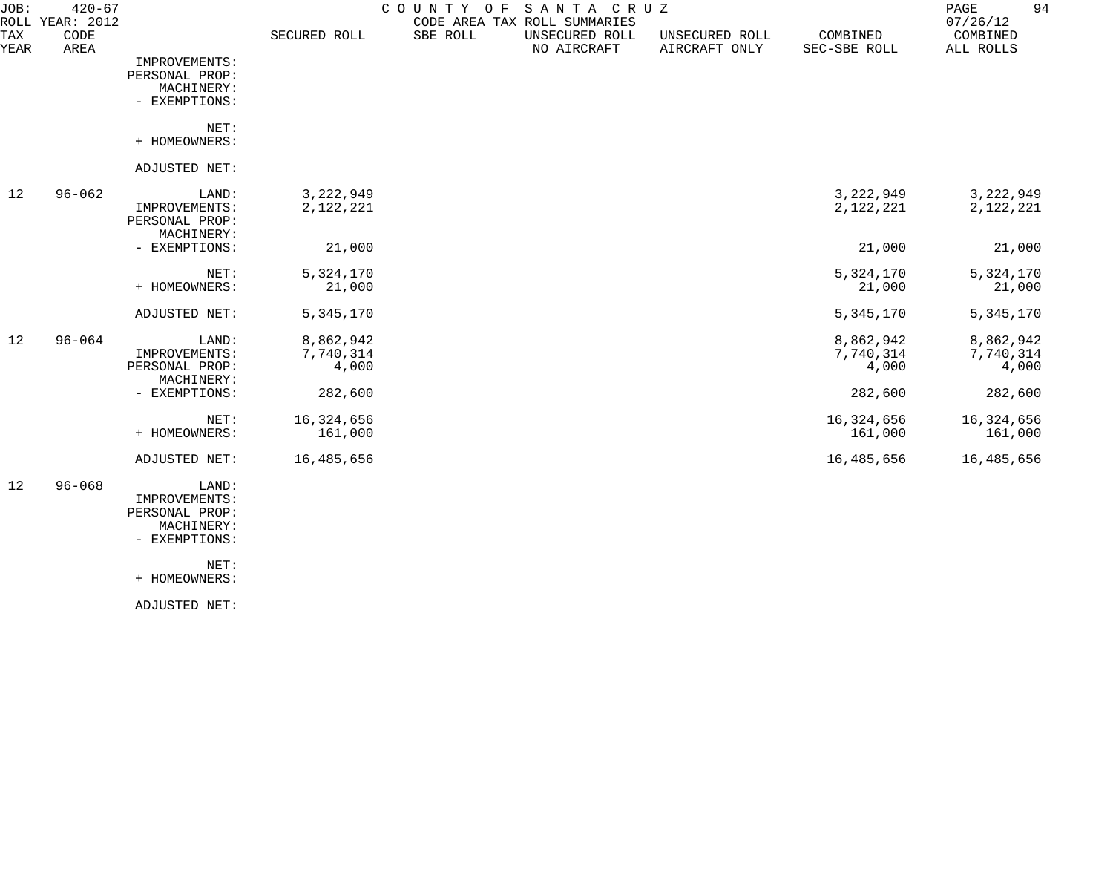| JOB:        | $420 - 67$<br>ROLL YEAR: 2012 |                              |              | COUNTY OF | SANTA CRUZ<br>CODE AREA TAX ROLL SUMMARIES |                                 |                          | 94<br>$\mathop{\mathrm{PAGE}}$<br>07/26/12 |
|-------------|-------------------------------|------------------------------|--------------|-----------|--------------------------------------------|---------------------------------|--------------------------|--------------------------------------------|
| TAX<br>YEAR | CODE<br>AREA                  |                              | SECURED ROLL | SBE ROLL  | UNSECURED ROLL<br>NO AIRCRAFT              | UNSECURED ROLL<br>AIRCRAFT ONLY | COMBINED<br>SEC-SBE ROLL | COMBINED<br>ALL ROLLS                      |
|             |                               | IMPROVEMENTS:                |              |           |                                            |                                 |                          |                                            |
|             |                               | PERSONAL PROP:               |              |           |                                            |                                 |                          |                                            |
|             |                               | MACHINERY:                   |              |           |                                            |                                 |                          |                                            |
|             |                               | - EXEMPTIONS:                |              |           |                                            |                                 |                          |                                            |
|             |                               | NET:                         |              |           |                                            |                                 |                          |                                            |
|             |                               | + HOMEOWNERS:                |              |           |                                            |                                 |                          |                                            |
|             |                               | ADJUSTED NET:                |              |           |                                            |                                 |                          |                                            |
| 12          | $96 - 062$                    | LAND:                        | 3,222,949    |           |                                            |                                 | 3,222,949                | 3,222,949                                  |
|             |                               | IMPROVEMENTS:                | 2,122,221    |           |                                            |                                 | 2,122,221                | 2,122,221                                  |
|             |                               | PERSONAL PROP:<br>MACHINERY: |              |           |                                            |                                 |                          |                                            |
|             |                               | - EXEMPTIONS:                | 21,000       |           |                                            |                                 | 21,000                   | 21,000                                     |
|             |                               | NET:                         | 5,324,170    |           |                                            |                                 | 5,324,170                | 5,324,170                                  |
|             |                               | + HOMEOWNERS:                | 21,000       |           |                                            |                                 | 21,000                   | 21,000                                     |
|             |                               | ADJUSTED NET:                | 5,345,170    |           |                                            |                                 | 5,345,170                | 5,345,170                                  |
| 12          | $96 - 064$                    | LAND:                        | 8,862,942    |           |                                            |                                 | 8,862,942                | 8,862,942                                  |
|             |                               | IMPROVEMENTS:                | 7,740,314    |           |                                            |                                 | 7,740,314                | 7,740,314                                  |
|             |                               | PERSONAL PROP:               | 4,000        |           |                                            |                                 | 4,000                    | 4,000                                      |
|             |                               | MACHINERY:                   |              |           |                                            |                                 |                          |                                            |
|             |                               | - EXEMPTIONS:                | 282,600      |           |                                            |                                 | 282,600                  | 282,600                                    |
|             |                               | NET:                         | 16,324,656   |           |                                            |                                 | 16,324,656               | 16,324,656                                 |
|             |                               | + HOMEOWNERS:                | 161,000      |           |                                            |                                 | 161,000                  | 161,000                                    |
|             |                               | ADJUSTED NET:                | 16,485,656   |           |                                            |                                 | 16,485,656               | 16,485,656                                 |
| 12          | $96 - 068$                    | LAND:                        |              |           |                                            |                                 |                          |                                            |
|             |                               | IMPROVEMENTS:                |              |           |                                            |                                 |                          |                                            |
|             |                               | PERSONAL PROP:               |              |           |                                            |                                 |                          |                                            |
|             |                               | MACHINERY:                   |              |           |                                            |                                 |                          |                                            |
|             |                               | - EXEMPTIONS:                |              |           |                                            |                                 |                          |                                            |

 NET: + HOMEOWNERS:

ADJUSTED NET: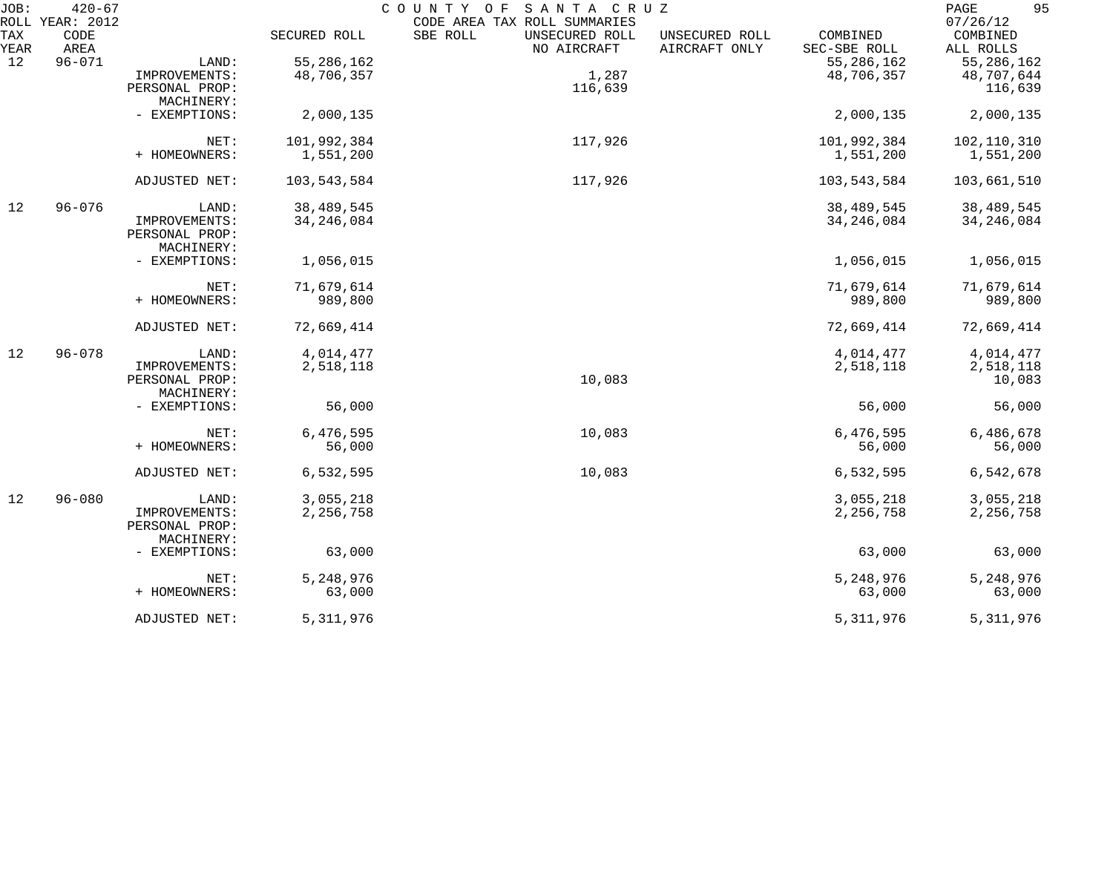| JOB:        | $420 - 67$<br>ROLL YEAR: 2012 |                              |              | COUNTY OF<br>SANTA CRUZ<br>CODE AREA TAX ROLL SUMMARIES                      |                          | 95<br>PAGE<br>07/26/12 |
|-------------|-------------------------------|------------------------------|--------------|------------------------------------------------------------------------------|--------------------------|------------------------|
| TAX<br>YEAR | CODE<br>AREA                  |                              | SECURED ROLL | SBE ROLL<br>UNSECURED ROLL<br>UNSECURED ROLL<br>NO AIRCRAFT<br>AIRCRAFT ONLY | COMBINED<br>SEC-SBE ROLL | COMBINED<br>ALL ROLLS  |
| 12          | $96 - 071$                    | LAND:                        | 55, 286, 162 |                                                                              | 55, 286, 162             | 55, 286, 162           |
|             |                               | IMPROVEMENTS:                | 48,706,357   | 1,287                                                                        | 48,706,357               | 48,707,644             |
|             |                               | PERSONAL PROP:               |              | 116,639                                                                      |                          | 116,639                |
|             |                               | MACHINERY:                   |              |                                                                              |                          |                        |
|             |                               | - EXEMPTIONS:                | 2,000,135    |                                                                              | 2,000,135                | 2,000,135              |
|             |                               | NET:                         | 101,992,384  | 117,926                                                                      | 101,992,384              | 102,110,310            |
|             |                               | + HOMEOWNERS:                | 1,551,200    |                                                                              | 1,551,200                | 1,551,200              |
|             |                               | ADJUSTED NET:                | 103,543,584  | 117,926                                                                      | 103,543,584              | 103,661,510            |
| 12          | $96 - 076$                    | LAND:                        | 38, 489, 545 |                                                                              | 38,489,545               | 38,489,545             |
|             |                               | IMPROVEMENTS:                | 34, 246, 084 |                                                                              | 34, 246, 084             | 34, 246, 084           |
|             |                               | PERSONAL PROP:<br>MACHINERY: |              |                                                                              |                          |                        |
|             |                               | - EXEMPTIONS:                | 1,056,015    |                                                                              | 1,056,015                | 1,056,015              |
|             |                               | NET:                         | 71,679,614   |                                                                              | 71,679,614               | 71,679,614             |
|             |                               | + HOMEOWNERS:                | 989,800      |                                                                              | 989,800                  | 989,800                |
|             |                               | ADJUSTED NET:                | 72,669,414   |                                                                              | 72,669,414               | 72,669,414             |
| 12          | $96 - 078$                    | LAND:                        | 4,014,477    |                                                                              | 4,014,477                | 4,014,477              |
|             |                               | IMPROVEMENTS:                | 2,518,118    |                                                                              | 2,518,118                | 2,518,118              |
|             |                               | PERSONAL PROP:               |              | 10,083                                                                       |                          | 10,083                 |
|             |                               | MACHINERY:                   |              |                                                                              |                          |                        |
|             |                               | - EXEMPTIONS:                | 56,000       |                                                                              | 56,000                   | 56,000                 |
|             |                               | NET:                         | 6,476,595    | 10,083                                                                       | 6,476,595                | 6,486,678              |
|             |                               | + HOMEOWNERS:                | 56,000       |                                                                              | 56,000                   | 56,000                 |
|             |                               | ADJUSTED NET:                | 6,532,595    | 10,083                                                                       | 6,532,595                | 6,542,678              |
| 12          | $96 - 080$                    | LAND:                        | 3,055,218    |                                                                              | 3,055,218                | 3,055,218              |
|             |                               | IMPROVEMENTS:                | 2,256,758    |                                                                              | 2, 256, 758              | 2, 256, 758            |
|             |                               | PERSONAL PROP:<br>MACHINERY: |              |                                                                              |                          |                        |
|             |                               | - EXEMPTIONS:                | 63,000       |                                                                              | 63,000                   | 63,000                 |
|             |                               | NET:                         | 5,248,976    |                                                                              | 5,248,976                | 5,248,976              |
|             |                               | + HOMEOWNERS:                | 63,000       |                                                                              | 63,000                   | 63,000                 |
|             |                               | ADJUSTED NET:                | 5, 311, 976  |                                                                              | 5, 311, 976              | 5, 311, 976            |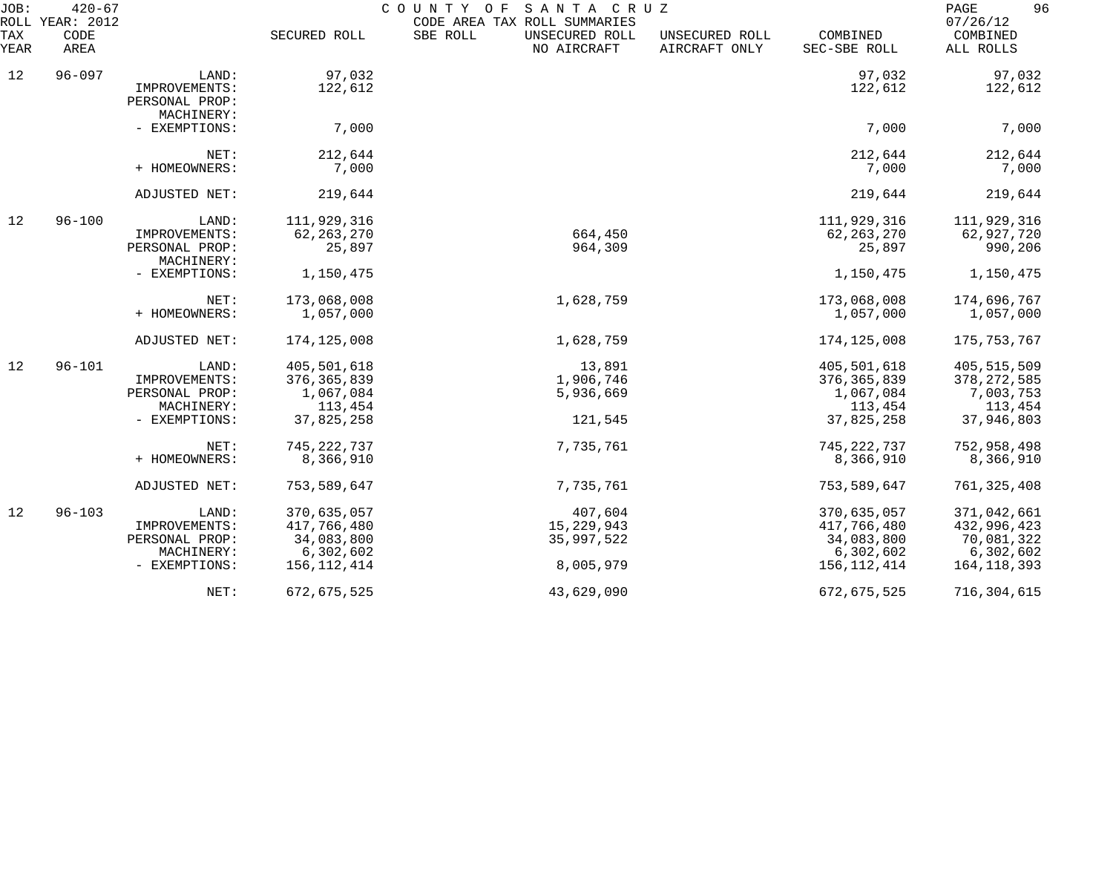| JOB:<br>ROLL | $420 - 67$<br>YEAR: 2012 |                                               |               | COUNTY OF<br>SANTA CRUZ<br>CODE AREA TAX ROLL SUMMARIES |                                 |                          | 96<br>PAGE<br>07/26/12 |
|--------------|--------------------------|-----------------------------------------------|---------------|---------------------------------------------------------|---------------------------------|--------------------------|------------------------|
| TAX<br>YEAR  | CODE<br>AREA             |                                               | SECURED ROLL  | SBE ROLL<br>UNSECURED ROLL<br>NO AIRCRAFT               | UNSECURED ROLL<br>AIRCRAFT ONLY | COMBINED<br>SEC-SBE ROLL | COMBINED<br>ALL ROLLS  |
| 12           | $96 - 097$               | LAND:                                         | 97,032        |                                                         |                                 | 97,032                   | 97,032                 |
|              |                          | IMPROVEMENTS:<br>PERSONAL PROP:<br>MACHINERY: | 122,612       |                                                         |                                 | 122,612                  | 122,612                |
|              |                          | - EXEMPTIONS:                                 | 7,000         |                                                         |                                 | 7,000                    | 7,000                  |
|              |                          | NET:                                          | 212,644       |                                                         |                                 | 212,644                  | 212,644                |
|              |                          | + HOMEOWNERS:                                 | 7,000         |                                                         |                                 | 7,000                    | 7,000                  |
|              |                          | ADJUSTED NET:                                 | 219,644       |                                                         |                                 | 219,644                  | 219,644                |
| 12           | $96 - 100$               | LAND:                                         | 111,929,316   |                                                         |                                 | 111,929,316              | 111,929,316            |
|              |                          | IMPROVEMENTS:                                 | 62, 263, 270  | 664,450                                                 |                                 | 62, 263, 270             | 62,927,720             |
|              |                          | PERSONAL PROP:<br>MACHINERY:                  | 25,897        | 964,309                                                 |                                 | 25,897                   | 990,206                |
|              |                          | - EXEMPTIONS:                                 | 1,150,475     |                                                         |                                 | 1,150,475                | 1,150,475              |
|              |                          | NET:                                          | 173,068,008   | 1,628,759                                               |                                 | 173,068,008              | 174,696,767            |
|              |                          | + HOMEOWNERS:                                 | 1,057,000     |                                                         |                                 | 1,057,000                | 1,057,000              |
|              |                          | ADJUSTED NET:                                 | 174, 125, 008 | 1,628,759                                               |                                 | 174, 125, 008            | 175,753,767            |
| 12           | $96 - 101$               | LAND:                                         | 405,501,618   | 13,891                                                  |                                 | 405,501,618              | 405, 515, 509          |
|              |                          | IMPROVEMENTS:                                 | 376, 365, 839 | 1,906,746                                               |                                 | 376, 365, 839            | 378, 272, 585          |
|              |                          | PERSONAL PROP:                                | 1,067,084     | 5,936,669                                               |                                 | 1,067,084                | 7,003,753              |
|              |                          | MACHINERY:                                    | 113,454       |                                                         |                                 | 113,454                  | 113,454                |
|              |                          | - EXEMPTIONS:                                 | 37,825,258    | 121,545                                                 |                                 | 37,825,258               | 37,946,803             |
|              |                          | NET:                                          | 745, 222, 737 | 7,735,761                                               |                                 | 745, 222, 737            | 752,958,498            |
|              |                          | + HOMEOWNERS:                                 | 8,366,910     |                                                         |                                 | 8,366,910                | 8,366,910              |
|              |                          | ADJUSTED NET:                                 | 753,589,647   | 7,735,761                                               |                                 | 753,589,647              | 761, 325, 408          |
| 12           | $96 - 103$               | LAND:                                         | 370,635,057   | 407,604                                                 |                                 | 370,635,057              | 371,042,661            |
|              |                          | IMPROVEMENTS:                                 | 417,766,480   | 15, 229, 943                                            |                                 | 417,766,480              | 432,996,423            |
|              |                          | PERSONAL PROP:                                | 34,083,800    | 35,997,522                                              |                                 | 34,083,800               | 70,081,322             |
|              |                          | MACHINERY:                                    | 6,302,602     |                                                         |                                 | 6,302,602                | 6,302,602              |
|              |                          | - EXEMPTIONS:                                 | 156, 112, 414 | 8,005,979                                               |                                 | 156, 112, 414            | 164, 118, 393          |
|              |                          | NET:                                          | 672,675,525   | 43,629,090                                              |                                 | 672,675,525              | 716, 304, 615          |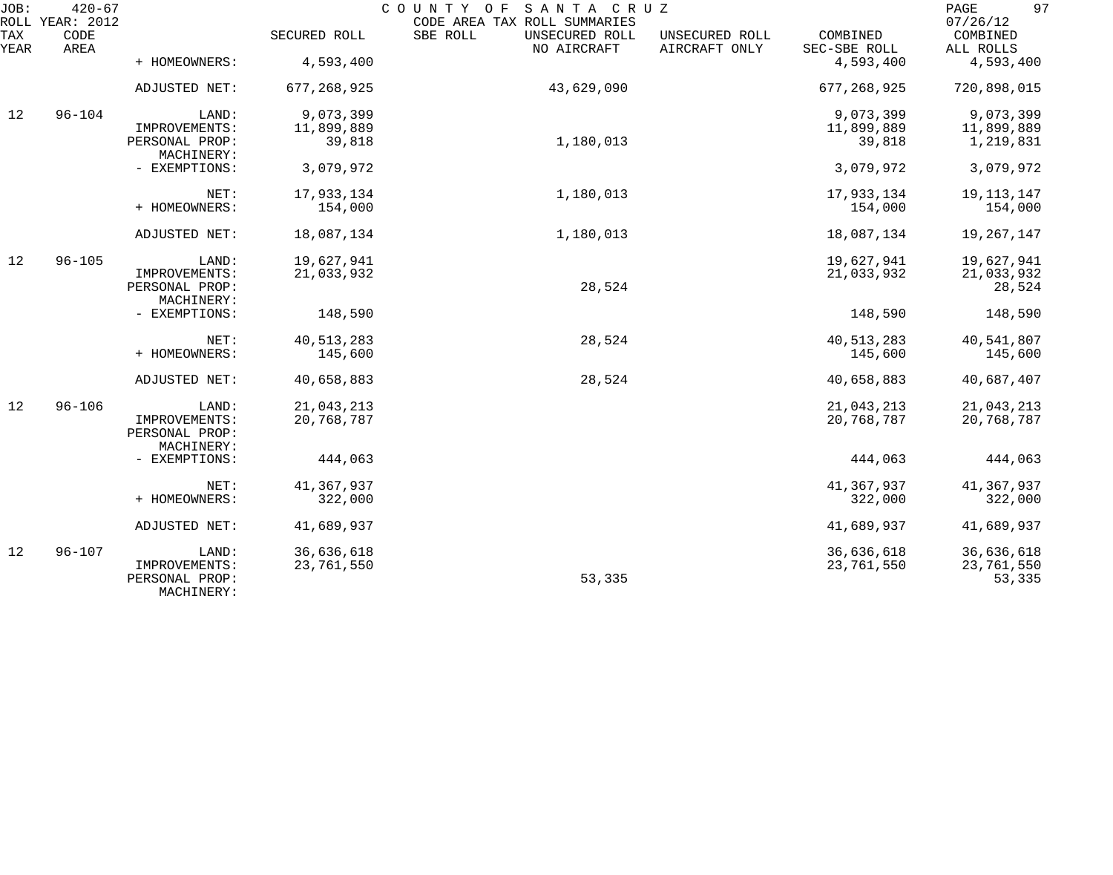| JOB:        | $420 - 67$<br>ROLL YEAR: 2012 |                              |               | COUNTY OF SANTA CRUZ<br>CODE AREA TAX ROLL SUMMARIES |                                 |                          | 97<br>$\mathop{\mathtt{PAGE}}$<br>07/26/12 |
|-------------|-------------------------------|------------------------------|---------------|------------------------------------------------------|---------------------------------|--------------------------|--------------------------------------------|
| TAX<br>YEAR | CODE<br>AREA                  |                              | SECURED ROLL  | SBE ROLL<br>UNSECURED ROLL<br>NO AIRCRAFT            | UNSECURED ROLL<br>AIRCRAFT ONLY | COMBINED<br>SEC-SBE ROLL | COMBINED<br>ALL ROLLS                      |
|             |                               | + HOMEOWNERS:                | 4,593,400     |                                                      |                                 | 4,593,400                | 4,593,400                                  |
|             |                               | ADJUSTED NET:                | 677, 268, 925 | 43,629,090                                           |                                 | 677, 268, 925            | 720,898,015                                |
| 12          | $96 - 104$                    | LAND:                        | 9,073,399     |                                                      |                                 | 9,073,399                | 9,073,399                                  |
|             |                               | IMPROVEMENTS:                | 11,899,889    |                                                      |                                 | 11,899,889               | 11,899,889                                 |
|             |                               | PERSONAL PROP:<br>MACHINERY: | 39,818        | 1,180,013                                            |                                 | 39,818                   | 1,219,831                                  |
|             |                               | - EXEMPTIONS:                | 3,079,972     |                                                      |                                 | 3,079,972                | 3,079,972                                  |
|             |                               | NET:                         | 17,933,134    | 1,180,013                                            |                                 | 17,933,134               | 19, 113, 147                               |
|             |                               | + HOMEOWNERS:                | 154,000       |                                                      |                                 | 154,000                  | 154,000                                    |
|             |                               | ADJUSTED NET:                | 18,087,134    | 1,180,013                                            |                                 | 18,087,134               | 19,267,147                                 |
| 12          | $96 - 105$                    | LAND:                        | 19,627,941    |                                                      |                                 | 19,627,941               | 19,627,941                                 |
|             |                               | IMPROVEMENTS:                | 21,033,932    |                                                      |                                 | 21,033,932               | 21,033,932                                 |
|             |                               | PERSONAL PROP:               |               | 28,524                                               |                                 |                          | 28,524                                     |
|             |                               | MACHINERY:                   |               |                                                      |                                 |                          |                                            |
|             |                               | - EXEMPTIONS:                | 148,590       |                                                      |                                 | 148,590                  | 148,590                                    |
|             |                               | NET:                         | 40, 513, 283  | 28,524                                               |                                 | 40, 513, 283             | 40,541,807                                 |
|             |                               | + HOMEOWNERS:                | 145,600       |                                                      |                                 | 145,600                  | 145,600                                    |
|             |                               | ADJUSTED NET:                | 40,658,883    | 28,524                                               |                                 | 40,658,883               | 40,687,407                                 |
| 12          | $96 - 106$                    | LAND:                        | 21,043,213    |                                                      |                                 | 21,043,213               | 21,043,213                                 |
|             |                               | IMPROVEMENTS:                | 20,768,787    |                                                      |                                 | 20,768,787               | 20,768,787                                 |
|             |                               | PERSONAL PROP:               |               |                                                      |                                 |                          |                                            |
|             |                               | MACHINERY:                   |               |                                                      |                                 |                          |                                            |
|             |                               | - EXEMPTIONS:                | 444,063       |                                                      |                                 | 444,063                  | 444,063                                    |
|             |                               | NET:                         | 41,367,937    |                                                      |                                 | 41,367,937               | 41,367,937                                 |
|             |                               | + HOMEOWNERS:                | 322,000       |                                                      |                                 | 322,000                  | 322,000                                    |
|             |                               | ADJUSTED NET:                | 41,689,937    |                                                      |                                 | 41,689,937               | 41,689,937                                 |
| 12          | $96 - 107$                    | LAND:                        | 36,636,618    |                                                      |                                 | 36,636,618               | 36,636,618                                 |
|             |                               | IMPROVEMENTS:                | 23,761,550    |                                                      |                                 | 23,761,550               | 23,761,550                                 |
|             |                               | PERSONAL PROP:<br>MACHINERY: |               | 53,335                                               |                                 |                          | 53,335                                     |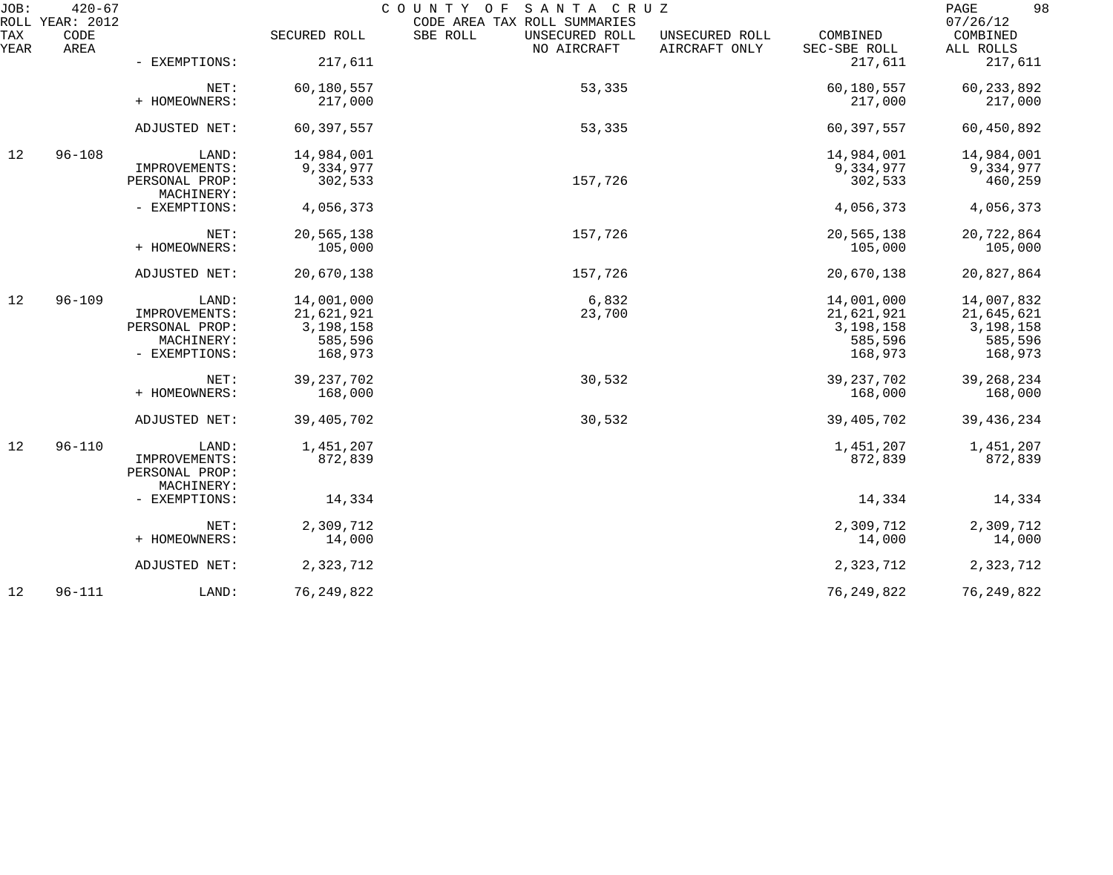| JOB:        | $420 - 67$<br>ROLL YEAR: 2012 | COUNTY OF<br>SANTA CRUZ<br>CODE AREA TAX ROLL SUMMARIES |              |                                           |                                 |                          |                       |
|-------------|-------------------------------|---------------------------------------------------------|--------------|-------------------------------------------|---------------------------------|--------------------------|-----------------------|
| TAX<br>YEAR | CODE<br>AREA                  |                                                         | SECURED ROLL | SBE ROLL<br>UNSECURED ROLL<br>NO AIRCRAFT | UNSECURED ROLL<br>AIRCRAFT ONLY | COMBINED<br>SEC-SBE ROLL | COMBINED<br>ALL ROLLS |
|             |                               | - EXEMPTIONS:                                           | 217,611      |                                           |                                 | 217,611                  | 217,611               |
|             |                               | NET:                                                    | 60,180,557   | 53,335                                    |                                 | 60,180,557               | 60, 233, 892          |
|             |                               | + HOMEOWNERS:                                           | 217,000      |                                           |                                 | 217,000                  | 217,000               |
|             |                               | ADJUSTED NET:                                           | 60,397,557   | 53,335                                    |                                 | 60,397,557               | 60,450,892            |
| 12          | $96 - 108$                    | LAND:                                                   | 14,984,001   |                                           |                                 | 14,984,001               | 14,984,001            |
|             |                               | IMPROVEMENTS:                                           | 9,334,977    |                                           |                                 | 9,334,977                | 9,334,977             |
|             |                               | PERSONAL PROP:<br>MACHINERY:                            | 302,533      | 157,726                                   |                                 | 302,533                  | 460,259               |
|             |                               | - EXEMPTIONS:                                           | 4,056,373    |                                           |                                 | 4,056,373                | 4,056,373             |
|             |                               | NET:                                                    | 20,565,138   | 157,726                                   |                                 | 20,565,138               | 20,722,864            |
|             |                               | + HOMEOWNERS:                                           | 105,000      |                                           |                                 | 105,000                  | 105,000               |
|             |                               | ADJUSTED NET:                                           | 20,670,138   | 157,726                                   |                                 | 20,670,138               | 20,827,864            |
| 12          | $96 - 109$                    | LAND:                                                   | 14,001,000   | 6,832                                     |                                 | 14,001,000               | 14,007,832            |
|             |                               | IMPROVEMENTS:                                           | 21,621,921   | 23,700                                    |                                 | 21,621,921               | 21,645,621            |
|             |                               | PERSONAL PROP:                                          | 3,198,158    |                                           |                                 | 3,198,158                | 3,198,158             |
|             |                               | MACHINERY:                                              | 585,596      |                                           |                                 | 585,596                  | 585,596               |
|             |                               | - EXEMPTIONS:                                           | 168,973      |                                           |                                 | 168,973                  | 168,973               |
|             |                               | NET:                                                    | 39, 237, 702 | 30,532                                    |                                 | 39, 237, 702             | 39, 268, 234          |
|             |                               | + HOMEOWNERS:                                           | 168,000      |                                           |                                 | 168,000                  | 168,000               |
|             |                               | ADJUSTED NET:                                           | 39, 405, 702 | 30,532                                    |                                 | 39, 405, 702             | 39, 436, 234          |
| 12          | $96 - 110$                    | LAND:                                                   | 1,451,207    |                                           |                                 | 1,451,207                | 1,451,207             |
|             |                               | IMPROVEMENTS:                                           | 872,839      |                                           |                                 | 872,839                  | 872,839               |
|             |                               | PERSONAL PROP:                                          |              |                                           |                                 |                          |                       |
|             |                               | MACHINERY:                                              |              |                                           |                                 |                          |                       |
|             |                               | - EXEMPTIONS:                                           | 14,334       |                                           |                                 | 14,334                   | 14,334                |
|             |                               | NET:                                                    | 2,309,712    |                                           |                                 | 2,309,712                | 2,309,712             |
|             |                               | + HOMEOWNERS:                                           | 14,000       |                                           |                                 | 14,000                   | 14,000                |
|             |                               | ADJUSTED NET:                                           | 2,323,712    |                                           |                                 | 2,323,712                | 2,323,712             |
| 12          | $96 - 111$                    | LAND:                                                   | 76, 249, 822 |                                           |                                 | 76, 249, 822             | 76, 249, 822          |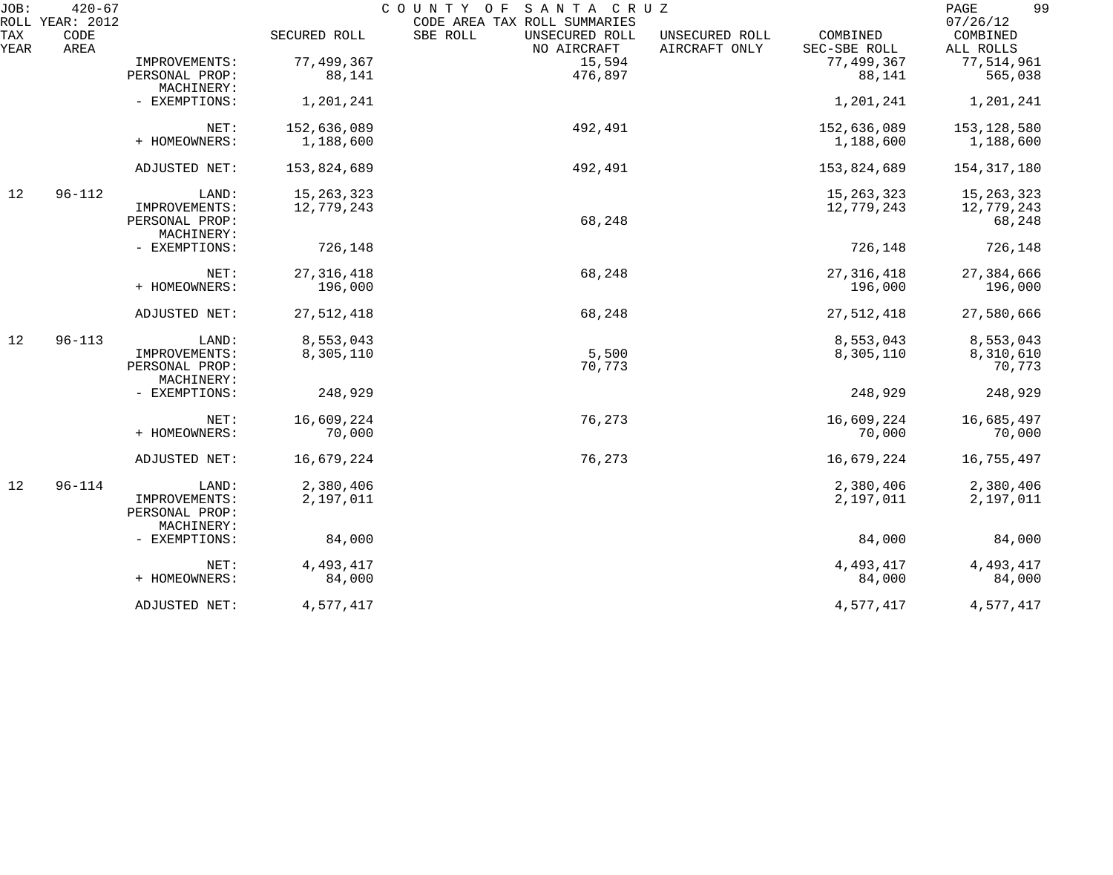| JOB:<br>ROLL | $420 - 67$<br>YEAR: 2012 |                                               |              | COUNTY OF<br>SANTA CRUZ<br>CODE AREA TAX ROLL SUMMARIES |                                 |                          | 99<br>PAGE<br>07/26/12 |
|--------------|--------------------------|-----------------------------------------------|--------------|---------------------------------------------------------|---------------------------------|--------------------------|------------------------|
| TAX<br>YEAR  | CODE<br>AREA             |                                               | SECURED ROLL | SBE ROLL<br>UNSECURED ROLL<br>NO AIRCRAFT               | UNSECURED ROLL<br>AIRCRAFT ONLY | COMBINED<br>SEC-SBE ROLL | COMBINED<br>ALL ROLLS  |
|              |                          | IMPROVEMENTS:                                 | 77,499,367   | 15,594                                                  |                                 | 77,499,367               | 77,514,961             |
|              |                          | PERSONAL PROP:<br>MACHINERY:                  | 88,141       | 476,897                                                 |                                 | 88,141                   | 565,038                |
|              |                          | - EXEMPTIONS:                                 | 1,201,241    |                                                         |                                 | 1,201,241                | 1,201,241              |
|              |                          | NET:                                          | 152,636,089  | 492,491                                                 |                                 | 152,636,089              | 153,128,580            |
|              |                          | + HOMEOWNERS:                                 | 1,188,600    |                                                         |                                 | 1,188,600                | 1,188,600              |
|              |                          | ADJUSTED NET:                                 | 153,824,689  | 492,491                                                 |                                 | 153,824,689              | 154, 317, 180          |
| 12           | $96 - 112$               | LAND:                                         | 15, 263, 323 |                                                         |                                 | 15, 263, 323             | 15, 263, 323           |
|              |                          | IMPROVEMENTS:                                 | 12,779,243   | 68,248                                                  |                                 | 12,779,243               | 12,779,243             |
|              |                          | PERSONAL PROP:<br>MACHINERY:                  |              |                                                         |                                 |                          | 68,248                 |
|              |                          | - EXEMPTIONS:                                 | 726,148      |                                                         |                                 | 726,148                  | 726,148                |
|              |                          | NET:                                          | 27, 316, 418 | 68,248                                                  |                                 | 27, 316, 418             | 27,384,666             |
|              |                          | + HOMEOWNERS:                                 | 196,000      |                                                         |                                 | 196,000                  | 196,000                |
|              |                          | ADJUSTED NET:                                 | 27,512,418   | 68,248                                                  |                                 | 27,512,418               | 27,580,666             |
| 12           | $96 - 113$               | LAND:                                         | 8,553,043    |                                                         |                                 | 8,553,043                | 8,553,043              |
|              |                          | IMPROVEMENTS:<br>PERSONAL PROP:<br>MACHINERY: | 8,305,110    | 5,500<br>70,773                                         |                                 | 8,305,110                | 8,310,610<br>70,773    |
|              |                          | - EXEMPTIONS:                                 | 248,929      |                                                         |                                 | 248,929                  | 248,929                |
|              |                          | NET:                                          | 16,609,224   | 76,273                                                  |                                 | 16,609,224               | 16,685,497             |
|              |                          | + HOMEOWNERS:                                 | 70,000       |                                                         |                                 | 70,000                   | 70,000                 |
|              |                          | ADJUSTED NET:                                 | 16,679,224   | 76,273                                                  |                                 | 16,679,224               | 16,755,497             |
| 12           | $96 - 114$               | LAND:                                         | 2,380,406    |                                                         |                                 | 2,380,406                | 2,380,406              |
|              |                          | IMPROVEMENTS:<br>PERSONAL PROP:<br>MACHINERY: | 2,197,011    |                                                         |                                 | 2,197,011                | 2,197,011              |
|              |                          | - EXEMPTIONS:                                 | 84,000       |                                                         |                                 | 84,000                   | 84,000                 |
|              |                          | NET:                                          | 4,493,417    |                                                         |                                 | 4, 493, 417              | 4,493,417              |
|              |                          | + HOMEOWNERS:                                 | 84,000       |                                                         |                                 | 84,000                   | 84,000                 |
|              |                          | ADJUSTED NET:                                 | 4,577,417    |                                                         |                                 | 4,577,417                | 4,577,417              |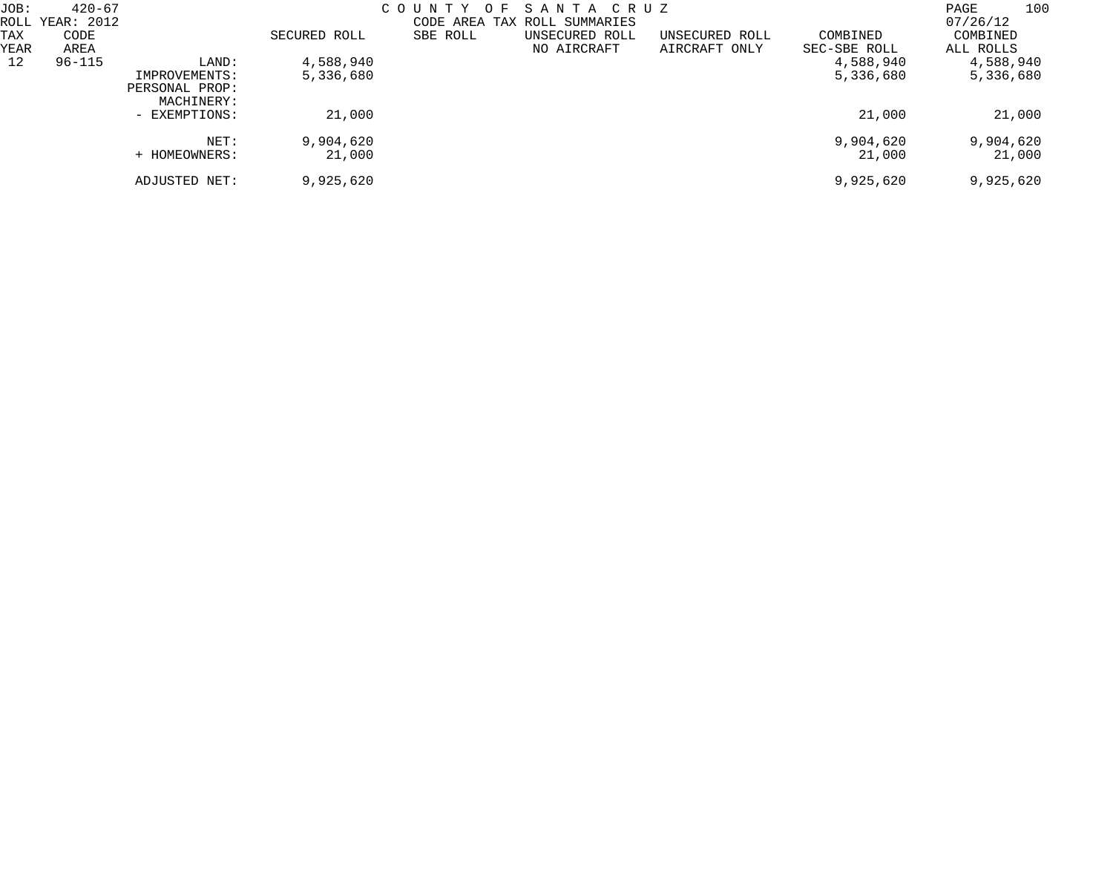| JOB:       | $420 - 67$<br>ROLL YEAR: 2012 |                                               |                     | C O U N T Y<br>O F | SANTA CRUZ<br>CODE AREA TAX ROLL SUMMARIES |                |                           | 100<br>PAGE<br>07/26/12 |
|------------|-------------------------------|-----------------------------------------------|---------------------|--------------------|--------------------------------------------|----------------|---------------------------|-------------------------|
| TAX        | CODE                          |                                               | SECURED ROLL        | SBE ROLL           | UNSECURED ROLL                             | UNSECURED ROLL | COMBINED                  | COMBINED                |
| YEAR<br>12 | AREA<br>$96 - 115$            | LAND:                                         | 4,588,940           |                    | NO AIRCRAFT                                | AIRCRAFT ONLY  | SEC-SBE ROLL<br>4,588,940 | ALL ROLLS<br>4,588,940  |
|            |                               | IMPROVEMENTS:<br>PERSONAL PROP:<br>MACHINERY: | 5,336,680           |                    |                                            |                | 5,336,680                 | 5,336,680               |
|            |                               | - EXEMPTIONS:                                 | 21,000              |                    |                                            |                | 21,000                    | 21,000                  |
|            |                               | NET:<br>+ HOMEOWNERS:                         | 9,904,620<br>21,000 |                    |                                            |                | 9,904,620<br>21,000       | 9,904,620<br>21,000     |
|            |                               | ADJUSTED NET:                                 | 9,925,620           |                    |                                            |                | 9,925,620                 | 9,925,620               |